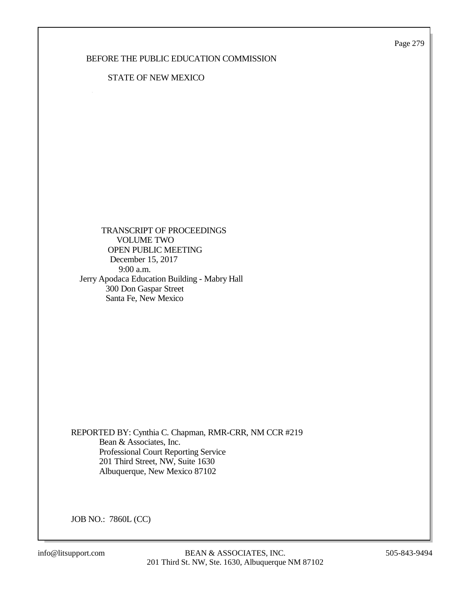Page 279

## BEFORE THE PUBLIC EDUCATION COMMISSION

### STATE OF NEW MEXICO

 TRANSCRIPT OF PROCEEDINGS VOLUME TWO OPEN PUBLIC MEETING December 15, 2017 9:00 a.m. Jerry Apodaca Education Building - Mabry Hall 300 Don Gaspar Street Santa Fe, New Mexico

REPORTED BY: Cynthia C. Chapman, RMR-CRR, NM CCR #219 Bean & Associates, Inc. Professional Court Reporting Service 201 Third Street, NW, Suite 1630 Albuquerque, New Mexico 87102

JOB NO.: 7860L (CC)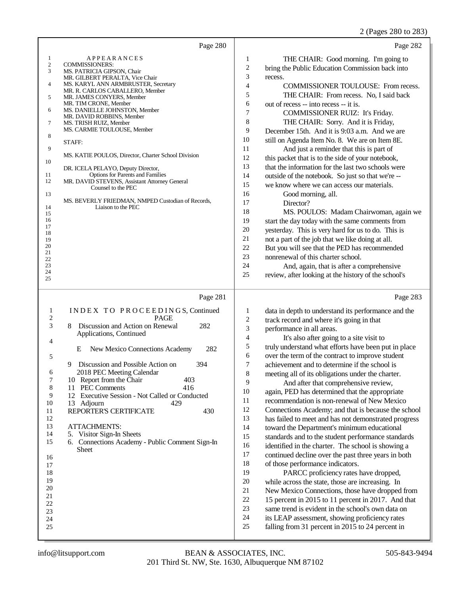## 2 (Pages 280 to 283)

|                                                                                                                                                                            | Page 280                                                                                                                                                                                                                                                                                                                                                                                                                                                                                                                                                                                                                                                         | Page 282                                                                                                                                                                                                                                                                                                                                                                                                                                                                                                                                                                                                                                                                                                                                                                                                                                                                                                                                                                                                                                                                                                                                                                                                                                                                                                                                                                                                                                                                           |
|----------------------------------------------------------------------------------------------------------------------------------------------------------------------------|------------------------------------------------------------------------------------------------------------------------------------------------------------------------------------------------------------------------------------------------------------------------------------------------------------------------------------------------------------------------------------------------------------------------------------------------------------------------------------------------------------------------------------------------------------------------------------------------------------------------------------------------------------------|------------------------------------------------------------------------------------------------------------------------------------------------------------------------------------------------------------------------------------------------------------------------------------------------------------------------------------------------------------------------------------------------------------------------------------------------------------------------------------------------------------------------------------------------------------------------------------------------------------------------------------------------------------------------------------------------------------------------------------------------------------------------------------------------------------------------------------------------------------------------------------------------------------------------------------------------------------------------------------------------------------------------------------------------------------------------------------------------------------------------------------------------------------------------------------------------------------------------------------------------------------------------------------------------------------------------------------------------------------------------------------------------------------------------------------------------------------------------------------|
| 1<br>$\sqrt{2}$<br>3<br>4<br>5<br>6<br>7<br>8<br>9<br>10<br>11<br>12<br>13<br>14<br>15<br>16<br>17<br>18<br>19<br>20<br>21<br>22<br>23<br>24<br>25                         | APPEARANCES<br><b>COMMISSIONERS:</b><br>MS. PATRICIA GIPSON, Chair<br>MR. GILBERT PERALTA, Vice Chair<br>MS. KARYL ANN ARMBRUSTER, Secretary<br>MR. R. CARLOS CABALLERO, Member<br>MR. JAMES CONYERS, Member<br>MR. TIM CRONE, Member<br>MS. DANIELLE JOHNSTON, Member<br>MR. DAVID ROBBINS, Member<br>MS. TRISH RUIZ, Member<br>MS. CARMIE TOULOUSE, Member<br>STAFF:<br>MS. KATIE POULOS, Director, Charter School Division<br>DR. ICELA PELAYO, Deputy Director,<br><b>Options for Parents and Families</b><br>MR. DAVID STEVENS, Assistant Attorney General<br>Counsel to the PEC<br>MS. BEVERLY FRIEDMAN, NMPED Custodian of Records,<br>Liaison to the PEC | THE CHAIR: Good morning. I'm going to<br>1<br>$\overline{\mathbf{c}}$<br>bring the Public Education Commission back into<br>3<br>recess.<br>$\overline{\mathbf{4}}$<br>COMMISSIONER TOULOUSE: From recess.<br>5<br>THE CHAIR: From recess. No, I said back<br>$\epsilon$<br>out of recess -- into recess -- it is.<br>7<br>COMMISSIONER RUIZ: It's Friday.<br>$\,$ 8 $\,$<br>THE CHAIR: Sorry. And it is Friday,<br>9<br>December 15th. And it is 9:03 a.m. And we are<br>10<br>still on Agenda Item No. 8. We are on Item 8E.<br>11<br>And just a reminder that this is part of<br>12<br>this packet that is to the side of your notebook,<br>13<br>that the information for the last two schools were<br>14<br>outside of the notebook. So just so that we're --<br>15<br>we know where we can access our materials.<br>16<br>Good morning, all.<br>17<br>Director?<br>18<br>MS. POULOS: Madam Chairwoman, again we<br>19<br>start the day today with the same comments from<br>20<br>yesterday. This is very hard for us to do. This is<br>21<br>not a part of the job that we like doing at all.<br>22<br>But you will see that the PED has recommended<br>23<br>nonrenewal of this charter school.<br>24<br>And, again, that is after a comprehensive<br>25<br>review, after looking at the history of the school's                                                                                                                                                           |
| $\mathbf{1}$<br>$\overline{\mathbf{c}}$<br>3<br>4<br>5<br>6<br>7<br>8<br>9<br>10<br>11<br>12<br>13<br>14<br>15<br>16<br>17<br>18<br>19<br>20<br>21<br>22<br>23<br>24<br>25 | Page 281<br>INDEX TO PROCEEDINGS, Continued<br><b>PAGE</b><br>Discussion and Action on Renewal<br>282<br>8<br>Applications, Continued<br>282<br>New Mexico Connections Academy<br>Ε<br>9<br>Discussion and Possible Action on<br>394<br>2018 PEC Meeting Calendar<br>Report from the Chair<br>403<br>10<br>11 PEC Comments<br>416<br>12 Executive Session - Not Called or Conducted<br>13 Adjourn<br>429<br>REPORTER'S CERTIFICATE<br>430<br><b>ATTACHMENTS:</b><br>5. Visitor Sign-In Sheets<br>6. Connections Academy - Public Comment Sign-In<br><b>Sheet</b>                                                                                                 | Page 283<br>1<br>data in depth to understand its performance and the<br>$\sqrt{2}$<br>track record and where it's going in that<br>3<br>performance in all areas.<br>$\overline{\mathbf{4}}$<br>It's also after going to a site visit to<br>5<br>truly understand what efforts have been put in place<br>6<br>over the term of the contract to improve student<br>7<br>achievement and to determine if the school is<br>8<br>meeting all of its obligations under the charter.<br>9<br>And after that comprehensive review,<br>10<br>again, PED has determined that the appropriate<br>11<br>recommendation is non-renewal of New Mexico<br>12<br>Connections Academy; and that is because the school<br>13<br>has failed to meet and has not demonstrated progress<br>14<br>toward the Department's minimum educational<br>15<br>standards and to the student performance standards<br>16<br>identified in the charter. The school is showing a<br>17<br>continued decline over the past three years in both<br>18<br>of those performance indicators.<br>19<br>PARCC proficiency rates have dropped,<br>$20\,$<br>while across the state, those are increasing. In<br>21<br>New Mexico Connections, those have dropped from<br>$22\,$<br>15 percent in 2015 to 11 percent in 2017. And that<br>23<br>same trend is evident in the school's own data on<br>$24\,$<br>its LEAP assessment, showing proficiency rates<br>$25\,$<br>falling from 31 percent in 2015 to 24 percent in |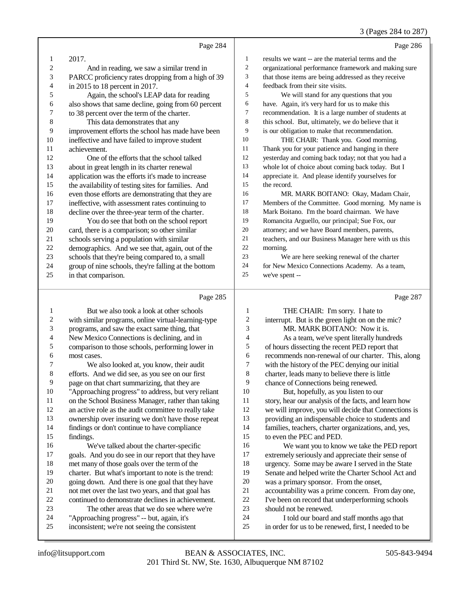#### 3 (Pages 284 to 287)

|                | Page 284                                             |                         | Page 286                                             |
|----------------|------------------------------------------------------|-------------------------|------------------------------------------------------|
| 1              | 2017.                                                | $\mathbf{1}$            | results we want -- are the material terms and the    |
| $\mathbf{2}$   | And in reading, we saw a similar trend in            | $\overline{c}$          | organizational performance framework and making sure |
| 3              | PARCC proficiency rates dropping from a high of 39   | 3                       | that those items are being addressed as they receive |
| 4              | in 2015 to 18 percent in 2017.                       | 4                       | feedback from their site visits.                     |
| 5              | Again, the school's LEAP data for reading            | 5                       | We will stand for any questions that you             |
| 6              | also shows that same decline, going from 60 percent  | 6                       | have. Again, it's very hard for us to make this      |
| 7              | to 38 percent over the term of the charter.          | 7                       | recommendation. It is a large number of students at  |
| $\,8\,$        | This data demonstrates that any                      | 8                       | this school. But, ultimately, we do believe that it  |
| 9              | improvement efforts the school has made have been    | 9                       | is our obligation to make that recommendation.       |
| $10\,$         | ineffective and have failed to improve student       | 10                      | THE CHAIR: Thank you. Good morning.                  |
| 11             | achievement.                                         | 11                      | Thank you for your patience and hanging in there     |
| 12             | One of the efforts that the school talked            | 12                      | yesterday and coming back today; not that you had a  |
| 13             | about in great length in its charter renewal         | 13                      | whole lot of choice about coming back today. But I   |
| 14             | application was the efforts it's made to increase    | 14                      | appreciate it. And please identify yourselves for    |
| 15             | the availability of testing sites for families. And  | 15                      | the record.                                          |
| 16             | even those efforts are demonstrating that they are   | 16                      | MR. MARK BOITANO: Okay, Madam Chair,                 |
| 17             | ineffective, with assessment rates continuing to     | 17                      | Members of the Committee. Good morning. My name is   |
| 18             | decline over the three-year term of the charter.     | $18\,$                  | Mark Boitano. I'm the board chairman. We have        |
| 19             | You do see that both on the school report            | 19                      | Romancita Arguello, our principal; Sue Fox, our      |
| 20             | card, there is a comparison; so other similar        | 20                      | attorney; and we have Board members, parents,        |
| 21             | schools serving a population with similar            | 21                      | teachers, and our Business Manager here with us this |
| 22             | demographics. And we see that, again, out of the     | 22                      | morning.                                             |
| $23\,$         | schools that they're being compared to, a small      | 23                      | We are here seeking renewal of the charter           |
| 24             | group of nine schools, they're falling at the bottom | 24                      | for New Mexico Connections Academy. As a team,       |
| 25             | in that comparison.                                  | 25                      | we've spent --                                       |
|                | Page 285                                             |                         | Page 287                                             |
| 1              | But we also took a look at other schools             | 1                       | THE CHAIR: I'm sorry. I hate to                      |
| 2              | with similar programs, online virtual-learning-type  | $\overline{\mathbf{c}}$ | interrupt. But is the green light on on the mic?     |
| 3              | programs, and saw the exact same thing, that         | 3                       | MR. MARK BOITANO: Now it is.                         |
| $\overline{4}$ | New Mexico Connections is declining, and in          | 4                       | As a team, we've spent literally hundreds            |
| 5              | comparison to those schools, performing lower in     | 5                       | of hours dissecting the recent PED report that       |
| 6              | most cases.                                          | 6                       | recommends non-renewal of our charter. This, along   |
|                |                                                      |                         |                                                      |

 We also looked at, you know, their audit efforts. And we did see, as you see on our first 9 page on that chart summarizing, that they are<br>10 TApproaching progress" to address, but very "Approaching progress" to address, but very reliant 11 on the School Business Manager, rather than taking<br>12 an active role as the audit committee to really take an active role as the audit committee to really take ownership over insuring we don't have those repeat findings or don't continue to have compliance findings. 16 We've talked about the charter-specific<br>17 goals. And you do see in our report that they goals. And you do see in our report that they have

- 18 met many of those goals over the term of the<br>19 charter. But what's important to note is the t charter. But what's important to note is the trend:
- 20 going down. And there is one goal that they have<br>21 not met over the last two vears, and that goal has
- 21 not met over the last two years, and that goal has<br>22 continued to demonstrate declines in achievemen
- 22 continued to demonstrate declines in achievement.<br>23 The other areas that we do see where we're
- 23 The other areas that we do see where we're<br>
24 "Approaching progress" -- but, again, it's
- 24 "Approaching progress" -- but, again, it's<br>25 inconsistent: we're not seeing the consiste inconsistent; we're not seeing the consistent
- 7 with the history of the PEC denying our initial<br>8 charter, leads many to believe there is little
- charter, leads many to believe there is little
- 9 chance of Connections being renewed.<br>10 But, hopefully, as you listen to or 10 But, hopefully, as you listen to our<br>11 story, hear our analysis of the facts, and le story, hear our analysis of the facts, and learn how
- we will improve, you will decide that Connections is providing an indispensable choice to students and families, teachers, charter organizations, and, yes,
- to even the PEC and PED.
- 16 We want you to know we take the PED report<br>17 extremely seriously and appreciate their sense of extremely seriously and appreciate their sense of 18 urgency. Some may be aware I served in the State<br>19 Senate and helped write the Charter School Act and Senate and helped write the Charter School Act and
	-
- 20 was a primary sponsor. From the onset,<br>21 accountability was a prime concern. From
- 21 accountability was a prime concern. From day one,<br>22 I've been on record that underperforming schools 22 I've been on record that underperforming schools<br>23 should not be renewed.
- should not be renewed.
- I told our board and staff months ago that in order for us to be renewed, first, I needed to be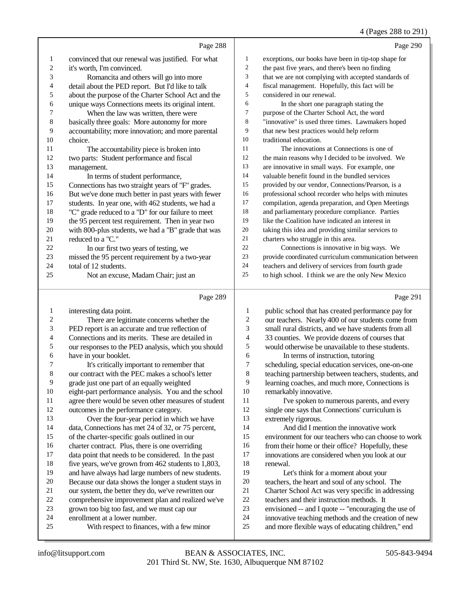#### 4 (Pages 288 to 291)

|                |                                                     |                | (1.4)                                                |
|----------------|-----------------------------------------------------|----------------|------------------------------------------------------|
|                | Page 288                                            |                | Page 290                                             |
| 1              | convinced that our renewal was justified. For what  | 1              | exceptions, our books have been in tip-top shape for |
| $\overline{c}$ | it's worth, I'm convinced.                          | $\overline{c}$ | the past five years, and there's been no finding     |
| 3              | Romancita and others will go into more              | 3              | that we are not complying with accepted standards of |
| 4              | detail about the PED report. But I'd like to talk   | 4              | fiscal management. Hopefully, this fact will be      |
| 5              | about the purpose of the Charter School Act and the | 5              | considered in our renewal.                           |
| 6              | unique ways Connections meets its original intent.  | 6              | In the short one paragraph stating the               |
| 7              | When the law was written, there were                | 7              | purpose of the Charter School Act, the word          |
| $\,$ 8 $\,$    | basically three goals: More autonomy for more       | 8              | "innovative" is used three times. Lawmakers hoped    |
| 9              | accountability; more innovation; and more parental  | 9              | that new best practices would help reform            |
| 10             | choice.                                             | 10             | traditional education.                               |
| 11             | The accountability piece is broken into             | 11             | The innovations at Connections is one of             |
| 12             | two parts: Student performance and fiscal           | 12             | the main reasons why I decided to be involved. We    |
| 13             | management.                                         | 13             | are innovative in small ways. For example, one       |
| 14             | In terms of student performance,                    | 14             | valuable benefit found in the bundled services       |
| 15             | Connections has two straight years of "F" grades.   | 15             | provided by our vendor, Connections/Pearson, is a    |
| 16             | But we've done much better in past years with fewer | 16             | professional school recorder who helps with minutes  |
| 17             | students. In year one, with 462 students, we had a  | 17             | compilation, agenda preparation, and Open Meetings   |
| 18             | "C" grade reduced to a "D" for our failure to meet  | 18             | and parliamentary procedure compliance. Parties      |
| 19             | the 95 percent test requirement. Then in year two   | 19             | like the Coalition have indicated an interest in     |
| 20             | with 800-plus students, we had a "B" grade that was | 20             | taking this idea and providing similar services to   |
| 21             | reduced to a "C."                                   | 21             | charters who struggle in this area.                  |
| 22             | In our first two years of testing, we               | 22             | Connections is innovative in big ways. We            |
| 23             | missed the 95 percent requirement by a two-year     | 23             | provide coordinated curriculum communication between |
| 24             | total of 12 students.                               | 24             | teachers and delivery of services from fourth grade  |
| 25             | Not an excuse, Madam Chair; just an                 | 25             | to high school. I think we are the only New Mexico   |
|                | Page 289                                            |                | Page 291                                             |

|  | ١ |
|--|---|
|--|---|

| 1  | interesting data point.                              | 1  | public school that has created performance pay for   |
|----|------------------------------------------------------|----|------------------------------------------------------|
| 2  | There are legitimate concerns whether the            | 2  | our teachers. Nearly 400 of our students come from   |
| 3  | PED report is an accurate and true reflection of     | 3  | small rural districts, and we have students from all |
| 4  | Connections and its merits. These are detailed in    | 4  | 33 counties. We provide dozens of courses that       |
| 5  | our responses to the PED analysis, which you should  | 5  | would otherwise be unavailable to these students.    |
| 6  | have in your booklet.                                | 6  | In terms of instruction, tutoring                    |
|    | It's critically important to remember that           | 7  | scheduling, special education services, one-on-one   |
| 8  | our contract with the PEC makes a school's letter    | 8  | teaching partnership between teachers, students, and |
| 9  | grade just one part of an equally weighted           | 9  | learning coaches, and much more, Connections is      |
| 10 | eight-part performance analysis. You and the school  | 10 | remarkably innovative.                               |
| 11 | agree there would be seven other measures of student | 11 | I've spoken to numerous parents, and every           |
| 12 | outcomes in the performance category.                | 12 | single one says that Connections' curriculum is      |
| 13 | Over the four-year period in which we have           | 13 | extremely rigorous.                                  |
| 14 | data, Connections has met 24 of 32, or 75 percent,   | 14 | And did I mention the innovative work                |
| 15 | of the charter-specific goals outlined in our        | 15 | environment for our teachers who can choose to work  |
| 16 | charter contract. Plus, there is one overriding      | 16 | from their home or their office? Hopefully, these    |
| 17 | data point that needs to be considered. In the past  | 17 | innovations are considered when you look at our      |
| 18 | five years, we've grown from 462 students to 1,803,  | 18 | renewal.                                             |
| 19 | and have always had large numbers of new students.   | 19 | Let's think for a moment about your                  |
| 20 | Because our data shows the longer a student stays in | 20 | teachers, the heart and soul of any school. The      |
| 21 | our system, the better they do, we've rewritten our  | 21 | Charter School Act was very specific in addressing   |
| 22 | comprehensive improvement plan and realized we've    | 22 | teachers and their instruction methods. It           |
| 23 | grown too big too fast, and we must cap our          | 23 | envisioned -- and I quote -- "encouraging the use of |
| 24 | enrollment at a lower number.                        | 24 | innovative teaching methods and the creation of new  |
| 25 | With respect to finances, with a few minor           | 25 | and more flexible ways of educating children," end   |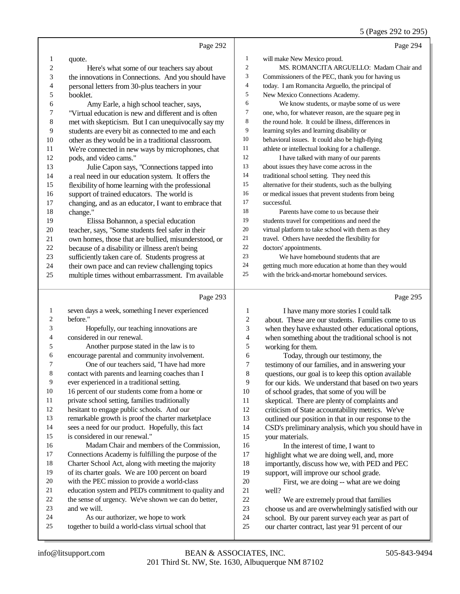## 5 (Pages 292 to 295)

|                | Page 292                                                                                    |                          | Page 294                                                                                                    |
|----------------|---------------------------------------------------------------------------------------------|--------------------------|-------------------------------------------------------------------------------------------------------------|
| 1              | quote.                                                                                      | $\mathbf{1}$             | will make New Mexico proud.                                                                                 |
| 2              | Here's what some of our teachers say about                                                  | $\boldsymbol{2}$         | MS. ROMANCITA ARGUELLO: Madam Chair and                                                                     |
| 3              | the innovations in Connections. And you should have                                         | 3                        | Commissioners of the PEC, thank you for having us                                                           |
| 4              | personal letters from 30-plus teachers in your                                              | $\overline{4}$           | today. I am Romancita Arguello, the principal of                                                            |
| 5              | booklet.                                                                                    | 5                        | New Mexico Connections Academy.                                                                             |
| 6              | Amy Earle, a high school teacher, says,                                                     | 6                        | We know students, or maybe some of us were                                                                  |
| 7              | "Virtual education is new and different and is often                                        | $\tau$                   | one, who, for whatever reason, are the square peg in                                                        |
| $\,$ 8 $\,$    | met with skepticism. But I can unequivocally say my                                         | 8                        | the round hole. It could be illness, differences in                                                         |
| $\overline{9}$ | students are every bit as connected to me and each                                          | 9                        | learning styles and learning disability or                                                                  |
| 10             | other as they would be in a traditional classroom.                                          | 10                       | behavioral issues. It could also be high-flying                                                             |
| 11             | We're connected in new ways by microphones, chat                                            | 11                       | athlete or intellectual looking for a challenge.                                                            |
| 12             | pods, and video cams."                                                                      | 12                       | I have talked with many of our parents                                                                      |
| 13             | Julie Capon says, "Connections tapped into                                                  | 13                       | about issues they have come across in the                                                                   |
| 14             | a real need in our education system. It offers the                                          | 14                       | traditional school setting. They need this                                                                  |
| 15             | flexibility of home learning with the professional                                          | 15                       | alternative for their students, such as the bullying                                                        |
| 16             | support of trained educators. The world is                                                  | 16                       | or medical issues that prevent students from being                                                          |
| 17             | changing, and as an educator, I want to embrace that                                        | 17                       | successful.                                                                                                 |
| 18             | change."                                                                                    | 18                       | Parents have come to us because their                                                                       |
| 19             | Elissa Bohannon, a special education                                                        | 19                       | students travel for competitions and need the                                                               |
| $20\,$         | teacher, says, "Some students feel safer in their                                           | $20\,$                   | virtual platform to take school with them as they                                                           |
| 21             | own homes, those that are bullied, misunderstood, or                                        | $21\,$                   | travel. Others have needed the flexibility for                                                              |
| $22\,$         | because of a disability or illness aren't being                                             | $22\,$                   | doctors' appointments.                                                                                      |
| 23             | sufficiently taken care of. Students progress at                                            | 23                       | We have homebound students that are                                                                         |
| 24             | their own pace and can review challenging topics                                            | 24                       | getting much more education at home than they would                                                         |
| 25             | multiple times without embarrassment. I'm available                                         | 25                       | with the brick-and-mortar homebound services.                                                               |
|                |                                                                                             |                          |                                                                                                             |
|                | Page 293                                                                                    |                          | Page 295                                                                                                    |
|                |                                                                                             |                          |                                                                                                             |
| $\mathbf{1}$   | seven days a week, something I never experienced                                            | 1                        | I have many more stories I could talk                                                                       |
| 2              | before."                                                                                    | $\boldsymbol{2}$         | about. These are our students. Families come to us                                                          |
| 3<br>4         | Hopefully, our teaching innovations are                                                     | 3                        | when they have exhausted other educational options,                                                         |
| 5              | considered in our renewal.                                                                  | $\overline{\mathcal{L}}$ | when something about the traditional school is not                                                          |
| 6              | Another purpose stated in the law is to                                                     | 5<br>6                   | working for them.                                                                                           |
| 7              | encourage parental and community involvement.<br>One of our teachers said, "I have had more | 7                        | Today, through our testimony, the                                                                           |
| $\,8\,$        | contact with parents and learning coaches than I                                            | 8                        | testimony of our families, and in answering your                                                            |
| 9              | ever experienced in a traditional setting.                                                  | 9                        | questions, our goal is to keep this option available<br>for our kids. We understand that based on two years |
| $10\,$         | 16 percent of our students come from a home or                                              | 10                       | of school grades, that some of you will be                                                                  |
| 11             | private school setting, families traditionally                                              | 11                       | skeptical. There are plenty of complaints and                                                               |
| 12             | hesitant to engage public schools. And our                                                  | 12                       | criticism of State accountability metrics. We've                                                            |
| 13             | remarkable growth is proof the charter marketplace                                          | 13                       | outlined our position in that in our response to the                                                        |
| 14             | sees a need for our product. Hopefully, this fact                                           | 14                       | CSD's preliminary analysis, which you should have in                                                        |
| 15             | is considered in our renewal."                                                              | 15                       | your materials.                                                                                             |
| 16             | Madam Chair and members of the Commission,                                                  | 16                       | In the interest of time, I want to                                                                          |
| 17             | Connections Academy is fulfilling the purpose of the                                        | 17                       | highlight what we are doing well, and, more                                                                 |
| 18             | Charter School Act, along with meeting the majority                                         | 18                       | importantly, discuss how we, with PED and PEC                                                               |
| 19             | of its charter goals. We are 100 percent on board                                           | 19                       | support, will improve our school grade.                                                                     |
| 20             | with the PEC mission to provide a world-class                                               | 20                       | First, we are doing -- what are we doing                                                                    |
| 21             | education system and PED's commitment to quality and                                        | 21                       | well?                                                                                                       |
| 22             | the sense of urgency. We've shown we can do better,                                         | 22                       | We are extremely proud that families                                                                        |
| 23             | and we will.                                                                                | 23                       | choose us and are overwhelmingly satisfied with our                                                         |
| 24<br>25       | As our authorizer, we hope to work<br>together to build a world-class virtual school that   | 24<br>25                 | school. By our parent survey each year as part of<br>our charter contract, last year 91 percent of our      |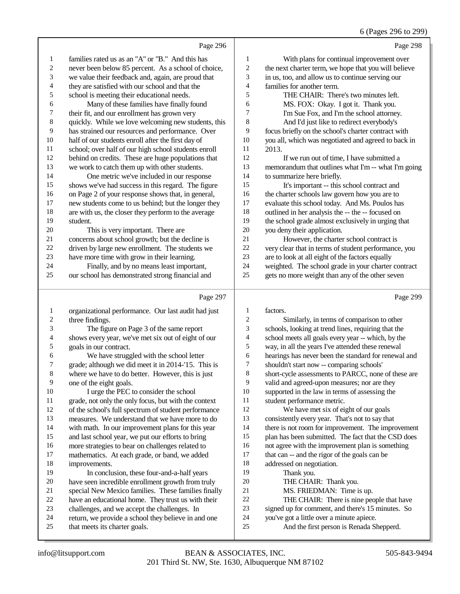|                |                                                      |                | 6 (Pages 296 to 299)                                 |
|----------------|------------------------------------------------------|----------------|------------------------------------------------------|
|                | Page 296                                             |                | Page 298                                             |
| $\mathbf{1}$   | families rated us as an "A" or "B." And this has     | 1              | With plans for continual improvement over            |
| 2              | never been below 85 percent. As a school of choice,  | $\overline{c}$ | the next charter term, we hope that you will believe |
| 3              | we value their feedback and, again, are proud that   | 3              | in us, too, and allow us to continue serving our     |
| $\overline{4}$ | they are satisfied with our school and that the      | 4              | families for another term.                           |
| 5              | school is meeting their educational needs.           | 5              | THE CHAIR: There's two minutes left.                 |
| 6              | Many of these families have finally found            | 6              | MS. FOX: Okay. I got it. Thank you.                  |
| 7              | their fit, and our enrollment has grown very         | 7              | I'm Sue Fox, and I'm the school attorney.            |
| $\,8\,$        | quickly. While we love welcoming new students, this  | 8              | And I'd just like to redirect everybody's            |
| 9              | has strained our resources and performance. Over     | 9              | focus briefly on the school's charter contract with  |
| 10             | half of our students enroll after the first day of   | 10             | you all, which was negotiated and agreed to back in  |
| 11             | school; over half of our high school students enroll | 11             | 2013.                                                |
| 12             | behind on credits. These are huge populations that   | 12             | If we run out of time, I have submitted a            |
| 13             | we work to catch them up with other students.        | 13             | memorandum that outlines what I'm -- what I'm going  |
| 14             | One metric we've included in our response            | 14             | to summarize here briefly.                           |
| 15             | shows we've had success in this regard. The figure   | 15             | It's important -- this school contract and           |
| 16             | on Page 2 of your response shows that, in general,   | 16             | the charter schools law govern how you are to        |
| 17             | new students come to us behind; but the longer they  | 17             | evaluate this school today. And Ms. Poulos has       |
| 18             | are with us, the closer they perform to the average  | 18             | outlined in her analysis the -- the -- focused on    |
| 19             | student.                                             | 19             | the school grade almost exclusively in urging that   |
| 20             | This is very important. There are                    | 20             | you deny their application.                          |
| 21             | concerns about school growth; but the decline is     | 21             | However, the charter school contract is              |
| 22             | driven by large new enrollment. The students we      | 22             | very clear that in terms of student performance, you |
| 23             | have more time with grow in their learning.          | 23             | are to look at all eight of the factors equally      |
| 24             | Finally, and by no means least important,            | 24             | weighted. The school grade in your charter contract  |
| 25             | our school has demonstrated strong financial and     | 25             | gets no more weight than any of the other seven      |

# Page 297

|    | Page 297                                             |    | Page 299                                             |
|----|------------------------------------------------------|----|------------------------------------------------------|
| 1  | organizational performance. Our last audit had just  | 1  | factors.                                             |
| 2  | three findings.                                      | 2  | Similarly, in terms of comparison to other           |
| 3  | The figure on Page 3 of the same report              | 3  | schools, looking at trend lines, requiring that the  |
| 4  | shows every year, we've met six out of eight of our  | 4  | school meets all goals every year -- which, by the   |
| 5  | goals in our contract.                               | 5  | way, in all the years I've attended these renewal    |
| 6  | We have struggled with the school letter             | 6  | hearings has never been the standard for renewal and |
| 7  | grade; although we did meet it in 2014-'15. This is  | 7  | shouldn't start now -- comparing schools'            |
| 8  | where we have to do better. However, this is just    | 8  | short-cycle assessments to PARCC, none of these are  |
| 9  | one of the eight goals.                              | 9  | valid and agreed-upon measures; nor are they         |
| 10 | I urge the PEC to consider the school                | 10 | supported in the law in terms of assessing the       |
| 11 | grade, not only the only focus, but with the context | 11 | student performance metric.                          |
| 12 | of the school's full spectrum of student performance | 12 | We have met six of eight of our goals                |
| 13 | measures. We understand that we have more to do      | 13 | consistently every year. That's not to say that      |
| 14 | with math. In our improvement plans for this year    | 14 | there is not room for improvement. The improvement   |
| 15 | and last school year, we put our efforts to bring    | 15 | plan has been submitted. The fact that the CSD does  |
| 16 | more strategies to bear on challenges related to     | 16 | not agree with the improvement plan is something     |
| 17 | mathematics. At each grade, or band, we added        | 17 | that can -- and the rigor of the goals can be        |
| 18 | improvements.                                        | 18 | addressed on negotiation.                            |
| 19 | In conclusion, these four-and-a-half years           | 19 | Thank you.                                           |
| 20 | have seen incredible enrollment growth from truly    | 20 | THE CHAIR: Thank you.                                |
| 21 | special New Mexico families. These families finally  | 21 | MS. FRIEDMAN: Time is up.                            |
| 22 | have an educational home. They trust us with their   | 22 | THE CHAIR: There is nine people that have            |
| 23 | challenges, and we accept the challenges. In         | 23 | signed up for comment, and there's 15 minutes. So    |
| 24 | return, we provide a school they believe in and one  | 24 | you've got a little over a minute apiece.            |
| 25 | that meets its charter goals.                        | 25 | And the first person is Renada Shepperd.             |
|    |                                                      |    |                                                      |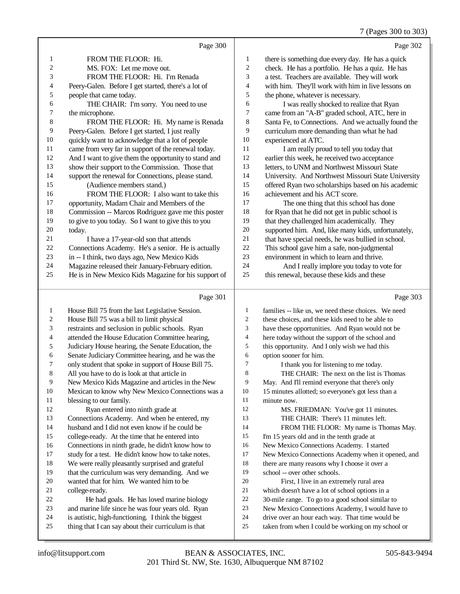7 (Pages 300 to 303)

|                | Page 300                                             |                          | Page 302                                            |
|----------------|------------------------------------------------------|--------------------------|-----------------------------------------------------|
| $\mathbf{1}$   | FROM THE FLOOR: Hi.                                  | 1                        | there is something due every day. He has a quick    |
| 2              | MS. FOX: Let me move out.                            | $\boldsymbol{2}$         | check. He has a portfolio. He has a quiz. He has    |
| 3              | FROM THE FLOOR: Hi. I'm Renada                       | 3                        | a test. Teachers are available. They will work      |
| 4              | Peery-Galen. Before I get started, there's a lot of  | $\overline{\mathcal{A}}$ | with him. They'll work with him in live lessons on  |
| 5              | people that came today.                              | 5                        | the phone, whatever is necessary.                   |
| 6              | THE CHAIR: I'm sorry. You need to use                | 6                        | I was really shocked to realize that Ryan           |
| 7              | the microphone.                                      | 7                        | came from an "A-B" graded school, ATC, here in      |
| $\,8\,$        | FROM THE FLOOR: Hi. My name is Renada                | 8                        | Santa Fe, to Connections. And we actually found the |
| 9              | Peery-Galen. Before I get started, I just really     | 9                        | curriculum more demanding than what he had          |
| 10             | quickly want to acknowledge that a lot of people     | 10                       | experienced at ATC.                                 |
| 11             | came from very far in support of the renewal today.  | 11                       | I am really proud to tell you today that            |
| 12             | And I want to give them the opportunity to stand and | 12                       | earlier this week, he received two acceptance       |
| 13             | show their support to the Commission. Those that     | 13                       | letters, to UNM and Northwest Missouri State        |
| 14             | support the renewal for Connections, please stand.   | 14                       | University. And Northwest Missouri State University |
| 15             | (Audience members stand.)                            | 15                       | offered Ryan two scholarships based on his academic |
| 16             | FROM THE FLOOR: I also want to take this             | 16                       | achievement and his ACT score.                      |
| 17             | opportunity, Madam Chair and Members of the          | 17                       | The one thing that this school has done             |
| 18             | Commission -- Marcos Rodriguez gave me this poster   | 18                       | for Ryan that he did not get in public school is    |
| 19             | to give to you today. So I want to give this to you  | 19                       | that they challenged him academically. They         |
| 20             | today.                                               | 20                       | supported him. And, like many kids, unfortunately,  |
| 21             | I have a 17-year-old son that attends                | 21                       | that have special needs, he was bullied in school.  |
| 22             | Connections Academy. He's a senior. He is actually   | 22                       | This school gave him a safe, non-judgmental         |
| 23             | in -- I think, two days ago, New Mexico Kids         | 23                       | environment in which to learn and thrive.           |
| 24             | Magazine released their January-February edition.    | 24                       | And I really implore you today to vote for          |
| 25             | He is in New Mexico Kids Magazine for his support of | 25                       | this renewal, because these kids and these          |
|                | Page 301                                             |                          | Page 303                                            |
| $\mathbf{1}$   | House Bill 75 from the last Legislative Session.     | 1                        | families -- like us, we need these choices. We need |
| $\overline{2}$ | House Bill 75 was a bill to limit physical           | $\overline{2}$           | these choices, and these kids need to be able to    |
| 3              | restraints and seclusion in public schools. Ryan     | 3                        | have these opportunities. And Ryan would not be     |
| 4              | attended the House Education Committee hearing,      | 4                        | here today without the support of the school and    |

- Judiciary House hearing, the Senate Education, the
- Senate Judiciary Committee hearing, and he was the
- only student that spoke in support of House Bill 75.
- All you have to do is look at that article in
- New Mexico Kids Magazine and articles in the New
- Mexican to know why New Mexico Connections was a blessing to our family.
- Ryan entered into ninth grade at
- Connections Academy. And when he entered, my
- husband and I did not even know if he could be
- college-ready. At the time that he entered into
- Connections in ninth grade, he didn't know how to
- study for a test. He didn't know how to take notes.
- We were really pleasantly surprised and grateful that the curriculum was very demanding. And we
- wanted that for him. We wanted him to be
- college-ready.

- He had goals. He has loved marine biology
- and marine life since he was four years old. Ryan
- is autistic, high-functioning. I think the biggest
- thing that I can say about their curriculum is that
- this opportunity. And I only wish we had this
- option sooner for him.
	- I thank you for listening to me today.
- THE CHAIR: The next on the list is Thomas
- May. And I'll remind everyone that there's only 15 minutes allotted; so everyone's got less than a
	-
- 11 minute now.<br>12 MS F MS. FRIEDMAN: You've got 11 minutes. THE CHAIR: There's 11 minutes left.
- 14 FROM THE FLOOR: My name is Thomas May.
- I'm 15 years old and in the tenth grade at
- New Mexico Connections Academy. I started
- New Mexico Connections Academy when it opened, and
- there are many reasons why I choose it over a
- school -- over other schools.
- First, I live in an extremely rural area
- 21 which doesn't have a lot of school options in a<br>22 30-mile range. To go to a good school similar
- 22 30-mile range. To go to a good school similar to<br>23 New Mexico Connections Academy. I would have New Mexico Connections Academy, I would have to
- drive over an hour each way. That time would be
- taken from when I could be working on my school or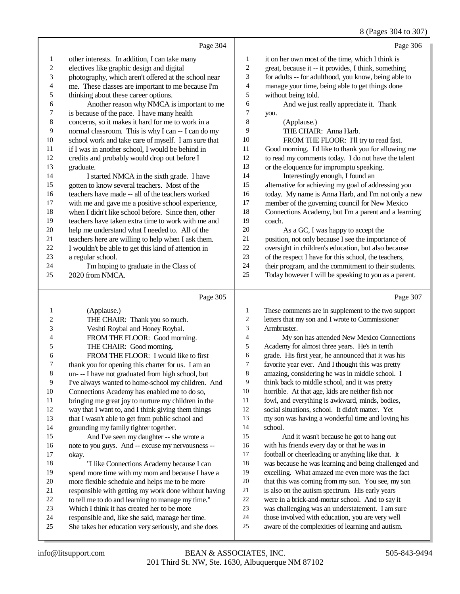## 8 (Pages 304 to 307)

|                          |                                                                                                          |                  | $\sigma$ (1 ages 504 to 507)                                                                          |
|--------------------------|----------------------------------------------------------------------------------------------------------|------------------|-------------------------------------------------------------------------------------------------------|
|                          | Page 304                                                                                                 |                  | Page 306                                                                                              |
| $\mathbf{1}$             | other interests. In addition, I can take many                                                            | $\mathbf{1}$     | it on her own most of the time, which I think is                                                      |
| $\sqrt{2}$               | electives like graphic design and digital                                                                | $\boldsymbol{2}$ | great, because it -- it provides, I think, something                                                  |
| 3                        | photography, which aren't offered at the school near                                                     | 3                | for adults -- for adulthood, you know, being able to                                                  |
| $\overline{\mathcal{A}}$ | me. These classes are important to me because I'm                                                        | 4                | manage your time, being able to get things done                                                       |
| 5                        | thinking about these career options.                                                                     | 5                | without being told.                                                                                   |
| $\epsilon$               | Another reason why NMCA is important to me                                                               | 6                | And we just really appreciate it. Thank                                                               |
| $\boldsymbol{7}$         | is because of the pace. I have many health                                                               | $\boldsymbol{7}$ | you.                                                                                                  |
| $\,8\,$                  | concerns, so it makes it hard for me to work in a                                                        | 8                | (Applause.)                                                                                           |
| 9                        | normal classroom. This is why I can -- I can do my                                                       | 9                | THE CHAIR: Anna Harb.                                                                                 |
| 10                       | school work and take care of myself. I am sure that                                                      | $10\,$           | FROM THE FLOOR: I'll try to read fast.                                                                |
| 11                       | if I was in another school, I would be behind in                                                         | 11               | Good morning. I'd like to thank you for allowing me                                                   |
| 12                       | credits and probably would drop out before I                                                             | 12               | to read my comments today. I do not have the talent                                                   |
| 13                       | graduate.                                                                                                | 13               | or the eloquence for impromptu speaking.                                                              |
| 14                       | I started NMCA in the sixth grade. I have                                                                | 14               | Interestingly enough, I found an                                                                      |
| 15                       | gotten to know several teachers. Most of the                                                             | 15               | alternative for achieving my goal of addressing you                                                   |
| 16                       | teachers have made -- all of the teachers worked                                                         | 16               | today. My name is Anna Harb, and I'm not only a new                                                   |
| 17                       | with me and gave me a positive school experience,                                                        | 17               | member of the governing council for New Mexico                                                        |
| $18\,$                   | when I didn't like school before. Since then, other                                                      | 18               | Connections Academy, but I'm a parent and a learning                                                  |
| 19                       | teachers have taken extra time to work with me and                                                       | 19               | coach.                                                                                                |
| 20                       | help me understand what I needed to. All of the                                                          | $20\,$           | As a GC, I was happy to accept the                                                                    |
| 21                       | teachers here are willing to help when I ask them.                                                       | 21               | position, not only because I see the importance of                                                    |
| 22                       | I wouldn't be able to get this kind of attention in                                                      | $22\,$           | oversight in children's education, but also because                                                   |
| 23                       | a regular school.                                                                                        | 23               | of the respect I have for this school, the teachers,                                                  |
| 24                       | I'm hoping to graduate in the Class of                                                                   | 24               | their program, and the commitment to their students.                                                  |
| 25                       | 2020 from NMCA.                                                                                          | 25               | Today however I will be speaking to you as a parent.                                                  |
|                          | Page 305                                                                                                 |                  | Page 307                                                                                              |
| 1                        | (Applause.)                                                                                              | 1                | These comments are in supplement to the two support                                                   |
| $\boldsymbol{2}$         | THE CHAIR: Thank you so much.                                                                            | $\overline{c}$   | letters that my son and I wrote to Commissioner                                                       |
| 3                        | Veshti Roybal and Honey Roybal.                                                                          | 3                | Armbruster.                                                                                           |
| 4                        | FROM THE FLOOR: Good morning.                                                                            | $\overline{4}$   | My son has attended New Mexico Connections                                                            |
| 5                        | THE CHAIR: Good morning.                                                                                 | 5                | Academy for almost three years. He's in tenth                                                         |
| 6                        | FROM THE FLOOR: I would like to first                                                                    | 6                | grade. His first year, he announced that it was his                                                   |
| 7                        | thank you for opening this charter for us. I am an                                                       | $\overline{7}$   | favorite year ever. And I thought this was pretty                                                     |
| 8                        | un- -- I have not graduated from high school, but                                                        | 8                | amazing, considering he was in middle school. I                                                       |
| 9                        | I've always wanted to home-school my children. And                                                       | 9                | think back to middle school, and it was pretty                                                        |
| $10\,$                   | Connections Academy has enabled me to do so,                                                             | 10               | horrible. At that age, kids are neither fish nor                                                      |
| 11                       | bringing me great joy to nurture my children in the                                                      | 11               | fowl, and everything is awkward, minds, bodies,                                                       |
| 12                       | way that I want to, and I think giving them things                                                       | 12               | social situations, school. It didn't matter. Yet                                                      |
| 13                       | that I wasn't able to get from public school and                                                         | 13               | my son was having a wonderful time and loving his                                                     |
| 14                       | grounding my family tighter together.                                                                    | 14               | school.                                                                                               |
| 15                       | And I've seen my daughter -- she wrote a                                                                 | 15               | And it wasn't because he got to hang out                                                              |
| 16                       | note to you guys. And -- excuse my nervousness --                                                        | 16               | with his friends every day or that he was in                                                          |
| $17\,$                   | okay.                                                                                                    | $17\,$           | football or cheerleading or anything like that. It                                                    |
| 18                       | "I like Connections Academy because I can                                                                | 18               | was because he was learning and being challenged and                                                  |
| 19                       | spend more time with my mom and because I have a                                                         | 19               | excelling. What amazed me even more was the fact                                                      |
| $20\,$                   | more flexible schedule and helps me to be more                                                           | $20\,$           | that this was coming from my son. You see, my son                                                     |
| $21\,$                   | responsible with getting my work done without having                                                     | 21               | is also on the autism spectrum. His early years                                                       |
| $22\,$                   | to tell me to do and learning to manage my time."                                                        | $22\,$<br>23     | were in a brick-and-mortar school. And to say it                                                      |
| 23                       |                                                                                                          |                  |                                                                                                       |
|                          | Which I think it has created her to be more                                                              |                  | was challenging was an understatement. I am sure                                                      |
| 24<br>25                 | responsible and, like she said, manage her time.<br>She takes her education very seriously, and she does | 24<br>25         | those involved with education, you are very well<br>aware of the complexities of learning and autism. |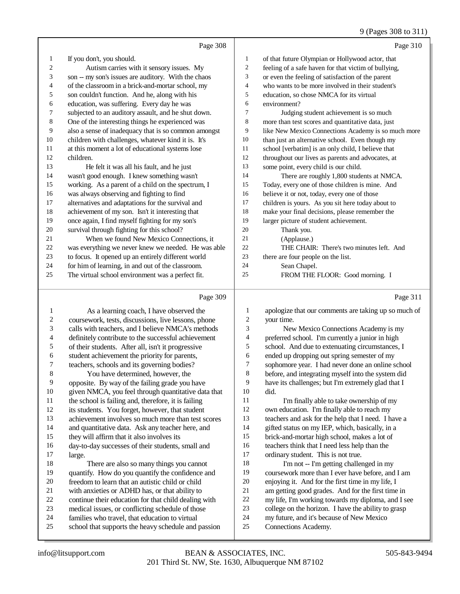#### 9 (Pages 308 to 311)

|                          | Page 308                                             |                  | Page 310                                             |
|--------------------------|------------------------------------------------------|------------------|------------------------------------------------------|
| $\mathbf{1}$             | If you don't, you should.                            | $\mathbf{1}$     | of that future Olympian or Hollywood actor, that     |
| $\overline{c}$           | Autism carries with it sensory issues. My            | $\sqrt{2}$       | feeling of a safe haven for that victim of bullying, |
| 3                        | son -- my son's issues are auditory. With the chaos  | 3                | or even the feeling of satisfaction of the parent    |
| 4                        | of the classroom in a brick-and-mortar school, my    | $\overline{4}$   | who wants to be more involved in their student's     |
| 5                        | son couldn't function. And he, along with his        | 5                | education, so chose NMCA for its virtual             |
| 6                        | education, was suffering. Every day he was           | 6                | environment?                                         |
| $\boldsymbol{7}$         | subjected to an auditory assault, and he shut down.  | $\tau$           | Judging student achievement is so much               |
| $\,$ 8 $\,$              | One of the interesting things he experienced was     | $\,$ 8 $\,$      | more than test scores and quantitative data, just    |
| 9                        | also a sense of inadequacy that is so common amongst | 9                | like New Mexico Connections Academy is so much more  |
| 10                       | children with challenges, whatever kind it is. It's  | 10               | than just an alternative school. Even though my      |
| 11                       | at this moment a lot of educational systems lose     | 11               | school [verbatim] is an only child, I believe that   |
| 12                       | children.                                            | 12               | throughout our lives as parents and advocates, at    |
| 13                       | He felt it was all his fault, and he just            | 13               | some point, every child is our child.                |
| 14                       | wasn't good enough. I knew something wasn't          | 14               | There are roughly 1,800 students at NMCA.            |
| 15                       | working. As a parent of a child on the spectrum, I   | 15               | Today, every one of those children is mine. And      |
| 16                       | was always observing and fighting to find            | 16               | believe it or not, today, every one of those         |
| 17                       | alternatives and adaptations for the survival and    | 17               | children is yours. As you sit here today about to    |
| 18                       | achievement of my son. Isn't it interesting that     | 18               | make your final decisions, please remember the       |
| 19                       | once again, I find myself fighting for my son's      | 19               | larger picture of student achievement.               |
| 20                       | survival through fighting for this school?           | 20               | Thank you.                                           |
| 21                       | When we found New Mexico Connections, it             | 21               | (Applause.)                                          |
| 22                       | was everything we never knew we needed. He was able  | 22               | THE CHAIR: There's two minutes left. And             |
| 23                       | to focus. It opened up an entirely different world   | 23               | there are four people on the list.                   |
| 24                       | for him of learning, in and out of the classroom.    | 24               | Sean Chapel.                                         |
| 25                       | The virtual school environment was a perfect fit.    | 25               | FROM THE FLOOR: Good morning. I                      |
|                          |                                                      |                  |                                                      |
|                          | Page 309                                             |                  | Page 311                                             |
| 1                        | As a learning coach, I have observed the             | 1                | apologize that our comments are taking up so much of |
| $\sqrt{2}$               | coursework, tests, discussions, live lessons, phone  | $\boldsymbol{2}$ | your time.                                           |
| 3                        | calls with teachers, and I believe NMCA's methods    | 3                | New Mexico Connections Academy is my                 |
| $\overline{\mathcal{A}}$ | definitely contribute to the successful achievement  | $\overline{4}$   | preferred school. I'm currently a junior in high     |
| 5                        | of their students. After all, isn't it progressive   | 5                | school. And due to extenuating circumstances, I      |
| $\boldsymbol{6}$         | student achievement the priority for parents,        | 6                | ended up dropping out spring semester of my          |
| $\overline{7}$           | teachers, schools and its governing bodies?          | $\sqrt{ }$       | sophomore year. I had never done an online school    |
| $\,$ 8 $\,$              | You have determined, however, the                    | 8                | before, and integrating myself into the system did   |
| 9                        | opposite. By way of the failing grade you have       | 9                | have its challenges; but I'm extremely glad that I   |
| 10                       | given NMCA, you feel through quantitative data that  | 10               | did.                                                 |

11 I'm finally able to take ownership of my own education. I'm finally able to reach my teachers and ask for the help that I need. I have a gifted status on my IEP, which, basically, in a brick-and-mortar high school, makes a lot of teachers think that I need less help than the ordinary student. This is not true. I'm not -- I'm getting challenged in my

 coursework more than I ever have before, and I am enjoying it. And for the first time in my life, I am getting good grades. And for the first time in my life, I'm working towards my diploma, and I see college on the horizon. I have the ability to grasp my future, and it's because of New Mexico

school that supports the heavy schedule and passion Connections Academy.

large.

 the school is failing and, therefore, it is failing its students. You forget, however, that student achievement involves so much more than test scores and quantitative data. Ask any teacher here, and

16 day-to-day successes of their students, small and 17 large.

18 There are also so many things you cannot<br>19 augustify. How do you quantify the confidence a

20 freedom to learn that an autistic child or child<br>21 with anxieties or ADHD has, or that ability to 21 with anxieties or ADHD has, or that ability to<br>22 continue their education for that child dealing 22 continue their education for that child dealing with<br>23 medical issues, or conflicting schedule of those 23 medical issues, or conflicting schedule of those<br>24 families who travel, that education to virtual 24 families who travel, that education to virtual<br>25 school that supports the heavy schedule and

quantify. How do you quantify the confidence and

they will affirm that it also involves its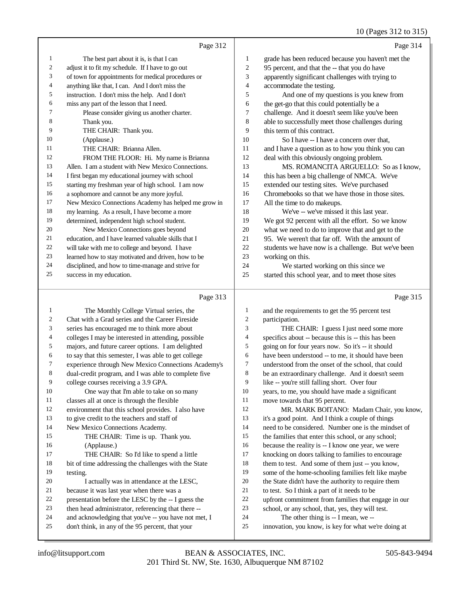10 (Pages 312 to 315)

|                | Page 312                                             |                | Page 314                                            |
|----------------|------------------------------------------------------|----------------|-----------------------------------------------------|
| 1              | The best part about it is, is that I can             | 1              | grade has been reduced because you haven't met the  |
| 2              | adjust it to fit my schedule. If I have to go out    | $\overline{2}$ | 95 percent, and that the -- that you do have        |
| 3              | of town for appointments for medical procedures or   | 3              | apparently significant challenges with trying to    |
| $\overline{4}$ | anything like that, I can. And I don't miss the      | $\overline{4}$ | accommodate the testing.                            |
| 5              | instruction. I don't miss the help. And I don't      | 5              | And one of my questions is you knew from            |
| 6              | miss any part of the lesson that I need.             | 6              | the get-go that this could potentially be a         |
| 7              | Please consider giving us another charter.           | 7              | challenge. And it doesn't seem like you've been     |
| 8              | Thank you.                                           | 8              | able to successfully meet those challenges during   |
| 9              | THE CHAIR: Thank you.                                | 9              | this term of this contract.                         |
| 10             | (Applause.)                                          | 10             | So I have -- I have a concern over that,            |
| 11             | THE CHAIR: Brianna Allen.                            | 11             | and I have a question as to how you think you can   |
| 12             | FROM THE FLOOR: Hi. My name is Brianna               | 12             | deal with this obviously ongoing problem.           |
| 13             | Allen. I am a student with New Mexico Connections.   | 13             | MS. ROMANCITA ARGUELLO: So as I know,               |
| 14             | I first began my educational journey with school     | 14             | this has been a big challenge of NMCA. We've        |
| 15             | starting my freshman year of high school. I am now   | 15             | extended our testing sites. We've purchased         |
| 16             | a sophomore and cannot be any more joyful.           | 16             | Chromebooks so that we have those in those sites.   |
| 17             | New Mexico Connections Academy has helped me grow in | 17             | All the time to do makeups.                         |
| 18             | my learning. As a result, I have become a more       | 18             | We've -- we've missed it this last year.            |
| 19             | determined, independent high school student.         | 19             | We got 92 percent with all the effort. So we know   |
| 20             | New Mexico Connections goes beyond                   | 20             | what we need to do to improve that and get to the   |
| 21             | education, and I have learned valuable skills that I | 21             | 95. We weren't that far off. With the amount of     |
| 22             | will take with me to college and beyond. I have      | 22             | students we have now is a challenge. But we've been |
| 23             | learned how to stay motivated and driven, how to be  | 23             | working on this.                                    |
| 24             | disciplined, and how to time-manage and strive for   | 24             | We started working on this since we                 |
| 25             | success in my education.                             | 25             | started this school year, and to meet those sites   |

### Page 313

| 1  | The Monthly College Virtual series, the              | 1  | and the requirements to get the 95 percent test      |
|----|------------------------------------------------------|----|------------------------------------------------------|
| 2  | Chat with a Grad series and the Career Fireside      | 2  | participation.                                       |
| 3  | series has encouraged me to think more about         | 3  | THE CHAIR: I guess I just need some more             |
| 4  | colleges I may be interested in attending, possible  | 4  | specifics about -- because this is -- this has been  |
| 5  | majors, and future career options. I am delighted    | 5  | going on for four years now. So it's -- it should    |
| 6  | to say that this semester, I was able to get college | 6  | have been understood -- to me, it should have been   |
| 7  | experience through New Mexico Connections Academy's  | 7  | understood from the onset of the school, that could  |
| 8  | dual-credit program, and I was able to complete five | 8  | be an extraordinary challenge. And it doesn't seem   |
| 9  | college courses receiving a 3.9 GPA.                 | 9  | like -- you're still falling short. Over four        |
| 10 | One way that I'm able to take on so many             | 10 | years, to me, you should have made a significant     |
| 11 | classes all at once is through the flexible          | 11 | move towards that 95 percent.                        |
| 12 | environment that this school provides. I also have   | 12 | MR. MARK BOITANO: Madam Chair, you know,             |
| 13 | to give credit to the teachers and staff of          | 13 | it's a good point. And I think a couple of things    |
| 14 | New Mexico Connections Academy.                      | 14 | need to be considered. Number one is the mindset of  |
| 15 | THE CHAIR: Time is up. Thank you.                    | 15 | the families that enter this school, or any school;  |
| 16 | (Applause.)                                          | 16 | because the reality is -- I know one year, we were   |
| 17 | THE CHAIR: So I'd like to spend a little             | 17 | knocking on doors talking to families to encourage   |
| 18 | bit of time addressing the challenges with the State | 18 | them to test. And some of them just -- you know,     |
| 19 | testing.                                             | 19 | some of the home-schooling families felt like maybe  |
| 20 | I actually was in attendance at the LESC,            | 20 | the State didn't have the authority to require them  |
| 21 | because it was last year when there was a            | 21 | to test. So I think a part of it needs to be         |
| 22 | presentation before the LESC by the -- I guess the   | 22 | upfront commitment from families that engage in our  |
| 23 | then head administrator, referencing that there --   | 23 | school, or any school, that, yes, they will test.    |
| 24 | and acknowledging that you've -- you have not met, I | 24 | The other thing is -- I mean, we --                  |
| 25 | don't think, in any of the 95 percent, that your     | 25 | innovation, you know, is key for what we're doing at |
|    |                                                      |    |                                                      |

Page 315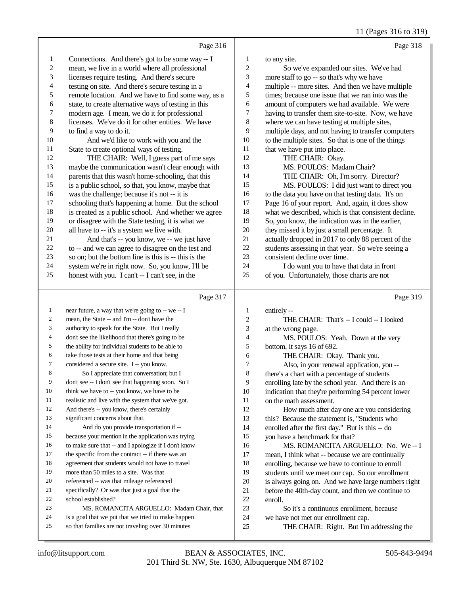11 (Pages 316 to 319)

|                          | Page 316                                                                                                   |                         | Page 318                                                                        |
|--------------------------|------------------------------------------------------------------------------------------------------------|-------------------------|---------------------------------------------------------------------------------|
| $\mathbf{1}$             | Connections. And there's got to be some way -- I                                                           | $\mathbf{1}$            | to any site.                                                                    |
| $\overline{\mathbf{c}}$  | mean, we live in a world where all professional                                                            | 2                       | So we've expanded our sites. We've had                                          |
| 3                        | licenses require testing. And there's secure                                                               | 3                       | more staff to go -- so that's why we have                                       |
| $\overline{\mathcal{L}}$ | testing on site. And there's secure testing in a                                                           | 4                       | multiple -- more sites. And then we have multiple                               |
| 5                        | remote location. And we have to find some way, as a                                                        | 5                       | times; because one issue that we ran into was the                               |
| 6                        | state, to create alternative ways of testing in this                                                       | 6                       | amount of computers we had available. We were                                   |
| 7                        | modern age. I mean, we do it for professional                                                              | 7                       | having to transfer them site-to-site. Now, we have                              |
| 8                        | licenses. We've do it for other entities. We have                                                          | 8                       | where we can have testing at multiple sites,                                    |
| 9                        | to find a way to do it.                                                                                    | 9                       | multiple days, and not having to transfer computers                             |
| $10\,$                   | And we'd like to work with you and the                                                                     | 10                      | to the multiple sites. So that is one of the things                             |
| 11                       | State to create optional ways of testing.                                                                  | 11                      | that we have put into place.                                                    |
| 12                       | THE CHAIR: Well, I guess part of me says                                                                   | 12                      | THE CHAIR: Okay.                                                                |
| 13                       | maybe the communication wasn't clear enough with                                                           | 13                      | MS. POULOS: Madam Chair?                                                        |
| 14                       | parents that this wasn't home-schooling, that this                                                         | 14                      | THE CHAIR: Oh, I'm sorry. Director?                                             |
| 15                       | is a public school, so that, you know, maybe that                                                          | 15                      | MS. POULOS: I did just want to direct you                                       |
| 16                       | was the challenge; because it's not -- it is                                                               | 16                      | to the data you have on that testing data. It's on                              |
| 17                       | schooling that's happening at home. But the school                                                         | 17                      | Page 16 of your report. And, again, it does show                                |
| 18                       | is created as a public school. And whether we agree                                                        | 18                      | what we described, which is that consistent decline.                            |
| 19                       | or disagree with the State testing, it is what we                                                          | 19                      | So, you know, the indication was in the earlier,                                |
| $20\,$                   | all have to -- it's a system we live with.                                                                 | 20                      | they missed it by just a small percentage. It                                   |
| 21                       | And that's -- you know, we -- we just have                                                                 | 21                      | actually dropped in 2017 to only 88 percent of the                              |
| $22\,$                   | to -- and we can agree to disagree on the test and                                                         | 22                      | students assessing in that year. So we're seeing a                              |
| 23                       | so on; but the bottom line is this is -- this is the                                                       | 23                      | consistent decline over time.                                                   |
| 24                       | system we're in right now. So, you know, I'll be                                                           | 24                      | I do want you to have that data in front                                        |
| 25                       | honest with you. I can't -- I can't see, in the                                                            | 25                      | of you. Unfortunately, those charts are not                                     |
|                          |                                                                                                            |                         |                                                                                 |
|                          | Page 317                                                                                                   |                         | Page 319                                                                        |
| $\mathbf{1}$             | near future, a way that we're going to -- we -- I                                                          | $\mathbf{1}$            | entirely --                                                                     |
| 2                        | mean, the State -- and I'm -- don't have the                                                               | $\overline{\mathbf{c}}$ | THE CHAIR: That's -- I could -- I looked                                        |
| 3                        | authority to speak for the State. But I really                                                             | 3                       | at the wrong page.                                                              |
| 4                        | don't see the likelihood that there's going to be                                                          | 4                       | MS. POULOS: Yeah. Down at the very                                              |
| 5                        | the ability for individual students to be able to                                                          | 5                       | bottom, it says 16 of 692.                                                      |
| 6                        | take those tests at their home and that being                                                              | 6                       | THE CHAIR: Okay. Thank you.                                                     |
| 7                        | considered a secure site. I -- you know.                                                                   | 7                       | Also, in your renewal application, you --                                       |
| $\,8\,$                  | So I appreciate that conversation; but I                                                                   | 8                       | there's a chart with a percentage of students                                   |
| 9                        | don't see -- I don't see that happening soon. So I                                                         | 9                       | enrolling late by the school year. And there is an                              |
| 10                       | think we have to -- you know, we have to be                                                                | 10                      | indication that they're performing 54 percent lower                             |
| 11                       | realistic and live with the system that we've got.                                                         | 11                      | on the math assessment.                                                         |
| 12<br>13                 | And there's -- you know, there's certainly                                                                 | 12                      | How much after day one are you considering                                      |
| 14                       | significant concerns about that.                                                                           | 13                      | this? Because the statement is, "Students who                                   |
| 15                       | And do you provide transportation if --                                                                    | 14                      | enrolled after the first day." But is this -- do                                |
| 16                       | because your mention in the application was trying<br>to make sure that -- and I apologize if I don't know | 15<br>16                | you have a benchmark for that?                                                  |
| 17                       |                                                                                                            |                         | MS. ROMANCITA ARGUELLO: No. We--I                                               |
| 18                       | the specific from the contract -- if there was an<br>agreement that students would not have to travel      | 17                      | mean, I think what -- because we are continually                                |
| 19                       | more than 50 miles to a site. Was that                                                                     | 18<br>19                | enrolling, because we have to continue to enroll                                |
| 20                       | referenced -- was that mileage referenced                                                                  |                         | students until we meet our cap. So our enrollment                               |
| 21                       |                                                                                                            | 20<br>$21\,$            | is always going on. And we have large numbers right                             |
| 22                       | specifically? Or was that just a goal that the<br>school established?                                      | 22                      | before the 40th-day count, and then we continue to                              |
| 23                       | MS. ROMANCITA ARGUELLO: Madam Chair, that                                                                  | 23                      | enroll.                                                                         |
| 24                       | is a goal that we put that we tried to make happen                                                         | 24                      | So it's a continuous enrollment, because<br>we have not met our enrollment cap. |
| 25                       | so that families are not traveling over 30 minutes                                                         | 25                      | THE CHAIR: Right. But I'm addressing the                                        |
|                          |                                                                                                            |                         |                                                                                 |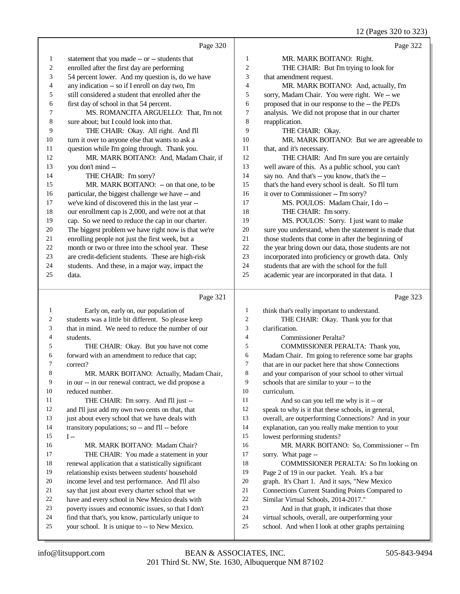12 (Pages 320 to 323)

|              |                                                      |                | 12 (Pages 320 to 323)                                |
|--------------|------------------------------------------------------|----------------|------------------------------------------------------|
|              | Page 320                                             |                | Page 322                                             |
| $\mathbf{1}$ | statement that you made -- or -- students that       | 1              | MR. MARK BOITANO: Right.                             |
| 2            | enrolled after the first day are performing          | 2              | THE CHAIR: But I'm trying to look for                |
| 3            | 54 percent lower. And my question is, do we have     | 3              | that amendment request.                              |
| 4            | any indication -- so if I enroll on day two, I'm     | 4              | MR. MARK BOITANO: And, actually, I'm                 |
| 5            | still considered a student that enrolled after the   | 5              | sorry, Madam Chair. You were right. We -- we         |
| 6            | first day of school in that 54 percent.              | 6              | proposed that in our response to the -- the PED's    |
| 7            | MS. ROMANCITA ARGUELLO: That, I'm not                | 7              | analysis. We did not propose that in our charter     |
| 8            | sure about; but I could look into that.              | 8              | reapplication.                                       |
| 9            | THE CHAIR: Okay. All right. And I'll                 | 9              | THE CHAIR: Okay.                                     |
| 10           | turn it over to anyone else that wants to ask a      | 10             | MR. MARK BOITANO: But we are agreeable to            |
| 11           | question while I'm going through. Thank you.         | 11             | that, and it's necessary.                            |
| 12           | MR. MARK BOITANO: And, Madam Chair, if               | 12             | THE CHAIR: And I'm sure you are certainly            |
| 13           | you don't mind --                                    | 13             | well aware of this. As a public school, you can't    |
| 14           | THE CHAIR: I'm sorry?                                | 14             | say no. And that's -- you know, that's the --        |
| 15           | MR. MARK BOITANO: -- on that one, to be              | 15             | that's the hand every school is dealt. So I'll turn  |
| 16           | particular, the biggest challenge we have -- and     | 16             | it over to Commissioner -- I'm sorry?                |
| 17           | we've kind of discovered this in the last year --    | 17             | MS. POULOS: Madam Chair, I do --                     |
| 18           | our enrollment cap is 2,000, and we're not at that   | 18             | THE CHAIR: I'm sorry.                                |
| 19           | cap. So we need to reduce the cap in our charter.    | 19             | MS. POULOS: Sorry. I just want to make               |
| 20           | The biggest problem we have right now is that we're  | 20             | sure you understand, when the statement is made that |
| 21           | enrolling people not just the first week, but a      | 21             | those students that come in after the beginning of   |
| 22           | month or two or three into the school year. These    | 22             | the year bring down our data, those students are not |
| 23           | are credit-deficient students. These are high-risk   | 23             | incorporated into proficiency or growth data. Only   |
| 24           | students. And these, in a major way, impact the      | 24             | students that are with the school for the full       |
| 25           | data.                                                | 25             | academic year are incorporated in that data. I       |
|              | Page 321                                             |                | Page 323                                             |
| 1            | Early on, early on, our population of                | 1              | think that's really important to understand.         |
| 2            | students was a little bit different. So please keep  | 2              | THE CHAIR: Okay. Thank you for that                  |
| 3            | that in mind. We need to reduce the number of our    | 3              | clarification.                                       |
| 4            | students.                                            | $\overline{4}$ | <b>Commissioner Peralta?</b>                         |
| 5            | THE CHAIR: Okay. But you have not come               | 5              | COMMISSIONER PERALTA: Thank you,                     |
| 6            | forward with an amendment to reduce that cap;        | 6              | Madam Chair. I'm going to reference some bar graphs  |
| 7            | correct?                                             | 7              | that are in our packet here that show Connections    |
| 8            | MR. MARK BOITANO: Actually, Madam Chair,             | 8              | and your comparison of your school to other virtual  |
| 9            | in our -- in our renewal contract, we did propose a  | 9              | schools that are similar to your -- to the           |
| 10           | reduced number.                                      | 10             | curriculum.                                          |
| 11           | THE CHAIR: I'm sorry. And I'll just --               | 11             | And so can you tell me why is it -- or               |
| 12           | and I'll just add my own two cents on that, that     | 12             | speak to why is it that these schools, in general,   |
| 13           | just about every school that we have deals with      | 13             | overall, are outperforming Connections? And in your  |
| 14           | transitory populations; so -- and I'll -- before     | 14             | explanation, can you really make mention to your     |
| 15           | $I -$                                                | 15             | lowest performing students?                          |
| 16           | MR. MARK BOITANO: Madam Chair?                       | 16             | MR. MARK BOITANO: So, Commissioner -- I'm            |
| 17           | THE CHAIR: You made a statement in your              | 17             | sorry. What page --                                  |
| 18           | renewal application that a statistically significant | 18             | COMMISSIONER PERALTA: So I'm looking on              |
| 19           | relationship exists between students' household      | 19             | Page 2 of 19 in our packet. Yeah. It's a bar         |
| 20           | income level and test performance. And I'll also     | 20             | graph. It's Chart 1. And it says, "New Mexico        |
| 21           | say that just about every charter school that we     | 21             | Connections Current Standing Points Compared to      |
| 22           | have and every school in New Mexico deals with       | 22             | Similar Virtual Schools, 2014-2017."                 |
| 23           | poverty issues and economic issues, so that I don't  | 23             | And in that graph, it indicates that those           |

- 22 have and every school in New Mexico deals with<br>23 poverty issues and economic issues, so that I don't poverty issues and economic issues, so that I don't
- 24 find that that's, you know, particularly unique to 25 vour school. It is unique to -- to New Mexico.
- your school. It is unique to -- to New Mexico.

And in that graph, it indicates that those

school. And when I look at other graphs pertaining

24 virtual schools, overall, are outperforming your<br>25 school. And when I look at other graphs pertain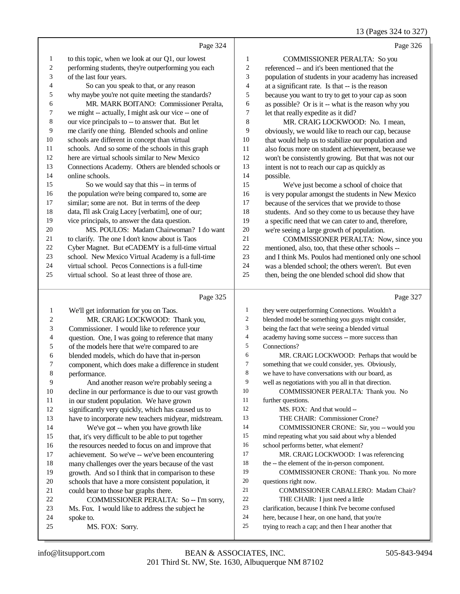13 (Pages 324 to 327)

|                         |                                                      |                  | 13 (Pages 324 to 327)                                            |
|-------------------------|------------------------------------------------------|------------------|------------------------------------------------------------------|
|                         | Page 324                                             |                  | Page 326                                                         |
| 1                       | to this topic, when we look at our Q1, our lowest    | $\mathbf{1}$     | <b>COMMISSIONER PERALTA: So you</b>                              |
| $\overline{c}$          | performing students, they're outperforming you each  | $\mathfrak{2}$   | referenced -- and it's been mentioned that the                   |
| 3                       | of the last four years.                              | 3                | population of students in your academy has increased             |
| 4                       | So can you speak to that, or any reason              | $\overline{4}$   | at a significant rate. Is that -- is the reason                  |
| 5                       | why maybe you're not quite meeting the standards?    | 5                | because you want to try to get to your cap as soon               |
| 6                       | MR. MARK BOITANO: Commissioner Peralta,              | 6                | as possible? Or is it -- what is the reason why you              |
| 7                       | we might -- actually, I might ask our vice -- one of | $\boldsymbol{7}$ | let that really expedite as it did?                              |
| 8                       | our vice principals to -- to answer that. But let    | 8                | MR. CRAIG LOCKWOOD: No. I mean,                                  |
| 9                       | me clarify one thing. Blended schools and online     | 9                | obviously, we would like to reach our cap, because               |
| 10                      | schools are different in concept than virtual        | 10               | that would help us to stabilize our population and               |
| 11                      | schools. And so some of the schools in this graph    | 11               | also focus more on student achievement, because we               |
| 12                      | here are virtual schools similar to New Mexico       | 12               | won't be consistently growing. But that was not our              |
| 13                      | Connections Academy. Others are blended schools or   | 13               | intent is not to reach our cap as quickly as                     |
| 14                      | online schools.                                      | 14               | possible.                                                        |
| 15                      | So we would say that this -- in terms of             | 15               | We've just become a school of choice that                        |
| 16                      | the population we're being compared to, some are     | 16               | is very popular amongst the students in New Mexico               |
| 17                      | similar; some are not. But in terms of the deep      | 17               | because of the services that we provide to those                 |
| 18                      | data, I'll ask Craig Lacey [verbatim], one of our;   | 18               | students. And so they come to us because they have               |
| 19                      | vice principals, to answer the data question.        | 19               | a specific need that we can cater to and, therefore,             |
| 20                      | MS. POULOS: Madam Chairwoman? I do want              | $20\,$           | we're seeing a large growth of population.                       |
| 21                      | to clarify. The one I don't know about is Taos       | 21               | COMMISSIONER PERALTA: Now, since you                             |
| 22                      | Cyber Magnet. But eCADEMY is a full-time virtual     | 22               | mentioned, also, too, that these other schools --                |
| 23                      | school. New Mexico Virtual Academy is a full-time    | 23               | and I think Ms. Poulos had mentioned only one school             |
| 24                      | virtual school. Pecos Connections is a full-time     | 24               | was a blended school; the others weren't. But even               |
| 25                      | virtual school. So at least three of those are.      | 25               | then, being the one blended school did show that                 |
|                         | Page 325                                             |                  | Page 327                                                         |
|                         |                                                      | 1                |                                                                  |
| $\mathbf{1}$            | We'll get information for you on Taos.               | $\overline{c}$   | they were outperforming Connections. Wouldn't a                  |
| $\overline{\mathbf{c}}$ | MR. CRAIG LOCKWOOD: Thank you,                       | 3                | blended model be something you guys might consider,              |
| 3                       | Commissioner. I would like to reference your         | 4                | being the fact that we're seeing a blended virtual               |
| 4                       | question. One, I was going to reference that many    | 5                | academy having some success -- more success than<br>Connections? |
| 5                       | of the models here that we're compared to are        | 6                |                                                                  |
| 6                       | blended models, which do have that in-person         | 7                | MR. CRAIG LOCKWOOD: Perhaps that would be                        |
| 7                       | component, which does make a difference in student   | $\,$ 8 $\,$      | something that we could consider, yes. Obviously,                |
| 8<br>9                  | performance.                                         | 9                | we have to have conversations with our board, as                 |
|                         | And another reason we're probably seeing a           | 10               | well as negotiations with you all in that direction.             |
| 10                      | decline in our performance is due to our vast growth | 11               | COMMISSIONER PERALTA: Thank you. No                              |
| 11                      | in our student population. We have grown             |                  | further questions.                                               |

significantly very quickly, which has caused us to

 have to incorporate new teachers midyear, midstream. We've got -- when you have growth like that, it's very difficult to be able to put together the resources needed to focus on and improve that achievement. So we've -- we've been encountering many challenges over the years because of the vast growth. And so I think that in comparison to these

- schools that have a more consistent population, it
- could bear to those bar graphs there.
- COMMISSIONER PERALTA: So -- I'm sorry,
- Ms. Fox. I would like to address the subject he
- spoke to.
- MS. FOX: Sorry.
- 201 Third St. NW, Ste. 1630, Albuquerque NM 87102 info@litsupport.com BEAN & ASSOCIATES, INC. 505-843-9494

 MS. FOX: And that would -- THE CHAIR: Commissioner Crone?

school performs better, what element?

THE CHAIR: I just need a little

questions right now.

 COMMISSIONER CRONE: Sir, you -- would you mind repeating what you said about why a blended

COMMISSIONER CRONE: Thank you. No more

COMMISSIONER CABALLERO: Madam Chair?

 clarification, because I think I've become confused here, because I hear, on one hand, that you're trying to reach a cap; and then I hear another that

 MR. CRAIG LOCKWOOD: I was referencing 18 the -- the element of the in-person component.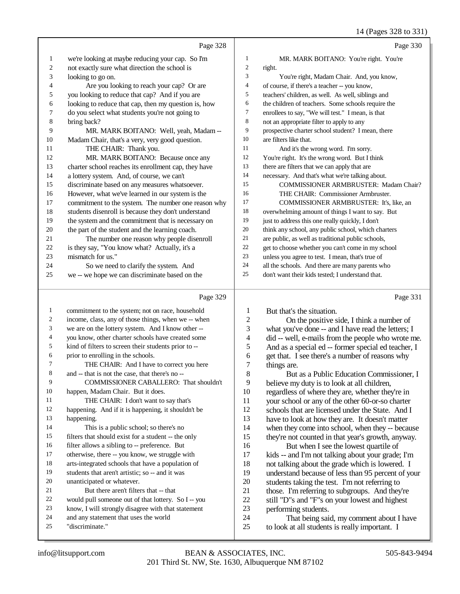|                  |                                                                                                     |                         | 14 (Fages 320 to 331)                                                                               |
|------------------|-----------------------------------------------------------------------------------------------------|-------------------------|-----------------------------------------------------------------------------------------------------|
|                  | Page 328                                                                                            |                         | Page 330                                                                                            |
| $\mathbf{1}$     | we're looking at maybe reducing your cap. So I'm                                                    | $\mathbf{1}$            | MR. MARK BOITANO: You're right. You're                                                              |
| $\boldsymbol{2}$ | not exactly sure what direction the school is                                                       | $\overline{c}$          | right.                                                                                              |
| 3                | looking to go on.                                                                                   | 3                       | You're right, Madam Chair. And, you know,                                                           |
| 4                | Are you looking to reach your cap? Or are                                                           | $\overline{4}$          | of course, if there's a teacher -- you know,                                                        |
| 5                | you looking to reduce that cap? And if you are                                                      | 5                       | teachers' children, as well. As well, siblings and                                                  |
| 6                | looking to reduce that cap, then my question is, how                                                | 6                       | the children of teachers. Some schools require the                                                  |
| 7                | do you select what students you're not going to                                                     | 7                       | enrollees to say, "We will test." I mean, is that                                                   |
| $\,8$            | bring back?                                                                                         | 8                       | not an appropriate filter to apply to any                                                           |
| 9                | MR. MARK BOITANO: Well, yeah, Madam --                                                              | 9                       | prospective charter school student? I mean, there                                                   |
| 10               | Madam Chair, that's a very, very good question.                                                     | 10                      | are filters like that.                                                                              |
| 11               | THE CHAIR: Thank you.                                                                               | 11                      | And it's the wrong word. I'm sorry.                                                                 |
| 12               | MR. MARK BOITANO: Because once any                                                                  | 12                      | You're right. It's the wrong word. But I think                                                      |
| 13               | charter school reaches its enrollment cap, they have                                                | 13                      | there are filters that we can apply that are                                                        |
| 14               | a lottery system. And, of course, we can't                                                          | 14                      | necessary. And that's what we're talking about.                                                     |
| 15               | discriminate based on any measures whatsoever.                                                      | 15                      | COMMISSIONER ARMBRUSTER: Madam Chair?                                                               |
| 16               | However, what we've learned in our system is the                                                    | 16                      | THE CHAIR: Commissioner Armbruster.                                                                 |
| $17\,$           | commitment to the system. The number one reason why                                                 | 17                      | COMMISSIONER ARMBRUSTER: It's, like, an                                                             |
| $18\,$           | students disenroll is because they don't understand                                                 | 18                      | overwhelming amount of things I want to say. But                                                    |
| 19               | the system and the commitment that is necessary on                                                  | 19                      | just to address this one really quickly, I don't                                                    |
| 20               | the part of the student and the learning coach.                                                     | 20                      | think any school, any public school, which charters                                                 |
| 21               | The number one reason why people disenroll                                                          | 21<br>22                | are public, as well as traditional public schools,                                                  |
| 22<br>23         | is they say, "You know what? Actually, it's a                                                       | 23                      | get to choose whether you can't come in my school                                                   |
| 24               | mismatch for us."                                                                                   | 24                      | unless you agree to test. I mean, that's true of                                                    |
| 25               | So we need to clarify the system. And<br>we -- we hope we can discriminate based on the             | 25                      | all the schools. And there are many parents who<br>don't want their kids tested; I understand that. |
|                  |                                                                                                     |                         |                                                                                                     |
|                  | Page 329                                                                                            |                         | Page 331                                                                                            |
| $\mathbf{1}$     | commitment to the system; not on race, household                                                    | $\mathbf{1}$            | But that's the situation.                                                                           |
| $\overline{c}$   | income, class, any of those things, when we -- when                                                 | $\mathfrak{2}$          | On the positive side, I think a number of                                                           |
| $\mathfrak{Z}$   | we are on the lottery system. And I know other --                                                   | 3                       | what you've done -- and I have read the letters; I                                                  |
| 4                | you know, other charter schools have created some                                                   | $\overline{\mathbf{4}}$ | did -- well, e-mails from the people who wrote me.                                                  |
| 5                | kind of filters to screen their students prior to --                                                | 5                       | And as a special ed -- former special ed teacher, I                                                 |
| 6                | prior to enrolling in the schools.                                                                  | 6                       | get that. I see there's a number of reasons why                                                     |
| $\overline{7}$   | THE CHAIR: And I have to correct you here                                                           | 7                       | things are.                                                                                         |
| 8                | and -- that is not the case, that there's no --                                                     | 8                       | But as a Public Education Commissioner, I                                                           |
| 9                | COMMISSIONER CABALLERO: That shouldn't                                                              | 9                       | believe my duty is to look at all children,                                                         |
| 10               | happen, Madam Chair. But it does.                                                                   | 10                      | regardless of where they are, whether they're in                                                    |
| 11               | THE CHAIR: I don't want to say that's                                                               | 11                      | your school or any of the other 60-or-so charter                                                    |
| 12               | happening. And if it is happening, it shouldn't be                                                  | 12                      | schools that are licensed under the State. And I                                                    |
| 13               | happening.                                                                                          | 13                      | have to look at how they are. It doesn't matter                                                     |
| 14               | This is a public school; so there's no                                                              | 14                      | when they come into school, when they -- because                                                    |
| 15               | filters that should exist for a student -- the only                                                 | 15                      | they're not counted in that year's growth, anyway.                                                  |
| 16<br>17         | filter allows a sibling to -- preference. But                                                       | 16                      | But when I see the lowest quartile of                                                               |
| 18               | otherwise, there -- you know, we struggle with<br>arts-integrated schools that have a population of | 17                      | kids -- and I'm not talking about your grade; I'm                                                   |
| 19               |                                                                                                     | 18                      | not talking about the grade which is lowered. I                                                     |
| 20               | students that aren't artistic; so -- and it was<br>unanticipated or whatever.                       | 19<br>20                | understand because of less than 95 percent of your                                                  |
| 21               | But there aren't filters that -- that                                                               | 21                      | students taking the test. I'm not referring to                                                      |
| 22               | would pull someone out of that lottery. So I -- you                                                 | $22\,$                  | those. I'm referring to subgroups. And they're                                                      |
| 23               | know, I will strongly disagree with that statement                                                  | 23                      | still "D"s and "F"s on your lowest and highest<br>performing students.                              |
| 24               | and any statement that uses the world                                                               | 24                      | That being said, my comment about I have                                                            |
| 25               | "discriminate."                                                                                     | 25                      | to look at all students is really important. I                                                      |
|                  |                                                                                                     |                         |                                                                                                     |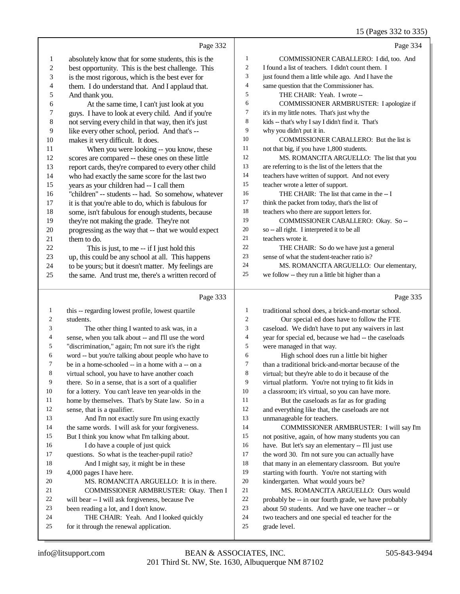|                         |                                                                                                            |                | 15 (Pages 332 to 335)                                                                                 |
|-------------------------|------------------------------------------------------------------------------------------------------------|----------------|-------------------------------------------------------------------------------------------------------|
|                         | Page 332                                                                                                   |                | Page 334                                                                                              |
| $\mathbf{1}$            | absolutely know that for some students, this is the                                                        | 1              | COMMISSIONER CABALLERO: I did, too. And                                                               |
| $\overline{\mathbf{c}}$ | best opportunity. This is the best challenge. This                                                         | 2              | I found a list of teachers. I didn't count them. I                                                    |
| 3                       | is the most rigorous, which is the best ever for                                                           | 3              | just found them a little while ago. And I have the                                                    |
| 4                       | them. I do understand that. And I applaud that.                                                            | 4              | same question that the Commissioner has.                                                              |
| 5                       | And thank you.                                                                                             | 5              | THE CHAIR: Yeah. I wrote --                                                                           |
| 6                       | At the same time, I can't just look at you                                                                 | 6              | COMMISSIONER ARMBRUSTER: I apologize if                                                               |
| 7                       | guys. I have to look at every child. And if you're                                                         | 7              | it's in my little notes. That's just why the                                                          |
| 8                       | not serving every child in that way, then it's just                                                        | 8              | kids -- that's why I say I didn't find it. That's                                                     |
| 9                       | like every other school, period. And that's --                                                             | 9              | why you didn't put it in.                                                                             |
| 10                      | makes it very difficult. It does.                                                                          | 10             | COMMISSIONER CABALLERO: But the list is                                                               |
| 11                      | When you were looking -- you know, these                                                                   | 11             | not that big, if you have 1,800 students.                                                             |
| 12                      | scores are compared -- these ones on these little                                                          | 12             | MS. ROMANCITA ARGUELLO: The list that you                                                             |
| 13                      | report cards, they're compared to every other child                                                        | 13             | are referring to is the list of the letters that the                                                  |
| 14                      | who had exactly the same score for the last two                                                            | 14             | teachers have written of support. And not every                                                       |
| 15                      | years as your children had -- I call them                                                                  | 15             | teacher wrote a letter of support.                                                                    |
| 16                      | "children" -- students -- had. So somehow, whatever                                                        | 16             | THE CHAIR: The list that came in the -- I                                                             |
| 17                      | it is that you're able to do, which is fabulous for                                                        | 17             | think the packet from today, that's the list of                                                       |
| 18                      | some, isn't fabulous for enough students, because                                                          | $18\,$         | teachers who there are support letters for.                                                           |
| 19                      | they're not making the grade. They're not                                                                  | 19             | COMMISSIONER CABALLERO: Okay. So --                                                                   |
| $20\,$                  | progressing as the way that -- that we would expect                                                        | 20             | so -- all right. I interpreted it to be all                                                           |
| 21                      | them to do.                                                                                                | 21<br>22       | teachers wrote it.                                                                                    |
| 22                      | This is just, to me -- if I just hold this                                                                 | 23             | THE CHAIR: So do we have just a general<br>sense of what the student-teacher ratio is?                |
| 23<br>24                | up, this could be any school at all. This happens                                                          | 24             | MS. ROMANCITA ARGUELLO: Our elementary,                                                               |
| 25                      | to be yours; but it doesn't matter. My feelings are<br>the same. And trust me, there's a written record of | 25             | we follow -- they run a little bit higher than a                                                      |
|                         |                                                                                                            |                |                                                                                                       |
|                         | Page 333                                                                                                   |                | Page 335                                                                                              |
| $\mathbf{1}$            | this -- regarding lowest profile, lowest quartile                                                          | 1              | traditional school does, a brick-and-mortar school.                                                   |
| $\boldsymbol{2}$        | students.                                                                                                  | $\overline{c}$ | Our special ed does have to follow the FTE                                                            |
| 3                       | The other thing I wanted to ask was, in a                                                                  | 3              | caseload. We didn't have to put any waivers in last                                                   |
| 4                       | sense, when you talk about -- and I'll use the word                                                        | 4              | year for special ed, because we had -- the caseloads                                                  |
| 5                       | "discrimination," again; I'm not sure it's the right                                                       | 5              | were managed in that way.                                                                             |
| 6                       | word -- but you're talking about people who have to                                                        | 6              | High school does run a little bit higher                                                              |
| 7                       | be in a home-schooled -- in a home with a -- on a                                                          | 7              | than a traditional brick-and-mortar because of the                                                    |
| 8                       | virtual school, you have to have another coach                                                             | 8              | virtual; but they're able to do it because of the                                                     |
| 9                       | there. So in a sense, that is a sort of a qualifier                                                        | 9              | virtual platform. You're not trying to fit kids in                                                    |
| 10                      | for a lottery. You can't leave ten year-olds in the                                                        | 10             | a classroom; it's virtual, so you can have more.                                                      |
| 11                      | home by themselves. That's by State law. So in a                                                           | 11             | But the caseloads as far as for grading                                                               |
| 12                      | sense, that is a qualifier.                                                                                | 12             | and everything like that, the caseloads are not                                                       |
| 13                      | And I'm not exactly sure I'm using exactly                                                                 | 13             | unmanageable for teachers.                                                                            |
| 14                      | the same words. I will ask for your forgiveness.                                                           | 14             | COMMISSIONER ARMBRUSTER: I will say I'm                                                               |
| 15<br>16                | But I think you know what I'm talking about.                                                               | 15<br>16       | not positive, again, of how many students you can                                                     |
| $17\,$                  | I do have a couple of just quick<br>questions. So what is the teacher-pupil ratio?                         | 17             | have. But let's say an elementary -- I'll just use<br>the word 30. I'm not sure you can actually have |
| 18                      | And I might say, it might be in these                                                                      | 18             | that many in an elementary classroom. But you're                                                      |
| 19                      | 4,000 pages I have here.                                                                                   | 19             | starting with fourth. You're not starting with                                                        |
| 20                      | MS. ROMANCITA ARGUELLO: It is in there.                                                                    | $20\,$         | kindergarten. What would yours be?                                                                    |
| 21                      | COMMISSIONER ARMBRUSTER: Okay. Then I                                                                      | 21             | MS. ROMANCITA ARGUELLO: Ours would                                                                    |
| 22                      | will bear -- I will ask forgiveness, because I've                                                          | 22             | probably be -- in our fourth grade, we have probably                                                  |
|                         |                                                                                                            |                |                                                                                                       |
| 23                      |                                                                                                            | 23             |                                                                                                       |
| 24                      | been reading a lot, and I don't know.                                                                      | 24             | about 50 students. And we have one teacher -- or                                                      |
| 25                      | THE CHAIR: Yeah. And I looked quickly<br>for it through the renewal application.                           | 25             | two teachers and one special ed teacher for the<br>grade level.                                       |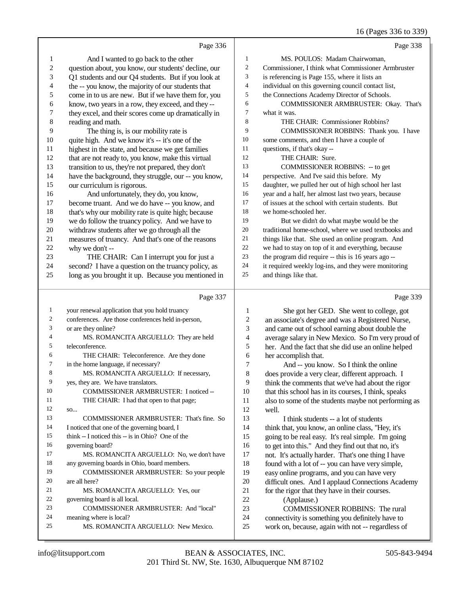16 (Pages 336 to 339)

|              | Page 336                                             |                | Page 338                                             |
|--------------|------------------------------------------------------|----------------|------------------------------------------------------|
| 1            | And I wanted to go back to the other                 | $\mathbf{1}$   | MS. POULOS: Madam Chairwoman,                        |
| 2            | question about, you know, our students' decline, our | $\sqrt{2}$     | Commissioner, I think what Commissioner Armbruster   |
| 3            | Q1 students and our Q4 students. But if you look at  | 3              | is referencing is Page 155, where it lists an        |
| 4            | the -- you know, the majority of our students that   | $\overline{4}$ | individual on this governing council contact list,   |
| 5            | come in to us are new. But if we have them for, you  | 5              | the Connections Academy Director of Schools.         |
| 6            | know, two years in a row, they exceed, and they --   | 6              | COMMISSIONER ARMBRUSTER: Okay. That's                |
| 7            | they excel, and their scores come up dramatically in | $\tau$         | what it was.                                         |
| 8            | reading and math.                                    | 8              | THE CHAIR: Commissioner Robbins?                     |
| 9            | The thing is, is our mobility rate is                | 9              | COMMISSIONER ROBBINS: Thank you. I have              |
| $10\,$       | quite high. And we know it's -- it's one of the      | 10             | some comments, and then I have a couple of           |
| 11           | highest in the state, and because we get families    | 11             | questions, if that's okay --                         |
| 12           | that are not ready to, you know, make this virtual   | 12             | THE CHAIR: Sure.                                     |
| 13           | transition to us, they're not prepared, they don't   | 13             | <b>COMMISSIONER ROBBINS:</b> -- to get               |
| 14           | have the background, they struggle, our -- you know, | 14             | perspective. And I've said this before. My           |
| 15           | our curriculum is rigorous.                          | 15             | daughter, we pulled her out of high school her last  |
| 16           | And unfortunately, they do, you know,                | 16             | year and a half, her almost last two years, because  |
| 17           | become truant. And we do have -- you know, and       | 17             | of issues at the school with certain students. But   |
| 18           | that's why our mobility rate is quite high; because  | 18             | we home-schooled her.                                |
| 19           | we do follow the truancy policy. And we have to      | 19             | But we didn't do what maybe would be the             |
| 20           | withdraw students after we go through all the        | 20             | traditional home-school, where we used textbooks and |
| 21           | measures of truancy. And that's one of the reasons   | 21             | things like that. She used an online program. And    |
| 22           | why we don't --                                      | 22             | we had to stay on top of it and everything, because  |
| 23           | THE CHAIR: Can I interrupt you for just a            | 23             | the program did require -- this is 16 years ago --   |
| 24           | second? I have a question on the truancy policy, as  | 24             | it required weekly log-ins, and they were monitoring |
| 25           | long as you brought it up. Because you mentioned in  | 25             | and things like that.                                |
|              |                                                      |                |                                                      |
|              |                                                      |                |                                                      |
|              | Page 337                                             |                | Page 339                                             |
| $\mathbf{1}$ | your renewal application that you hold truancy       | 1              | She got her GED. She went to college, got            |
| 2            | conferences. Are those conferences held in-person,   | 2              | an associate's degree and was a Registered Nurse,    |
| 3            | or are they online?                                  | 3              | and came out of school earning about double the      |
| 4            | MS. ROMANCITA ARGUELLO: They are held                | 4              | average salary in New Mexico. So I'm very proud of   |
| 5            | teleconference.                                      | 5              | her. And the fact that she did use an online helped  |
| 6            | THE CHAIR: Teleconference. Are they done             | 6              | her accomplish that.                                 |
| 7            | in the home language, if necessary?                  | 7              | And -- you know. So I think the online               |
| 8            | MS. ROMANCITA ARGUELLO: If necessary,                | 8              | does provide a very clear, different approach. I     |
| 9            | yes, they are. We have translators.                  | 9              | think the comments that we've had about the rigor    |
| 10           | COMMISSIONER ARMBRUSTER: I noticed --                | 10             | that this school has in its courses, I think, speaks |
| 11           | THE CHAIR: I had that open to that page;             | 11             | also to some of the students maybe not performing as |
| 12           | SO                                                   | 12             | well.                                                |
| 13           | COMMISSIONER ARMBRUSTER: That's fine. So             | 13             | I think students -- a lot of students                |
| 14           | I noticed that one of the governing board, I         | 14             | think that, you know, an online class, "Hey, it's    |
| 15           | think -- I noticed this -- is in Ohio? One of the    | 15             | going to be real easy. It's real simple. I'm going   |
| 16           | governing board?                                     | 16             | to get into this." And they find out that no, it's   |
| 17           | MS. ROMANCITA ARGUELLO: No, we don't have            | 17             | not. It's actually harder. That's one thing I have   |
| 18           | any governing boards in Ohio, board members.         | 18             | found with a lot of -- you can have very simple,     |
| 19           | COMMISSIONER ARMBRUSTER: So your people              | 19             | easy online programs, and you can have very          |
| 20           | are all here?                                        | $20\,$         | difficult ones. And I applaud Connections Academy    |
| 21           | MS. ROMANCITA ARGUELLO: Yes, our                     | 21             | for the rigor that they have in their courses.       |
| 22           | governing board is all local.                        | 22             | (Applause.)                                          |
| 23           | COMMISSIONER ARMBRUSTER: And "local"                 | 23             | <b>COMMISSIONER ROBBINS: The rural</b>               |
| 24           | meaning where is local?                              | 24             | connectivity is something you definitely have to     |
| 25           | MS. ROMANCITA ARGUELLO: New Mexico.                  | 25             | work on, because, again with not -- regardless of    |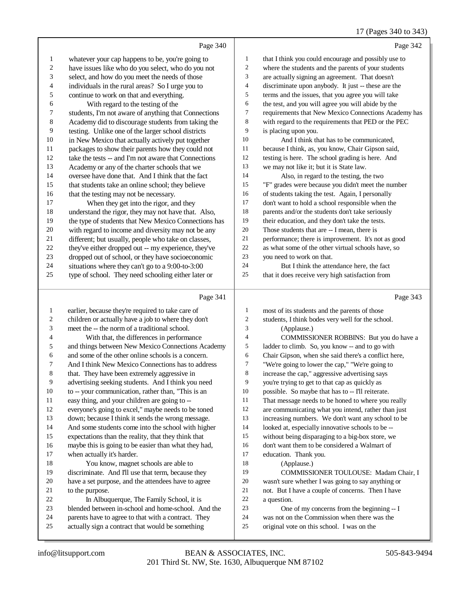|                         |                                                             |                | $17 \text{ (1466)}$ $370 \text{ (0 } 373)$                       |
|-------------------------|-------------------------------------------------------------|----------------|------------------------------------------------------------------|
|                         | Page 340                                                    |                | Page 342                                                         |
| 1                       | whatever your cap happens to be, you're going to            | $\mathbf{1}$   | that I think you could encourage and possibly use to             |
| $\overline{\mathbf{c}}$ | have issues like who do you select, who do you not          | $\overline{2}$ | where the students and the parents of your students              |
| 3                       | select, and how do you meet the needs of those              | 3              | are actually signing an agreement. That doesn't                  |
| 4                       | individuals in the rural areas? So I urge you to            | $\overline{4}$ | discriminate upon anybody. It just -- these are the              |
| 5                       | continue to work on that and everything.                    | 5              | terms and the issues, that you agree you will take               |
| 6                       | With regard to the testing of the                           | 6              | the test, and you will agree you will abide by the               |
| 7                       | students, I'm not aware of anything that Connections        | 7              | requirements that New Mexico Connections Academy has             |
| 8                       | Academy did to discourage students from taking the          | 8              | with regard to the requirements that PED or the PEC              |
| 9                       | testing. Unlike one of the larger school districts          | 9              | is placing upon you.                                             |
| 10                      | in New Mexico that actually actively put together           | 10             | And I think that has to be communicated,                         |
| 11                      | packages to show their parents how they could not           | 11             | because I think, as, you know, Chair Gipson said,                |
| 12                      | take the tests -- and I'm not aware that Connections        | 12             | testing is here. The school grading is here. And                 |
| 13                      | Academy or any of the charter schools that we               | 13             | we may not like it; but it is State law.                         |
| 14                      | oversee have done that. And I think that the fact           | 14             | Also, in regard to the testing, the two                          |
| 15                      | that students take an online school; they believe           | 15             | "F" grades were because you didn't meet the number               |
| 16                      | that the testing may not be necessary.                      | 16             | of students taking the test. Again, I personally                 |
| 17                      | When they get into the rigor, and they                      | 17             | don't want to hold a school responsible when the                 |
| 18                      | understand the rigor, they may not have that. Also,         | 18             | parents and/or the students don't take seriously                 |
| 19                      | the type of students that New Mexico Connections has        | 19             | their education, and they don't take the tests.                  |
| $20\,$                  | with regard to income and diversity may not be any          | 20             | Those students that are -- I mean, there is                      |
| 21                      | different; but usually, people who take on classes,         | 21             | performance; there is improvement. It's not as good              |
| $22\,$                  | they've either dropped out -- my experience, they've        | 22             | as what some of the other virtual schools have, so               |
| $23\,$                  | dropped out of school, or they have socioeconomic           | 23             | you need to work on that.                                        |
| 24                      | situations where they can't go to a 9:00-to-3:00            | 24             | But I think the attendance here, the fact                        |
| 25                      | type of school. They need schooling either later or         | 25             | that it does receive very high satisfaction from                 |
|                         | Page 341                                                    |                | Page 343                                                         |
| $\mathbf{1}$            | earlier, because they're required to take care of           | $\mathbf{1}$   | most of its students and the parents of those                    |
| 2                       | children or actually have a job to where they don't         | $\sqrt{2}$     | students, I think bodes very well for the school.                |
| 3                       | meet the -- the norm of a traditional school.               | 3              | (Applause.)                                                      |
| 4                       | With that, the differences in performance                   | $\overline{4}$ | COMMISSIONER ROBBINS: But you do have a                          |
| 5                       | and things between New Mexico Connections Academy           | 5              | ladder to climb. So, you know -- and to go with                  |
| 6                       | and some of the other online schools is a concern.          | 6              | Chair Gipson, when she said there's a conflict here,             |
| 7                       | And I think New Mexico Connections has to address           | $\tau$         | "We're going to lower the cap," "We're going to                  |
| 8                       | that. They have been extremely aggressive in                | $\,8\,$        | increase the cap," aggressive advertising says                   |
| 9                       | advertising seeking students. And I think you need          | 9              | you're trying to get to that cap as quickly as                   |
| 10                      | to -- your communication, rather than, "This is an          | 10             | possible. So maybe that has to -- I'll reiterate.                |
| 11                      | easy thing, and your children are going to --               | 11             | That message needs to be honed to where you really               |
| 12                      | everyone's going to excel," maybe needs to be toned         | 12             | are communicating what you intend, rather than just              |
| 13                      | down; because I think it sends the wrong message.           | 13             | increasing numbers. We don't want any school to be               |
| 14                      | And some students come into the school with higher          | 14             | looked at, especially innovative schools to be --                |
| 15                      | expectations than the reality, that they think that         | 15             | without being disparaging to a big-box store, we                 |
| 16                      | maybe this is going to be easier than what they had,        | 16             | don't want them to be considered a Walmart of                    |
| 17                      | when actually it's harder.                                  | 17             | education. Thank you.                                            |
| 18                      | You know, magnet schools are able to                        | 18             | (Applause.)                                                      |
| 19                      | discriminate. And I'll use that term, because they          | 19             | COMMISSIONER TOULOUSE: Madam Chair, I                            |
| 20                      | have a set purpose, and the attendees have to agree         | 20<br>$21\,$   | wasn't sure whether I was going to say anything or               |
| 21<br>22                | to the purpose.<br>In Albuquerque. The Family School, it is | 22             | not. But I have a couple of concerns. Then I have<br>a question. |
|                         |                                                             |                |                                                                  |

- 22 In Albuquerque, The Family School, it is
- blended between in-school and home-school. And the
- parents have to agree to that with a contract. They actually sign a contract that would be something
- 24 was not on the Commission when there was the<br>25 original vote on this school. I was on the original vote on this school. I was on the

One of my concerns from the beginning -- I

22 a question.<br>23 One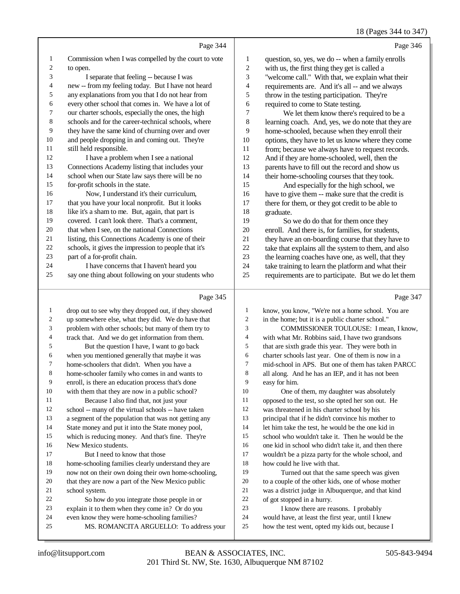#### 18 (Pages 344 to 347)

|                |                                                      |              | 18 (Pages 344 to 34)                                |
|----------------|------------------------------------------------------|--------------|-----------------------------------------------------|
|                | Page 344                                             |              | Page 346                                            |
| 1              | Commission when I was compelled by the court to vote | 1            | question, so, yes, we do -- when a family enrolls   |
| $\overline{c}$ | to open.                                             | $\mathbf{2}$ | with us, the first thing they get is called a       |
| 3              | I separate that feeling -- because I was             | 3            | "welcome call." With that, we explain what their    |
| $\overline{4}$ | new -- from my feeling today. But I have not heard   | 4            | requirements are. And it's all -- and we always     |
| 5              | any explanations from you that I do not hear from    | 5            | throw in the testing participation. They're         |
| 6              | every other school that comes in. We have a lot of   | 6            | required to come to State testing.                  |
| 7              | our charter schools, especially the ones, the high   | 7            | We let them know there's required to be a           |
| 8              | schools and for the career-technical schools, where  | 8            | learning coach. And, yes, we do note that they are  |
| 9              | they have the same kind of churning over and over    | 9            | home-schooled, because when they enroll their       |
| 10             | and people dropping in and coming out. They're       | 10           | options, they have to let us know where they come   |
| 11             | still held responsible.                              | 11           | from; because we always have to request records.    |
| 12             | I have a problem when I see a national               | 12           | And if they are home-schooled, well, then the       |
| 13             | Connections Academy listing that includes your       | 13           | parents have to fill out the record and show us     |
| 14             | school when our State law says there will be no      | 14           | their home-schooling courses that they took.        |
| 15             | for-profit schools in the state.                     | 15           | And especially for the high school, we              |
| 16             | Now, I understand it's their curriculum,             | 16           | have to give them -- make sure that the credit is   |
| 17             | that you have your local nonprofit. But it looks     | 17           | there for them, or they got credit to be able to    |
| 18             | like it's a sham to me. But, again, that part is     | 18           | graduate.                                           |
| 19             | covered. I can't look there. That's a comment,       | 19           | So we do do that for them once they                 |
| 20             | that when I see, on the national Connections         | 20           | enroll. And there is, for families, for students,   |
| 21             | listing, this Connections Academy is one of their    | 21           | they have an on-boarding course that they have to   |
| 22             | schools, it gives the impression to people that it's | 22           | take that explains all the system to them, and also |
| 23             | part of a for-profit chain.                          | 23           | the learning coaches have one, as well, that they   |
| 24             | I have concerns that I haven't heard you             | 24           | take training to learn the platform and what their  |
| 25             | say one thing about following on your students who   | 25           | requirements are to participate. But we do let them |
|                | Page 345                                             |              | Page 347                                            |
| 1              | drop out to see why they dropped out, if they showed | 1            | know, you know, "We're not a home school. You are   |

| $\mathbf{1}$   | drop out to see why they dropped out, if they showed | $\mathbf{1}$ | know, you know, "We're not a home school. You are    |
|----------------|------------------------------------------------------|--------------|------------------------------------------------------|
| $\overline{2}$ | up somewhere else, what they did. We do have that    | 2            | in the home; but it is a public charter school."     |
| 3              | problem with other schools; but many of them try to  | 3            | COMMISSIONER TOULOUSE: I mean, I know,               |
| 4              | track that. And we do get information from them.     | 4            | with what Mr. Robbins said, I have two grandsons     |
| 5              | But the question I have, I want to go back           | 5            | that are sixth grade this year. They were both in    |
| 6              | when you mentioned generally that maybe it was       | 6            | charter schools last year. One of them is now in a   |
| 7              | home-schoolers that didn't. When you have a          | 7            | mid-school in APS. But one of them has taken PARCC   |
| 8              | home-schooler family who comes in and wants to       | 8            | all along. And he has an IEP, and it has not been    |
| 9              | enroll, is there an education process that's done    | 9            | easy for him.                                        |
| 10             | with them that they are now in a public school?      | 10           | One of them, my daughter was absolutely              |
| 11             | Because I also find that, not just your              | 11           | opposed to the test, so she opted her son out. He    |
| 12             | school -- many of the virtual schools -- have taken  | 12           | was threatened in his charter school by his          |
| 13             | a segment of the population that was not getting any | 13           | principal that if he didn't convince his mother to   |
| 14             | State money and put it into the State money pool,    | 14           | let him take the test, he would be the one kid in    |
| 15             | which is reducing money. And that's fine. They're    | 15           | school who wouldn't take it. Then he would be the    |
| 16             | New Mexico students.                                 | 16           | one kid in school who didn't take it, and then there |
| 17             | But I need to know that those                        | 17           | wouldn't be a pizza party for the whole school, and  |
| 18             | home-schooling families clearly understand they are  | 18           | how could he live with that.                         |
| 19             | now not on their own doing their own home-schooling, | 19           | Turned out that the same speech was given            |
| 20             | that they are now a part of the New Mexico public    | 20           | to a couple of the other kids, one of whose mother   |
| 21             | school system.                                       | 21           | was a district judge in Albuquerque, and that kind   |
| 22             | So how do you integrate those people in or           | 22           | of got stopped in a hurry.                           |
| 23             | explain it to them when they come in? Or do you      | 23           | I know there are reasons. I probably                 |
| 24             | even know they were home-schooling families?         | 24           | would have, at least the first year, until I knew    |
| 25             | MS. ROMANCITA ARGUELLO: To address your              | 25           | how the test went, opted my kids out, because I      |
|                |                                                      |              |                                                      |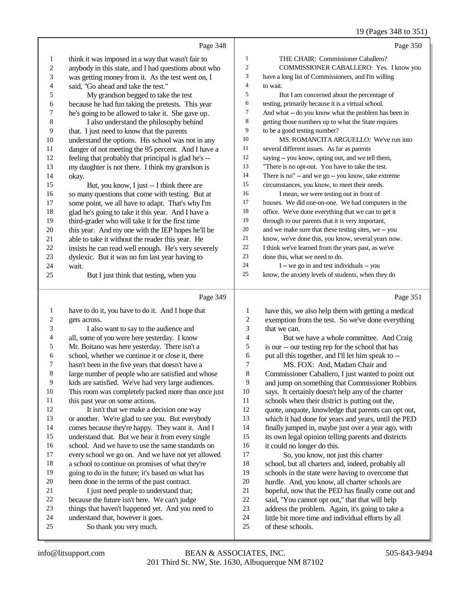#### 19 (Pages 348 to 351)

|                  | Page 348                                                                                |                  | Page 350                                                                                              |
|------------------|-----------------------------------------------------------------------------------------|------------------|-------------------------------------------------------------------------------------------------------|
| 1                | think it was imposed in a way that wasn't fair to                                       | $\mathbf{1}$     | THE CHAIR: Commissioner Caballero?                                                                    |
| $\boldsymbol{2}$ | anybody in this state, and I had questions about who                                    | 2                | COMMISSIONER CABALLERO: Yes. I know you                                                               |
| 3                | was getting money from it. As the test went on, I                                       | 3                | have a long list of Commissioners, and I'm willing                                                    |
| 4                | said, "Go ahead and take the test."                                                     | 4                | to wait.                                                                                              |
| 5                | My grandson begged to take the test                                                     | 5                | But I am concerned about the percentage of                                                            |
| 6                | because he had fun taking the pretests. This year                                       | 6                | testing, primarily because it is a virtual school.                                                    |
| 7                | he's going to be allowed to take it. She gave up.                                       | 7                | And what -- do you know what the problem has been in                                                  |
| $\,$ 8 $\,$      | I also understand the philosophy behind                                                 | $\,8\,$          | getting those numbers up to what the State requires                                                   |
| 9                | that. I just need to know that the parents                                              | 9                | to be a good testing number?                                                                          |
| 10               | understand the options. His school was not in any                                       | $10\,$           | MS. ROMANCITA ARGUELLO: We've run into                                                                |
| 11               | danger of not meeting the 95 percent. And I have a                                      | 11               | several different issues. As far as parents                                                           |
| 12               | feeling that probably that principal is glad he's --                                    | 12               | saying -- you know, opting out, and we tell them,                                                     |
| 13               | my daughter is not there. I think my grandson is                                        | 13               | "There is no opt-out. You have to take the test.                                                      |
| 14               | okay.                                                                                   | 14               | There is no" -- and we go -- you know, take extreme                                                   |
| 15               | But, you know, I just -- I think there are                                              | 15               | circumstances, you know, to meet their needs.                                                         |
| 16               | so many questions that come with testing. But at                                        | 16               | I mean, we were testing out in front of                                                               |
| 17               | some point, we all have to adapt. That's why I'm                                        | 17               | houses. We did one-on-one. We had computers in the                                                    |
| 18               | glad he's going to take it this year. And I have a                                      | 18               | office. We've done everything that we can to get it                                                   |
| 19               | third-grader who will take it for the first time                                        | 19               | through to our parents that it is very important,                                                     |
| 20               | this year. And my one with the IEP hopes he'll be                                       | $20\,$           | and we make sure that these testing sites, we -- you                                                  |
| 21               | able to take it without the reader this year. He                                        | 21               | know, we've done this, you know, several years now.                                                   |
| 22               | insists he can read well enough. He's very severely                                     | $22\,$           | I think we've learned from the years past, as we've                                                   |
| 23               | dyslexic. But it was no fun last year having to                                         | 23               | done this, what we need to do.                                                                        |
| 24               | wait.                                                                                   | 24               | I -- we go in and test individuals -- you                                                             |
| 25               | But I just think that testing, when you                                                 | 25               | know, the anxiety levels of students, when they do                                                    |
|                  |                                                                                         |                  |                                                                                                       |
|                  | Page 349                                                                                |                  | Page 351                                                                                              |
| $\mathbf{1}$     | have to do it, you have to do it. And I hope that                                       | 1                | have this, we also help them with getting a medical                                                   |
| 2                | gets across.                                                                            | $\boldsymbol{2}$ | exemption from the test. So we've done everything                                                     |
| 3                | I also want to say to the audience and                                                  | 3                | that we can.                                                                                          |
| 4                | all, some of you were here yesterday. I know                                            | 4                | But we have a whole committee. And Craig                                                              |
| 5                | Mr. Boitano was here yesterday. There isn't a                                           | 5                | is our -- our testing rep for the school that has                                                     |
| 6                | school, whether we continue it or close it, there                                       | 6                | put all this together, and I'll let him speak to --                                                   |
| 7                | hasn't been in the five years that doesn't have a                                       | 7                | MS. FOX: And, Madam Chair and                                                                         |
| 8                | large number of people who are satisfied and whose                                      | 8                | Commissioner Caballero, I just wanted to point out                                                    |
| 9                | kids are satisfied. We've had very large audiences.                                     | 9                | and jump on something that Commissioner Robbins                                                       |
| $10\,$           | This room was completely packed more than once just                                     | 10               | says. It certainly doesn't help any of the charter                                                    |
| 11               | this past year on some actions.                                                         | 11               | schools when their district is putting out the,                                                       |
| 12               | It isn't that we make a decision one way                                                | 12               | quote, unquote, knowledge that parents can opt out,                                                   |
| 13               | or another. We're glad to see you. But everybody                                        | 13               | which it had done for years and years, until the PED                                                  |
| 14               | comes because they're happy. They want it. And I                                        | 14               | finally jumped in, maybe just over a year ago, with                                                   |
| 15               | understand that. But we hear it from every single                                       | 15               | its own legal opinion telling parents and districts                                                   |
| 16               | school. And we have to use the same standards on                                        | 16               | it could no longer do this.                                                                           |
| 17               | every school we go on. And we have not yet allowed                                      | 17               | So, you know, not just this charter                                                                   |
| 18               | a school to continue on promises of what they're                                        | 18               | school, but all charters and, indeed, probably all                                                    |
| 19<br>20         | going to do in the future; it's based on what has                                       | 19<br>$20\,$     | schools in the state were having to overcome that                                                     |
| 21               | been done in the terms of the past contract.                                            | $21\,$           | hurdle. And, you know, all charter schools are                                                        |
| $22\,$           | I just need people to understand that;<br>because the future isn't here. We can't judge | $22\,$           | hopeful, now that the PED has finally come out and<br>said, "You cannot opt out," that that will help |
| 23               | things that haven't happened yet. And you need to                                       | 23               | address the problem. Again, it's going to take a                                                      |
|                  |                                                                                         |                  |                                                                                                       |

- little bit more time and individual efforts by all
- of these schools.

 understand that, however it goes. So thank you very much.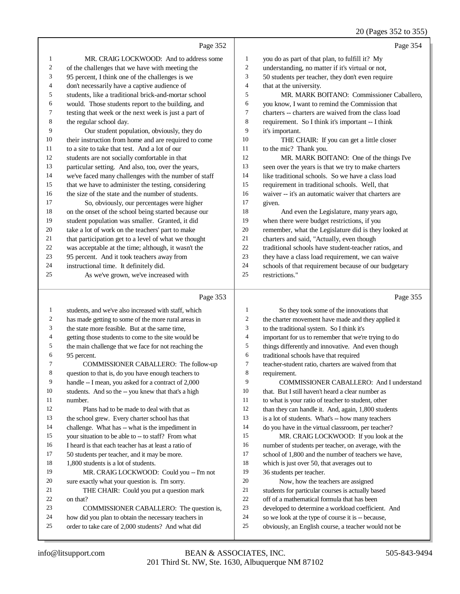#### 20 (Pages 352 to 355)

|              | Page 352                                             |    | Page 354                                             |
|--------------|------------------------------------------------------|----|------------------------------------------------------|
| $\mathbf{1}$ | MR. CRAIG LOCKWOOD: And to address some              | 1  | you do as part of that plan, to fulfill it? My       |
| 2            | of the challenges that we have with meeting the      | 2  | understanding, no matter if it's virtual or not,     |
| 3            | 95 percent, I think one of the challenges is we      | 3  | 50 students per teacher, they don't even require     |
| 4            | don't necessarily have a captive audience of         | 4  | that at the university.                              |
| 5            | students, like a traditional brick-and-mortar school | 5  | MR. MARK BOITANO: Commissioner Caballero,            |
| 6            | would. Those students report to the building, and    | 6  | you know, I want to remind the Commission that       |
| 7            | testing that week or the next week is just a part of | 7  | charters -- charters are waived from the class load  |
| 8            | the regular school day.                              | 8  | requirement. So I think it's important -- I think    |
| 9            | Our student population, obviously, they do           | 9  | it's important.                                      |
| 10           | their instruction from home and are required to come | 10 | THE CHAIR: If you can get a little closer            |
| 11           | to a site to take that test. And a lot of our        | 11 | to the mic? Thank you.                               |
| 12           | students are not socially comfortable in that        | 12 | MR. MARK BOITANO: One of the things I've             |
| 13           | particular setting. And also, too, over the years,   | 13 | seen over the years is that we try to make charters  |
| 14           | we've faced many challenges with the number of staff | 14 | like traditional schools. So we have a class load    |
| 15           | that we have to administer the testing, considering  | 15 | requirement in traditional schools. Well, that       |
| 16           | the size of the state and the number of students.    | 16 | waiver -- it's an automatic waiver that charters are |
| 17           | So, obviously, our percentages were higher           | 17 | given.                                               |
| 18           | on the onset of the school being started because our | 18 | And even the Legislature, many years ago,            |
| 19           | student population was smaller. Granted, it did      | 19 | when there were budget restrictions, if you          |
| 20           | take a lot of work on the teachers' part to make     | 20 | remember, what the Legislature did is they looked at |
| 21           | that participation get to a level of what we thought | 21 | charters and said, "Actually, even though            |
| 22           | was acceptable at the time; although, it wasn't the  | 22 | traditional schools have student-teacher ratios, and |
| 23           | 95 percent. And it took teachers away from           | 23 | they have a class load requirement, we can waive     |
| 24           | instructional time. It definitely did.               | 24 | schools of that requirement because of our budgetary |
| 25           | As we've grown, we've increased with                 | 25 | restrictions."                                       |
|              |                                                      |    |                                                      |

#### Page 353

 students, and we've also increased with staff, which has made getting to some of the more rural areas in the state more feasible. But at the same time, getting those students to come to the site would be the main challenge that we face for not reaching the 95 percent. COMMISSIONER CABALLERO: The follow-up question to that is, do you have enough teachers to handle -- I mean, you asked for a contract of 2,000 students. And so the -- you knew that that's a high number. Plans had to be made to deal with that as the school grew. Every charter school has that challenge. What has -- what is the impediment in your situation to be able to -- to staff? From what I heard is that each teacher has at least a ratio of 50 students per teacher, and it may be more. 1,800 students is a lot of students. MR. CRAIG LOCKWOOD: Could you -- I'm not sure exactly what your question is. I'm sorry. THE CHAIR: Could you put a question mark on that? COMMISSIONER CABALLERO: The question is, how did you plan to obtain the necessary teachers in order to take care of 2,000 students? And what did So they took some of the innovations that the charter movement have made and they applied it to the traditional system. So I think it's important for us to remember that we're trying to do things differently and innovative. And even though traditional schools have that required teacher-student ratio, charters are waived from that requirement. COMMISSIONER CABALLERO: And I understand that. But I still haven't heard a clear number as to what is your ratio of teacher to student, other 12 than they can handle it. And, again, 1,800 students 13 is a lot of students. What's -- how many teachers do you have in the virtual classroom, per teacher? MR. CRAIG LOCKWOOD: If you look at the number of students per teacher, on average, with the school of 1,800 and the number of teachers we have, which is just over 50, that averages out to 36 students per teacher. Now, how the teachers are assigned students for particular courses is actually based off of a mathematical formula that has been developed to determine a workload coefficient. And so we look at the type of course it is -- because, obviously, an English course, a teacher would not be

Page 355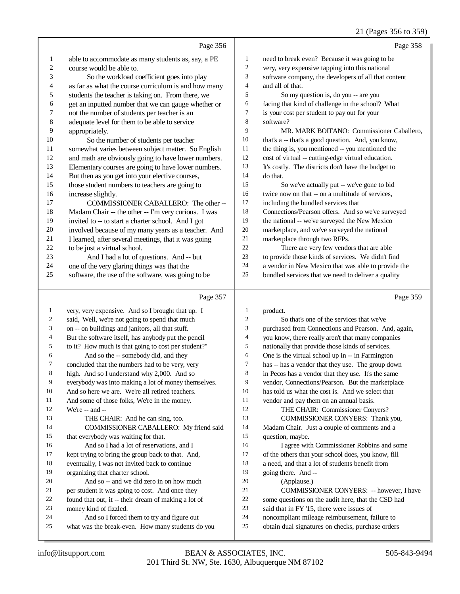#### 21 (Pages 356 to 359)

|                |                                                      |                | 21 (Pages 330 to 339)                                |
|----------------|------------------------------------------------------|----------------|------------------------------------------------------|
|                | Page 356                                             |                | Page 358                                             |
| $\mathbf{1}$   | able to accommodate as many students as, say, a PE   | $\mathbf{1}$   | need to break even? Because it was going to be       |
| $\overline{c}$ | course would be able to.                             | $\overline{c}$ | very, very expensive tapping into this national      |
| 3              | So the workload coefficient goes into play           | 3              | software company, the developers of all that content |
| 4              | as far as what the course curriculum is and how many | $\overline{4}$ | and all of that.                                     |
| 5              | students the teacher is taking on. From there, we    | 5              | So my question is, do you -- are you                 |
| 6              | get an inputted number that we can gauge whether or  | 6              | facing that kind of challenge in the school? What    |
| 7              | not the number of students per teacher is an         | 7              | is your cost per student to pay out for your         |
| $\,$ 8 $\,$    | adequate level for them to be able to service        | 8              | software?                                            |
| 9              | appropriately.                                       | 9              | MR. MARK BOITANO: Commissioner Caballero,            |
| 10             | So the number of students per teacher                | 10             | that's a -- that's a good question. And, you know,   |
| 11             | somewhat varies between subject matter. So English   | 11             | the thing is, you mentioned -- you mentioned the     |
| 12             | and math are obviously going to have lower numbers.  | 12             | cost of virtual -- cutting-edge virtual education.   |
| 13             | Elementary courses are going to have lower numbers.  | 13             | It's costly. The districts don't have the budget to  |
| 14             | But then as you get into your elective courses,      | 14             | do that.                                             |
| 15             | those student numbers to teachers are going to       | 15             | So we've actually put -- we've gone to bid           |
| 16             | increase slightly.                                   | 16             | twice now on that -- on a multitude of services,     |
| 17             | COMMISSIONER CABALLERO: The other --                 | 17             | including the bundled services that                  |
| $18\,$         | Madam Chair -- the other -- I'm very curious. I was  | 18             | Connections/Pearson offers. And so we've surveyed    |
| 19             | invited to -- to start a charter school. And I got   | 19             | the national -- we've surveyed the New Mexico        |
| 20             | involved because of my many years as a teacher. And  | 20             | marketplace, and we've surveyed the national         |
| 21             | I learned, after several meetings, that it was going | 21             | marketplace through two RFPs.                        |
| 22             | to be just a virtual school.                         | 22             | There are very few vendors that are able             |
| 23             | And I had a lot of questions. And -- but             | 23             | to provide those kinds of services. We didn't find   |
| 24             | one of the very glaring things was that the          | 24             | a vendor in New Mexico that was able to provide the  |
| 25             | software, the use of the software, was going to be   | 25             | bundled services that we need to deliver a quality   |
|                | Page 357                                             |                | Page 359                                             |
| 1              | very, very expensive. And so I brought that up. I    | 1              | product.                                             |
| 2              | said, 'Well, we're not going to spend that much      | $\overline{c}$ | So that's one of the services that we've             |
| 3              | on -- on buildings and janitors, all that stuff.     | 3              | purchased from Connections and Pearson. And, again,  |

- on -- on buildings and janitors, all that stuff.
- 4 But the software itself, has anybody put the pencil<br>5 to it? How much is that going to cost per student? to it? How much is that going to cost per student?"
- 6 And so the -- somebody did, and they<br>
7 concluded that the numbers had to be very.
- concluded that the numbers had to be very, very
- high. And so I understand why 2,000. And so
- everybody was into making a lot of money themselves.
- And so here we are. We're all retired teachers.
- 11 And some of those folks, We're in the money.<br>12 We're  $\pm$  and  $\pm$
- We're -- and --13 THE CHAIR: And he can sing, too. COMMISSIONER CABALLERO: My friend said that everybody was waiting for that. And so I had a lot of reservations, and I
- kept trying to bring the group back to that. And,
- eventually, I was not invited back to continue
- organizing that charter school.
- And so -- and we did zero in on how much
- 21 per student it was going to cost. And once they<br>22 found that out, it -- their dream of making a lot
- 22 found that out, it -- their dream of making a lot of<br>
23 money kind of fizzled.
- money kind of fizzled.
- 24 And so I forced them to try and figure out<br>25 what was the break-even How many students d what was the break-even. How many students do you
- 4 you know, there really aren't that many companies<br>5 nationally that provide those kinds of services. nationally that provide those kinds of services. One is the virtual school up in -- in Farmington has -- has a vendor that they use. The group down in Pecos has a vendor that they use. It's the same vendor, Connections/Pearson. But the marketplace has told us what the cost is. And we select that 11 vendor and pay them on an annual basis.<br>12 THE CHAIR: Commissioner Com THE CHAIR: Commissioner Conyers? COMMISSIONER CONYERS: Thank you, Madam Chair. Just a couple of comments and a question, maybe. I agree with Commissioner Robbins and some
- of the others that your school does, you know, fill
- a need, and that a lot of students benefit from
- going there. And --
- (Applause.)
- 21 COMMISSIONER CONYERS: -- however, I have<br>22 some questions on the audit here, that the CSD had
- 22 some questions on the audit here, that the CSD had<br>23 said that in FY 15, there were issues of said that in FY '15, there were issues of
- 
- 24 noncompliant mileage reimbursement, failure to<br>25 obtain dual signatures on checks, purchase order obtain dual signatures on checks, purchase orders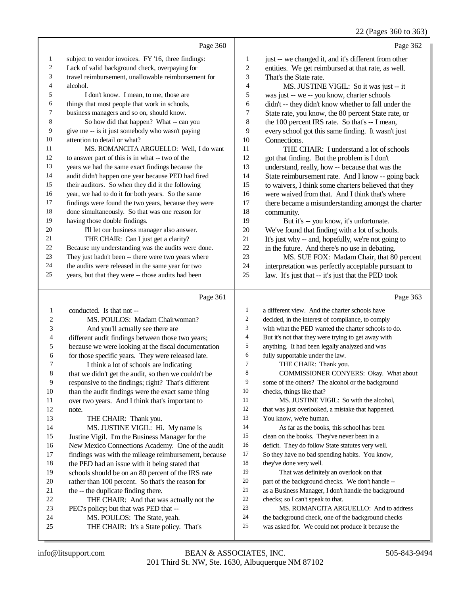22 (Pages 360 to 363)

Page 360 subject to vendor invoices. FY '16, three findings: Lack of valid background check, overpaying for travel reimbursement, unallowable reimbursement for alcohol. I don't know. I mean, to me, those are things that most people that work in schools, business managers and so on, should know. So how did that happen? What -- can you give me -- is it just somebody who wasn't paying attention to detail or what? MS. ROMANCITA ARGUELLO: Well, I do want to answer part of this is in what -- two of the years we had the same exact findings because the audit didn't happen one year because PED had fired their auditors. So when they did it the following year, we had to do it for both years. So the same findings were found the two years, because they were done simultaneously. So that was one reason for having those double findings. I'll let our business manager also answer. THE CHAIR: Can I just get a clarity? Because my understanding was the audits were done. They just hadn't been -- there were two years where the audits were released in the same year for two years, but that they were -- those audits had been Page 361 conducted. Is that not -- MS. POULOS: Madam Chairwoman? Page 362 1 just -- we changed it, and it's different from other entities. We get reimbursed at that rate, as well. That's the State rate. MS. JUSTINE VIGIL: So it was just -- it was just -- we -- you know, charter schools didn't -- they didn't know whether to fall under the State rate, you know, the 80 percent State rate, or the 100 percent IRS rate. So that's -- I mean, every school got this same finding. It wasn't just Connections. THE CHAIR: I understand a lot of schools got that finding. But the problem is I don't understand, really, how -- because that was the State reimbursement rate. And I know -- going back to waivers, I think some charters believed that they were waived from that. And I think that's where there became a misunderstanding amongst the charter community. But it's -- you know, it's unfortunate. We've found that finding with a lot of schools. It's just why -- and, hopefully, we're not going to in the future. And there's no use in debating. MS. SUE FOX: Madam Chair, that 80 percent interpretation was perfectly acceptable pursuant to law. It's just that -- it's just that the PED took Page 363 a different view. And the charter schools have decided, in the interest of compliance, to comply

with what the PED wanted the charter schools to do.

| 4  | different audit findings between those two years;    | 4  | But it's not that they were trying to get away with  |
|----|------------------------------------------------------|----|------------------------------------------------------|
| 5  | because we were looking at the fiscal documentation  | 5  | anything. It had been legally analyzed and was       |
| 6  | for those specific years. They were released late.   | 6  | fully supportable under the law.                     |
| 7  | I think a lot of schools are indicating              | 7  | THE CHAIR: Thank you.                                |
| 8  | that we didn't get the audit, so then we couldn't be | 8  | COMMISSIONER CONYERS: Okay. What about               |
| 9  | responsive to the findings; right? That's different  | 9  | some of the others? The alcohol or the background    |
| 10 | than the audit findings were the exact same thing    | 10 | checks, things like that?                            |
| 11 | over two years. And I think that's important to      | 11 | MS. JUSTINE VIGIL: So with the alcohol,              |
| 12 | note.                                                | 12 | that was just overlooked, a mistake that happened.   |
| 13 | THE CHAIR: Thank you.                                | 13 | You know, we're human.                               |
| 14 | MS. JUSTINE VIGIL: Hi. My name is                    | 14 | As far as the books, this school has been            |
| 15 | Justine Vigil. I'm the Business Manager for the      | 15 | clean on the books. They've never been in a          |
| 16 | New Mexico Connections Academy. One of the audit     | 16 | deficit. They do follow State statutes very well.    |
| 17 | findings was with the mileage reimbursement, because | 17 | So they have no bad spending habits. You know,       |
| 18 | the PED had an issue with it being stated that       | 18 | they've done very well.                              |
| 19 | schools should be on an 80 percent of the IRS rate   | 19 | That was definitely an overlook on that              |
| 20 | rather than 100 percent. So that's the reason for    | 20 | part of the background checks. We don't handle --    |
| 21 | the -- the duplicate finding there.                  | 21 | as a Business Manager, I don't handle the background |
| 22 | THE CHAIR: And that was actually not the             | 22 | checks; so I can't speak to that.                    |
| 23 | PEC's policy; but that was PED that --               | 23 | MS. ROMANCITA ARGUELLO: And to address               |
| 24 | MS. POULOS: The State, yeah.                         | 24 | the background check, one of the background checks   |
| 25 | THE CHAIR: It's a State policy. That's               | 25 | was asked for. We could not produce it because the   |

And you'll actually see there are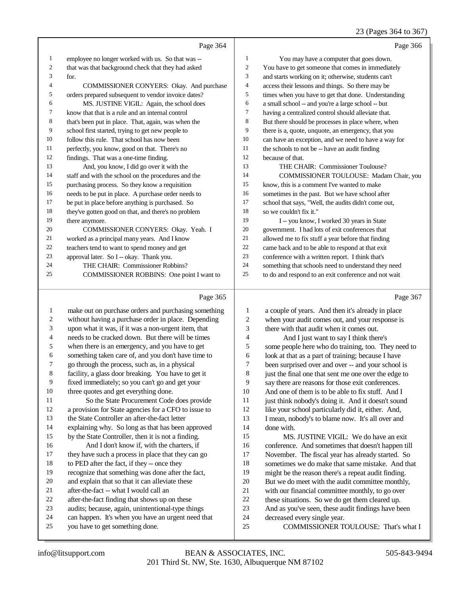## 23 (Pages 364 to 367)

|    | Page 364                                            |                | Page 366                                             |
|----|-----------------------------------------------------|----------------|------------------------------------------------------|
| 1  | employee no longer worked with us. So that was --   | 1              | You may have a computer that goes down.              |
| 2  | that was that background check that they had asked  | 2              | You have to get someone that comes in immediately    |
| 3  | for.                                                | 3              | and starts working on it; otherwise, students can't  |
| 4  | COMMISSIONER CONYERS: Okay. And purchase            | $\overline{4}$ | access their lessons and things. So there may be     |
| 5  | orders prepared subsequent to vendor invoice dates? | 5              | times when you have to get that done. Understanding  |
| 6  | MS. JUSTINE VIGIL: Again, the school does           | 6              | a small school -- and you're a large school -- but   |
| 7  | know that that is a rule and an internal control    | 7              | having a centralized control should alleviate that.  |
| 8  | that's been put in place. That, again, was when the | 8              | But there should be processes in place where, when   |
| 9  | school first started, trying to get new people to   | 9              | there is a, quote, unquote, an emergency, that you   |
| 10 | follow this rule. That school has now been          | 10             | can have an exception, and we need to have a way for |
| 11 | perfectly, you know, good on that. There's no       | 11             | the schools to not be -- have an audit finding       |
| 12 | findings. That was a one-time finding.              | 12             | because of that.                                     |
| 13 | And, you know, I did go over it with the            | 13             | THE CHAIR: Commissioner Toulouse?                    |
| 14 | staff and with the school on the procedures and the | 14             | COMMISSIONER TOULOUSE: Madam Chair, you              |
| 15 | purchasing process. So they know a requisition      | 15             | know, this is a comment I've wanted to make          |
| 16 | needs to be put in place. A purchase order needs to | 16             | sometimes in the past. But we have school after      |
| 17 | be put in place before anything is purchased. So    | 17             | school that says, "Well, the audits didn't come out, |
| 18 | they've gotten good on that, and there's no problem | 18             | so we couldn't fix it."                              |
| 19 | there anymore.                                      | 19             | I -- you know, I worked 30 years in State            |
| 20 | COMMISSIONER CONYERS: Okay. Yeah. I                 | 20             | government. I had lots of exit conferences that      |
| 21 | worked as a principal many years. And I know        | 21             | allowed me to fix stuff a year before that finding   |
| 22 | teachers tend to want to spend money and get        | 22             | came back and to be able to respond at that exit     |
| 23 | approval later. So I -- okay. Thank you.            | 23             | conference with a written report. I think that's     |
| 24 | THE CHAIR: Commissioner Robbins?                    | 24             | something that schools need to understand they need  |
| 25 | COMMISSIONER ROBBINS: One point I want to           | 25             | to do and respond to an exit conference and not wait |
|    |                                                     |                |                                                      |

## Page 365

| $\mathbf{1}$   | make out on purchase orders and purchasing something |
|----------------|------------------------------------------------------|
| 2              | without having a purchase order in place. Depending  |
| 3              | upon what it was, if it was a non-urgent item, that  |
| $\overline{4}$ | needs to be cracked down. But there will be times    |
| 5              | when there is an emergency, and you have to get      |
| 6              | something taken care of, and you don't have time to  |
| 7              | go through the process, such as, in a physical       |
| 8              | facility, a glass door breaking. You have to get it  |
| 9              | fixed immediately; so you can't go and get your      |
| 10             | three quotes and get everything done.                |
| 11             | So the State Procurement Code does provide           |
| 12             | a provision for State agencies for a CFO to issue to |
| 13             | the State Controller an after-the-fact letter        |
| 14             | explaining why. So long as that has been approved    |
| 15             | by the State Controller, then it is not a finding.   |
| 16             | And I don't know if, with the charters, if           |
| 17             | they have such a process in place that they can go   |
| 18             | to PED after the fact, if they -- once they          |
| 19             | recognize that something was done after the fact,    |
| 20             | and explain that so that it can alleviate these      |
| 21             | after-the-fact -- what I would call an               |
| 22             | after-the-fact finding that shows up on these        |
| 23             | audits; because, again, unintentional-type things    |
| 24             | can happen. It's when you have an urgent need that   |
| 25             | you have to get something done.                      |
|                |                                                      |

Page 367

| $\mathbf{1}$   | a couple of years. And then it's already in place    |
|----------------|------------------------------------------------------|
| $\overline{2}$ | when your audit comes out, and your response is      |
| 3              | there with that audit when it comes out.             |
| $\overline{4}$ | And I just want to say I think there's               |
| 5              | some people here who do training, too. They need to  |
| 6              | look at that as a part of training; because I have   |
| 7              | been surprised over and over -- and your school is   |
| 8              | just the final one that sent me one over the edge to |
| 9              | say there are reasons for those exit conferences.    |
| 10             | And one of them is to be able to fix stuff. And I    |
| 11             | just think nobody's doing it. And it doesn't sound   |
| 12             | like your school particularly did it, either. And,   |
| 13             | I mean, nobody's to blame now. It's all over and     |
| 14             | done with.                                           |
| 15             | MS. JUSTINE VIGIL: We do have an exit                |
| 16             | conference. And sometimes that doesn't happen till   |
| 17             | November. The fiscal year has already started. So    |
| 18             | sometimes we do make that same mistake. And that     |
| 19             | might be the reason there's a repeat audit finding.  |
| 20             | But we do meet with the audit committee monthly,     |
| 21             | with our financial committee monthly, to go over     |
| 22             | these situations. So we do get them cleared up.      |
| 23             | And as you've seen, these audit findings have been   |
| 24             | decreased every single year.                         |
| 25             | COMMISSIONER TOULOUSE: That's what I                 |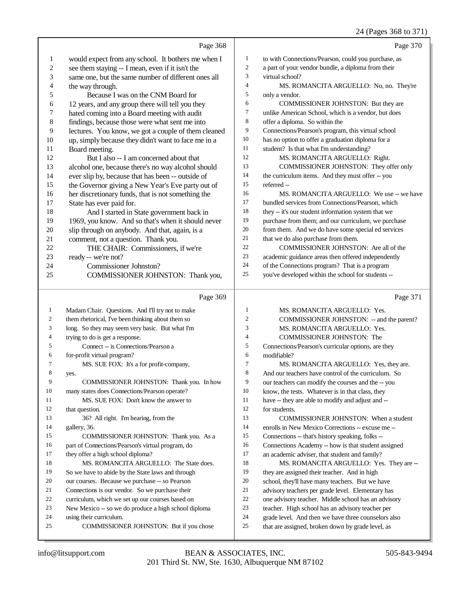#### 24 (Pages 368 to 371)

|                  | Page 368                                                           |                  | Page 370                                                                                                 |
|------------------|--------------------------------------------------------------------|------------------|----------------------------------------------------------------------------------------------------------|
| 1                | would expect from any school. It bothers me when I                 | $\mathbf{1}$     | to with Connections/Pearson, could you purchase, as                                                      |
| $\boldsymbol{2}$ | see them staying -- I mean, even if it isn't the                   | $\boldsymbol{2}$ | a part of your vendor bundle, a diploma from their                                                       |
| 3                | same one, but the same number of different ones all                | 3                | virtual school?                                                                                          |
| 4                | the way through.                                                   | 4                | MS. ROMANCITA ARGUELLO: No, no. They're                                                                  |
| 5                | Because I was on the CNM Board for                                 | 5                | only a vendor.                                                                                           |
| 6                | 12 years, and any group there will tell you they                   | 6                | COMMISSIONER JOHNSTON: But they are                                                                      |
| 7                | hated coming into a Board meeting with audit                       | 7                | unlike American School, which is a vendor, but does                                                      |
| 8                | findings, because those were what sent me into                     | 8                | offer a diploma. So within the                                                                           |
| 9                | lectures. You know, we got a couple of them cleaned                | 9                | Connections/Pearson's program, this virtual school                                                       |
| 10               | up, simply because they didn't want to face me in a                | $10\,$           | has no option to offer a graduation diploma for a                                                        |
| 11               | Board meeting.                                                     | 11               | student? Is that what I'm understanding?                                                                 |
| 12               | But I also -- I am concerned about that                            | 12               | MS. ROMANCITA ARGUELLO: Right.                                                                           |
| 13               | alcohol one, because there's no way alcohol should                 | 13               | COMMISSIONER JOHNSTON: They offer only                                                                   |
| 14               | ever slip by, because that has been -- outside of                  | 14               | the curriculum items. And they must offer -- you                                                         |
| 15               | the Governor giving a New Year's Eve party out of                  | 15               | referred-                                                                                                |
| 16               | her discretionary funds, that is not something the                 | 16               | MS. ROMANCITA ARGUELLO: We use -- we have                                                                |
| 17               | State has ever paid for.                                           | 17               | bundled services from Connections/Pearson, which                                                         |
| 18               | And I started in State government back in                          | 18               | they -- it's our student information system that we                                                      |
| 19               | 1969, you know. And so that's when it should never                 | 19               | purchase from them; and our curriculum, we purchase                                                      |
| 20               | slip through on anybody. And that, again, is a                     | $20\,$           | from them. And we do have some special ed services                                                       |
| 21               | comment, not a question. Thank you.                                | 21               | that we do also purchase from them.                                                                      |
| 22               | THE CHAIR: Commissioners, if we're                                 | 22               | COMMISSIONER JOHNSTON: Are all of the                                                                    |
| 23               | ready -- we're not?                                                | 23               | academic guidance areas then offered independently                                                       |
| 24               | Commissioner Johnston?                                             | $24\,$           | of the Connections program? That is a program                                                            |
| 25               | COMMISSIONER JOHNSTON: Thank you,                                  | 25               | you've developed within the school for students --                                                       |
|                  | Page 369                                                           |                  | Page 371                                                                                                 |
| $\mathbf{1}$     | Madam Chair. Questions. And I'll try not to make                   | $\mathbf{1}$     | MS. ROMANCITA ARGUELLO: Yes.                                                                             |
| 2                | them rhetorical, I've been thinking about them so                  | 2                | COMMISSIONER JOHNSTON: - and the parent?                                                                 |
| 3                | long. So they may seem very basic. But what I'm                    | 3                | MS. ROMANCITA ARGUELLO: Yes.                                                                             |
| 4                | trying to do is get a response.                                    | 4                | COMMISSIONER JOHNSTON: The                                                                               |
| 5                | Connect -- is Connections/Pearson a                                | 5                | Connections/Pearson's curricular options, are they                                                       |
| 6                | for-profit virtual program?                                        | 6                | modifiable?                                                                                              |
| 7                | MS. SUE FOX: It's a for profit-company,                            | 7                | MS. ROMANCITA ARGUELLO: Yes, they are.                                                                   |
| 8                | yes.                                                               | 8                | And our teachers have control of the curriculum. So                                                      |
| 9                | COMMISSIONER JOHNSTON: Thank you. In how                           | 9                | our teachers can modify the courses and the -- you                                                       |
| 10               | many states does Connections/Pearson operate?                      | 10               | know, the tests. Whatever is in that class, they                                                         |
| 11               | MS. SUE FOX: Don't know the answer to                              | 11               | have -- they are able to modify and adjust and --                                                        |
| 12               | that question.                                                     | 12               | for students.                                                                                            |
| 13               | 36? All right. I'm hearing, from the                               | 13               | COMMISSIONER JOHNSTON: When a student                                                                    |
| 14               | gallery, 36.                                                       | 14               | enrolls in New Mexico Corrections -- excuse me --                                                        |
| 15               | COMMISSIONER JOHNSTON: Thank you. As a                             | 15               | Connections -- that's history speaking, folks --                                                         |
| 16               | part of Connections/Pearson's virtual program, do                  | 16               | Connections Academy -- how is that student assigned                                                      |
| 17               | they offer a high school diploma?                                  | 17               | an academic adviser, that student and family?                                                            |
| 18               | MS. ROMANCITA ARGUELLO: The State does.                            | 18               | MS. ROMANCITA ARGUELLO: Yes. They are --                                                                 |
| 19               | So we have to abide by the State laws and through                  | 19               | they are assigned their teacher. And in high                                                             |
| 20               | our courses. Because we purchase -- so Pearson                     | 20               | school, they'll have many teachers. But we have                                                          |
| 21               | Connections is our vendor. So we purchase their                    | 21<br>$22\,$     | advisory teachers per grade level. Elementary has                                                        |
| 22               | curriculum, which we set up our courses based on                   | 23               | one advisory teacher. Middle school has an advisory<br>teacher. High school has an advisory teacher per  |
|                  |                                                                    |                  |                                                                                                          |
| 23               | New Mexico -- so we do produce a high school diploma               |                  |                                                                                                          |
| 24<br>25         | using their curriculum.<br>COMMISSIONER JOHNSTON: But if you chose | 24<br>25         | grade level. And then we have three counselors also<br>that are assigned, broken down by grade level, as |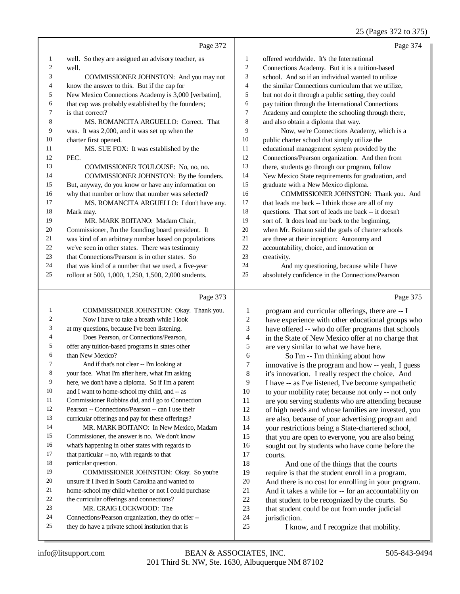#### 25 (Pages 372 to 375)

|    | Page 372                                             |    | Page 374                                            |
|----|------------------------------------------------------|----|-----------------------------------------------------|
| 1  | well. So they are assigned an advisory teacher, as   | 1  | offered worldwide. It's the International           |
| 2  | well.                                                | 2  | Connections Academy. But it is a tuition-based      |
| 3  | COMMISSIONER JOHNSTON: And you may not               | 3  | school. And so if an individual wanted to utilize   |
| 4  | know the answer to this. But if the cap for          | 4  | the similar Connections curriculum that we utilize, |
| 5  | New Mexico Connections Academy is 3,000 [verbatim],  | 5  | but not do it through a public setting, they could  |
| 6  | that cap was probably established by the founders;   | 6  | pay tuition through the International Connections   |
| 7  | is that correct?                                     | 7  | Academy and complete the schooling through there,   |
| 8  | MS. ROMANCITA ARGUELLO: Correct. That                | 8  | and also obtain a diploma that way.                 |
| 9  | was. It was 2,000, and it was set up when the        | 9  | Now, we're Connections Academy, which is a          |
| 10 | charter first opened.                                | 10 | public charter school that simply utilize the       |
| 11 | MS. SUE FOX: It was established by the               | 11 | educational management system provided by the       |
| 12 | PEC.                                                 | 12 | Connections/Pearson organization. And then from     |
| 13 | COMMISSIONER TOULOUSE: No, no, no.                   | 13 | there, students go through our program, follow      |
| 14 | COMMISSIONER JOHNSTON: By the founders.              | 14 | New Mexico State requirements for graduation, and   |
| 15 | But, anyway, do you know or have any information on  | 15 | graduate with a New Mexico diploma.                 |
| 16 | why that number or how that number was selected?     | 16 | COMMISSIONER JOHNSTON: Thank you. And               |
| 17 | MS. ROMANCITA ARGUELLO: I don't have any.            | 17 | that leads me back -- I think those are all of my   |
| 18 | Mark may.                                            | 18 | questions. That sort of leads me back -- it doesn't |
| 19 | MR. MARK BOITANO: Madam Chair,                       | 19 | sort of. It does lead me back to the beginning,     |
| 20 | Commissioner, I'm the founding board president. It   | 20 | when Mr. Boitano said the goals of charter schools  |
| 21 | was kind of an arbitrary number based on populations | 21 | are three at their inception: Autonomy and          |
| 22 | we've seen in other states. There was testimony      | 22 | accountability, choice, and innovation or           |
| 23 | that Connections/Pearson is in other states. So      | 23 | creativity.                                         |
| 24 | that was kind of a number that we used, a five-year  | 24 | And my questioning, because while I have            |
| 25 | rollout at 500, 1,000, 1,250, 1,500, 2,000 students. | 25 | absolutely confidence in the Connections/Pearson    |
|    |                                                      |    |                                                     |
|    |                                                      |    |                                                     |

### Page 373 |

| 1              | COMMISSIONER JOHNSTON: Okay. Thank you.              | 1              | prog    |
|----------------|------------------------------------------------------|----------------|---------|
| $\mathfrak{2}$ | Now I have to take a breath while I look             | $\overline{2}$ | have    |
| 3              | at my questions, because I've been listening.        | 3              | have    |
| $\overline{4}$ | Does Pearson, or Connections/Pearson,                | 4              | in the  |
| 5              | offer any tuition-based programs in states other     | 5              | are v   |
| 6              | than New Mexico?                                     | 6              |         |
| $\overline{7}$ | And if that's not clear -- I'm looking at            | 7              | inno    |
| 8              | your face. What I'm after here, what I'm asking      | 8              | it's ir |
| 9              | here, we don't have a diploma. So if I'm a parent    | 9              | I hav   |
| 10             | and I want to home-school my child, and -- as        | 10             | to yo   |
| 11             | Commissioner Robbins did, and I go to Connection     | 11             | are y   |
| 12             | Pearson -- Connections/Pearson -- can I use their    | 12             | of hi   |
| 13             | curricular offerings and pay for these offerings?    | 13             | are a   |
| 14             | MR. MARK BOITANO: In New Mexico, Madam               | 14             | your    |
| 15             | Commissioner, the answer is no. We don't know        | 15             | that '  |
| 16             | what's happening in other states with regards to     | 16             | sougl   |
| 17             | that particular -- no, with regards to that          | 17             | court   |
| 18             | particular question.                                 | 18             |         |
| 19             | COMMISSIONER JOHNSTON: Okay. So you're               | 19             | requi   |
| 20             | unsure if I lived in South Carolina and wanted to    | 20             | And     |
| 21             | home-school my child whether or not I could purchase | 21             | And     |
| 22             | the curricular offerings and connections?            | 22             | that s  |
| 23             | MR. CRAIG LOCKWOOD: The                              | 23             | that :  |
| 24             | Connections/Pearson organization, they do offer --   | 24             | juriso  |
| 25             | they do have a private school institution that is    | 25             |         |
|                |                                                      |                |         |

Page 375

| 1              | program and curricular offerings, there are -- I     |
|----------------|------------------------------------------------------|
| 2              | have experience with other educational groups who    |
| 3              | have offered -- who do offer programs that schools   |
| $\overline{4}$ | in the State of New Mexico offer at no charge that   |
| 5              | are very similar to what we have here.               |
| 6              | So I'm -- I'm thinking about how                     |
| 7              | innovative is the program and how -- yeah, I guess   |
| 8              | it's innovation. I really respect the choice. And    |
| 9              | I have -- as I've listened, I've become sympathetic  |
| 10             | to your mobility rate; because not only -- not only  |
| 11             | are you serving students who are attending because   |
| 12             | of high needs and whose families are invested, you   |
| 13             | are also, because of your advertising program and    |
| 14             | your restrictions being a State-chartered school,    |
| 15             | that you are open to everyone, you are also being    |
| 16             | sought out by students who have come before the      |
| 17             | courts.                                              |
| 18             | And one of the things that the courts                |
| 19             | require is that the student enroll in a program.     |
| 20             | And there is no cost for enrolling in your program.  |
| 21             | And it takes a while for -- for an accountability on |
| 22             | that student to be recognized by the courts. So      |
| 23             | that student could be out from under judicial        |

- diction.
	- I know, and I recognize that mobility.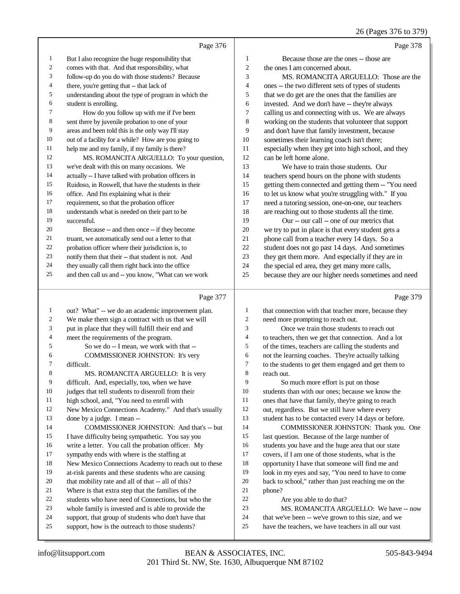## 26 (Pages 376 to 379)

|                | Page 376                                             |                | Page 378                                             |
|----------------|------------------------------------------------------|----------------|------------------------------------------------------|
| $\mathbf{1}$   | But I also recognize the huge responsibility that    | 1              | Because those are the ones -- those are              |
| $\overline{c}$ | comes with that. And that responsibility, what       | $\overline{c}$ | the ones I am concerned about.                       |
| 3              | follow-up do you do with those students? Because     | 3              | MS. ROMANCITA ARGUELLO: Those are the                |
| 4              | there, you're getting that -- that lack of           | 4              | ones -- the two different sets of types of students  |
| 5              | understanding about the type of program in which the | 5              | that we do get are the ones that the families are    |
| 6              | student is enrolling.                                | 6              | invested. And we don't have -- they're always        |
| 7              | How do you follow up with me if I've been            | 7              | calling us and connecting with us. We are always     |
| 8              | sent there by juvenile probation to one of your      | $\,$ 8 $\,$    | working on the students that volunteer that support  |
| 9              | areas and been told this is the only way I'll stay   | 9              | and don't have that family investment, because       |
| 10             | out of a facility for a while? How are you going to  | 10             | sometimes their learning coach isn't there;          |
| 11             | help me and my family, if my family is there?        | 11             | especially when they get into high school, and they  |
| 12             | MS. ROMANCITA ARGUELLO: To your question,            | 12             | can be left home alone.                              |
| 13             | we've dealt with this on many occasions. We          | 13             | We have to train those students. Our                 |
| 14             | actually -- I have talked with probation officers in | 14             | teachers spend hours on the phone with students      |
| 15             | Ruidoso, in Roswell, that have the students in their | 15             | getting them connected and getting them -- "You need |
| 16             | office. And I'm explaining what is their             | 16             | to let us know what you're struggling with." If you  |
| 17             | requirement, so that the probation officer           | 17             | need a tutoring session, one-on-one, our teachers    |
| 18             | understands what is needed on their part to be       | 18             | are reaching out to those students all the time.     |
| 19             | successful.                                          | 19             | Our -- our call -- one of our metrics that           |
| 20             | Because -- and then once -- if they become           | 20             | we try to put in place is that every student gets a  |
| 21             | truant, we automatically send out a letter to that   | 21             | phone call from a teacher every 14 days. So a        |
| 22             | probation officer where their jurisdiction is, to    | 22             | student does not go past 14 days. And sometimes      |
| 23             | notify them that their -- that student is not. And   | 23             | they get them more. And especially if they are in    |
| 24             | they usually call them right back into the office    | 24             | the special ed area, they get many more calls,       |
| 25             | and then call us and -- you know, "What can we work  | 25             | because they are our higher needs sometimes and need |

## Page 377

|    | Page 377                                             |        | Page 379                                             |
|----|------------------------------------------------------|--------|------------------------------------------------------|
| 1  | out? What" -- we do an academic improvement plan.    | 1      | that connection with that teacher more, because they |
| 2  | We make them sign a contract with us that we will    | 2      | need more prompting to reach out.                    |
| 3  | put in place that they will fulfill their end and    | 3      | Once we train those students to reach out            |
| 4  | meet the requirements of the program.                | 4      | to teachers, then we get that connection. And a lot  |
| 5  | So we do -- I mean, we work with that --             | 5      | of the times, teachers are calling the students and  |
| 6  | COMMISSIONER JOHNSTON: It's very                     | 6      | not the learning coaches. They're actually talking   |
| 7  | difficult.                                           | $\tau$ | to the students to get them engaged and get them to  |
| 8  | MS. ROMANCITA ARGUELLO: It is very                   | 8      | reach out.                                           |
| 9  | difficult. And, especially, too, when we have        | 9      | So much more effort is put on those                  |
| 10 | judges that tell students to disenroll from their    | 10     | students than with our ones; because we know the     |
| 11 | high school, and, "You need to enroll with           | 11     | ones that have that family, they're going to reach   |
| 12 | New Mexico Connections Academy." And that's usually  | 12     | out, regardless. But we still have where every       |
| 13 | done by a judge. I mean --                           | 13     | student has to be contacted every 14 days or before. |
| 14 | COMMISSIONER JOHNSTON: And that's -- but             | 14     | COMMISSIONER JOHNSTON: Thank you. One                |
| 15 | I have difficulty being sympathetic. You say you     | 15     | last question. Because of the large number of        |
| 16 | write a letter. You call the probation officer. My   | 16     | students you have and the huge area that our state   |
| 17 | sympathy ends with where is the staffing at          | 17     | covers, if I am one of those students, what is the   |
| 18 | New Mexico Connections Academy to reach out to these | 18     | opportunity I have that someone will find me and     |
| 19 | at-risk parents and these students who are causing   | 19     | look in my eyes and say, "You need to have to come   |
| 20 | that mobility rate and all of that -- all of this?   | 20     | back to school," rather than just reaching me on the |
| 21 | Where is that extra step that the families of the    | 21     | phone?                                               |
| 22 | students who have need of Connections, but who the   | 22     | Are you able to do that?                             |
| 23 | whole family is invested and is able to provide the  | 23     | MS. ROMANCITA ARGUELLO: We have -- now               |
| 24 | support, that group of students who don't have that  | 24     | that we've been -- we've grown to this size, and we  |
| 25 | support, how is the outreach to those students?      | 25     | have the teachers, we have teachers in all our vast  |
|    |                                                      |        |                                                      |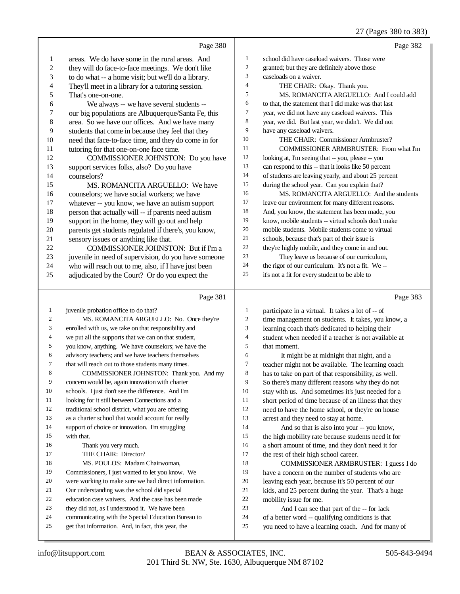## 27 (Pages 380 to 383)

|                          |                                                      |                             | 21 (Fages 560 to 565)                                |
|--------------------------|------------------------------------------------------|-----------------------------|------------------------------------------------------|
|                          | Page 380                                             |                             | Page 382                                             |
| 1                        | areas. We do have some in the rural areas. And       | $\mathbf{1}$                | school did have caseload waivers. Those were         |
| $\boldsymbol{2}$         | they will do face-to-face meetings. We don't like    | $\boldsymbol{2}$            | granted; but they are definitely above those         |
| 3                        | to do what -- a home visit; but we'll do a library.  | $\ensuremath{\mathfrak{Z}}$ | caseloads on a waiver.                               |
| $\overline{\mathcal{L}}$ | They'll meet in a library for a tutoring session.    | $\overline{4}$              | THE CHAIR: Okay. Thank you.                          |
| 5                        | That's one-on-one.                                   | 5                           | MS. ROMANCITA ARGUELLO: And I could add              |
| 6                        | We always -- we have several students --             | 6                           | to that, the statement that I did make was that last |
| $\boldsymbol{7}$         | our big populations are Albuquerque/Santa Fe, this   | $\tau$                      | year, we did not have any caseload waivers. This     |
| 8                        | area. So we have our offices. And we have many       | 8                           | year, we did. But last year, we didn't. We did not   |
| 9                        | students that come in because they feel that they    | 9                           | have any caseload waivers.                           |
| 10                       | need that face-to-face time, and they do come in for | 10                          | THE CHAIR: Commissioner Armbruster?                  |
| 11                       | tutoring for that one-on-one face time.              | 11                          | COMMISSIONER ARMBRUSTER: From what I'm               |
| 12                       | COMMISSIONER JOHNSTON: Do you have                   | 12                          | looking at, I'm seeing that -- you, please -- you    |
| 13                       | support services folks, also? Do you have            | 13                          | can respond to this -- that it looks like 50 percent |
| 14                       | counselors?                                          | 14                          | of students are leaving yearly, and about 25 percent |
| 15                       | MS. ROMANCITA ARGUELLO: We have                      | 15                          | during the school year. Can you explain that?        |
| 16                       | counselors; we have social workers; we have          | 16                          | MS. ROMANCITA ARGUELLO: And the students             |
| 17                       | whatever -- you know, we have an autism support      | 17                          | leave our environment for many different reasons.    |
| 18                       | person that actually will -- if parents need autism  | 18                          | And, you know, the statement has been made, you      |
| 19                       | support in the home, they will go out and help       | 19                          | know, mobile students -- virtual schools don't make  |
| $20\,$                   | parents get students regulated if there's, you know, | 20                          | mobile students. Mobile students come to virtual     |
| $21\,$                   | sensory issues or anything like that.                | 21                          | schools, because that's part of their issue is       |
| $22\,$                   | COMMISSIONER JOHNSTON: But if I'm a                  | $22\,$                      | they're highly mobile, and they come in and out.     |
| $23\,$                   | juvenile in need of supervision, do you have someone | 23                          | They leave us because of our curriculum,             |
| 24                       | who will reach out to me, also, if I have just been  | 24                          | the rigor of our curriculum. It's not a fit. We-     |
| 25                       | adjudicated by the Court? Or do you expect the       | 25                          | it's not a fit for every student to be able to       |
|                          | Page 381                                             |                             | Page 383                                             |
| $\mathbf{1}$             | juvenile probation office to do that?                | $\mathbf{1}$                | participate in a virtual. It takes a lot of -- of    |
| 2                        | MS. ROMANCITA ARGUELLO: No. Once they're             | $\boldsymbol{2}$            | time management on students. It takes, you know, a   |
| 3                        | enrolled with us, we take on that responsibility and | $\mathfrak{Z}$              | learning coach that's dedicated to helping their     |
| 4                        | we put all the supports that we can on that student, | $\overline{4}$              | student when needed if a teacher is not available at |
| 5                        | you know, anything. We have counselors; we have the  | 5                           | that moment.                                         |
| 6                        | advisory teachers; and we have teachers themselves   | 6                           | It might be at midnight that night, and a            |
| 7                        | that will reach out to those students many times.    | $\tau$                      | teacher might not be available. The learning coach   |
| 8                        | COMMISSIONER JOHNSTON: Thank you. And my             | 8                           | has to take on part of that responsibility, as well. |
| 9                        | concern would be, again innovation with charter      | 9                           | So there's many different reasons why they do not    |
| 10                       | schools. I just don't see the difference. And I'm    | 10                          | stay with us. And sometimes it's just needed for a   |
| 11                       | looking for it still between Connections and a       | 11                          | short period of time because of an illness that they |
| 12                       | traditional school district, what you are offering   | 12                          | need to have the home school, or they're on house    |
| 13                       | as a charter school that would account for really    | 13                          | arrest and they need to stay at home.                |
| 14                       | support of choice or innovation. I'm struggling      | 14                          | And so that is also into your -- you know,           |
| 15                       | with that.                                           | 15                          | the high mobility rate because students need it for  |
| 16                       | Thank you very much.                                 | 16                          | a short amount of time, and they don't need it for   |
| 17                       | THE CHAIR: Director?                                 | 17                          | the rest of their high school career.                |

- MS. POULOS: Madam Chairwoman,
- Commissioners, I just wanted to let you know. We
- were working to make sure we had direct information.
- Our understanding was the school did special
- education case waivers. And the case has been made
- they did not, as I understood it. We have been
- communicating with the Special Education Bureau to
- get that information. And, in fact, this year, the
- 18 COMMISSIONER ARMBRUSTER: I guess I do<br>19 have a concern on the number of students who are have a concern on the number of students who are leaving each year, because it's 50 percent of our 21 kids, and 25 percent during the year. That's a huge<br>22 mobility issue for me.
- 22 mobility issue for me.<br>23 And I can see the
	- And I can see that part of the -- for lack
- 24 of a better word -- qualifying conditions is that<br>25 vou need to have a learning coach. And for ma
- you need to have a learning coach. And for many of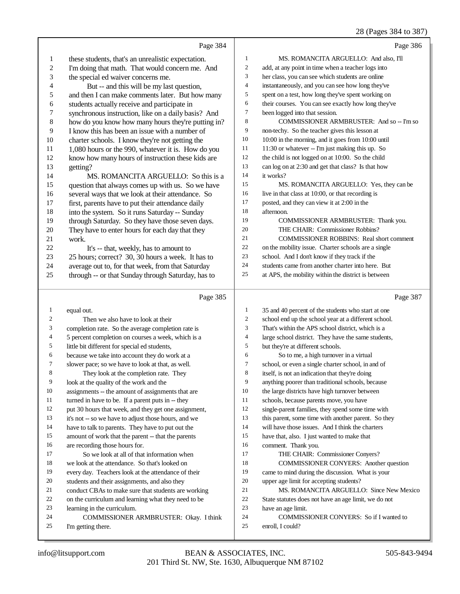## 28 (Pages 384 to 387)

|                  | Page 384                                                     |                  | Page 386                                                           |
|------------------|--------------------------------------------------------------|------------------|--------------------------------------------------------------------|
| 1                | these students, that's an unrealistic expectation.           | 1                | MS. ROMANCITA ARGUELLO: And also, I'll                             |
| 2                | I'm doing that math. That would concern me. And              | $\boldsymbol{2}$ | add, at any point in time when a teacher logs into                 |
| 3                | the special ed waiver concerns me.                           | 3                | her class, you can see which students are online                   |
| 4                | But -- and this will be my last question,                    | $\overline{4}$   | instantaneously, and you can see how long they've                  |
| 5                | and then I can make comments later. But how many             | 5                | spent on a test, how long they've spent working on                 |
| 6                | students actually receive and participate in                 | 6                | their courses. You can see exactly how long they've                |
| 7                | synchronous instruction, like on a daily basis? And          | 7                | been logged into that session.                                     |
| 8                | how do you know how many hours they're putting in?           | 8                | COMMISSIONER ARMBRUSTER: And so -- I'm so                          |
| 9                | I know this has been an issue with a number of               | 9                | non-techy. So the teacher gives this lesson at                     |
| 10               | charter schools. I know they're not getting the              | 10               | 10:00 in the morning, and it goes from 10:00 until                 |
| 11               | 1,080 hours or the 990, whatever it is. How do you           | 11               | 11:30 or whatever -- I'm just making this up. So                   |
| 12               | know how many hours of instruction these kids are            | 12               | the child is not logged on at 10:00. So the child                  |
| 13               | getting?                                                     | 13               | can log on at 2:30 and get that class? Is that how                 |
| 14               | MS. ROMANCITA ARGUELLO: So this is a                         | 14               | it works?                                                          |
| 15               | question that always comes up with us. So we have            | 15               | MS. ROMANCITA ARGUELLO: Yes, they can be                           |
| 16               | several ways that we look at their attendance. So            | 16               | live in that class at 10:00, or that recording is                  |
| 17               | first, parents have to put their attendance daily            | 17               | posted, and they can view it at 2:00 in the                        |
| 18               | into the system. So it runs Saturday -- Sunday               | 18               | afternoon.                                                         |
| 19               | through Saturday. So they have those seven days.             | 19               | COMMISSIONER ARMBRUSTER: Thank you.                                |
| 20               | They have to enter hours for each day that they              | 20               | THE CHAIR: Commissioner Robbins?                                   |
| 21               | work.                                                        | 21               | <b>COMMISSIONER ROBBINS: Real short comment</b>                    |
| 22               | It's -- that, weekly, has to amount to                       | 22               | on the mobility issue. Charter schools are a single                |
| 23               | 25 hours; correct? 30, 30 hours a week. It has to            | 23               | school. And I don't know if they track if the                      |
| 24               | average out to, for that week, from that Saturday            | 24               | students came from another charter into here. But                  |
| 25               | through -- or that Sunday through Saturday, has to           | 25               | at APS, the mobility within the district is between                |
|                  |                                                              |                  |                                                                    |
|                  | Page 385                                                     |                  | Page 387                                                           |
| 1                | equal out.                                                   | 1                | 35 and 40 percent of the students who start at one                 |
| 2                | Then we also have to look at their                           | $\boldsymbol{2}$ | school end up the school year at a different school.               |
| 3                | completion rate. So the average completion rate is           | 3                | That's within the APS school district, which is a                  |
| 4                | 5 percent completion on courses a week, which is a           | $\overline{4}$   | large school district. They have the same students,                |
| 5                | little bit different for special ed students,                | 5                | but they're at different schools.                                  |
| 6                | because we take into account they do work at a               | 6                | So to me, a high turnover in a virtual                             |
| 7                | slower pace; so we have to look at that, as well.            | 7                | school, or even a single charter school, in and of                 |
| $\boldsymbol{8}$ | They look at the completion rate. They                       | 8                | itself, is not an indication that they're doing                    |
| 9                | look at the quality of the work and the                      | 9                | anything poorer than traditional schools, because                  |
| 10               | assignments -- the amount of assignments that are            | 10               | the large districts have high turnover between                     |
| 11               | turned in have to be. If a parent puts in -- they            | 11               | schools, because parents move, you have                            |
| 12               | put 30 hours that week, and they get one assignment,         | 12               | single-parent families, they spend some time with                  |
| 13               | it's not -- so we have to adjust those hours, and we         | 13               | this parent, some time with another parent. So they                |
| 14               | have to talk to parents. They have to put out the            | 14               | will have those issues. And I think the charters                   |
| 15               | amount of work that the parent -- that the parents           | 15               | have that, also. I just wanted to make that                        |
| 16               | are recording those hours for.                               | 16               | comment. Thank you.                                                |
| 17               | So we look at all of that information when                   | 17               | THE CHAIR: Commissioner Conyers?                                   |
| 18               | we look at the attendance. So that's looked on               | 18               | <b>COMMISSIONER CONYERS: Another question</b>                      |
| 19               | every day. Teachers look at the attendance of their          | 19               | came to mind during the discussion. What is your                   |
| 20               | students and their assignments, and also they                | 20               | upper age limit for accepting students?                            |
| 21               | conduct CBAs to make sure that students are working          | 21               | MS. ROMANCITA ARGUELLO: Since New Mexico                           |
| 22               | on the curriculum and learning what they need to be          | 22               | State statutes does not have an age limit, we do not               |
| 23               | learning in the curriculum.                                  | 23               | have an age limit.                                                 |
| 24<br>25         | COMMISSIONER ARMBRUSTER: Okay. I think<br>I'm getting there. | 24<br>25         | <b>COMMISSIONER CONYERS:</b> So if I wanted to<br>enroll, I could? |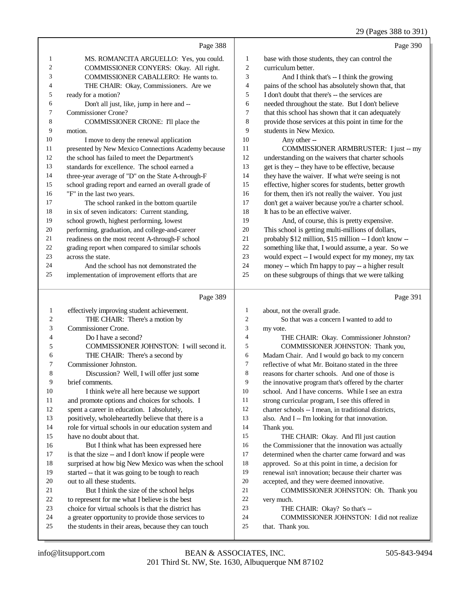|              | Page 388                                                                                                  |                  | Page 390                                                                  |
|--------------|-----------------------------------------------------------------------------------------------------------|------------------|---------------------------------------------------------------------------|
| 1            | MS. ROMANCITA ARGUELLO: Yes, you could.                                                                   | 1                | base with those students, they can control the                            |
| 2            | COMMISSIONER CONYERS: Okay. All right.                                                                    | 2                | curriculum better.                                                        |
| 3            | COMMISSIONER CABALLERO: He wants to.                                                                      | 3                | And I think that's -- I think the growing                                 |
| 4            | THE CHAIR: Okay, Commissioners. Are we                                                                    | 4                | pains of the school has absolutely shown that, that                       |
| 5            | ready for a motion?                                                                                       | 5                | I don't doubt that there's -- the services are                            |
| 6            | Don't all just, like, jump in here and --                                                                 | 6                | needed throughout the state. But I don't believe                          |
| 7            | <b>Commissioner Crone?</b>                                                                                | 7                | that this school has shown that it can adequately                         |
| 8            | COMMISSIONER CRONE: I'll place the                                                                        | $\,$ 8 $\,$      | provide those services at this point in time for the                      |
| 9            | motion.                                                                                                   | 9                | students in New Mexico.                                                   |
| 10           | I move to deny the renewal application                                                                    | 10               | Any other --                                                              |
| 11           | presented by New Mexico Connections Academy because                                                       | 11               | COMMISSIONER ARMBRUSTER: I just -- my                                     |
| 12           | the school has failed to meet the Department's                                                            | 12               | understanding on the waivers that charter schools                         |
| 13           | standards for excellence. The school earned a                                                             | 13               | get is they -- they have to be effective, because                         |
| 14           | three-year average of "D" on the State A-through-F                                                        | 14               | they have the waiver. If what we're seeing is not                         |
| 15           | school grading report and earned an overall grade of                                                      | 15               | effective, higher scores for students, better growth                      |
| 16           | "F" in the last two years.                                                                                | 16               | for them, then it's not really the waiver. You just                       |
| 17           | The school ranked in the bottom quartile                                                                  | 17               | don't get a waiver because you're a charter school.                       |
| 18           | in six of seven indicators: Current standing,                                                             | 18               | It has to be an effective waiver.                                         |
| 19           | school growth, highest performing, lowest                                                                 | 19               | And, of course, this is pretty expensive.                                 |
| 20           | performing, graduation, and college-and-career                                                            | 20               | This school is getting multi-millions of dollars,                         |
| 21           | readiness on the most recent A-through-F school                                                           | 21               | probably \$12 million, \$15 million -- I don't know --                    |
| 22           | grading report when compared to similar schools                                                           | $22\,$           | something like that, I would assume, a year. So we                        |
| 23           | across the state.                                                                                         | 23               | would expect -- I would expect for my money, my tax                       |
| 24           | And the school has not demonstrated the                                                                   | 24               | money -- which I'm happy to pay -- a higher result                        |
| 25           | implementation of improvement efforts that are                                                            | 25               | on these subgroups of things that we were talking                         |
|              | Page 389                                                                                                  |                  |                                                                           |
|              |                                                                                                           |                  | Page 391                                                                  |
| 1            | effectively improving student achievement.                                                                | 1                | about, not the overall grade.                                             |
| 2            | THE CHAIR: There's a motion by                                                                            | $\boldsymbol{2}$ | So that was a concern I wanted to add to                                  |
| 3            | Commissioner Crone.                                                                                       | $\mathfrak{Z}$   | my vote.                                                                  |
| 4            | Do I have a second?                                                                                       | $\overline{4}$   | THE CHAIR: Okay. Commissioner Johnston?                                   |
| 5            | COMMISSIONER JOHNSTON: I will second it.                                                                  | 5                | COMMISSIONER JOHNSTON: Thank you,                                         |
| 6            | THE CHAIR: There's a second by                                                                            | 6                | Madam Chair. And I would go back to my concern                            |
| 7            | Commissioner Johnston.                                                                                    | 7                | reflective of what Mr. Boitano stated in the three                        |
| $\,$ 8 $\,$  | Discussion? Well, I will offer just some                                                                  | $\,8$            | reasons for charter schools. And one of those is                          |
| 9            | brief comments.                                                                                           | 9                | the innovative program that's offered by the charter                      |
| 10           | I think we're all here because we support                                                                 | $10\,$           | school. And I have concerns. While I see an extra                         |
| 11           | and promote options and choices for schools. I                                                            | 11               | strong curricular program, I see this offered in                          |
| 12           | spent a career in education. I absolutely,                                                                | $12\,$           | charter schools -- I mean, in traditional districts,                      |
| 13           | positively, wholeheartedly believe that there is a                                                        | 13               | also. And I -- I'm looking for that innovation.                           |
| 14           | role for virtual schools in our education system and                                                      | 14               | Thank you.                                                                |
| 15           | have no doubt about that.                                                                                 | 15               | THE CHAIR: Okay. And I'll just caution                                    |
| 16           | But I think what has been expressed here                                                                  | 16               | the Commissioner that the innovation was actually                         |
| 17           | is that the size -- and I don't know if people were                                                       | $17\,$           | determined when the charter came forward and was                          |
| 18           | surprised at how big New Mexico was when the school                                                       | 18               | approved. So at this point in time, a decision for                        |
| 19           | started -- that it was going to be tough to reach                                                         | 19               | renewal isn't innovation; because their charter was                       |
| 20           | out to all these students.                                                                                | $20\,$           | accepted, and they were deemed innovative.                                |
| 21           | But I think the size of the school helps                                                                  | 21<br>$22\,$     | COMMISSIONER JOHNSTON: Oh. Thank you                                      |
| $22\,$<br>23 | to represent for me what I believe is the best<br>choice for virtual schools is that the district has     | 23               | very much.                                                                |
| 24           |                                                                                                           | 24               | THE CHAIR: Okay? So that's --<br>COMMISSIONER JOHNSTON: I did not realize |
| 25           | a greater opportunity to provide those services to<br>the students in their areas, because they can touch | 25               | that. Thank you.                                                          |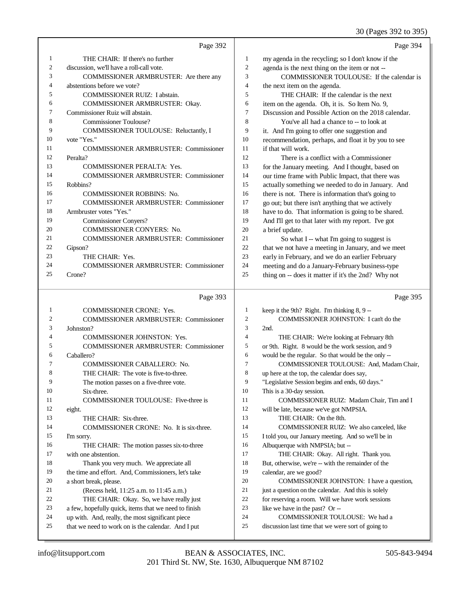## 30 (Pages 392 to 395)

|                | Page 392                                             |                | Page 394                                                                              |
|----------------|------------------------------------------------------|----------------|---------------------------------------------------------------------------------------|
| 1              | THE CHAIR: If there's no further                     | 1              | my agenda in the recycling; so I don't know if the                                    |
| $\overline{c}$ | discussion, we'll have a roll-call vote.             | $\sqrt{2}$     | agenda is the next thing on the item or not --                                        |
| 3              | COMMISSIONER ARMBRUSTER: Are there any               | 3              | COMMISSIONER TOULOUSE: If the calendar is                                             |
| 4              | abstentions before we vote?                          | $\overline{4}$ | the next item on the agenda.                                                          |
| 5              | <b>COMMISSIONER RUIZ: I abstain.</b>                 | 5              | THE CHAIR: If the calendar is the next                                                |
| 6              | COMMISSIONER ARMBRUSTER: Okay.                       | 6              | item on the agenda. Oh, it is. So Item No. 9,                                         |
| 7              | Commissioner Ruiz will abstain.                      | $\tau$         | Discussion and Possible Action on the 2018 calendar.                                  |
| 8              | <b>Commissioner Toulouse?</b>                        | 8              | You've all had a chance to -- to look at                                              |
| 9              | COMMISSIONER TOULOUSE: Reluctantly, I                | 9              | it. And I'm going to offer one suggestion and                                         |
| 10             | vote "Yes."                                          | 10             | recommendation, perhaps, and float it by you to see                                   |
| 11             | <b>COMMISSIONER ARMBRUSTER: Commissioner</b>         | 11             | if that will work.                                                                    |
| 12             | Peralta?                                             | 12             | There is a conflict with a Commissioner                                               |
| 13             | <b>COMMISSIONER PERALTA: Yes.</b>                    | 13             | for the January meeting. And I thought, based on                                      |
| 14             | <b>COMMISSIONER ARMBRUSTER: Commissioner</b>         | 14             | our time frame with Public Impact, that there was                                     |
| 15             | Robbins?                                             | 15             | actually something we needed to do in January. And                                    |
| 16             | <b>COMMISSIONER ROBBINS: No.</b>                     | 16             | there is not. There is information that's going to                                    |
| 17             | <b>COMMISSIONER ARMBRUSTER: Commissioner</b>         | 17             | go out; but there isn't anything that we actively                                     |
| 18             | Armbruster votes "Yes."                              | 18             | have to do. That information is going to be shared.                                   |
| 19             | <b>Commissioner Conyers?</b>                         | 19             | And I'll get to that later with my report. I've got                                   |
| 20             | <b>COMMISSIONER CONYERS: No.</b>                     | 20             | a brief update.                                                                       |
| 21             | <b>COMMISSIONER ARMBRUSTER: Commissioner</b>         | 21             | So what I -- what I'm going to suggest is                                             |
| 22             | Gipson?                                              | 22             | that we not have a meeting in January, and we meet                                    |
| 23             | THE CHAIR: Yes.                                      | 23             | early in February, and we do an earlier February                                      |
| 24             | <b>COMMISSIONER ARMBRUSTER: Commissioner</b>         | 24             | meeting and do a January-February business-type                                       |
| 25             | Crone?                                               | 25             | thing on -- does it matter if it's the 2nd? Why not                                   |
|                |                                                      |                |                                                                                       |
|                |                                                      |                |                                                                                       |
|                | Page 393                                             |                | Page 395                                                                              |
| 1              | <b>COMMISSIONER CRONE: Yes.</b>                      | $\mathbf{1}$   |                                                                                       |
| 2              | <b>COMMISSIONER ARMBRUSTER: Commissioner</b>         | $\mathfrak{2}$ | keep it the 9th? Right. I'm thinking 8, 9 --<br>COMMISSIONER JOHNSTON: I can't do the |
| 3              | Johnston?                                            | 3              | 2nd.                                                                                  |
| 4              | <b>COMMISSIONER JOHNSTON: Yes.</b>                   | 4              | THE CHAIR: We're looking at February 8th                                              |
| 5              | <b>COMMISSIONER ARMBRUSTER: Commissioner</b>         | 5              | or 9th. Right. 8 would be the work session, and 9                                     |
| 6              | Caballero?                                           | 6              | would be the regular. So that would be the only --                                    |
| 7              | <b>COMMISSIONER CABALLERO: No.</b>                   | 7              | COMMISSIONER TOULOUSE: And, Madam Chair,                                              |
| 8              | THE CHAIR: The vote is five-to-three.                | 8              | up here at the top, the calendar does say,                                            |
| 9              | The motion passes on a five-three vote.              | 9              | "Legislative Session begins and ends, 60 days."                                       |
| 10             | Six-three.                                           | 10             | This is a 30-day session.                                                             |
| 11             | COMMISSIONER TOULOUSE: Five-three is                 | 11             | COMMISSIONER RUIZ: Madam Chair, Tim and I                                             |
| 12             | eight.                                               | 12             | will be late, because we've got NMPSIA.                                               |
| 13             | THE CHAIR: Six-three.                                | 13             | THE CHAIR: On the 8th.                                                                |
| 14             | COMMISSIONER CRONE: No. It is six-three.             | 14             | COMMISSIONER RUIZ: We also canceled, like                                             |
| 15             | I'm sorry.                                           | 15             | I told you, our January meeting. And so we'll be in                                   |
| 16             | THE CHAIR: The motion passes six-to-three            | 16             | Albuquerque with NMPSIA; but --                                                       |
| 17             | with one abstention.                                 | 17             | THE CHAIR: Okay. All right. Thank you.                                                |
| 18             | Thank you very much. We appreciate all               | 18             | But, otherwise, we're -- with the remainder of the                                    |
| 19             | the time and effort. And, Commissioners, let's take  | 19             | calendar, are we good?                                                                |
| 20             | a short break, please.                               | 20             | COMMISSIONER JOHNSTON: I have a question,                                             |
| 21             | (Recess held, 11:25 a.m. to 11:45 a.m.)              | 21             | just a question on the calendar. And this is solely                                   |
| 22             | THE CHAIR: Okay. So, we have really just             | 22             | for reserving a room. Will we have work sessions                                      |
| 23             | a few, hopefully quick, items that we need to finish | 23             | like we have in the past? Or --                                                       |
| 24             | up with. And, really, the most significant piece     | 24             | COMMISSIONER TOULOUSE: We had a                                                       |
| 25             | that we need to work on is the calendar. And I put   | 25             | discussion last time that we were sort of going to                                    |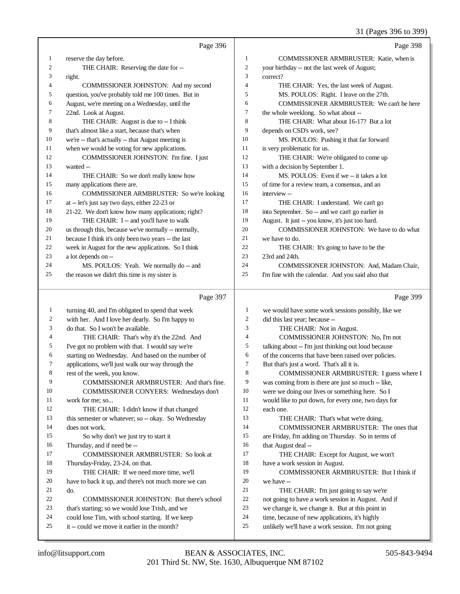31 (Pages 396 to 399)

|          | Page 396                                                                                         |                  | Page 398                                                                                            |
|----------|--------------------------------------------------------------------------------------------------|------------------|-----------------------------------------------------------------------------------------------------|
| 1        | reserve the day before.                                                                          | $\mathbf{1}$     | COMMISSIONER ARMBRUSTER: Katie, when is                                                             |
| 2        | THE CHAIR: Reserving the date for --                                                             | $\boldsymbol{2}$ | your birthday -- not the last week of August;                                                       |
| 3        | right.                                                                                           | 3                | correct?                                                                                            |
| 4        | COMMISSIONER JOHNSTON: And my second                                                             | $\overline{4}$   | THE CHAIR: Yes, the last week of August.                                                            |
| 5        | question, you've probably told me 100 times. But in                                              | 5                | MS. POULOS: Right. I leave on the 27th.                                                             |
| 6        | August, we're meeting on a Wednesday, until the                                                  | 6                | COMMISSIONER ARMBRUSTER: We can't be here                                                           |
| 7        | 22nd. Look at August.                                                                            | 7                | the whole weeklong. So what about --                                                                |
| 8        | THE CHAIR: August is due to -- I think                                                           | $\,$ 8 $\,$      | THE CHAIR: What about 16-17? But a lot                                                              |
| 9        | that's almost like a start, because that's when                                                  | 9                | depends on CSD's work, see?                                                                         |
| 10       | we're -- that's actually -- that August meeting is                                               | 10               | MS. POULOS: Pushing it that far forward                                                             |
| 11       | when we would be voting for new applications.                                                    | 11               | is very problematic for us.                                                                         |
| 12       | COMMISSIONER JOHNSTON: I'm fine. I just                                                          | 12               | THE CHAIR: We're obligated to come up                                                               |
| 13       | wanted --                                                                                        | 13               | with a decision by September 1.                                                                     |
| 14       | THE CHAIR: So we don't really know how                                                           | 14               | MS. POULOS: Even if we -- it takes a lot                                                            |
| 15       | many applications there are.                                                                     | 15               | of time for a review team, a consensus, and an                                                      |
| 16       | COMMISSIONER ARMBRUSTER: So we're looking                                                        | 16               | interview --                                                                                        |
| 17       | at -- let's just say two days, either 22-23 or                                                   | 17               | THE CHAIR: I understand. We can't go                                                                |
| 18       | 21-22. We don't know how many applications; right?                                               | 18               | into September. So -- and we can't go earlier in                                                    |
| 19       | THE CHAIR: I -- and you'll have to walk                                                          | 19               | August. It just -- you know, it's just too hard.                                                    |
| 20       | us through this, because we've normally -- normally,                                             | 20               | COMMISSIONER JOHNSTON: We have to do what                                                           |
| 21       | because I think it's only been two years -- the last                                             | 21               | we have to do.                                                                                      |
| 22       | week in August for the new applications. So I think                                              | 22               | THE CHAIR: It's going to have to be the                                                             |
| 23       | a lot depends on --                                                                              | 23               | 23rd and 24th.                                                                                      |
| 24       | MS. POULOS: Yeah. We normally do -- and                                                          | 24               | COMMISSIONER JOHNSTON: And, Madam Chair,                                                            |
| 25       | the reason we didn't this time is my sister is                                                   | 25               | I'm fine with the calendar. And you said also that                                                  |
|          | Page 397                                                                                         |                  | Page 399                                                                                            |
| 1        | turning 40, and I'm obligated to spend that week                                                 | $\mathbf{1}$     | we would have some work sessions possibly, like we                                                  |
| 2        | with her. And I love her dearly. So I'm happy to                                                 | $\boldsymbol{2}$ | did this last year; because --                                                                      |
| 3        | do that. So I won't be available.                                                                | 3                | THE CHAIR: Not in August.                                                                           |
| 4        | THE CHAIR: That's why it's the 22nd. And                                                         | 4                | COMMISSIONER JOHNSTON: No, I'm not                                                                  |
| 5        | I've got no problem with that. I would say we're                                                 | 5                | talking about -- I'm just thinking out loud because                                                 |
| 6        | starting on Wednesday. And based on the number of                                                | 6                | of the concerns that have been raised over policies.                                                |
| 7        | applications, we'll just walk our way through the                                                | 7                | But that's just a word. That's all it is.                                                           |
|          | rest of the week, you know.                                                                      | 8                | COMMISSIONER ARMBRUSTER: I guess where I                                                            |
| 9        | COMMISSIONER ARMBRUSTER: And that's fine.                                                        | 9                | was coming from is there are just so much -- like,                                                  |
| 10       | COMMISSIONER CONYERS: Wednesdays don't                                                           | 10               | were we doing our lives or something here. So I                                                     |
| 11       | work for me; so                                                                                  | 11               | would like to put down, for every one, two days for                                                 |
| 12       | THE CHAIR: I didn't know if that changed                                                         | 12               | each one.                                                                                           |
| 13       | this semester or whatever; so -- okay. So Wednesday                                              | 13               | THE CHAIR: That's what we're doing.                                                                 |
| 14       | does not work.                                                                                   | 14               | COMMISSIONER ARMBRUSTER: The ones that                                                              |
| 15       | So why don't we just try to start it                                                             | 15               | are Friday, I'm adding on Thursday. So in terms of                                                  |
| 16       | Thursday, and if need be --                                                                      | 16<br>17         | that August deal --                                                                                 |
| 17<br>18 | COMMISSIONER ARMBRUSTER: So look at                                                              | 18               | THE CHAIR: Except for August, we won't                                                              |
| 19       |                                                                                                  |                  | have a work session in August.                                                                      |
|          | Thursday-Friday, 23-24, on that.                                                                 |                  |                                                                                                     |
|          | THE CHAIR: If we need more time, we'll                                                           | 19               | COMMISSIONER ARMBRUSTER: But I think if                                                             |
| 20       | have to back it up, and there's not much more we can                                             | 20               | we have --                                                                                          |
| 21       | do.                                                                                              | 21               | THE CHAIR: I'm just going to say we're                                                              |
| 22       | COMMISSIONER JOHNSTON: But there's school                                                        | 22               | not going to have a work session in August. And if                                                  |
| 23       | that's starting; so we would lose Trish, and we                                                  | 23               | we change it, we change it. But at this point in                                                    |
| 24<br>25 | could lose Tim, with school starting. If we keep<br>it -- could we move it earlier in the month? | 24<br>25         | time, because of new applications, it's highly<br>unlikely we'll have a work session. I'm not going |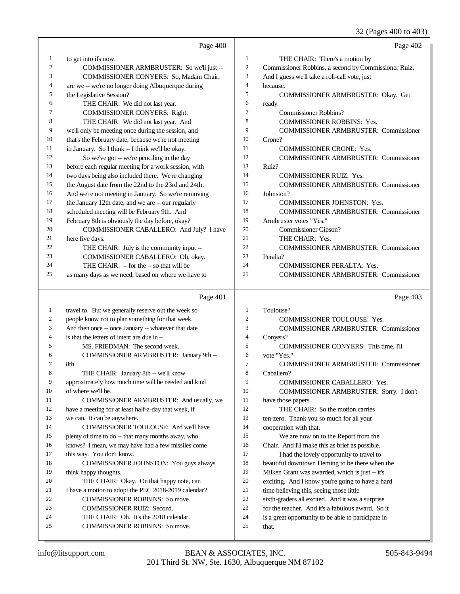32 (Pages 400 to 403)

|              | Page 400                                                                 |                | Page 402                                                     |
|--------------|--------------------------------------------------------------------------|----------------|--------------------------------------------------------------|
| 1            | to get into ifs now.                                                     | 1              | THE CHAIR: There's a motion by                               |
| 2            | COMMISSIONER ARMBRUSTER: So we'll just --                                | $\mathfrak{2}$ | Commissioner Robbins, a second by Commissioner Ruiz.         |
| 3            | COMMISSIONER CONYERS: So, Madam Chair,                                   | 3              | And I guess we'll take a roll-call vote, just                |
| 4            | are we -- we're no longer doing Albuquerque during                       | $\overline{4}$ | because.                                                     |
| 5            | the Legislative Session?                                                 | 5              | COMMISSIONER ARMBRUSTER: Okay. Get                           |
| 6            | THE CHAIR: We did not last year.                                         | 6              | ready.                                                       |
| 7            | COMMISSIONER CONYERS: Right.                                             | $\overline{7}$ | <b>Commissioner Robbins?</b>                                 |
| 8            | THE CHAIR: We did not last year. And                                     | 8              | COMMISSIONER ROBBINS: Yes.                                   |
| 9            | we'll only be meeting once during the session, and                       | 9              | <b>COMMISSIONER ARMBRUSTER: Commissioner</b>                 |
| 10           | that's the February date, because we're not meeting                      | 10             | Crone?                                                       |
| 11           | in January. So I think -- I think we'll be okay.                         | 11             | <b>COMMISSIONER CRONE: Yes.</b>                              |
| 12           | So we've got -- we're penciling in the day                               | 12             | <b>COMMISSIONER ARMBRUSTER: Commissioner</b>                 |
| 13           | before each regular meeting for a work session, with                     | 13             | Ruiz?                                                        |
| 14           | two days being also included there. We're changing                       | 14             | <b>COMMISSIONER RUIZ: Yes.</b>                               |
| 15           | the August date from the 22nd to the 23rd and 24th.                      | 15             | <b>COMMISSIONER ARMBRUSTER: Commissioner</b>                 |
| 16           | And we're not meeting in January. So we're removing                      | 16             | Johnston?                                                    |
| 17           | the January 12th date, and we are -- our regularly                       | 17             | <b>COMMISSIONER JOHNSTON: Yes.</b>                           |
| 18           | scheduled meeting will be February 9th. And                              | 18             | <b>COMMISSIONER ARMBRUSTER: Commissioner</b>                 |
| 19           | February 8th is obviously the day before, okay?                          | 19             | Armbruster votes "Yes."                                      |
| 20           | COMMISSIONER CABALLERO: And July? I have                                 | 20             | Commissioner Gipson?                                         |
| 21           | here five days.                                                          | 21             | THE CHAIR: Yes.                                              |
| 22           | THE CHAIR: July is the community input --                                | 22             | <b>COMMISSIONER ARMBRUSTER: Commissioner</b>                 |
| 23           | COMMISSIONER CABALLERO: Oh, okay.                                        | 23             | Peralta?                                                     |
| 24           | THE CHAIR: - for the -- so that will be                                  | 24             | <b>COMMISSIONER PERALTA: Yes.</b>                            |
| 25           | as many days as we need, based on where we have to                       | 25             | <b>COMMISSIONER ARMBRUSTER: Commissioner</b>                 |
|              |                                                                          |                |                                                              |
|              | Page 401                                                                 |                | Page 403                                                     |
| $\mathbf{1}$ | travel to. But we generally reserve out the week so                      | 1              | Toulouse?                                                    |
| 2            | people know not to plan something for that week.                         | $\mathfrak{2}$ | <b>COMMISSIONER TOULOUSE: Yes.</b>                           |
| 3            | And then once -- once January -- whatever that date                      | 3              | <b>COMMISSIONER ARMBRUSTER: Commissioner</b>                 |
| 4            | is that the letters of intent are due in --                              | 4              | Conyers?                                                     |
| 5            | MS. FRIEDMAN: The second week.                                           | 5              | COMMISSIONER CONYERS: This time, I'll                        |
| 6            | COMMISSIONER ARMBRUSTER: January 9th --                                  | 6              | vote "Yes."                                                  |
| 7            | 8th.                                                                     | $\overline{7}$ | <b>COMMISSIONER ARMBRUSTER: Commissioner</b>                 |
| 8            | THE CHAIR: January 8th -- we'll know                                     | 8              | Caballero?                                                   |
| 9            | approximately how much time will be needed and kind                      | 9              | COMMISSIONER CABALLERO: Yes.                                 |
| 10           | of where we'll be.                                                       | 10             | COMMISSIONER ARMBRUSTER: Sorry. I don't                      |
| 11           | COMMISSIONER ARMBRUSTER: And usually, we                                 | 11             | have those papers.                                           |
| 12           | have a meeting for at least half-a-day that week, if                     | 12             | THE CHAIR: So the motion carries                             |
| 13           | we can. It can be anywhere.                                              | 13             | ten-zero. Thank you so much for all your                     |
| 14           | COMMISSIONER TOULOUSE: And we'll have                                    | 14             | cooperation with that.                                       |
| 15           | plenty of time to do -- that many months away, who                       | 15             | We are now on to the Report from the                         |
| 16           | knows? I mean, we may have had a few missiles come                       | 16             | Chair. And I'll make this as brief as possible.              |
| 17           | this way. You don't know.                                                | 17             | I had the lovely opportunity to travel to                    |
| 18           | COMMISSIONER JOHNSTON: You guys always                                   | 18             | beautiful downtown Deming to be there when the               |
| 19           | think happy thoughts.                                                    | 19             | Milken Grant was awarded, which is just -- it's              |
| 20           | THE CHAIR: Okay. On that happy note, can                                 | $20\,$         | exciting. And I know you're going to have a hard             |
| 21           | I have a motion to adopt the PEC 2018-2019 calendar?                     | 21             | time believing this, seeing those little                     |
| 22           | COMMISSIONER ROBBINS: So move.                                           | 22             | sixth-graders all excited. And it was a surprise             |
| 23           | COMMISSIONER RUIZ: Second.                                               | 23             | for the teacher. And it's a fabulous award. So it            |
| 24<br>25     | THE CHAIR: Oh. It's the 2018 calendar.<br>COMMISSIONER ROBBINS: So move. | 24<br>25       | is a great opportunity to be able to participate in<br>that. |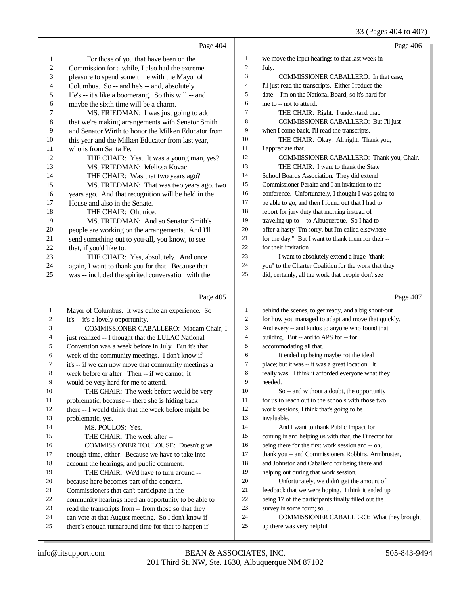|              |                                                                                          |                | $\sim$ $\sim$                                                 |
|--------------|------------------------------------------------------------------------------------------|----------------|---------------------------------------------------------------|
|              | Page 404                                                                                 |                | Page 406                                                      |
| 1            | For those of you that have been on the                                                   | $\mathbf{1}$   | we move the input hearings to that last week in               |
| 2            | Commission for a while, I also had the extreme                                           | $\overline{c}$ | July.                                                         |
| 3            | pleasure to spend some time with the Mayor of                                            | 3              | COMMISSIONER CABALLERO: In that case,                         |
| 4            | Columbus. So -- and he's -- and, absolutely.                                             | 4              | I'll just read the transcripts. Either I reduce the           |
| 5            | He's -- it's like a boomerang. So this will -- and                                       | 5              | date -- I'm on the National Board; so it's hard for           |
| 6            | maybe the sixth time will be a charm.                                                    | 6              | me to -- not to attend.                                       |
| 7            | MS. FRIEDMAN: I was just going to add                                                    | 7              | THE CHAIR: Right. I understand that.                          |
| 8            | that we're making arrangements with Senator Smith                                        | 8              | COMMISSIONER CABALLERO: But I'll just --                      |
| 9            | and Senator Wirth to honor the Milken Educator from                                      | 9              | when I come back, I'll read the transcripts.                  |
| 10           | this year and the Milken Educator from last year,                                        | 10             | THE CHAIR: Okay. All right. Thank you,                        |
| 11           | who is from Santa Fe.                                                                    | 11             | I appreciate that.                                            |
| 12           | THE CHAIR: Yes. It was a young man, yes?                                                 | 12             | COMMISSIONER CABALLERO: Thank you, Chair.                     |
| 13           | MS. FRIEDMAN: Melissa Kovac.                                                             | 13             | THE CHAIR: I want to thank the State                          |
| 14           | THE CHAIR: Was that two years ago?                                                       | 14             | School Boards Association. They did extend                    |
| 15           | MS. FRIEDMAN: That was two years ago, two                                                | 15             | Commissioner Peralta and I an invitation to the               |
| 16           | years ago. And that recognition will be held in the                                      | 16             | conference. Unfortunately, I thought I was going to           |
| 17           | House and also in the Senate.                                                            | 17             | be able to go, and then I found out that I had to             |
| 18           | THE CHAIR: Oh, nice.                                                                     | 18             | report for jury duty that morning instead of                  |
| 19           | MS. FRIEDMAN: And so Senator Smith's                                                     | 19             | traveling up to -- to Albuquerque. So I had to                |
| 20           | people are working on the arrangements. And I'll                                         | 20             | offer a hasty "I'm sorry, but I'm called elsewhere            |
| 21           | send something out to you-all, you know, to see                                          | 21             | for the day." But I want to thank them for their --           |
| 22           | that, if you'd like to.                                                                  | 22             | for their invitation.                                         |
| 23           | THE CHAIR: Yes, absolutely. And once                                                     | 23             | I want to absolutely extend a huge "thank                     |
| 24           | again, I want to thank you for that. Because that                                        | 24             | you" to the Charter Coalition for the work that they          |
| 25           | was -- included the spirited conversation with the                                       | 25             | did, certainly, all the work that people don't see            |
|              |                                                                                          |                |                                                               |
|              | Page 405                                                                                 |                | Page 407                                                      |
| $\mathbf{1}$ | Mayor of Columbus. It was quite an experience. So                                        | $\mathbf{1}$   | behind the scenes, to get ready, and a big shout-out          |
| 2            | it's -- it's a lovely opportunity.                                                       | $\overline{c}$ | for how you managed to adapt and move that quickly.           |
| 3            | COMMISSIONER CABALLERO: Madam Chair, I                                                   | 3              | And every -- and kudos to anyone who found that               |
| 4            | just realized -- I thought that the LULAC National                                       | $\overline{4}$ | building. But -- and to APS for -- for                        |
| 5            | Convention was a week before in July. But it's that                                      | 5              | accommodating all that.                                       |
| 6            | week of the community meetings. I don't know if                                          | 6              | It ended up being maybe not the ideal                         |
| 7            | it's -- if we can now move that community meetings a                                     | 7              | place; but it was -- it was a great location. It              |
| 8            |                                                                                          |                |                                                               |
|              | week before or after. Then -- if we cannot, it                                           | 8              |                                                               |
| 9            |                                                                                          | 9              | really was. I think it afforded everyone what they<br>needed. |
| 10           | would be very hard for me to attend.<br>THE CHAIR: The week before would be very         | 10             | So -- and without a doubt, the opportunity                    |
| 11           | problematic, because -- there she is hiding back                                         | 11             | for us to reach out to the schools with those two             |
| 12           |                                                                                          | 12             | work sessions, I think that's going to be                     |
| 13           | there -- I would think that the week before might be<br>problematic, yes.                | 13             | invaluable.                                                   |
| 14           | MS. POULOS: Yes.                                                                         | 14             | And I want to thank Public Impact for                         |
| 15           | THE CHAIR: The week after --                                                             | 15             | coming in and helping us with that, the Director for          |
| 16           |                                                                                          | 16             | being there for the first work session and -- oh,             |
| 17           | COMMISSIONER TOULOUSE: Doesn't give<br>enough time, either. Because we have to take into | 17             | thank you -- and Commissioners Robbins, Armbruster,           |
| 18           |                                                                                          | 18             | and Johnston and Caballero for being there and                |
| 19           | account the hearings, and public comment.<br>THE CHAIR: We'd have to turn around --      | 19             | helping out during that work session.                         |
| 20           | because here becomes part of the concern.                                                | 20             | Unfortunately, we didn't get the amount of                    |
| 21           | Commissioners that can't participate in the                                              | 21             | feedback that we were hoping. I think it ended up             |
| 22           | community hearings need an opportunity to be able to                                     | $22\,$         | being 17 of the participants finally filled out the           |

- 
- 24 can vote at that August meeting. So I don't know if<br>25 there's enough turnaround time for that to happen if there's enough turnaround time for that to happen if
- COMMISSIONER CABALLERO: What they brought
- up there was very helpful.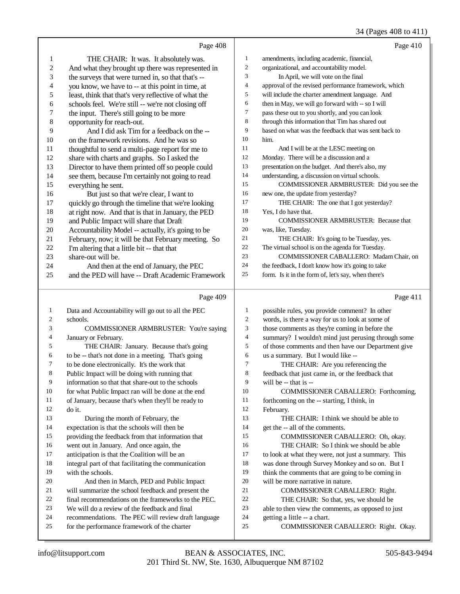## 34 (Pages 408 to 411)

|                         | Page 408                                                                                            |                          | Page 410                                                             |
|-------------------------|-----------------------------------------------------------------------------------------------------|--------------------------|----------------------------------------------------------------------|
| 1                       | THE CHAIR: It was. It absolutely was.                                                               | $\mathbf{1}$             | amendments, including academic, financial,                           |
| $\overline{\mathbf{c}}$ | And what they brought up there was represented in                                                   | $\sqrt{2}$               | organizational, and accountability model.                            |
| 3                       | the surveys that were turned in, so that that's --                                                  | $\mathfrak{Z}$           | In April, we will vote on the final                                  |
| 4                       | you know, we have to -- at this point in time, at                                                   | $\overline{\mathcal{A}}$ | approval of the revised performance framework, which                 |
| 5                       | least, think that that's very reflective of what the                                                | 5                        | will include the charter amendment language. And                     |
| 6                       | schools feel. We're still -- we're not closing off                                                  | 6                        | then in May, we will go forward with -- so I will                    |
| 7                       | the input. There's still going to be more                                                           | $\boldsymbol{7}$         | pass these out to you shortly, and you can look                      |
| 8                       | opportunity for reach-out.                                                                          | $\,$ 8 $\,$              | through this information that Tim has shared out                     |
| 9                       | And I did ask Tim for a feedback on the --                                                          | 9                        | based on what was the feedback that was sent back to                 |
| 10                      | on the framework revisions. And he was so                                                           | 10                       | him.                                                                 |
| 11                      | thoughtful to send a multi-page report for me to                                                    | 11                       | And I will be at the LESC meeting on                                 |
| 12                      | share with charts and graphs. So I asked the                                                        | 12                       | Monday. There will be a discussion and a                             |
| 13                      | Director to have them printed off so people could                                                   | 13                       | presentation on the budget. And there's also, my                     |
| 14                      | see them, because I'm certainly not going to read                                                   | 14                       | understanding, a discussion on virtual schools.                      |
| 15                      | everything he sent.                                                                                 | 15                       | COMMISSIONER ARMBRUSTER: Did you see the                             |
| 16                      | But just so that we're clear, I want to                                                             | 16                       | new one, the update from yesterday?                                  |
| 17                      | quickly go through the timeline that we're looking                                                  | 17                       | THE CHAIR: The one that I got yesterday?                             |
| 18                      | at right now. And that is that in January, the PED                                                  | 18                       | Yes, I do have that.                                                 |
| 19                      | and Public Impact will share that Draft                                                             | 19                       | <b>COMMISSIONER ARMBRUSTER: Because that</b>                         |
| $20\,$                  | Accountability Model -- actually, it's going to be                                                  | 20                       | was, like, Tuesday.                                                  |
| 21                      | February, now; it will be that February meeting. So                                                 | 21                       | THE CHAIR: It's going to be Tuesday, yes.                            |
| $22\,$                  | I'm altering that a little bit -- that that                                                         | 22                       | The virtual school is on the agenda for Tuesday.                     |
| 23                      | share-out will be.                                                                                  | 23                       | COMMISSIONER CABALLERO: Madam Chair, on                              |
| 24                      | And then at the end of January, the PEC                                                             | 24                       | the feedback, I don't know how it's going to take                    |
| 25                      | and the PED will have -- Draft Academic Framework                                                   | 25                       | form. Is it in the form of, let's say, when there's                  |
|                         |                                                                                                     |                          |                                                                      |
|                         |                                                                                                     |                          |                                                                      |
|                         | Page 409                                                                                            |                          | Page 411                                                             |
| $\mathbf{1}$            | Data and Accountability will go out to all the PEC                                                  | $\mathbf{1}$             | possible rules, you provide comment? In other                        |
| $\overline{c}$          | schools.                                                                                            | $\boldsymbol{2}$         | words, is there a way for us to look at some of                      |
| 3                       | COMMISSIONER ARMBRUSTER: You're saying                                                              | $\mathfrak 3$            | those comments as they're coming in before the                       |
| 4                       | January or February.                                                                                | $\overline{4}$           | summary? I wouldn't mind just perusing through some                  |
| 5                       | THE CHAIR: January. Because that's going                                                            | $\mathfrak s$            | of those comments and then have our Department give                  |
| 6                       | to be -- that's not done in a meeting. That's going                                                 | 6                        | us a summary. But I would like --                                    |
| 7                       | to be done electronically. It's the work that                                                       | 7                        | THE CHAIR: Are you referencing the                                   |
| 8                       | Public Impact will be doing with running that                                                       | 8                        | feedback that just came in, or the feedback that                     |
| 9                       | information so that that share-out to the schools                                                   | 9                        | will be $-$ that is $-$                                              |
| 10                      | for what Public Impact ran will be done at the end                                                  | 10                       | COMMISSIONER CABALLERO: Forthcoming,                                 |
| 11                      | of January, because that's when they'll be ready to                                                 | 11                       | forthcoming on the -- starting, I think, in                          |
| 12                      | do it.                                                                                              | 12                       | February.                                                            |
| 13                      | During the month of February, the                                                                   | 13                       | THE CHAIR: I think we should be able to                              |
| 14                      | expectation is that the schools will then be                                                        | 14                       | get the -- all of the comments.                                      |
| 15                      | providing the feedback from that information that                                                   | 15                       | COMMISSIONER CABALLERO: Oh, okay.                                    |
| 16                      | went out in January. And once again, the                                                            | 16                       | THE CHAIR: So I think we should be able                              |
| 17                      | anticipation is that the Coalition will be an                                                       | 17                       | to look at what they were, not just a summary. This                  |
| 18                      | integral part of that facilitating the communication                                                | 18                       | was done through Survey Monkey and so on. But I                      |
| 19                      | with the schools.                                                                                   | 19                       | think the comments that are going to be coming in                    |
| 20                      | And then in March, PED and Public Impact                                                            | 20                       | will be more narrative in nature.                                    |
| 21                      | will summarize the school feedback and present the                                                  | 21                       | COMMISSIONER CABALLERO: Right.                                       |
| 22                      | final recommendations on the frameworks to the PEC.                                                 | 22                       | THE CHAIR: So that, yes, we should be                                |
| 23                      | We will do a review of the feedback and final                                                       | 23                       | able to then view the comments, as opposed to just                   |
| 24<br>25                | recommendations. The PEC will review draft language<br>for the performance framework of the charter | 24<br>25                 | getting a little -- a chart.<br>COMMISSIONER CABALLERO: Right. Okay. |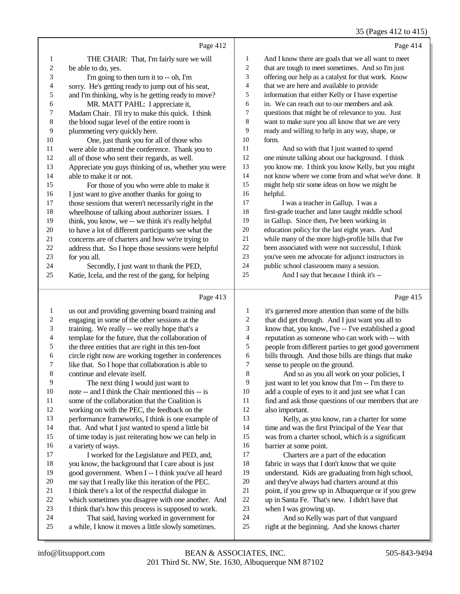35 (Pages 412 to 415)

|    | Page 412                                             |                | Page 414                                            |
|----|------------------------------------------------------|----------------|-----------------------------------------------------|
| 1  | THE CHAIR: That, I'm fairly sure we will             | 1              | And I know there are goals that we all want to meet |
| 2  | be able to do, yes.                                  | $\overline{c}$ | that are tough to meet sometimes. And so I'm just   |
| 3  | I'm going to then turn it to -- oh, I'm              | 3              | offering our help as a catalyst for that work. Know |
| 4  | sorry. He's getting ready to jump out of his seat,   | 4              | that we are here and available to provide           |
| 5  | and I'm thinking, why is he getting ready to move?   | 5              | information that either Kelly or I have expertise   |
| 6  | MR. MATT PAHL: I appreciate it,                      | 6              | in. We can reach out to our members and ask         |
| 7  | Madam Chair. I'll try to make this quick. I think    | 7              | questions that might be of relevance to you. Just   |
| 8  | the blood sugar level of the entire room is          | 8              | want to make sure you all know that we are very     |
| 9  | plummeting very quickly here.                        | 9              | ready and willing to help in any way, shape, or     |
| 10 | One, just thank you for all of those who             | 10             | form.                                               |
| 11 | were able to attend the conference. Thank you to     | 11             | And so with that I just wanted to spend             |
| 12 | all of those who sent their regards, as well.        | 12             | one minute talking about our background. I think    |
| 13 | Appreciate you guys thinking of us, whether you were | 13             | you know me. I think you know Kelly, but you might  |
| 14 | able to make it or not.                              | 14             | not know where we come from and what we've done. It |
| 15 | For those of you who were able to make it            | 15             | might help stir some ideas on how we might be       |
| 16 | I just want to give another thanks for going to      | 16             | helpful.                                            |
| 17 | those sessions that weren't necessarily right in the | 17             | I was a teacher in Gallup. I was a                  |
| 18 | wheelhouse of talking about authorizer issues. I     | 18             | first-grade teacher and later taught middle school  |
| 19 | think, you know, we -- we think it's really helpful  | 19             | in Gallup. Since then, I've been working in         |
| 20 | to have a lot of different participants see what the | 20             | education policy for the last eight years. And      |
| 21 | concerns are of charters and how we're trying to     | 21             | while many of the more high-profile bills that I've |
| 22 | address that. So I hope those sessions were helpful  | 22             | been associated with were not successful, I think   |
| 23 | for you all.                                         | 23             | you've seen me advocate for adjunct instructors in  |
| 24 | Secondly, I just want to thank the PED,              | 24             | public school classrooms many a session.            |
| 25 | Katie, Icela, and the rest of the gang, for helping  | 25             | And I say that because I think it's --              |
|    | Page 413                                             |                | Page 415                                            |

#### Page 413 |

| 1  | us out and providing governing board training and    | $\mathbf{1}$ | it's garnered more attention than some of the bills  |
|----|------------------------------------------------------|--------------|------------------------------------------------------|
| 2  | engaging in some of the other sessions at the        | 2            | that did get through. And I just want you all to     |
| 3  | training. We really -- we really hope that's a       | 3            | know that, you know, I've -- I've established a good |
| 4  | template for the future, that the collaboration of   | 4            | reputation as someone who can work with -- with      |
| 5  | the three entities that are right in this ten-foot   | 5            | people from different parties to get good government |
| 6  | circle right now are working together in conferences | 6            | bills through. And those bills are things that make  |
| 7  | like that. So I hope that collaboration is able to   | 7            | sense to people on the ground.                       |
| 8  | continue and elevate itself.                         | 8            | And so as you all work on your policies, I           |
| 9  | The next thing I would just want to                  | 9            | just want to let you know that I'm -- I'm there to   |
| 10 | note -- and I think the Chair mentioned this -- is   | 10           | add a couple of eyes to it and just see what I can   |
| 11 | some of the collaboration that the Coalition is      | 11           | find and ask those questions of our members that are |
| 12 | working on with the PEC, the feedback on the         | 12           | also important.                                      |
| 13 | performance frameworks, I think is one example of    | 13           | Kelly, as you know, ran a charter for some           |
| 14 | that. And what I just wanted to spend a little bit   | 14           | time and was the first Principal of the Year that    |
| 15 | of time today is just reiterating how we can help in | 15           | was from a charter school, which is a significant    |
| 16 | a variety of ways.                                   | 16           | barrier at some point.                               |
| 17 | I worked for the Legislature and PED, and,           | 17           | Charters are a part of the education                 |
| 18 | you know, the background that I care about is just   | 18           | fabric in ways that I don't know that we quite       |
| 19 | good government. When I -- I think you've all heard  | 19           | understand. Kids are graduating from high school,    |
| 20 | me say that I really like this iteration of the PEC. | 20           | and they've always had charters around at this       |
| 21 | I think there's a lot of the respectful dialogue in  | 21           | point, if you grew up in Albuquerque or if you grew  |
| 22 | which sometimes you disagree with one another. And   | 22           | up in Santa Fe. That's new. I didn't have that       |
| 23 | I think that's how this process is supposed to work. | 23           | when I was growing up.                               |
| 24 | That said, having worked in government for           | 24           | And so Kelly was part of that vanguard               |
| 25 | a while, I know it moves a little slowly sometimes.  | 25           | right at the beginning. And she knows charter        |
|    |                                                      |              |                                                      |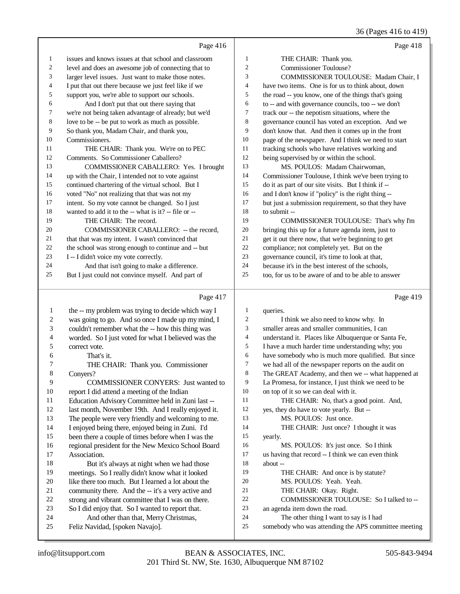## 36 (Pages 416 to 419)

|    | Page 416                                             |                | Page 418                                             |
|----|------------------------------------------------------|----------------|------------------------------------------------------|
| 1  | issues and knows issues at that school and classroom | 1              | THE CHAIR: Thank you.                                |
| 2  | level and does an awesome job of connecting that to  | $\overline{c}$ | Commissioner Toulouse?                               |
| 3  | larger level issues. Just want to make those notes.  | 3              | COMMISSIONER TOULOUSE: Madam Chair, I                |
| 4  | I put that out there because we just feel like if we | 4              | have two items. One is for us to think about, down   |
| 5  | support you, we're able to support our schools.      | 5              | the road -- you know, one of the things that's going |
| 6  | And I don't put that out there saying that           | 6              | to -- and with governance councils, too -- we don't  |
| 7  | we're not being taken advantage of already; but we'd | 7              | track our -- the nepotism situations, where the      |
| 8  | love to be -- be put to work as much as possible.    | 8              | governance council has voted an exception. And we    |
| 9  | So thank you, Madam Chair, and thank you,            | 9              | don't know that. And then it comes up in the front   |
| 10 | Commissioners.                                       | 10             | page of the newspaper. And I think we need to start  |
| 11 | THE CHAIR: Thank you. We're on to PEC                | 11             | tracking schools who have relatives working and      |
| 12 | Comments. So Commissioner Caballero?                 | 12             | being supervised by or within the school.            |
| 13 | <b>COMMISSIONER CABALLERO: Yes. I brought</b>        | 13             | MS. POULOS: Madam Chairwoman,                        |
| 14 | up with the Chair, I intended not to vote against    | 14             | Commissioner Toulouse, I think we've been trying to  |
| 15 | continued chartering of the virtual school. But I    | 15             | do it as part of our site visits. But I think if --  |
| 16 | voted "No" not realizing that that was not my        | 16             | and I don't know if "policy" is the right thing --   |
| 17 | intent. So my vote cannot be changed. So I just      | 17             | but just a submission requirement, so that they have |
| 18 | wanted to add it to the -- what is it? -- file or -- | 18             | to submit --                                         |
| 19 | THE CHAIR: The record.                               | 19             | COMMISSIONER TOULOUSE: That's why I'm                |
| 20 | COMMISSIONER CABALLERO: -- the record,               | 20             | bringing this up for a future agenda item, just to   |
| 21 | that that was my intent. I wasn't convinced that     | 21             | get it out there now, that we're beginning to get    |
| 22 | the school was strong enough to continue and -- but  | 22             | compliance; not completely yet. But on the           |
| 23 | I -- I didn't voice my vote correctly.               | 23             | governance council, it's time to look at that,       |
| 24 | And that isn't going to make a difference.           | 24             | because it's in the best interest of the schools,    |
| 25 | But I just could not convince myself. And part of    | 25             | too, for us to be aware of and to be able to answer  |
|    | Page 417                                             |                | Page 419                                             |
|    | the -- my problem was trying to decide which way I   |                | queries                                              |

|    | rage $41/$                                          |    | Page 419                                             |
|----|-----------------------------------------------------|----|------------------------------------------------------|
| 1  | the -- my problem was trying to decide which way I  | 1  | queries.                                             |
| 2  | was going to go. And so once I made up my mind, I   | 2  | I think we also need to know why. In                 |
| 3  | couldn't remember what the -- how this thing was    | 3  | smaller areas and smaller communities, I can         |
| 4  | worded. So I just voted for what I believed was the | 4  | understand it. Places like Albuquerque or Santa Fe,  |
| 5  | correct vote.                                       | 5  | I have a much harder time understanding why; you     |
| 6  | That's it.                                          | 6  | have somebody who is much more qualified. But since  |
| 7  | THE CHAIR: Thank you. Commissioner                  | 7  | we had all of the newspaper reports on the audit on  |
| 8  | Convers?                                            | 8  | The GREAT Academy, and then we -- what happened at   |
| 9  | <b>COMMISSIONER CONYERS:</b> Just wanted to         | 9  | La Promesa, for instance, I just think we need to be |
| 10 | report I did attend a meeting of the Indian         | 10 | on top of it so we can deal with it.                 |
| 11 | Education Advisory Committee held in Zuni last --   | 11 | THE CHAIR: No, that's a good point. And,             |
| 12 | last month, November 19th. And I really enjoyed it. | 12 | yes, they do have to vote yearly. But --             |
| 13 | The people were very friendly and welcoming to me.  | 13 | MS. POULOS: Just once.                               |
| 14 | I enjoyed being there, enjoyed being in Zuni. I'd   | 14 | THE CHAIR: Just once? I thought it was               |
| 15 | been there a couple of times before when I was the  | 15 | yearly.                                              |
| 16 | regional president for the New Mexico School Board  | 16 | MS. POULOS: It's just once. So I think               |
| 17 | Association.                                        | 17 | us having that record -- I think we can even think   |
| 18 | But it's always at night when we had those          | 18 | about --                                             |
| 19 | meetings. So I really didn't know what it looked    | 19 | THE CHAIR: And once is by statute?                   |
| 20 | like there too much. But I learned a lot about the  | 20 | MS. POULOS: Yeah. Yeah.                              |
| 21 | community there. And the -- it's a very active and  | 21 | THE CHAIR: Okay. Right.                              |
| 22 | strong and vibrant committee that I was on there.   | 22 | COMMISSIONER TOULOUSE: So I talked to --             |
| 23 | So I did enjoy that. So I wanted to report that.    | 23 | an agenda item down the road.                        |
| 24 | And other than that, Merry Christmas,               | 24 | The other thing I want to say is I had               |
| 25 | Feliz Navidad, [spoken Navajo].                     | 25 | somebody who was attending the APS committee meeting |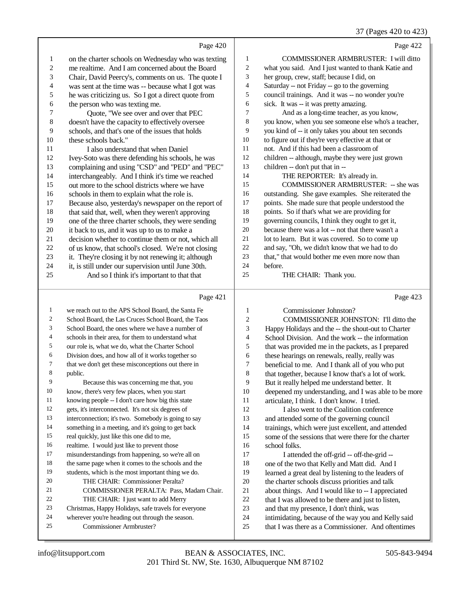#### 37 (Pages 420 to 423)

|                          | Page 420                                             |                | Page 422                                             |
|--------------------------|------------------------------------------------------|----------------|------------------------------------------------------|
| 1                        | on the charter schools on Wednesday who was texting  | 1              | COMMISSIONER ARMBRUSTER: I will ditto                |
| $\overline{c}$           | me realtime. And I am concerned about the Board      | $\overline{c}$ | what you said. And I just wanted to thank Katie and  |
| 3                        | Chair, David Peercy's, comments on us. The quote I   | 3              | her group, crew, staff; because I did, on            |
| $\overline{\mathcal{L}}$ | was sent at the time was -- because what I got was   | 4              | Saturday -- not Friday -- go to the governing        |
| 5                        | he was criticizing us. So I got a direct quote from  | 5              | council trainings. And it was -- no wonder you're    |
| 6                        | the person who was texting me.                       | 6              | sick. It was -- it was pretty amazing.               |
| 7                        | Quote, "We see over and over that PEC                | 7              | And as a long-time teacher, as you know,             |
| 8                        | doesn't have the capacity to effectively oversee     | 8              | you know, when you see someone else who's a teacher, |
| 9                        | schools, and that's one of the issues that holds     | 9              | you kind of -- it only takes you about ten seconds   |
| 10                       | these schools back."                                 | 10             | to figure out if they're very effective at that or   |
| 11                       | I also understand that when Daniel                   | 11             | not. And if this had been a classroom of             |
| 12                       | Ivey-Soto was there defending his schools, he was    | 12             | children -- although, maybe they were just grown     |
| 13                       | complaining and using "CSD" and "PED" and "PEC"      | 13             | children -- don't put that in --                     |
| 14                       | interchangeably. And I think it's time we reached    | 14             | THE REPORTER: It's already in.                       |
| 15                       | out more to the school districts where we have       | 15             | <b>COMMISSIONER ARMBRUSTER: -- she was</b>           |
| 16                       | schools in them to explain what the role is.         | 16             | outstanding. She gave examples. She reiterated the   |
| 17                       | Because also, yesterday's newspaper on the report of | 17             | points. She made sure that people understood the     |
| 18                       | that said that, well, when they weren't approving    | 18             | points. So if that's what we are providing for       |
| 19                       | one of the three charter schools, they were sending  | 19             | governing councils, I think they ought to get it,    |
| 20                       | it back to us, and it was up to us to make a         | 20             | because there was a lot -- not that there wasn't a   |
| 21                       | decision whether to continue them or not, which all  | 21             | lot to learn. But it was covered. So to come up      |
| 22                       | of us know, that school's closed. We're not closing  | 22             | and say, "Oh, we didn't know that we had to do       |
| 23                       | it. They're closing it by not renewing it; although  | 23             | that," that would bother me even more now than       |
| 24                       | it, is still under our supervision until June 30th.  | 24             | before.                                              |
| 25                       | And so I think it's important to that that           | 25             | THE CHAIR: Thank you.                                |
|                          |                                                      |                |                                                      |
|                          | Page 421                                             |                | Page 423                                             |
| 1                        | we reach out to the APS School Board, the Santa Fe   | $\mathbf{1}$   | Commissioner Johnston?                               |
| 2                        | School Board, the Las Cruces School Board, the Taos  | $\overline{2}$ | COMMISSIONER JOHNSTON: I'll ditto the                |
| 3                        | School Board, the ones where we have a number of     | 3              | Happy Holidays and the -- the shout-out to Charter   |
| 4                        | schools in their area, for them to understand what   | $\overline{4}$ | School Division. And the work -- the information     |
| 5                        | our role is, what we do, what the Charter School     | 5              | that was provided me in the packets, as I prepared   |
| 6                        | Division does, and how all of it works together so   | 6              | these hearings on renewals, really, really was       |

 that we don't get these misconceptions out there in public.

Because this was concerning me that, you

know, there's very few places, when you start

knowing people -- I don't care how big this state

gets, it's interconnected. It's not six degrees of

interconnection; it's two. Somebody is going to say

something in a meeting, and it's going to get back

real quickly, just like this one did to me,

realtime. I would just like to prevent those

 misunderstandings from happening, so we're all on the same page when it comes to the schools and the

students, which is the most important thing we do.

 THE CHAIR: Commissioner Peralta? COMMISSIONER PERALTA: Pass, Madam Chair. THE CHAIR: I just want to add Merry

Christmas, Happy Holidays, safe travels for everyone

wherever you're heading out through the season.

Commissioner Armbruster?

12 I also went to the Coalition conference and attended some of the governing council trainings, which were just excellent, and attended some of the sessions that were there for the charter school folks. I attended the off-grid -- off-the-grid --

articulate, I think. I don't know. I tried.

 beneficial to me. And I thank all of you who put 8 that together, because I know that's a lot of work. But it really helped me understand better. It

deepened my understanding, and I was able to be more

 one of the two that Kelly and Matt did. And I learned a great deal by listening to the leaders of

the charter schools discuss priorities and talk

about things. And I would like to -- I appreciated

22 that I was allowed to be there and just to listen,

and that my presence, I don't think, was

intimidating, because of the way you and Kelly said

that I was there as a Commissioner. And oftentimes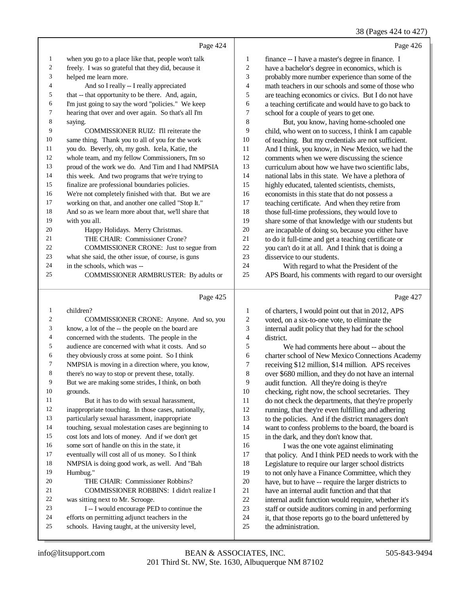38 (Pages 424 to 427)

|                |                                                      |    | 38 (Pages 424 to 427                                 |
|----------------|------------------------------------------------------|----|------------------------------------------------------|
|                | Page 424                                             |    | Page 426                                             |
| $\mathbf{1}$   | when you go to a place like that, people won't talk  | 1  | finance -- I have a master's degree in finance. I    |
| $\overline{2}$ | freely. I was so grateful that they did, because it  | 2  | have a bachelor's degree in economics, which is      |
| 3              | helped me learn more.                                | 3  | probably more number experience than some of the     |
| $\overline{4}$ | And so I really -- I really appreciated              | 4  | math teachers in our schools and some of those who   |
| 5              | that -- that opportunity to be there. And, again,    | 5  | are teaching economics or civics. But I do not have  |
| 6              | I'm just going to say the word "policies." We keep   | 6  | a teaching certificate and would have to go back to  |
| $\tau$         | hearing that over and over again. So that's all I'm  | 7  | school for a couple of years to get one.             |
| 8              | saying.                                              | 8  | But, you know, having home-schooled one              |
| 9              | COMMISSIONER RUIZ: I'll reiterate the                | 9  | child, who went on to success, I think I am capable  |
| 10             | same thing. Thank you to all of you for the work     | 10 | of teaching. But my credentials are not sufficient.  |
| 11             | you do. Beverly, oh, my gosh. Icela, Katie, the      | 11 | And I think, you know, in New Mexico, we had the     |
| 12             | whole team, and my fellow Commissioners, I'm so      | 12 | comments when we were discussing the science         |
| 13             | proud of the work we do. And Tim and I had NMPSIA    | 13 | curriculum about how we have two scientific labs,    |
| 14             | this week. And two programs that we're trying to     | 14 | national labs in this state. We have a plethora of   |
| 15             | finalize are professional boundaries policies.       | 15 | highly educated, talented scientists, chemists,      |
| 16             | We're not completely finished with that. But we are  | 16 | economists in this state that do not possess a       |
| 17             | working on that, and another one called "Stop It."   | 17 | teaching certificate. And when they retire from      |
| 18             | And so as we learn more about that, we'll share that | 18 | those full-time professions, they would love to      |
| 19             | with you all.                                        | 19 | share some of that knowledge with our students but   |
| 20             | Happy Holidays. Merry Christmas.                     | 20 | are incapable of doing so, because you either have   |
| 21             | THE CHAIR: Commissioner Crone?                       | 21 | to do it full-time and get a teaching certificate or |
| 22             | COMMISSIONER CRONE: Just to segue from               | 22 | you can't do it at all. And I think that is doing a  |
| 23             | what she said, the other issue, of course, is guns   | 23 | disservice to our students.                          |
| 24             | in the schools, which was --                         | 24 | With regard to what the President of the             |
| 25             | COMMISSIONER ARMBRUSTER: By adults or                | 25 | APS Board, his comments with regard to our oversight |
|                |                                                      |    |                                                      |

Page 425

| 1  | children?                                           | 1  | of charters, I would point out that in 2012, APS     |
|----|-----------------------------------------------------|----|------------------------------------------------------|
| 2  | COMMISSIONER CRONE: Anyone. And so, you             | 2  | voted, on a six-to-one vote, to eliminate the        |
| 3  | know, a lot of the -- the people on the board are   | 3  | internal audit policy that they had for the school   |
| 4  | concerned with the students. The people in the      | 4  | district.                                            |
| 5  | audience are concerned with what it costs. And so   | 5  | We had comments here about -- about the              |
| 6  | they obviously cross at some point. So I think      | 6  | charter school of New Mexico Connections Academy     |
| 7  | NMPSIA is moving in a direction where, you know,    | 7  | receiving \$12 million, \$14 million. APS receives   |
| 8  | there's no way to stop or prevent these, totally.   | 8  | over \$680 million, and they do not have an internal |
| 9  | But we are making some strides, I think, on both    | 9  | audit function. All they're doing is they're         |
| 10 | grounds.                                            | 10 | checking, right now, the school secretaries. They    |
| 11 | But it has to do with sexual harassment.            | 11 | do not check the departments, that they're properly  |
| 12 | inappropriate touching. In those cases, nationally, | 12 | running, that they're even fulfilling and adhering   |
| 13 | particularly sexual harassment, inappropriate       | 13 | to the policies. And if the district managers don't  |
| 14 | touching, sexual molestation cases are beginning to | 14 | want to confess problems to the board, the board is  |
| 15 | cost lots and lots of money. And if we don't get    | 15 | in the dark, and they don't know that.               |
| 16 | some sort of handle on this in the state, it        | 16 | I was the one vote against eliminating               |
| 17 | eventually will cost all of us money. So I think    | 17 | that policy. And I think PED needs to work with the  |
| 18 | NMPSIA is doing good work, as well. And "Bah        | 18 | Legislature to require our larger school districts   |
| 19 | Humbug."                                            | 19 | to not only have a Finance Committee, which they     |
| 20 | THE CHAIR: Commissioner Robbins?                    | 20 | have, but to have -- require the larger districts to |
| 21 | COMMISSIONER ROBBINS: I didn't realize I            | 21 | have an internal audit function and that that        |
| 22 | was sitting next to Mr. Scrooge.                    | 22 | internal audit function would require, whether it's  |
| 23 | I -- I would encourage PED to continue the          | 23 | staff or outside auditors coming in and performing   |
| 24 | efforts on permitting adjunct teachers in the       | 24 | it, that those reports go to the board unfettered by |
| 25 | schools. Having taught, at the university level,    | 25 | the administration.                                  |
|    |                                                     |    |                                                      |

Page 427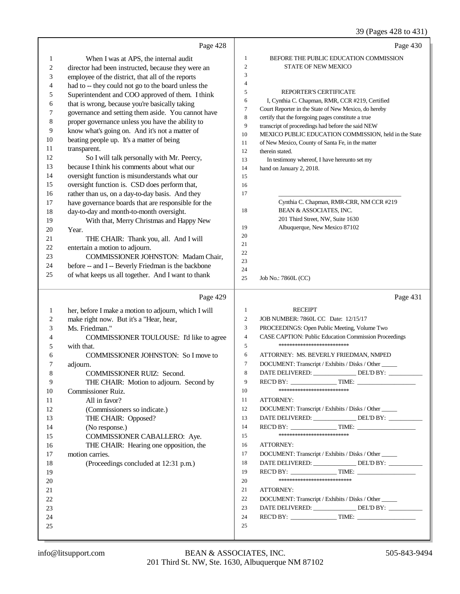|                | Page 428                                             |                  | Page 430                                                        |
|----------------|------------------------------------------------------|------------------|-----------------------------------------------------------------|
| $\mathbf{1}$   | When I was at APS, the internal audit                | $\mathbf{1}$     | BEFORE THE PUBLIC EDUCATION COMMISSION                          |
| $\overline{c}$ | director had been instructed, because they were an   | $\sqrt{2}$       | STATE OF NEW MEXICO                                             |
| 3              | employee of the district, that all of the reports    | 3                |                                                                 |
| 4              | had to -- they could not go to the board unless the  | $\overline{4}$   |                                                                 |
| 5              | Superintendent and COO approved of them. I think     | 5                | REPORTER'S CERTIFICATE                                          |
| 6              | that is wrong, because you're basically taking       | 6                | I, Cynthia C. Chapman, RMR, CCR #219, Certified                 |
| 7              | governance and setting them aside. You cannot have   | 7                | Court Reporter in the State of New Mexico, do hereby            |
| 8              | proper governance unless you have the ability to     | $\,8\,$          | certify that the foregoing pages constitute a true              |
| 9              | know what's going on. And it's not a matter of       | 9                | transcript of proceedings had before the said NEW               |
| 10             | beating people up. It's a matter of being            | $10\,$           | MEXICO PUBLIC EDUCATION COMMISSION, held in the State           |
| 11             | transparent.                                         | 11               | of New Mexico, County of Santa Fe, in the matter                |
| 12             | So I will talk personally with Mr. Peercy,           | 12<br>13         | therein stated.<br>In testimony whereof, I have hereunto set my |
| 13             | because I think his comments about what our          | 14               | hand on January 2, 2018.                                        |
| 14             | oversight function is misunderstands what our        | 15               |                                                                 |
| 15             | oversight function is. CSD does perform that,        | 16               |                                                                 |
| 16             | rather than us, on a day-to-day basis. And they      | 17               |                                                                 |
| 17             | have governance boards that are responsible for the  |                  | Cynthia C. Chapman, RMR-CRR, NM CCR #219                        |
| 18             | day-to-day and month-to-month oversight.             | 18               | BEAN & ASSOCIATES, INC.                                         |
| 19             | With that, Merry Christmas and Happy New             |                  | 201 Third Street, NW, Suite 1630                                |
| 20             | Year.                                                | 19               | Albuquerque, New Mexico 87102                                   |
| 21             | THE CHAIR: Thank you, all. And I will                | 20               |                                                                 |
| 22             | entertain a motion to adjourn.                       | 21               |                                                                 |
| 23             | COMMISSIONER JOHNSTON: Madam Chair,                  | 22               |                                                                 |
| 24             | before -- and I -- Beverly Friedman is the backbone  | 23               |                                                                 |
| 25             | of what keeps us all together. And I want to thank   | 24<br>25         | Job No.: 7860L (CC)                                             |
|                |                                                      |                  |                                                                 |
|                |                                                      |                  |                                                                 |
|                | Page 429                                             |                  | Page 431                                                        |
| $\mathbf{1}$   | her, before I make a motion to adjourn, which I will | $\mathbf{1}$     | <b>RECEIPT</b>                                                  |
| 2              | make right now. But it's a "Hear, hear,              | $\overline{c}$   | JOB NUMBER: 7860L CC Date: 12/15/17                             |
| 3              | Ms. Friedman."                                       | 3                | PROCEEDINGS: Open Public Meeting, Volume Two                    |
| 4              | COMMISSIONER TOULOUSE: I'd like to agree             | $\overline{4}$   | CASE CAPTION: Public Education Commission Proceedings           |
| 5              | with that.                                           | $\sqrt{5}$       | **************************                                      |
| 6              | COMMISSIONER JOHNSTON: So I move to                  | 6                | ATTORNEY: MS. BEVERLY FRIEDMAN, NMPED                           |
| 7              | adjourn.                                             | $\boldsymbol{7}$ | DOCUMENT: Transcript / Exhibits / Disks / Other                 |
|                | <b>COMMISSIONER RUIZ: Second.</b>                    | 8                | DATE DELIVERED:<br>DEL'D BY:                                    |
| 9              | THE CHAIR: Motion to adjourn. Second by              | 9                |                                                                 |
| 10             | Commissioner Ruiz.                                   | 10               | **************************                                      |
| 11             | All in favor?                                        | 11               | ATTORNEY:                                                       |
| 12             | (Commissioners so indicate.)                         | 12               | DOCUMENT: Transcript / Exhibits / Disks / Other                 |
| 13             | THE CHAIR: Opposed?                                  | 13               | DATE DELIVERED: DEL'D BY:                                       |
| 14             | (No response.)                                       | 14               | REC'D BY: TIME:                                                 |
| 15             | COMMISSIONER CABALLERO: Aye.                         | 15               | **************************                                      |
| 16             | THE CHAIR: Hearing one opposition, the               | 16               | ATTORNEY:                                                       |
| 17             | motion carries.                                      | 17               | DOCUMENT: Transcript / Exhibits / Disks / Other                 |
| 18             | (Proceedings concluded at 12:31 p.m.)                | 18               | DATE DELIVERED: DEL'D BY:                                       |
| 19             |                                                      | 19               |                                                                 |
| 20             |                                                      | 20               | ***************************                                     |
| 21             |                                                      | 21               | ATTORNEY:                                                       |
| 22             |                                                      | 22               | DOCUMENT: Transcript / Exhibits / Disks / Other                 |
| 23             |                                                      | 23               | DATE DELIVERED: DEL'D BY:                                       |
| 24<br>25       |                                                      | 24<br>25         |                                                                 |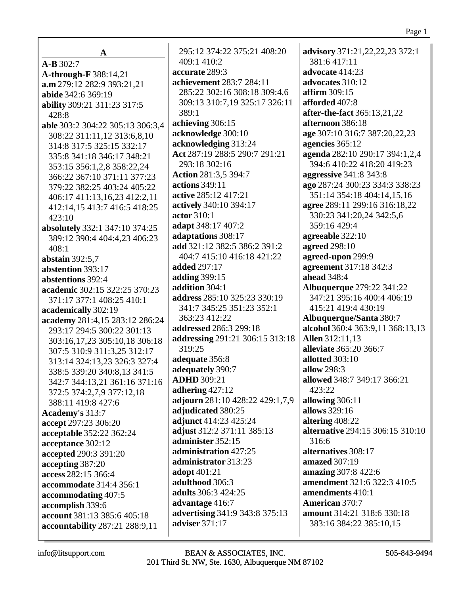| A                                | 295:12 374:22 3          |
|----------------------------------|--------------------------|
| $A-B 302:7$                      | 409:1 410:2              |
| A-through-F 388:14,21            | accurate 289:3           |
| a.m 279:12 282:9 393:21,21       | achievement 283          |
| abide 342:6 369:19               | 285:22 302:16 3          |
| ability 309:21 311:23 317:5      | 309:13 310:7,19          |
| 428:8                            | 389:1                    |
| able 303:2 304:22 305:13 306:3,4 | achieving 306:15         |
| 308:22 311:11,12 313:6,8,10      | acknowledge 300          |
| 314:8 317:5 325:15 332:17        | acknowledging 3          |
| 335:8 341:18 346:17 348:21       | Act 287:19 288:5         |
| 353:15 356:1,2,8 358:22,24       | 293:18 302:16            |
| 366:22 367:10 371:11 377:23      | <b>Action 281:3,5 39</b> |
| 379:22 382:25 403:24 405:22      | <b>actions</b> 349:11    |
| 406:17 411:13,16,23 412:2,11     | active 285:12 417        |
| 412:14,15 413:7 416:5 418:25     | actively 340:10 39       |
|                                  | actor 310:1              |
| 423:10                           | adapt 348:17 407         |
| absolutely 332:1 347:10 374:25   | adaptations 308:         |
| 389:12 390:4 404:4,23 406:23     | add 321:12 382:5         |
| 408:1                            | 404:7 415:10 41          |
| abstain 392:5,7                  | <b>added</b> 297:17      |
| abstention 393:17                | <b>adding</b> 399:15     |
| abstentions 392:4                | addition 304:1           |
| academic 302:15 322:25 370:23    | <b>address</b> 285:10 32 |
| 371:17 377:1 408:25 410:1        | 341:7 345:25 35          |
| academically 302:19              | 363:23 412:22            |
| academy 281:4,15 283:12 286:24   | addressed 286:3          |
| 293:17 294:5 300:22 301:13       | addressing 291:2         |
| 303:16,17,23 305:10,18 306:18    | 319:25                   |
| 307:5 310:9 311:3,25 312:17      |                          |
| 313:14 324:13,23 326:3 327:4     | adequate 356:8           |
| 338:5 339:20 340:8,13 341:5      | adequately 390:7         |
| 342:7 344:13,21 361:16 371:16    | <b>ADHD</b> 309:21       |
| 372:5 374:2,7,9 377:12,18        | adhering $427:12$        |
| 388:11 419:8 427:6               | adjourn 281:10 4         |
| Academy's 313:7                  | adjudicated 380:         |
| accept 297:23 306:20             | adjunct 414:23 4         |
| acceptable 352:22 362:24         | adjust 312:2 371:        |
| acceptance 302:12                | administer 352:1         |
| accepted 290:3 391:20            | administration 4         |
| accepting 387:20                 | administrator 31         |
| access 282:15 366:4              | adopt 401:21             |
| accommodate 314:4 356:1          | adulthood 306:3          |
| accommodating 407:5              | adults 306:3 424:        |
| accomplish 339:6                 | advantage 416:7          |
| account 381:13 385:6 405:18      | advertising 341:9        |
| accountability 287:21 288:9,11   | adviser 371:17           |
|                                  |                          |

375:21 408:20 advisory 371:21, 22, 22, 23 372:1 381:6417:11 advocate  $414:23$  $:7284:11$ advocates 310:12 308:18 309:4,6 affirm  $309:15$ 9 325:17 326:11 afforded 407:8 after-the-fact 365:13,21,22 afternoon 386:18  $:10^{-}$ age 307:10 316:7 387:20,22,23 13:24 agencies 365:12 290:7 291:21 agenda 282:10 290:17 394:1,2,4 394:6 410:22 418:20 419:23  $94:7$ **aggressive** 341:8 343:8 ago 287:24 300:23 334:3 338:23  $1:21$ 351:14 354:18 404:14,15,16 94:17 agree 289:11 299:16 316:18,22 330:23 341:20.24 342:5.6 359:16 429:4  $\cdot$ :2 17 agreeable  $322:10$ 386:2 391:2 agreed 298:10  $16:18421:22$ agreed-upon 299:9 agreement 317:18 342:3 ahead 348:4 **Albuquerque** 279:22 341:22 25:23 330:19 347:21 395:16 400:4 406:19 51:23 352:1 415:21 419:4 430:19 Albuquerque/Santa 380:7 299:18 alcohol 360:4 363:9,11 368:13,13 1 306:15 313:18 **Allen** 312:11.13 alleviate 365:20 366:7 allotted  $303:10$ allow  $298:3$ allowed 348:7 349:17 366:21 423:22 28:22 429:1,7,9 allowing 306:11 25 allows 329:16  $25:24$ altering  $408:22$  $:11\,385:13$ **alternative** 294:15 306:15 310:10  $316:6$ 5  $27:25$ alternatives 308:17  $3:23$ amazed 307:19 **amazing** 307:8 422:6 amendment 321:6 322:3 410:5 25 amendments 410:1 **American 370:7**  $9.343:8.375:13$ amount 314:21 318:6 330:18 383:16 384:22 385:10,15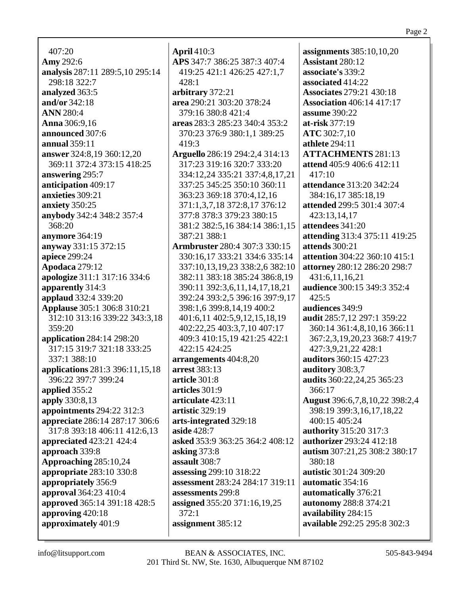407:20 **Amy** 292:6 **analysis** 287:11 289:5,10 295:14 298:18 322:7 **analyzed** 363:5 **and/or** 342:18 **ANN** 280:4 **Anna** 306:9,16 **announced** 307:6 **annual** 359:11 **answer** 324:8,19 360:12,20 369:11 372:4 373:15 418:25 **answering** 295:7 **anticipation** 409:17 **anxieties** 309:21 **anxiety** 350:25 **anybody** 342:4 348:2 357:4 368:20 **anymore** 364:19 **anyway** 331:15 372:15 **apiece** 299:24 **Apodaca** 279:12 **apologize** 311:1 317:16 334:6 **apparently** 314:3 **applaud** 332:4 339:20 **Applause** 305:1 306:8 310:21 312:10 313:16 339:22 343:3,18 359:20 **application** 284:14 298:20 317:15 319:7 321:18 333:25 337:1 388:10 **applications** 281:3 396:11,15,18 396:22 397:7 399:24 **applied** 355:2 **apply** 330:8,13 **appointments** 294:22 312:3 **appreciate** 286:14 287:17 306:6 317:8 393:18 406:11 412:6,13 **appreciated** 423:21 424:4 **approach** 339:8 **Approaching** 285:10,24 **appropriate** 283:10 330:8 **appropriately** 356:9 **approval** 364:23 410:4 **approved** 365:14 391:18 428:5 **approving** 420:18 **approximately** 401:9

**April** 410:3 **APS** 347:7 386:25 387:3 407:4 419:25 421:1 426:25 427:1,7 428:1 **arbitrary** 372:21 **area** 290:21 303:20 378:24 379:16 380:8 421:4 **areas** 283:3 285:23 340:4 353:2 370:23 376:9 380:1,1 389:25 419:3 **Arguello** 286:19 294:2,4 314:13 317:23 319:16 320:7 333:20 334:12,24 335:21 337:4,8,17,21 337:25 345:25 350:10 360:11 363:23 369:18 370:4,12,16 371:1,3,7,18 372:8,17 376:12 377:8 378:3 379:23 380:15 381:2 382:5,16 384:14 386:1,15 387:21 388:1 **Armbruster** 280:4 307:3 330:15 330:16,17 333:21 334:6 335:14 337:10,13,19,23 338:2,6 382:10 382:11 383:18 385:24 386:8,19 390:11 392:3,6,11,14,17,18,21 392:24 393:2,5 396:16 397:9,17 398:1,6 399:8,14,19 400:2 401:6,11 402:5,9,12,15,18,19 402:22,25 403:3,7,10 407:17 409:3 410:15,19 421:25 422:1 422:15 424:25 **arrangements** 404:8,20 **arrest** 383:13 **article** 301:8 **articles** 301:9 **articulate** 423:11 **artistic** 329:19 **arts-integrated** 329:18 **aside** 428:7 **asked** 353:9 363:25 364:2 408:12 **asking** 373:8 **assault** 308:7 **assessing** 299:10 318:22 **assessment** 283:24 284:17 319:11 **assessments** 299:8 **assigned** 355:20 371:16,19,25 372:1 **assignment** 385:12

**assignments** 385:10,10,20 **Assistant** 280:12 **associate's** 339:2 **associated** 414:22 **Associates** 279:21 430:18 **Association** 406:14 417:17 **assume** 390:22 **at-risk** 377:19 **ATC** 302:7,10 **athlete** 294:11 **ATTACHMENTS** 281:13 **attend** 405:9 406:6 412:11 417:10 **attendance** 313:20 342:24 384:16,17 385:18,19 **attended** 299:5 301:4 307:4 423:13,14,17 **attendees** 341:20 **attending** 313:4 375:11 419:25 **attends** 300:21 **attention** 304:22 360:10 415:1 **attorney** 280:12 286:20 298:7 431:6,11,16,21 **audience** 300:15 349:3 352:4  $425:5$ **audiences** 349:9 **audit** 285:7,12 297:1 359:22 360:14 361:4,8,10,16 366:11 367:2,3,19,20,23 368:7 419:7 427:3,9,21,22 428:1 **auditors** 360:15 427:23 **auditory** 308:3,7 **audits** 360:22,24,25 365:23 366:17 **August** 396:6,7,8,10,22 398:2,4 398:19 399:3,16,17,18,22 400:15 405:24 **authority** 315:20 317:3 **authorizer** 293:24 412:18 **autism** 307:21,25 308:2 380:17 380:18 **autistic** 301:24 309:20 **automatic** 354:16 **automatically** 376:21 **autonomy** 288:8 374:21 **availability** 284:15 **available** 292:25 295:8 302:3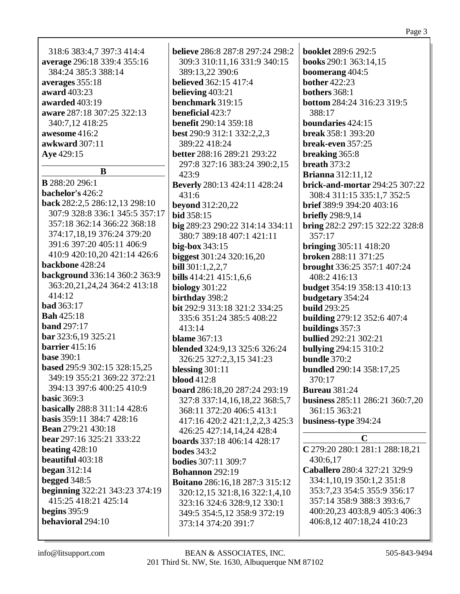| 318:6 383:4,7 397:3 414:4   |
|-----------------------------|
| average 296:18 339:4 355:16 |
| 384:24 385:3 388:14         |
| averages 355:18             |
| award 403:23                |
| awarded 403:19              |
| aware 287:18 307:25 322:13  |
| 340:7,12 418:25             |
| awesome 416:2               |
| <b>awkward</b> 307:11       |
| Aye 429:15                  |
|                             |

# <sup>B</sup>

**B** 288:20 296:1 bachelor's 426:2 back 282:2,5 286:12,13 298:10 307:9 328:8 336:1 345:5 357:17 357:18 362:14 366:22 368:18 374:17,18,19 376:24 379:20 391:6 397:20 405:11 406:9 410:9 420:10,20 421:14 426:6 backbone 428:24 background 336:14 360:2 363:9 363:20,21,24,24 364:2 413:18  $414:12$ **bad** 363:17 **Bah** 425:18 **band** 297:17  $bar 323:6.19325:21$ barrier  $415:16$ hase  $390:1$ based 295:9 302:15 328:15,25 349:19 355:21 369:22 372:21 394:13 397:6 400:25 410:9 hasic  $369.3$ **basically** 288:8 311:14 428:6 basis 359:11 384:7 428:16 **Bean** 279:21 430:18 bear 297:16 325:21 333:22 beating  $428:10$ beautiful 403:18 began  $312:14$ begged  $348:5$ **beginning** 322:21 343:23 374:19 415:25 418:21 425:14 begins  $395:9$ behavioral 294:10

**believe** 286:8 287:8 297:24 298:2 309:3 310:11,16 331:9 340:15 389:13.22 390:6 **believed** 362:15 417:4 believing 403:21 benchmark 319:15 beneficial  $423:7$ **benefit** 290:14 359:18 **best** 290:9 312:1 332:2,2,3 389:22 418:24 better 288:16 289:21 293:22 297:8 327:16 383:24 390:2,15  $423:9$ **Beverly** 280:13 424:11 428:24 431:6 **beyond** 312:20,22 **bid** 358:15 big 289:23 290:22 314:14 334:11 380:7 389:18 407:1 421:11 big-box  $343:15$ **biggest** 301:24 320:16,20 **bill**  $301:1,2,2,7$ bills 414:21 415:1.6.6 biology  $301:22$ birthday 398:2 bit 292:9 313:18 321:2 334:25 335:6 351:24 385:5 408:22  $413:14$ blame  $367:13$ **blended** 324:9,13 325:6 326:24 326:25 327:2,3,15 341:23 blessing  $301:11$ **blood** 412:8 **board** 286:18,20 287:24 293:19 327:8 337:14,16,18,22 368:5,7 368:11 372:20 406:5 413:1 417:16 420:2 421:1,2,2,3 425:3 426:25 427:14,14,24 428:4 boards 337:18 406:14 428:17 hodes  $343:2$ **bodies** 307:11 309:7 **Bohannon** 292:19 Boitano 286:16,18 287:3 315:12 320:12,15 321:8,16 322:1,4,10 323:16 324:6 328:9,12 330:1 349:5 354:5,12 358:9 372:19 373:14 374:20 391:7

**booklet** 289:6 292:5 books 290:1 363:14,15 boomerang 404:5 bother  $422:23$ **bothers** 368:1 **bottom** 284:24 316:23 319:5 388:17 boundaries 424:15 **break** 358:1 393:20 break-even 357:25 breaking 365:8 breath  $373:2$ **Brianna** 312:11,12 brick-and-mortar 294:25 307:22 308:4 311:15 335:1.7 352:5 brief 389:9 394:20 403:16 **briefly** 298:9,14 **bring**  $282:2297:15322:22328:8$ 357:17 **bringing** 305:11 418:20 broken 288:11 371:25 **brought** 336:25 357:1 407:24 408:2416:13 **budget** 354:19 358:13 410:13 budgetary 354:24 **build** 293:25 **building** 279:12 352:6 407:4 buildings  $357:3$ **bullied** 292:21 302:21 **bullying 294:15 310:2** bundle 370:2 **bundled** 290:14 358:17,25 370:17 **Bureau** 381:24 business 285:11 286:21 360:7,20 361:15 363:21 business-type 394:24  $\mathbf C$ C 279:20 280:1 281:1 288:18,21 430:6,17 Caballero 280:4 327:21 329:9 334:1, 10, 19 350:1, 2 351:8

353:7,23 354:5 355:9 356:17 357:14 358:9 388:3 393:6.7 400:20,23 403:8,9 405:3 406:3 406:8,12 407:18,24 410:23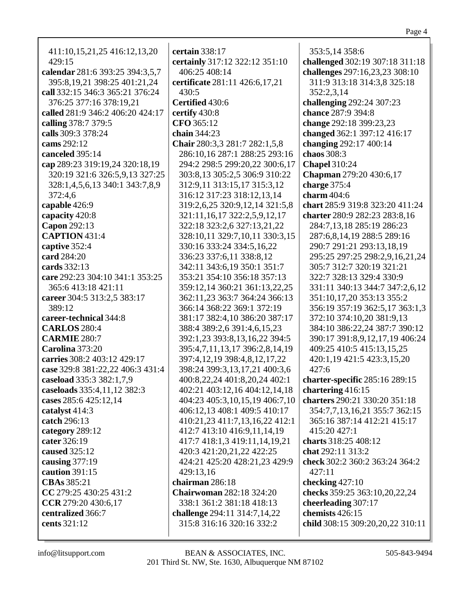|--|--|

| 411:10,15,21,25 416:12,13,20                                     |   |
|------------------------------------------------------------------|---|
| 429:15                                                           |   |
| calendar 281:6 393:25 394:3,5,7                                  |   |
| 395:8,19,21 398:25 401:21,24                                     | Ó |
| call 332:15 346:3 365:21 376:24                                  |   |
| 376:25 377:16 378:19,21                                          |   |
| called 281:9 346:2 406:20 424:17                                 |   |
| calling 378:7 379:5                                              |   |
| calls 309:3 378:24                                               |   |
| cams 292:12                                                      |   |
| canceled 395:14                                                  |   |
| cap 289:23 319:19,24 320:18,19<br>320:19 321:6 326:5,9,13 327:25 |   |
| 328:1,4,5,6,13 340:1 343:7,8,9                                   |   |
| 372:4,6                                                          |   |
| capable 426:9                                                    |   |
| capacity 420:8                                                   |   |
| Capon 292:13                                                     |   |
| <b>CAPTION</b> 431:4                                             |   |
| captive 352:4                                                    |   |
| card 284:20                                                      |   |
| cards 332:13                                                     |   |
| care 292:23 304:10 341:1 353:25                                  |   |
| 365:6413:18421:11                                                |   |
| career 304:5 313:2,5 383:17                                      |   |
| 389:12                                                           |   |
| career-technical 344:8                                           |   |
| <b>CARLOS</b> 280:4                                              |   |
| <b>CARMIE 280:7</b>                                              |   |
| Carolina 373:20                                                  |   |
| carries 308:2 403:12 429:17                                      |   |
| case 329:8 381:22,22 406:3 431:4                                 |   |
| caseload 335:3 382:1,7,9<br>caseloads 335:4,11,12 382:3          |   |
| cases 285:6 425:12,14                                            |   |
| catalyst 414:3                                                   |   |
| catch 296:13                                                     |   |
| category 289:12                                                  |   |
| cater 326:19                                                     |   |
| caused 325:12                                                    |   |
| causing $377:19$                                                 |   |
| caution 391:15                                                   |   |
| CBAs 385:21                                                      |   |
| CC 279:25 430:25 431:2                                           |   |
| CCR 279:20 430:6,17                                              |   |
| centralized 366:7                                                |   |
| cents 321:12                                                     |   |
|                                                                  |   |

**certain** 338:17 **certainly** 317:12 322:12 351:10 406:25 408:14 **certificate** 281:11 426:6,17,21 430:5 **Certified** 430:6 **certify** 430:8 **CFO** 365:12 **chain** 344:23 **Chair** 280:3,3 281:7 282:1,5,8 286:10,16 287:1 288:25 293:16 294:2 298:5 299:20,22 300:6,17 303:8,13 305:2,5 306:9 310:22 312:9,11 313:15,17 315:3,12 316:12 317:23 318:12,13,14 319:2,6,25 320:9,12,14 321:5,8 321:11,16,17 322:2,5,9,12,17 322:18 323:2,6 327:13,21,22 328:10,11 329:7,10,11 330:3,15 330:16 333:24 334:5,16,22 336:23 337:6,11 338:8,12 342:11 343:6,19 350:1 351:7 353:21 354:10 356:18 357:13 359:12,14 360:21 361:13,22,25 362:11,23 363:7 364:24 366:13 366:14 368:22 369:1 372:19 381:17 382:4,10 386:20 387:17 388:4 389:2,6 391:4,6,15,23 392:1,23 393:8,13,16,22 394:5 395:4,7,11,13,17 396:2,8,14,19 397:4,12,19 398:4,8,12,17,22 398:24 399:3,13,17,21 400:3,6 400:8,22,24 401:8,20,24 402:1 402:21 403:12,16 404:12,14,18 404:23 405:3,10,15,19 406:7,10 406:12,13 408:1 409:5 410:17 410:21,23 411:7,13,16,22 412:1 412:7 413:10 416:9,11,14,19 417:7 418:1,3 419:11,14,19,21 420:3 421:20,21,22 422:25 424:21 425:20 428:21,23 429:9 429:13,16 **chairman** 286:18 **Chairwoman** 282:18 324:20 338:1 361:2 381:18 418:13 **challenge** 294:11 314:7,14,22 315:8 316:16 320:16 332:2

353:5,14 358:6 **challenged** 302:19 307:18 311:18 **challenges** 297:16,23,23 308:10 311:9 313:18 314:3,8 325:18 352:2,3,14 **challenging** 292:24 307:23 **chance** 287:9 394:8 **change** 292:18 399:23,23 **changed** 362:1 397:12 416:17 **changing** 292:17 400:14 **chaos** 308:3 **Chapel** 310:24 **Chapman** 279:20 430:6,17 **charge** 375:4 **charm** 404:6 **chart** 285:9 319:8 323:20 411:24 **charter** 280:9 282:23 283:8,16 284:7,13,18 285:19 286:23 287:6,8,14,19 288:5 289:16 290:7 291:21 293:13,18,19 295:25 297:25 298:2,9,16,21,24 305:7 312:7 320:19 321:21 322:7 328:13 329:4 330:9 331:11 340:13 344:7 347:2,6,12 351:10,17,20 353:13 355:2 356:19 357:19 362:5,17 363:1,3 372:10 374:10,20 381:9,13 384:10 386:22,24 387:7 390:12 390:17 391:8,9,12,17,19 406:24 409:25 410:5 415:13,15,25 420:1,19 421:5 423:3,15,20 427:6 **charter-specific** 285:16 289:15 **chartering** 416:15 **charters** 290:21 330:20 351:18 354:7,7,13,16,21 355:7 362:15 365:16 387:14 412:21 415:17 415:20 427:1 **charts** 318:25 408:12 **chat** 292:11 313:2 **check** 302:2 360:2 363:24 364:2 427:11 **checking** 427:10 **checks** 359:25 363:10,20,22,24 **cheerleading** 307:17 **chemists** 426:15 **child** 308:15 309:20,20,22 310:11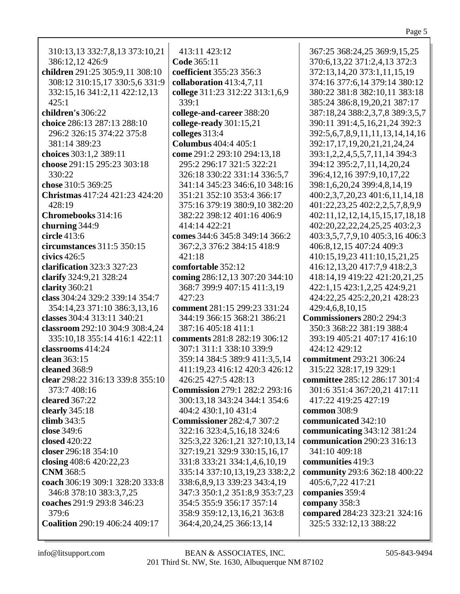310:13,13 332:7,8,13 373:10,21 386:12,12 426:9 **children** 291:25 305:9,11 308:10 308:12 310:15,17 330:5,6 331:9 332:15,16 341:2,11 422:12,13 425:1 **children's** 306:22 **choice** 286:13 287:13 288:10 296:2 326:15 374:22 375:8 381:14 389:23 **choices** 303:1,2 389:11 **choose** 291:15 295:23 303:18 330:22 **chose** 310:5 369:25 **Christmas** 417:24 421:23 424:20 428:19 **Chromebooks** 314:16 **churning** 344:9 **circle** 413:6 **circumstances** 311:5 350:15 **civics** 426:5 **clarification** 323:3 327:23 **clarify** 324:9,21 328:24 **clarity** 360:21 **class** 304:24 329:2 339:14 354:7 354:14,23 371:10 386:3,13,16 **classes** 304:4 313:11 340:21 **classroom** 292:10 304:9 308:4,24 335:10,18 355:14 416:1 422:11 **classrooms** 414:24 **clean** 363:15 **cleaned** 368:9 **clear** 298:22 316:13 339:8 355:10 373:7 408:16 **cleared** 367:22 **clearly** 345:18 **climb** 343:5 **close** 349:6 **closed** 420:22 **closer** 296:18 354:10 **closing** 408:6 420:22,23 **CNM** 368:5 **coach** 306:19 309:1 328:20 333:8 346:8 378:10 383:3,7,25 **coaches** 291:9 293:8 346:23 379:6 **Coalition** 290:19 406:24 409:17

413:11 423:12 **Code** 365:11 **coefficient** 355:23 356:3 **collaboration** 413:4,7,11 **college** 311:23 312:22 313:1,6,9 339:1 **college-and-career** 388:20 **college-ready** 301:15,21 **colleges** 313:4 **Columbus** 404:4 405:1 **come** 291:2 293:10 294:13,18 295:2 296:17 321:5 322:21 326:18 330:22 331:14 336:5,7 341:14 345:23 346:6,10 348:16 351:21 352:10 353:4 366:17 375:16 379:19 380:9,10 382:20 382:22 398:12 401:16 406:9 414:14 422:21 **comes** 344:6 345:8 349:14 366:2 367:2,3 376:2 384:15 418:9 421:18 **comfortable** 352:12 **coming** 286:12,13 307:20 344:10 368:7 399:9 407:15 411:3,19 427:23 **comment** 281:15 299:23 331:24 344:19 366:15 368:21 386:21 387:16 405:18 411:1 **comments** 281:8 282:19 306:12 307:1 311:1 338:10 339:9 359:14 384:5 389:9 411:3,5,14 411:19,23 416:12 420:3 426:12 426:25 427:5 428:13 **Commission** 279:1 282:2 293:16 300:13,18 343:24 344:1 354:6 404:2 430:1,10 431:4 **Commissioner** 282:4,7 307:2 322:16 323:4,5,16,18 324:6 325:3,22 326:1,21 327:10,13,14 327:19,21 329:9 330:15,16,17 331:8 333:21 334:1,4,6,10,19 335:14 337:10,13,19,23 338:2,2 338:6,8,9,13 339:23 343:4,19 347:3 350:1,2 351:8,9 353:7,23 354:5 355:9 356:17 357:14 358:9 359:12,13,16,21 363:8 364:4,20,24,25 366:13,14

367:25 368:24,25 369:9,15,25 370:6,13,22 371:2,4,13 372:3 372:13,14,20 373:1,11,15,19 374:16 377:6,14 379:14 380:12 380:22 381:8 382:10,11 383:18 385:24 386:8,19,20,21 387:17 387:18,24 388:2,3,7,8 389:3,5,7 390:11 391:4,5,16,21,24 392:3 392:5,6,7,8,9,11,11,13,14,14,16 392:17,17,19,20,21,21,24,24 393:1,2,2,4,5,5,7,11,14 394:3 394:12 395:2,7,11,14,20,24 396:4,12,16 397:9,10,17,22 398:1,6,20,24 399:4,8,14,19 400:2,3,7,20,23 401:6,11,14,18 401:22,23,25 402:2,2,5,7,8,9,9 402:11,12,12,14,15,15,17,18,18 402:20,22,22,24,25,25 403:2,3 403:3,5,7,7,9,10 405:3,16 406:3 406:8,12,15 407:24 409:3 410:15,19,23 411:10,15,21,25 416:12,13,20 417:7,9 418:2,3 418:14,19 419:22 421:20,21,25 422:1,15 423:1,2,25 424:9,21 424:22,25 425:2,20,21 428:23 429:4,6,8,10,15 **Commissioners** 280:2 294:3 350:3 368:22 381:19 388:4 393:19 405:21 407:17 416:10 424:12 429:12 **commitment** 293:21 306:24 315:22 328:17,19 329:1 **committee** 285:12 286:17 301:4 301:6 351:4 367:20,21 417:11 417:22 419:25 427:19 **common** 308:9 **communicated** 342:10 **communicating** 343:12 381:24 **communication** 290:23 316:13 341:10 409:18 **communities** 419:3 **community** 293:6 362:18 400:22 405:6,7,22 417:21 **companies** 359:4 **company** 358:3 **compared** 284:23 323:21 324:16 325:5 332:12,13 388:22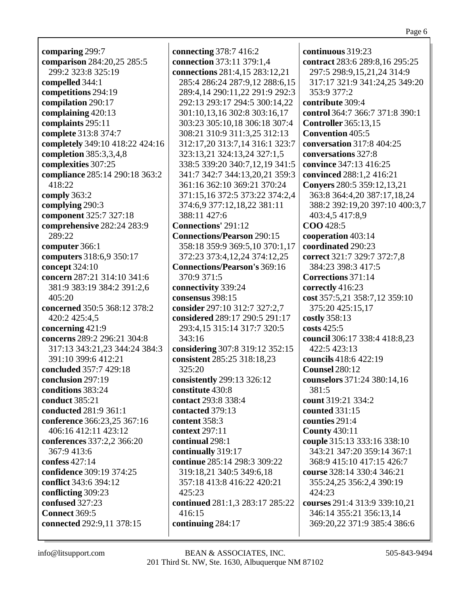**comparing** 299:7 **comparison** 284:20,25 285:5 299:2 323:8 325:19 **compelled** 344:1 **competitions** 294:19 **compilation** 290:17 **complaining** 420:13 **complaints** 295:11 **complete** 313:8 374:7 **completely** 349:10 418:22 424:16 **completion** 385:3,3,4,8 **complexities** 307:25 **compliance** 285:14 290:18 363:2 418:22 **comply** 363:2 **complying** 290:3 **component** 325:7 327:18 **comprehensive** 282:24 283:9 289:22 **computer** 366:1 **computers** 318:6,9 350:17 **concept** 324:10 **concern** 287:21 314:10 341:6 381:9 383:19 384:2 391:2,6  $405:20$ **concerned** 350:5 368:12 378:2 420:2 425:4,5 **concerning** 421:9 **concerns** 289:2 296:21 304:8 317:13 343:21,23 344:24 384:3 391:10 399:6 412:21 **concluded** 357:7 429:18 **conclusion** 297:19 **conditions** 383:24 **conduct** 385:21 **conducted** 281:9 361:1 **conference** 366:23,25 367:16 406:16 412:11 423:12 **conferences** 337:2,2 366:20 367:9 413:6 **confess** 427:14 **confidence** 309:19 374:25 **conflict** 343:6 394:12 **conflicting** 309:23 **confused** 327:23 **Connect** 369:5 **connected** 292:9,11 378:15

**connecting** 378:7 416:2 **connection** 373:11 379:1,4 **connections** 281:4,15 283:12,21 285:4 286:24 287:9,12 288:6,15 289:4,14 290:11,22 291:9 292:3 292:13 293:17 294:5 300:14,22 301:10,13,16 302:8 303:16,17 303:23 305:10,18 306:18 307:4 308:21 310:9 311:3,25 312:13 312:17,20 313:7,14 316:1 323:7 323:13,21 324:13,24 327:1,5 338:5 339:20 340:7,12,19 341:5 341:7 342:7 344:13,20,21 359:3 361:16 362:10 369:21 370:24 371:15,16 372:5 373:22 374:2,4 374:6,9 377:12,18,22 381:11 388:11 427:6 **Connections'** 291:12 **Connections/Pearson** 290:15 358:18 359:9 369:5,10 370:1,17 372:23 373:4,12,24 374:12,25 **Connections/Pearson's** 369:16 370:9 371:5 **connectivity** 339:24 **consensus** 398:15 **consider** 297:10 312:7 327:2,7 **considered** 289:17 290:5 291:17 293:4,15 315:14 317:7 320:5 343:16 **considering** 307:8 319:12 352:15 **consistent** 285:25 318:18,23 325:20 **consistently** 299:13 326:12 **constitute** 430:8 **contact** 293:8 338:4 **contacted** 379:13 **content** 358:3 **context** 297:11 **continual** 298:1 **continually** 319:17 **continue** 285:14 298:3 309:22 319:18,21 340:5 349:6,18 357:18 413:8 416:22 420:21 425:23 **continued** 281:1,3 283:17 285:22 416:15 **continuing** 284:17

**continuous** 319:23 **contract** 283:6 289:8,16 295:25 297:5 298:9,15,21,24 314:9 317:17 321:9 341:24,25 349:20 353:9 377:2 **contribute** 309:4 **control** 364:7 366:7 371:8 390:1 **Controller** 365:13,15 **Convention** 405:5 **conversation** 317:8 404:25 **conversations** 327:8 **convince** 347:13 416:25 **convinced** 288:1,2 416:21 **Conyers** 280:5 359:12,13,21 363:8 364:4,20 387:17,18,24 388:2 392:19,20 397:10 400:3,7 403:4,5 417:8,9 **COO** 428:5 **cooperation** 403:14 **coordinated** 290:23 **correct** 321:7 329:7 372:7,8 384:23 398:3 417:5 **Corrections** 371:14 **correctly** 416:23 **cost** 357:5,21 358:7,12 359:10 375:20 425:15,17 **costly** 358:13 **costs** 425:5 **council** 306:17 338:4 418:8,23 422:5 423:13 **councils** 418:6 422:19 **Counsel** 280:12 **counselors** 371:24 380:14,16 381:5 **count** 319:21 334:2 **counted** 331:15 **counties** 291:4 **County** 430:11 **couple** 315:13 333:16 338:10 343:21 347:20 359:14 367:1 368:9 415:10 417:15 426:7 **course** 328:14 330:4 346:21 355:24,25 356:2,4 390:19 424:23 **courses** 291:4 313:9 339:10,21 346:14 355:21 356:13,14 369:20,22 371:9 385:4 386:6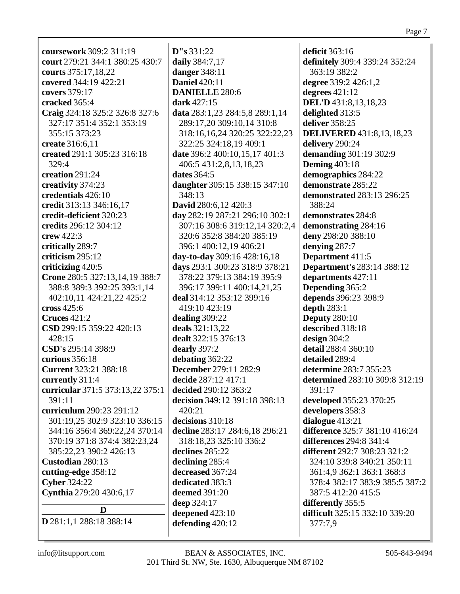| <b>coursework</b> 309:2 311:19   | D''s 331:22                    | deficit 363:16                      |
|----------------------------------|--------------------------------|-------------------------------------|
| court 279:21 344:1 380:25 430:7  | daily 384:7,17                 | definitely 309:4 339:24 352:24      |
| courts 375:17,18,22              | danger 348:11                  | 363:19 382:2                        |
| covered 344:19 422:21            | <b>Daniel 420:11</b>           | degree 339:2 426:1,2                |
| covers 379:17                    | <b>DANIELLE 280:6</b>          | degrees $421:12$                    |
| cracked 365:4                    | dark 427:15                    | <b>DEL'D</b> 431:8,13,18,23         |
| Craig 324:18 325:2 326:8 327:6   | data 283:1,23 284:5,8 289:1,14 | delighted 313:5                     |
| 327:17 351:4 352:1 353:19        | 289:17,20 309:10,14 310:8      | deliver 358:25                      |
| 355:15 373:23                    | 318:16,16,24 320:25 322:22,23  | <b>DELIVERED</b> 431:8,13,18,23     |
| <b>create</b> 316:6,11           | 322:25 324:18,19 409:1         | delivery 290:24                     |
| created 291:1 305:23 316:18      | date 396:2 400:10,15,17 401:3  | demanding 301:19 302:9              |
| 329:4                            | 406:5 431:2,8,13,18,23         | <b>Deming 403:18</b>                |
| creation 291:24                  | dates 364:5                    | demographics 284:22                 |
| creativity 374:23                | daughter 305:15 338:15 347:10  | demonstrate 285:22                  |
| credentials 426:10               | 348:13                         | <b>demonstrated 283:13 296:25</b>   |
| credit 313:13 346:16,17          | David 280:6,12 420:3           | 388:24                              |
| credit-deficient 320:23          | day 282:19 287:21 296:10 302:1 | demonstrates 284:8                  |
| credits 296:12 304:12            | 307:16 308:6 319:12,14 320:2,4 | demonstrating 284:16                |
| crew $422:3$                     | 320:6 352:8 384:20 385:19      | deny 298:20 388:10                  |
| critically 289:7                 | 396:1 400:12,19 406:21         | denying 287:7                       |
| $criticism$ $295:12$             | day-to-day 309:16 428:16,18    | Department 411:5                    |
| criticizing 420:5                | days 293:1 300:23 318:9 378:21 | <b>Department's 283:14 388:12</b>   |
| Crone 280:5 327:13,14,19 388:7   | 378:22 379:13 384:19 395:9     | departments 427:11                  |
| 388:8 389:3 392:25 393:1,14      | 396:17 399:11 400:14,21,25     | Depending 365:2                     |
| 402:10,11 424:21,22 425:2        | deal 314:12 353:12 399:16      | depends 396:23 398:9                |
| cross 425:6                      | 419:10 423:19                  | depth $283:1$                       |
| <b>Cruces</b> 421:2              | dealing 309:22                 | <b>Deputy</b> 280:10                |
| CSD 299:15 359:22 420:13         | deals 321:13,22                | described 318:18                    |
| 428:15                           | dealt 322:15 376:13            | design $304:2$                      |
| CSD's 295:14 398:9               | dearly 397:2                   | detail 288:4 360:10                 |
| curious 356:18                   | debating 362:22                | detailed 289:4                      |
| <b>Current</b> 323:21 388:18     | December 279:11 282:9          | determine 283:7 355:23              |
| currently $311:4$                | decide 287:12 417:1            | determined 283:10 309:8 312:19      |
| curricular 371:5 373:13,22 375:1 | decided 290:12 363:2           | 391:17                              |
| 391:11                           | decision 349:12 391:18 398:13  | developed 355:23 370:25             |
| curriculum 290:23 291:12         | 420:21                         | developers 358:3                    |
| 301:19,25 302:9 323:10 336:15    | decisions 310:18               | dialogue 413:21                     |
| 344:16 356:4 369:22,24 370:14    | decline 283:17 284:6,18 296:21 | difference 325:7 381:10 416:24      |
| 370:19 371:8 374:4 382:23,24     | 318:18,23 325:10 336:2         | differences 294:8 341:4             |
| 385:22,23 390:2 426:13           | declines 285:22                | <b>different</b> 292:7 308:23 321:2 |
| Custodian 280:13                 | declining 285:4                | 324:10 339:8 340:21 350:11          |
| cutting-edge 358:12              | decreased 367:24               | 361:4,9 362:1 363:1 368:3           |
| <b>Cyber 324:22</b>              | dedicated 383:3                | 378:4 382:17 383:9 385:5 387:2      |
| Cynthia 279:20 430:6,17          | deemed 391:20                  | 387:5 412:20 415:5                  |
| D                                | deep 324:17                    | differently 355:5                   |
| <b>D</b> 281:1,1 288:18 388:14   | deepened 423:10                | difficult 325:15 332:10 339:20      |
|                                  | defending 420:12               | 377:7,9                             |
|                                  |                                |                                     |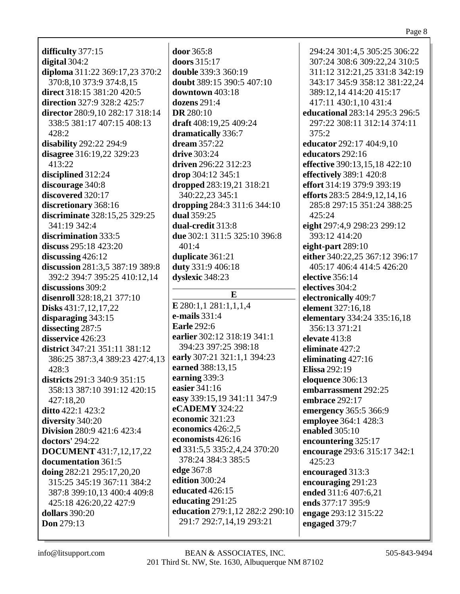#### Page 8

**difficulty** 377:15 **digital** 304:2 **diploma** 311:22 369:17,23 370:2 370:8,10 373:9 374:8,15 **direct** 318:15 381:20 420:5 **direction** 327:9 328:2 425:7 **director** 280:9,10 282:17 318:14 338:5 381:17 407:15 408:13 428:2 **disability** 292:22 294:9 **disagree** 316:19,22 329:23 413:22 **disciplined** 312:24 **discourage** 340:8 **discovered** 320:17 **discretionary** 368:16 **discriminate** 328:15,25 329:25 341:19 342:4 **discrimination** 333:5 **discuss** 295:18 423:20 **discussing** 426:12 **discussion** 281:3,5 387:19 389:8 392:2 394:7 395:25 410:12,14 **discussions** 309:2 **disenroll** 328:18,21 377:10 **Disks** 431:7,12,17,22 **disparaging** 343:15 **dissecting** 287:5 **disservice** 426:23 **district** 347:21 351:11 381:12 386:25 387:3,4 389:23 427:4,13 428:3 **districts** 291:3 340:9 351:15 358:13 387:10 391:12 420:15 427:18,20 **ditto** 422:1 423:2 **diversity** 340:20 **Division** 280:9 421:6 423:4 **doctors'** 294:22 **DOCUMENT** 431:7,12,17,22 **documentation** 361:5 **doing** 282:21 295:17,20,20 315:25 345:19 367:11 384:2 387:8 399:10,13 400:4 409:8 425:18 426:20,22 427:9 **dollars** 390:20 **Don** 279:13

**door** 365:8 **doors** 315:17 **double** 339:3 360:19 **doubt** 389:15 390:5 407:10 **downtown** 403:18 **dozens** 291:4 **DR** 280:10 **draft** 408:19,25 409:24 **dramatically** 336:7 **dream** 357:22 **drive** 303:24 **driven** 296:22 312:23 **drop** 304:12 345:1 **dropped** 283:19,21 318:21 340:22,23 345:1 **dropping** 284:3 311:6 344:10 **dual** 359:25 **dual-credit** 313:8 **due** 302:1 311:5 325:10 396:8 401:4 **duplicate** 361:21 **duty** 331:9 406:18 **dyslexic** 348:23 **E E** 280:1,1 281:1,1,1,4

**e-mails** 331:4 **Earle** 292:6

**earned** 388:13,15 **earning** 339:3 **easier** 341:16

**eCADEMY** 324:22 **economic** 321:23 **economics** 426:2,5 **economists** 426:16

**earlier** 302:12 318:19 341:1 394:23 397:25 398:18 **early** 307:21 321:1,1 394:23

**easy** 339:15,19 341:11 347:9

**ed** 331:5,5 335:2,4,24 370:20

378:24 384:3 385:5

**edge** 367:8 **edition** 300:24 **educated** 426:15 **educating** 291:25

## 307:24 308:6 309:22,24 310:5 311:12 312:21,25 331:8 342:19 343:17 345:9 358:12 381:22,24 389:12,14 414:20 415:17 417:11 430:1,10 431:4 **educational** 283:14 295:3 296:5 297:22 308:11 312:14 374:11 375:2 **educator** 292:17 404:9,10 **educators** 292:16 **effective** 390:13,15,18 422:10 **effectively** 389:1 420:8 **effort** 314:19 379:9 393:19 **efforts** 283:5 284:9,12,14,16 285:8 297:15 351:24 388:25 425:24 **eight** 297:4,9 298:23 299:12 393:12 414:20 **eight-part** 289:10 **either** 340:22,25 367:12 396:17 405:17 406:4 414:5 426:20 **elective** 356:14 **electives** 304:2 **electronically** 409:7 **element** 327:16,18 **elementary** 334:24 335:16,18 356:13 371:21 **elevate** 413:8 **eliminate** 427:2 **eliminating** 427:16 **Elissa** 292:19 **eloquence** 306:13 **embarrassment** 292:25 **embrace** 292:17 **emergency** 365:5 366:9 **employee** 364:1 428:3 **enabled** 305:10 **encountering** 325:17 **encourage** 293:6 315:17 342:1 425:23 **encouraged** 313:3 **encouraging** 291:23 **ended** 311:6 407:6,21 **ends** 377:17 395:9 **engage** 293:12 315:22 **engaged** 379:7

294:24 301:4,5 305:25 306:22

**education** 279:1,12 282:2 290:10 291:7 292:7,14,19 293:21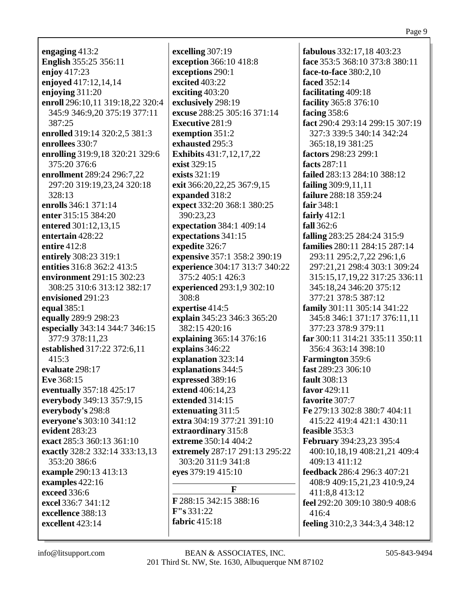**engaging** 413:2 **English** 355:25 356:11 **enjoy** 417:23 **enjoyed** 417:12,14,14 **enjoying** 311:20 **enroll** 296:10,11 319:18,22 320:4 345:9 346:9,20 375:19 377:11 387:25 **enrolled** 319:14 320:2,5 381:3 **enrollees** 330:7 **enrolling** 319:9,18 320:21 329:6 375:20 376:6 **enrollment** 289:24 296:7,22 297:20 319:19,23,24 320:18 328:13 **enrolls** 346:1 371:14 **enter** 315:15 384:20 **entered** 301:12,13,15 **entertain** 428:22 **entire** 412:8 **entirely** 308:23 319:1 **entities** 316:8 362:2 413:5 **environment** 291:15 302:23 308:25 310:6 313:12 382:17 **envisioned** 291:23 **equal** 385:1 **equally** 289:9 298:23 **especially** 343:14 344:7 346:15 377:9 378:11,23 **established** 317:22 372:6,11 415:3 **evaluate** 298:17 **Eve** 368:15 **eventually** 357:18 425:17 **everybody** 349:13 357:9,15 **everybody's** 298:8 **everyone's** 303:10 341:12 **evident** 283:23 **exact** 285:3 360:13 361:10 **exactly** 328:2 332:14 333:13,13 353:20 386:6 **example** 290:13 413:13 **examples** 422:16 **exceed** 336:6 **excel** 336:7 341:12 **excellence** 388:13 **excellent** 423:14

**excelling** 307:19 **exception** 366:10 418:8 **exceptions** 290:1 **excited** 403:22 **exciting** 403:20 **exclusively** 298:19 **excuse** 288:25 305:16 371:14 **Executive** 281:9 **exemption** 351:2 **exhausted** 295:3 **Exhibits** 431:7,12,17,22 **exist** 329:15 **exists** 321:19 **exit** 366:20,22,25 367:9,15 **expanded** 318:2 **expect** 332:20 368:1 380:25 390:23,23 **expectation** 384:1 409:14 **expectations** 341:15 **expedite** 326:7 **expensive** 357:1 358:2 390:19 **experience** 304:17 313:7 340:22 375:2 405:1 426:3 **experienced** 293:1,9 302:10 308:8 **expertise** 414:5 **explain** 345:23 346:3 365:20 382:15 420:16 **explaining** 365:14 376:16 **explains** 346:22 **explanation** 323:14 **explanations** 344:5 **expressed** 389:16 **extend** 406:14,23 **extended** 314:15 **extenuating** 311:5 **extra** 304:19 377:21 391:10 **extraordinary** 315:8 **extreme** 350:14 404:2 **extremely** 287:17 291:13 295:22 303:20 311:9 341:8 **eyes** 379:19 415:10 **F F** 288:15 342:15 388:16 **F"s** 331:22 **fabric** 415:18

**fabulous** 332:17,18 403:23 **face** 353:5 368:10 373:8 380:11 **face-to-face** 380:2,10 **faced** 352:14 **facilitating** 409:18 **facility** 365:8 376:10 **facing** 358:6 **fact** 290:4 293:14 299:15 307:19 327:3 339:5 340:14 342:24 365:18,19 381:25 **factors** 298:23 299:1 **facts** 287:11 **failed** 283:13 284:10 388:12 **failing** 309:9,11,11 **failure** 288:18 359:24 **fair** 348:1 **fairly** 412:1 **fall** 362:6 **falling** 283:25 284:24 315:9 **families** 280:11 284:15 287:14 293:11 295:2,7,22 296:1,6 297:21,21 298:4 303:1 309:24 315:15,17,19,22 317:25 336:11 345:18,24 346:20 375:12 377:21 378:5 387:12 **family** 301:11 305:14 341:22 345:8 346:1 371:17 376:11,11 377:23 378:9 379:11 **far** 300:11 314:21 335:11 350:11 356:4 363:14 398:10 **Farmington** 359:6 **fast** 289:23 306:10 **fault** 308:13 **favor** 429:11 **favorite** 307:7 **Fe** 279:13 302:8 380:7 404:11 415:22 419:4 421:1 430:11 **feasible** 353:3 **February** 394:23,23 395:4 400:10,18,19 408:21,21 409:4 409:13 411:12 **feedback** 286:4 296:3 407:21 408:9 409:15,21,23 410:9,24 411:8,8 413:12 **feel** 292:20 309:10 380:9 408:6 416:4 **feeling** 310:2,3 344:3,4 348:12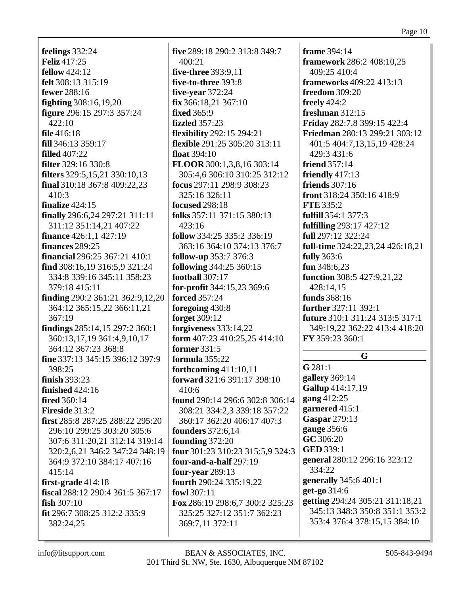feelings  $332:24$ **Feliz** 417:25 fellow  $424:12$ felt 308:13 315:19 fewer 288:16 **fighting** 308:16,19,20 figure 296:15 297:3 357:24  $422:10$ file  $416:18$ fill 346:13 359:17 filled  $407:22$ **filter** 329:16 330:8 **filters** 329:5,15,21 330:10,13 final 310:18 367:8 409:22,23  $410:3$ finalize  $424:15$ finally 296:6,24 297:21 311:11 311:12 351:14,21 407:22 **finance** 426:1.1 427:19 finances 289:25 **financial** 296:25 367:21 410:1 find 308:16,19 316:5,9 321:24 334:8 339:16 345:11 358:23 379:18 415:11 finding 290:2 361:21 362:9,12,20 364:12 365:15,22 366:11,21 367:19 findings 285:14,15 297:2 360:1 360:13,17,19 361:4,9,10,17 364:12 367:23 368:8 fine 337:13 345:15 396:12 397:9 398:25 finish  $393:23$ finished  $424:16$ **fired** 360:14 Fireside 313:2 first 285:8 287:25 288:22 295:20 296:10 299:25 303:20 305:6 307:6 311:20.21 312:14 319:14 320:2.6.21 346:2 347:24 348:19 364:9 372:10 384:17 407:16  $415:14$ first-grade  $414:18$ fiscal 288:12 290:4 361:5 367:17 fish  $307:10$ fit 296:7 308:25 312:2 335:9 382:24,25

five 289:18 290:2 313:8 349:7  $400:21$ five-three 393:9.11 five-to-three 393:8 five-vear  $372:24$  $fix 366:18,21 367:10$ fixed  $365:9$ fizzled  $357:23$ **flexibility** 292:15 294:21 flexible 291:25 305:20 313:11 float  $394:10$ FLOOR 300:1,3,8,16 303:14 305:4,6 306:10 310:25 312:12 focus 297:11 298:9 308:23 325:16 326:11 **focused** 298:18 folks  $357:11$   $371:15$   $380:13$ 423:16 follow 334:25 335:2 336:19 363:16 364:10 374:13 376:7 follow-up 353:7 376:3 following  $344:25\,360:15$ football  $307:17$ for-profit 344:15,23 369:6 **forced** 357:24 foregoing 430:8 **forget** 309:12 forgiveness  $333:14,22$ form 407:23 410:25,25 414:10 **former** 331:5 formula 355:22 forthcoming  $411:10,11$ forward 321:6 391:17 398:10  $410:6$ found 290:14 296:6 302:8 306:14 308:21 334:2.3 339:18 357:22 360:17 362:20 406:17 407:3 **founders** 372:6,14 founding  $372:20$ four 301:23 310:23 315:5.9 324:3 four-and-a-half  $297:19$ **four-year** 289:13 fourth 290:24 335:19,22 fowl  $307:11$ Fox 286:19 298:6,7 300:2 325:23 325:25 327:12 351:7 362:23 369:7,11 372:11

frame  $394:14$ framework 286:2 408:10,25 409:25 410:4 **frameworks** 409:22 413:13 **freedom** 309:20 freely  $424:2$ freshman  $312:15$ Friday 282:7,8 399:15 422:4 **Friedman** 280:13 299:21 303:12 401:5 404:7,13,15,19 428:24 429:3 431:6 friend  $357:14$ friendly  $417:13$ **friends** 307:16 front 318:24 350:16 418:9 **FTE** 335:2 fulfill 354:1 377:3 **fulfilling** 293:17 427:12 full 297:12 322:24 full-time 324:22,23,24 426:18,21 fully  $363:6$ fun  $348:6,23$ **function** 308:5 427:9.21.22 428:14.15 funds 368:16 **further** 327:11 392:1 future 310:1 311:24 313:5 317:1 349:19.22 362:22 413:4 418:20 FY 359:23 360:1

## $\mathbf{G}$

 $G 281:1$ gallery 369:14 Gallup 414:17,19 gang 412:25 garnered  $415:1$ **Gaspar** 279:13 gauge 356:6 GC 306:20 **GED 339:1** general 280:12 296:16 323:12 334:22 generally 345:6 401:1 get-go 314:6 **getting** 294:24 305:21 311:18,21 345:13 348:3 350:8 351:1 353:2 353:4 376:4 378:15,15 384:10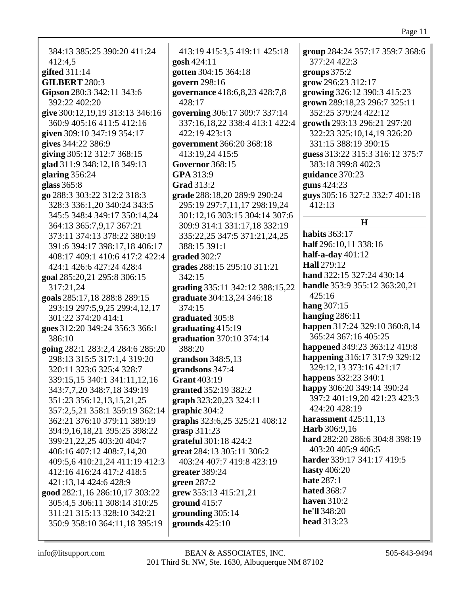| 384:13 385:25 390:20 411:24<br>412:4,5<br>gifted 311:14<br><b>GILBERT 280:3</b>            | 413:19 415:3,5 419:11 425:18<br>gosh 424:11<br>gotten 304:15 364:18<br>govern 298:16          | group 284:24 357:17 359:7 368:6<br>377:24 422:3<br>groups $375:2$<br>grow 296:23 312:17 |
|--------------------------------------------------------------------------------------------|-----------------------------------------------------------------------------------------------|-----------------------------------------------------------------------------------------|
| Gipson 280:3 342:11 343:6<br>392:22 402:20                                                 | governance 418:6,8,23 428:7,8<br>428:17                                                       | growing 326:12 390:3 415:23<br>grown 289:18,23 296:7 325:11                             |
| give 300:12,19,19 313:13 346:16<br>360:9 405:16 411:5 412:16<br>given 309:10 347:19 354:17 | governing 306:17 309:7 337:14<br>337:16,18,22 338:4 413:1 422:4<br>422:19 423:13              | 352:25 379:24 422:12<br>growth 293:13 296:21 297:20<br>322:23 325:10,14,19 326:20       |
| gives 344:22 386:9<br>giving 305:12 312:7 368:15<br>glad 311:9 348:12,18 349:13            | government 366:20 368:18<br>413:19,24 415:5<br><b>Governor</b> 368:15                         | 331:15 388:19 390:15<br>guess 313:22 315:3 316:12 375:7<br>383:18 399:8 402:3           |
| glaring 356:24<br>glass 365:8                                                              | GPA 313:9<br><b>Grad 313:2</b>                                                                | guidance 370:23<br>guns 424:23                                                          |
| go 288:3 303:22 312:2 318:3<br>328:3 336:1,20 340:24 343:5<br>345:5 348:4 349:17 350:14,24 | grade 288:18,20 289:9 290:24<br>295:19 297:7,11,17 298:19,24<br>301:12,16 303:15 304:14 307:6 | guys 305:16 327:2 332:7 401:18<br>412:13                                                |
| 364:13 365:7,9,17 367:21                                                                   | 309:9 314:1 331:17,18 332:19                                                                  | H                                                                                       |
| 373:11 374:13 378:22 380:19                                                                | 335:22,25 347:5 371:21,24,25                                                                  | <b>habits</b> 363:17                                                                    |
| 391:6 394:17 398:17,18 406:17                                                              | 388:15 391:1                                                                                  | half 296:10,11 338:16                                                                   |
| 408:17 409:1 410:6 417:2 422:4                                                             | graded 302:7                                                                                  | half-a-day $401:12$                                                                     |
| 424:1 426:6 427:24 428:4                                                                   | grades 288:15 295:10 311:21                                                                   | Hall 279:12                                                                             |
| goal 285:20,21 295:8 306:15                                                                | 342:15                                                                                        | hand 322:15 327:24 430:14<br>handle 353:9 355:12 363:20,21                              |
| 317:21,24                                                                                  | grading 335:11 342:12 388:15,22                                                               | 425:16                                                                                  |
| goals 285:17,18 288:8 289:15<br>293:19 297:5,9,25 299:4,12,17                              | graduate 304:13,24 346:18<br>374:15                                                           | hang 307:15                                                                             |
| 301:22 374:20 414:1                                                                        | graduated 305:8                                                                               | hanging $286:11$                                                                        |
| goes 312:20 349:24 356:3 366:1                                                             | graduating 415:19                                                                             | happen 317:24 329:10 360:8,14                                                           |
| 386:10                                                                                     | graduation 370:10 374:14                                                                      | 365:24 367:16 405:25                                                                    |
| going 282:1 283:2,4 284:6 285:20                                                           | 388:20                                                                                        | happened 349:23 363:12 419:8                                                            |
| 298:13 315:5 317:1,4 319:20                                                                | grandson $348:5,13$                                                                           | happening 316:17 317:9 329:12                                                           |
| 320:11 323:6 325:4 328:7                                                                   | grandsons 347:4                                                                               | 329:12,13 373:16 421:17                                                                 |
| 339:15,15 340:1 341:11,12,16                                                               | <b>Grant 403:19</b>                                                                           | happens 332:23 340:1                                                                    |
| 343:7,7,20 348:7,18 349:19                                                                 | granted 352:19 382:2                                                                          | happy 306:20 349:14 390:24                                                              |
| 351:23 356:12,13,15,21,25                                                                  | graph 323:20,23 324:11                                                                        | 397:2 401:19,20 421:23 423:3                                                            |
| 357:2,5,21 358:1 359:19 362:14                                                             | graphic 304:2                                                                                 | 424:20 428:19                                                                           |
| 362:21 376:10 379:11 389:19                                                                | graphs 323:6,25 325:21 408:12                                                                 | harassment $425:11,13$<br>Harb 306:9,16                                                 |
| 394:9,16,18,21 395:25 398:22                                                               | grasp $311:23$                                                                                | hard 282:20 286:6 304:8 398:19                                                          |
| 399:21, 22, 25 403:20 404:7<br>406:16 407:12 408:7,14,20                                   | grateful 301:18 424:2<br>great 284:13 305:11 306:2                                            | 403:20 405:9 406:5                                                                      |
| 409:5,6 410:21,24 411:19 412:3                                                             | 403:24 407:7 419:8 423:19                                                                     | harder 339:17 341:17 419:5                                                              |
| 412:16 416:24 417:2 418:5                                                                  | greater 389:24                                                                                | hasty $406:20$                                                                          |
| 421:13,14 424:6 428:9                                                                      | green $287:2$                                                                                 | <b>hate</b> 287:1                                                                       |
| good 282:1,16 286:10,17 303:22                                                             | grew 353:13 415:21,21                                                                         | <b>hated</b> 368:7                                                                      |
| 305:4,5 306:11 308:14 310:25                                                               | ground $415:7$                                                                                | <b>haven</b> 310:2                                                                      |
| 311:21 315:13 328:10 342:21                                                                | grounding 305:14                                                                              | he'll 348:20                                                                            |
| 350:9 358:10 364:11,18 395:19                                                              | grounds $425:10$                                                                              | head 313:23                                                                             |
|                                                                                            |                                                                                               |                                                                                         |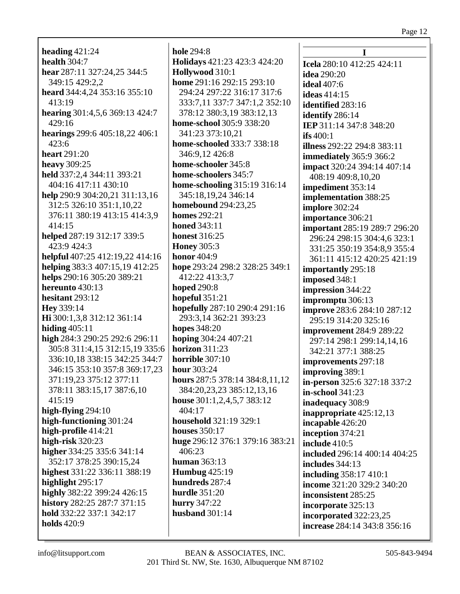**heading** 421:24 **health** 304:7 **hear** 287:11 327:24,25 344:5 349:15 429:2,2 **heard** 344:4,24 353:16 355:10 413:19 **hearing** 301:4,5,6 369:13 424:7 429:16 **hearings** 299:6 405:18,22 406:1 423:6 **heart** 291:20 **heavy** 309:25 **held** 337:2,4 344:11 393:21 404:16 417:11 430:10 **help** 290:9 304:20,21 311:13,16 312:5 326:10 351:1,10,22 376:11 380:19 413:15 414:3,9 414:15 **helped** 287:19 312:17 339:5 423:9 424:3 **helpful** 407:25 412:19,22 414:16 **helping** 383:3 407:15,19 412:25 **helps** 290:16 305:20 389:21 **hereunto** 430:13 **hesitant** 293:12 **Hey** 339:14 **Hi** 300:1,3,8 312:12 361:14 **hiding** 405:11 **high** 284:3 290:25 292:6 296:11 305:8 311:4,15 312:15,19 335:6 336:10,18 338:15 342:25 344:7 346:15 353:10 357:8 369:17,23 371:19,23 375:12 377:11 378:11 383:15,17 387:6,10 415:19 **high-flying** 294:10 **high-functioning** 301:24 **high-profile** 414:21 **high-risk** 320:23 **higher** 334:25 335:6 341:14 352:17 378:25 390:15,24 **highest** 331:22 336:11 388:19 **highlight** 295:17 **highly** 382:22 399:24 426:15 **history** 282:25 287:7 371:15 **hold** 332:22 337:1 342:17 **holds** 420:9

**hole** 294:8 **Holidays** 421:23 423:3 424:20 **Hollywood** 310:1 **home** 291:16 292:15 293:10 294:24 297:22 316:17 317:6 333:7,11 337:7 347:1,2 352:10 378:12 380:3,19 383:12,13 **home-school** 305:9 338:20 341:23 373:10,21 **home-schooled** 333:7 338:18 346:9,12 426:8 **home-schooler** 345:8 **home-schoolers** 345:7 **home-schooling** 315:19 316:14 345:18,19,24 346:14 **homebound** 294:23,25 **homes** 292:21 **honed** 343:11 **honest** 316:25 **Honey** 305:3 **honor** 404:9 **hope** 293:24 298:2 328:25 349:1 412:22 413:3,7 **hoped** 290:8 **hopeful** 351:21 **hopefully** 287:10 290:4 291:16 293:3,14 362:21 393:23 **hopes** 348:20 **hoping** 304:24 407:21 **horizon** 311:23 **horrible** 307:10 **hour** 303:24 **hours** 287:5 378:14 384:8,11,12 384:20,23,23 385:12,13,16 **house** 301:1,2,4,5,7 383:12 404:17 **household** 321:19 329:1 **houses** 350:17 **huge** 296:12 376:1 379:16 383:21 406:23 **human** 363:13 **Humbug** 425:19 **hundreds** 287:4 **hurdle** 351:20 **hurry** 347:22 **husband** 301:14

**I Icela** 280:10 412:25 424:11 **idea** 290:20 **ideal** 407:6 **ideas** 414:15 **identified** 283:16 **identify** 286:14 **IEP** 311:14 347:8 348:20 **ifs** 400:1 **illness** 292:22 294:8 383:11 **immediately** 365:9 366:2 **impact** 320:24 394:14 407:14 408:19 409:8,10,20 **impediment** 353:14 **implementation** 388:25 **implore** 302:24 **importance** 306:21 **important** 285:19 289:7 296:20 296:24 298:15 304:4,6 323:1 331:25 350:19 354:8,9 355:4 361:11 415:12 420:25 421:19 **importantly** 295:18 **imposed** 348:1 **impression** 344:22 **impromptu** 306:13 **improve** 283:6 284:10 287:12 295:19 314:20 325:16 **improvement** 284:9 289:22 297:14 298:1 299:14,14,16 342:21 377:1 388:25 **improvements** 297:18 **improving** 389:1 **in-person** 325:6 327:18 337:2 **in-school** 341:23 **inadequacy** 308:9 **inappropriate** 425:12,13 **incapable** 426:20 **inception** 374:21 **include** 410:5 **included** 296:14 400:14 404:25 **includes** 344:13 **including** 358:17 410:1 **income** 321:20 329:2 340:20 **inconsistent** 285:25 **incorporate** 325:13 **incorporated** 322:23,25 **increase** 284:14 343:8 356:16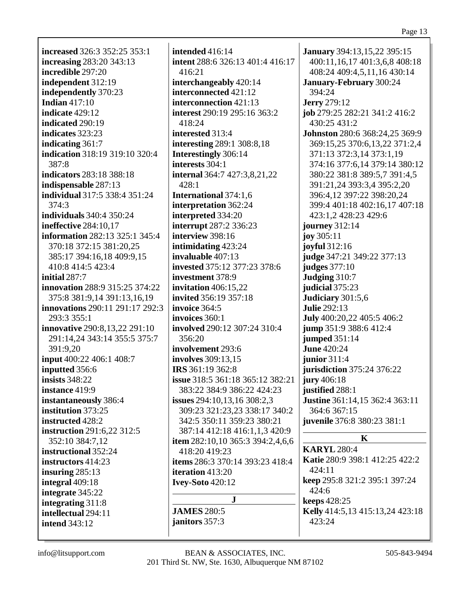**increased** 326:3 352:25 353:1 **increasing** 283:20 343:13 **incredible** 297:20 **independent** 312:19 **independently** 370:23 **Indian** 417:10 **indicate** 429:12 **indicated** 290:19 **indicates** 323:23 **indicating** 361:7 **indication** 318:19 319:10 320:4 387:8 **indicators** 283:18 388:18 **indispensable** 287:13 **individual** 317:5 338:4 351:24 374:3 **individuals** 340:4 350:24 **ineffective** 284:10,17 **information** 282:13 325:1 345:4 370:18 372:15 381:20,25 385:17 394:16,18 409:9,15 410:8 414:5 423:4 **initial** 287:7 **innovation** 288:9 315:25 374:22 375:8 381:9,14 391:13,16,19 **innovations** 290:11 291:17 292:3 293:3 355:1 **innovative** 290:8,13,22 291:10 291:14,24 343:14 355:5 375:7 391:9,20 **input** 400:22 406:1 408:7 **inputted** 356:6 **insists** 348:22 **instance** 419:9 **instantaneously** 386:4 **institution** 373:25 **instructed** 428:2 **instruction** 291:6,22 312:5 352:10 384:7,12 **instructional** 352:24 **instructors** 414:23 **insuring** 285:13 **integral** 409:18 **integrate** 345:22 **integrating** 311:8 **intellectual** 294:11 **intend** 343:12

**intended** 416:14 **intent** 288:6 326:13 401:4 416:17 416:21 **interchangeably** 420:14 **interconnected** 421:12 **interconnection** 421:13 **interest** 290:19 295:16 363:2 418:24 **interested** 313:4 **interesting** 289:1 308:8,18 **Interestingly** 306:14 **interests** 304:1 **internal** 364:7 427:3,8,21,22 428:1 **International** 374:1,6 **interpretation** 362:24 **interpreted** 334:20 **interrupt** 287:2 336:23 **interview** 398:16 **intimidating** 423:24 **invaluable** 407:13 **invested** 375:12 377:23 378:6 **investment** 378:9 **invitation** 406:15,22 **invited** 356:19 357:18 **invoice** 364:5 **invoices** 360:1 **involved** 290:12 307:24 310:4 356:20 **involvement** 293:6 **involves** 309:13,15 **IRS** 361:19 362:8 **issue** 318:5 361:18 365:12 382:21 383:22 384:9 386:22 424:23 **issues** 294:10,13,16 308:2,3 309:23 321:23,23 338:17 340:2 342:5 350:11 359:23 380:21 387:14 412:18 416:1,1,3 420:9 **item** 282:10,10 365:3 394:2,4,6,6 418:20 419:23 **items** 286:3 370:14 393:23 418:4 **iteration** 413:20 **Ivey-Soto** 420:12 **J**

**JAMES** 280:5 **janitors** 357:3

**January** 394:13,15,22 395:15 400:11,16,17 401:3,6,8 408:18 408:24 409:4,5,11,16 430:14 **January-February** 300:24 394:24 **Jerry** 279:12 **job** 279:25 282:21 341:2 416:2 430:25 431:2 **Johnston** 280:6 368:24,25 369:9 369:15,25 370:6,13,22 371:2,4 371:13 372:3,14 373:1,19 374:16 377:6,14 379:14 380:12 380:22 381:8 389:5,7 391:4,5 391:21,24 393:3,4 395:2,20 396:4,12 397:22 398:20,24 399:4 401:18 402:16,17 407:18 423:1,2 428:23 429:6 **journey** 312:14 **joy** 305:11 **joyful** 312:16 **judge** 347:21 349:22 377:13 **judges** 377:10 **Judging** 310:7 **judicial** 375:23 **Judiciary** 301:5,6 **Julie** 292:13 **July** 400:20,22 405:5 406:2 **jump** 351:9 388:6 412:4 **jumped** 351:14 **June** 420:24 **junior** 311:4 **jurisdiction** 375:24 376:22 **jury** 406:18 **justified** 288:1 **Justine** 361:14,15 362:4 363:11 364:6 367:15 **juvenile** 376:8 380:23 381:1

## **K**

**KARYL** 280:4 **Katie** 280:9 398:1 412:25 422:2 424:11 **keep** 295:8 321:2 395:1 397:24 424:6 **keeps** 428:25 **Kelly** 414:5,13 415:13,24 423:18 423:24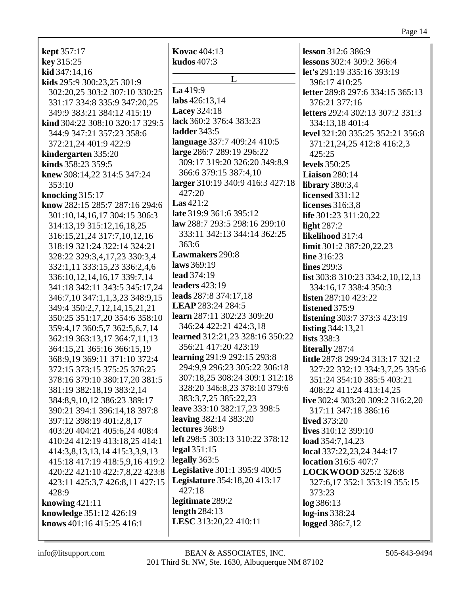| <b>kept</b> 357:17                                         | <b>Kovac</b> 404:13                  | lesson 312:6 386:9               |
|------------------------------------------------------------|--------------------------------------|----------------------------------|
| key 315:25                                                 | kudos 407:3                          | lessons 302:4 309:2 366:4        |
| kid 347:14,16                                              |                                      | let's 291:19 335:16 393:19       |
| kids 295:9 300:23,25 301:9                                 | L                                    | 396:17 410:25                    |
| 302:20,25 303:2 307:10 330:25                              | La 419:9                             | letter 289:8 297:6 334:15 365:13 |
| 331:17 334:8 335:9 347:20,25                               | labs 426:13,14                       | 376:21 377:16                    |
| 349:9 383:21 384:12 415:19                                 | <b>Lacey 324:18</b>                  | letters 292:4 302:13 307:2 331:3 |
| kind 304:22 308:10 320:17 329:5                            | lack 360:2 376:4 383:23              | 334:13,18 401:4                  |
| 344:9 347:21 357:23 358:6                                  | ladder 343:5                         | level 321:20 335:25 352:21 356:8 |
| 372:21,24 401:9 422:9                                      | language 337:7 409:24 410:5          | 371:21,24,25 412:8 416:2,3       |
| kindergarten 335:20                                        | large 286:7 289:19 296:22            | 425:25                           |
| kinds 358:23 359:5                                         | 309:17 319:20 326:20 349:8,9         | <b>levels</b> 350:25             |
| knew 308:14,22 314:5 347:24                                | 366:6 379:15 387:4,10                | <b>Liaison</b> 280:14            |
| 353:10                                                     | larger 310:19 340:9 416:3 427:18     | library $380:3,4$                |
| knocking 315:17                                            | 427:20                               | <b>licensed</b> 331:12           |
| know 282:15 285:7 287:16 294:6                             | Las $421:2$                          | licenses 316:3,8                 |
| 301:10,14,16,17 304:15 306:3                               | late 319:9 361:6 395:12              | life 301:23 311:20,22            |
| 314:13,19 315:12,16,18,25                                  | law 288:7 293:5 298:16 299:10        | light $287:2$                    |
|                                                            | 333:11 342:13 344:14 362:25          | likelihood 317:4                 |
| 316:15,21,24 317:7,10,12,16<br>318:19 321:24 322:14 324:21 | 363:6                                | limit 301:2 387:20,22,23         |
|                                                            | Lawmakers 290:8                      |                                  |
| 328:22 329:3,4,17,23 330:3,4                               | laws 369:19                          | line 316:23                      |
| 332:1,11 333:15,23 336:2,4,6                               | lead 374:19                          | lines 299:3                      |
| 336:10,12,14,16,17 339:7,14                                | leaders 423:19                       | list 303:8 310:23 334:2,10,12,13 |
| 341:18 342:11 343:5 345:17,24                              | leads 287:8 374:17,18                | 334:16,17 338:4 350:3            |
| 346:7,10 347:1,1,3,23 348:9,15                             | LEAP 283:24 284:5                    | listen 287:10 423:22             |
| 349:4 350:2,7,12,14,15,21,21                               | learn 287:11 302:23 309:20           | listened 375:9                   |
| 350:25 351:17,20 354:6 358:10                              | 346:24 422:21 424:3,18               | listening 303:7 373:3 423:19     |
| 359:4,17 360:5,7 362:5,6,7,14                              | learned 312:21,23 328:16 350:22      | listing 344:13,21                |
| 362:19 363:13,17 364:7,11,13                               | 356:21 417:20 423:19                 | lists 338:3                      |
| 364:15,21 365:16 366:15,19                                 |                                      | literally 287:4                  |
| 368:9,19 369:11 371:10 372:4                               | learning 291:9 292:15 293:8          | little 287:8 299:24 313:17 321:2 |
| 372:15 373:15 375:25 376:25                                | 294:9,9 296:23 305:22 306:18         | 327:22 332:12 334:3,7,25 335:6   |
| 378:16 379:10 380:17,20 381:5                              | 307:18,25 308:24 309:1 312:18        | 351:24 354:10 385:5 403:21       |
| 381:19 382:18,19 383:2,14                                  | 328:20 346:8,23 378:10 379:6         | 408:22 411:24 413:14,25          |
| 384:8,9,10,12 386:23 389:17                                | 383:3,7,25 385:22,23                 | live 302:4 303:20 309:2 316:2,20 |
| 390:21 394:1 396:14,18 397:8                               | leave 333:10 382:17,23 398:5         | 317:11 347:18 386:16             |
| 397:12 398:19 401:2,8,17                                   | <b>leaving</b> 382:14 383:20         | <b>lived</b> 373:20              |
| 403:20 404:21 405:6,24 408:4                               | lectures 368:9                       | lives 310:12 399:10              |
| 410:24 412:19 413:18,25 414:1                              | left 298:5 303:13 310:22 378:12      | load 354:7,14,23                 |
| 414:3,8,13,13,14 415:3,3,9,13                              | legal $351:15$                       | local 337:22,23,24 344:17        |
| 415:18 417:19 418:5,9,16 419:2                             | legally 363:5                        | <b>location</b> 316:5 407:7      |
| 420:22 421:10 422:7,8,22 423:8                             | <b>Legislative</b> 301:1 395:9 400:5 | LOCKWOOD 325:2 326:8             |
| 423:11 425:3,7 426:8,11 427:15                             | <b>Legislature</b> 354:18,20 413:17  | 327:6,17 352:1 353:19 355:15     |
| 428:9                                                      | 427:18                               | 373:23                           |
| knowing $421:11$                                           | legitimate 289:2                     | log 386:13                       |
| knowledge 351:12 426:19                                    | length $284:13$                      | log-ins 338:24                   |
| knows 401:16 415:25 416:1                                  | LESC 313:20,22 410:11                | <b>logged</b> 386:7,12           |
|                                                            |                                      |                                  |

 $\Gamma$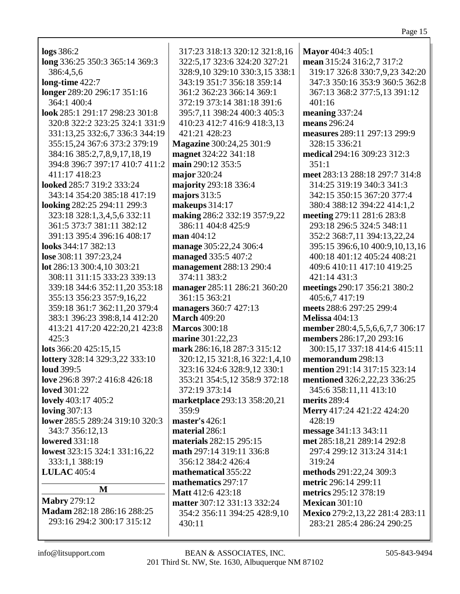| logs 386:2                      | 317:23 318:13 320:12 321:8,16   | Mayor 404:3 405:1               |
|---------------------------------|---------------------------------|---------------------------------|
| long 336:25 350:3 365:14 369:3  | 322:5,17 323:6 324:20 327:21    | mean 315:24 316:2,7 317:2       |
| 386:4,5,6                       | 328:9,10 329:10 330:3,15 338:1  | 319:17 326:8 330:7,9,23 342:20  |
| long-time 422:7                 | 343:19 351:7 356:18 359:14      | 347:3 350:16 353:9 360:5 362:8  |
| longer 289:20 296:17 351:16     | 361:2 362:23 366:14 369:1       | 367:13 368:2 377:5,13 391:12    |
| 364:1 400:4                     | 372:19 373:14 381:18 391:6      | 401:16                          |
| look 285:1 291:17 298:23 301:8  | 395:7,11 398:24 400:3 405:3     | meaning 337:24                  |
| 320:8 322:2 323:25 324:1 331:9  | 410:23 412:7 416:9 418:3,13     | means 296:24                    |
| 331:13,25 332:6,7 336:3 344:19  | 421:21 428:23                   | measures 289:11 297:13 299:9    |
| 355:15,24 367:6 373:2 379:19    | <b>Magazine</b> 300:24,25 301:9 | 328:15 336:21                   |
| 384:16 385:2,7,8,9,17,18,19     | magnet 324:22 341:18            | medical 294:16 309:23 312:3     |
| 394:8 396:7 397:17 410:7 411:2  | main 290:12 353:5               | 351:1                           |
| 411:17 418:23                   | major 320:24                    | meet 283:13 288:18 297:7 314:8  |
| looked 285:7 319:2 333:24       | majority 293:18 336:4           | 314:25 319:19 340:3 341:3       |
| 343:14 354:20 385:18 417:19     | majors $313:5$                  | 342:15 350:15 367:20 377:4      |
| looking 282:25 294:11 299:3     | makeups 314:17                  | 380:4 388:12 394:22 414:1,2     |
| 323:18 328:1,3,4,5,6 332:11     | making 286:2 332:19 357:9,22    | meeting 279:11 281:6 283:8      |
| 361:5 373:7 381:11 382:12       | 386:11 404:8 425:9              | 293:18 296:5 324:5 348:11       |
| 391:13 395:4 396:16 408:17      | man $404:12$                    | 352:2 368:7,11 394:13,22,24     |
| looks 344:17 382:13             | manage 305:22,24 306:4          | 395:15 396:6,10 400:9,10,13,16  |
| lose 308:11 397:23,24           | managed 335:5 407:2             | 400:18 401:12 405:24 408:21     |
| lot 286:13 300:4,10 303:21      | management 288:13 290:4         | 409:6 410:11 417:10 419:25      |
| 308:11 311:15 333:23 339:13     | 374:11 383:2                    | 421:14 431:3                    |
| 339:18 344:6 352:11,20 353:18   | manager 285:11 286:21 360:20    | meetings 290:17 356:21 380:2    |
| 355:13 356:23 357:9,16,22       | 361:15 363:21                   | 405:6,7 417:19                  |
| 359:18 361:7 362:11,20 379:4    | managers 360:7 427:13           | meets 288:6 297:25 299:4        |
| 383:1 396:23 398:8,14 412:20    | <b>March 409:20</b>             | <b>Melissa 404:13</b>           |
| 413:21 417:20 422:20,21 423:8   | <b>Marcos</b> 300:18            | member 280:4,5,5,6,6,7,7 306:17 |
| 425:3                           | marine 301:22,23                | members 286:17,20 293:16        |
| lots 366:20 425:15,15           | mark 286:16,18 287:3 315:12     | 300:15,17 337:18 414:6 415:11   |
| lottery 328:14 329:3,22 333:10  | 320:12,15 321:8,16 322:1,4,10   | memorandum 298:13               |
| <b>loud</b> 399:5               | 323:16 324:6 328:9,12 330:1     | mention 291:14 317:15 323:14    |
| love 296:8 397:2 416:8 426:18   | 353:21 354:5,12 358:9 372:18    | mentioned 326:2,22,23 336:25    |
| <b>loved</b> 301:22             | 372:19 373:14                   | 345:6 358:11,11 413:10          |
| lovely 403:17 405:2             | marketplace 293:13 358:20,21    | merits 289:4                    |
| <b>loving 307:13</b>            | 359:9                           | Merry 417:24 421:22 424:20      |
| lower 285:5 289:24 319:10 320:3 | master's 426:1                  | 428:19                          |
| 343:7 356:12,13                 | material 286:1                  | message 341:13 343:11           |
| <b>lowered</b> 331:18           | materials 282:15 295:15         | met 285:18,21 289:14 292:8      |
| lowest 323:15 324:1 331:16,22   | math 297:14 319:11 336:8        | 297:4 299:12 313:24 314:1       |
| 333:1,1 388:19                  | 356:12 384:2 426:4              | 319:24                          |
| <b>LULAC</b> 405:4              | mathematical 355:22             | methods 291:22,24 309:3         |
|                                 | mathematics 297:17              | metric 296:14 299:11            |
| M                               | Matt 412:6 423:18               | metrics 295:12 378:19           |
| <b>Mabry 279:12</b>             | matter 307:12 331:13 332:24     | <b>Mexican 301:10</b>           |
| Madam 282:18 286:16 288:25      | 354:2 356:11 394:25 428:9,10    | Mexico 279:2,13,22 281:4 283:11 |
| 293:16 294:2 300:17 315:12      | 430:11                          | 283:21 285:4 286:24 290:25      |
|                                 |                                 |                                 |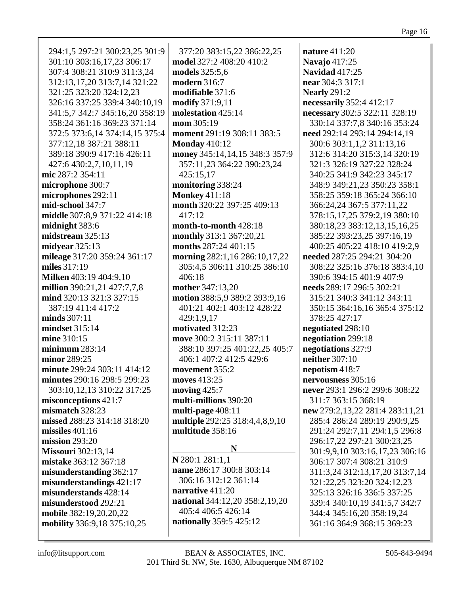| 294:1,5 297:21 300:23,25 301:9 | 377:20 383:15,22 386:22,25     | <b>nature</b> 411:20            |
|--------------------------------|--------------------------------|---------------------------------|
| 301:10 303:16,17,23 306:17     | model 327:2 408:20 410:2       | Navajo 417:25                   |
| 307:4 308:21 310:9 311:3,24    | <b>models</b> 325:5,6          | <b>Navidad 417:25</b>           |
| 312:13,17,20 313:7,14 321:22   | modern 316:7                   | near 304:3 317:1                |
| 321:25 323:20 324:12,23        | modifiable 371:6               | <b>Nearly</b> 291:2             |
| 326:16 337:25 339:4 340:10,19  | modify 371:9,11                | necessarily 352:4 412:17        |
| 341:5,7 342:7 345:16,20 358:19 | molestation 425:14             | necessary 302:5 322:11 328:19   |
| 358:24 361:16 369:23 371:14    | mom 305:19                     | 330:14 337:7,8 340:16 353:24    |
| 372:5 373:6,14 374:14,15 375:4 | moment 291:19 308:11 383:5     | need 292:14 293:14 294:14,19    |
| 377:12,18 387:21 388:11        | <b>Monday 410:12</b>           | 300:6 303:1,1,2 311:13,16       |
| 389:18 390:9 417:16 426:11     | money 345:14,14,15 348:3 357:9 | 312:6 314:20 315:3,14 320:19    |
| 427:6 430:2,7,10,11,19         | 357:11,23 364:22 390:23,24     | 321:3 326:19 327:22 328:24      |
| mic 287:2 354:11               | 425:15,17                      | 340:25 341:9 342:23 345:17      |
| microphone 300:7               | monitoring 338:24              | 348:9 349:21,23 350:23 358:1    |
| microphones 292:11             | <b>Monkey 411:18</b>           | 358:25 359:18 365:24 366:10     |
| mid-school 347:7               | month 320:22 397:25 409:13     | 366:24,24 367:5 377:11,22       |
| middle 307:8,9 371:22 414:18   | 417:12                         | 378:15,17,25 379:2,19 380:10    |
| midnight 383:6                 | month-to-month 428:18          | 380:18,23 383:12,13,15,16,25    |
| midstream 325:13               | monthly 313:1 367:20,21        | 385:22 393:23,25 397:16,19      |
| midyear $325:13$               | months 287:24 401:15           | 400:25 405:22 418:10 419:2,9    |
| mileage 317:20 359:24 361:17   | morning 282:1,16 286:10,17,22  | needed 287:25 294:21 304:20     |
| miles 317:19                   | 305:4,5 306:11 310:25 386:10   | 308:22 325:16 376:18 383:4,10   |
| <b>Milken</b> 403:19 404:9,10  | 406:18                         | 390:6 394:15 401:9 407:9        |
| million 390:21,21 427:7,7,8    | mother 347:13,20               | needs 289:17 296:5 302:21       |
| mind 320:13 321:3 327:15       | motion 388:5,9 389:2 393:9,16  | 315:21 340:3 341:12 343:11      |
| 387:19 411:4 417:2             | 401:21 402:1 403:12 428:22     | 350:15 364:16,16 365:4 375:12   |
| minds 307:11                   | 429:1,9,17                     | 378:25 427:17                   |
| <b>mindset</b> 315:14          | motivated 312:23               | negotiated 298:10               |
| mine 310:15                    | move 300:2 315:11 387:11       | negotiation 299:18              |
| minimum 283:14                 | 388:10 397:25 401:22,25 405:7  | negotiations 327:9              |
| minor 289:25                   | 406:1 407:2 412:5 429:6        | neither 307:10                  |
| minute 299:24 303:11 414:12    | movement 355:2                 | nepotism 418:7                  |
| minutes 290:16 298:5 299:23    | moves 413:25                   | nervousness 305:16              |
| 303:10,12,13 310:22 317:25     | moving 425:7                   | never 293:1 296:2 299:6 308:22  |
| misconceptions 421:7           | multi-millions 390:20          | 311:7 363:15 368:19             |
| mismatch 328:23                | multi-page 408:11              | new 279:2,13,22 281:4 283:11,21 |
| missed 288:23 314:18 318:20    | multiple 292:25 318:4,4,8,9,10 | 285:4 286:24 289:19 290:9,25    |
| missiles $401:16$              | multitude 358:16               | 291:24 292:7,11 294:1,5 296:8   |
| mission $293:20$               |                                | 296:17,22 297:21 300:23,25      |
| <b>Missouri</b> 302:13,14      | N                              | 301:9,9,10 303:16,17,23 306:16  |
| mistake 363:12 367:18          | N 280:1 281:1,1                | 306:17 307:4 308:21 310:9       |
| misunderstanding 362:17        | name 286:17 300:8 303:14       | 311:3,24 312:13,17,20 313:7,14  |
| misunderstandings 421:17       | 306:16 312:12 361:14           | 321:22,25 323:20 324:12,23      |
| misunderstands 428:14          | narrative $411:20$             | 325:13 326:16 336:5 337:25      |
| misunderstood 292:21           | national 344:12,20 358:2,19,20 | 339:4 340:10,19 341:5,7 342:7   |
| mobile 382:19,20,20,22         | 405:4 406:5 426:14             | 344:4 345:16,20 358:19,24       |
| mobility 336:9,18 375:10,25    | nationally 359:5 425:12        | 361:16 364:9 368:15 369:23      |
|                                |                                |                                 |
|                                |                                |                                 |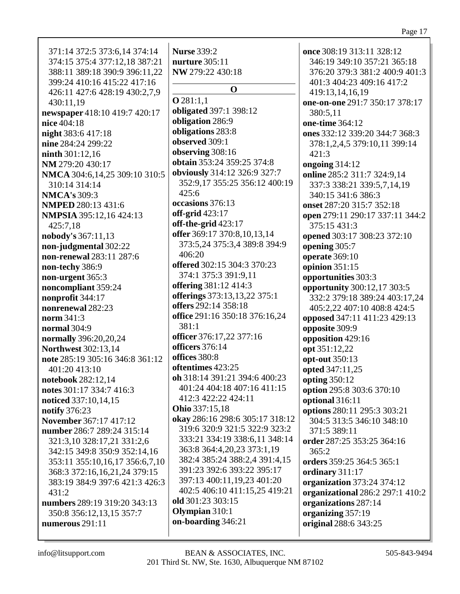371:14 372:5 373:6,14 374:14 374:15 375:4 377:12,18 387:21 388:11 389:18 390:9 396:11.22 399:24 410:16 415:22 417:16 426:11 427:6 428:19 430:2,7,9 430:11.19 newspaper 418:10 419:7 420:17 nice 404:18 night 383:6 417:18 nine 284:24 299:22  $n <sub>in</sub>th 301:12.16$ NM 279:20 430:17 NMCA 304:6,14,25 309:10 310:5 310:14 314:14 **NMCA's** 309:3 **NMPED 280:13 431:6 NMPSIA** 395:12.16 424:13 425:7,18 **nobody's** 367:11,13 non-judgmental 302:22 non-renewal 283:11 287:6 non-techy 386:9 non-urgent 365:3 noncompliant 359:24 nonprofit 344:17 nonrenewal 282:23 norm  $341:3$ **normal** 304:9 normally 396:20,20,24 **Northwest 302:13,14** note 285:19 305:16 346:8 361:12 401:20 413:10 notebook 282:12,14 notes  $301:17$  334:7 416:3 noticed 337:10,14,15 **notify** 376:23 November 367:17 417:12 number 286:7 289:24 315:14 321:3,10 328:17,21 331:2,6 342:15 349:8 350:9 352:14,16 353:11 355:10,16,17 356:6,7,10 368:3 372:16,16,21,24 379:15 383:19 384:9 397:6 421:3 426:3  $431:2$ numbers 289:19 319:20 343:13 350:8 356:12.13.15 357:7 numerous  $291:11$ 

**Nurse 339:2** nurture  $305:11$ NW 279:22 430:18  $\Omega$  $Q$ 281:1.1 obligated 397:1 398:12 obligation 286:9 obligations 283:8 observed 309:1 observing  $308:16$ **obtain** 353:24 359:25 374:8 obviously 314:12 326:9 327:7 352:9,17 355:25 356:12 400:19  $425:6$ occasions 376:13 off-grid  $423:17$ off-the-grid  $423:17$ offer 369:17 370:8,10,13,14 373:5,24 375:3,4 389:8 394:9 406:20 offered 302:15 304:3 370:23 374:1 375:3 391:9,11 **offering** 381:12 414:3 offerings 373:13,13,22 375:1 offers 292:14 358:18 office 291:16 350:18 376:16,24 381:1 officer 376:17,22 377:16 officers 376:14 offices  $380:8$ oftentimes 423:25 oh 318:14 391:21 394:6 400:23 401:24 404:18 407:16 411:15 412:3 422:22 424:11 **Ohio** 337:15,18 okay 286:16 298:6 305:17 318:12 319:6 320:9 321:5 322:9 323:2 333:21 334:19 338:6.11 348:14 363:8 364:4, 20, 23 373:1, 19 382:4 385:24 388:2,4 391:4,15 391:23 392:6 393:22 395:17 397:13 400:11,19,23 401:20 402:5 406:10 411:15,25 419:21 old 301:23 303:15 Olympian 310:1 on-boarding 346:21

once 308:19 313:11 328:12 346:19 349:10 357:21 365:18 376:20 379:3 381:2 400:9 401:3 401:3 404:23 409:16 417:2 419:13,14,16,19 one-on-one 291:7 350:17 378:17 380:5.11 one-time 364:12 ones 332:12 339:20 344:7 368:3 378:1,2,4,5 379:10,11 399:14  $421:3$ ongoing  $314:12$ online 285:2 311:7 324:9,14 337:3 338:21 339:5,7,14,19 340:15 341:6 386:3 onset 287:20 315:7 352:18 open 279:11 290:17 337:11 344:2 375:15 431:3 opened 303:17 308:23 372:10 opening 305:7 **operate** 369:10 opinion  $351:15$ opportunities 303:3 opportunity 300:12,17 303:5 332:2 379:18 389:24 403:17,24 405:2,22 407:10 408:8 424:5 opposed 347:11 411:23 429:13 opposite 309:9 opposition 429:16 opt 351:12,22 opt-out 350:13 opted 347:11,25 opting 350:12 option 295:8 303:6 370:10 optional 316:11 options 280:11 295:3 303:21 304:5 313:5 346:10 348:10 371:5 389:11 order 287:25 353:25 364:16  $365:2$ orders 359:25 364:5 365:1 ordinary 311:17 organization 373:24 374:12 **organizational** 286:2 297:1 410:2 organizations 287:14 organizing 357:19 original 288:6 343:25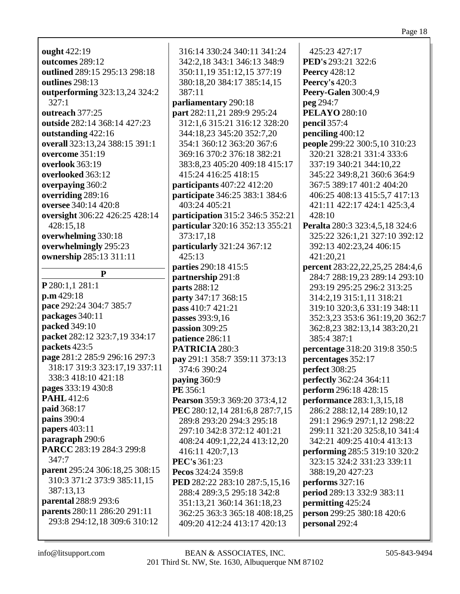### Page 18

**ought** 422:19 **outcomes** 289:12 **outlined** 289:15 295:13 298:18 **outlines** 298:13 **outperforming** 323:13,24 324:2 327:1 **outreach** 377:25 **outside** 282:14 368:14 427:23 **outstanding** 422:16 **overall** 323:13,24 388:15 391:1 **overcome** 351:19 **overlook** 363:19 **overlooked** 363:12 **overpaying** 360:2 **overriding** 289:16 **oversee** 340:14 420:8 **oversight** 306:22 426:25 428:14 428:15,18 **overwhelming** 330:18 **overwhelmingly** 295:23 **ownership** 285:13 311:11 **P**

**P** 280:1,1 281:1 **p.m** 429:18 **pace** 292:24 304:7 385:7 **packages** 340:11 **packed** 349:10 **packet** 282:12 323:7,19 334:17 **packets** 423:5 **page** 281:2 285:9 296:16 297:3 318:17 319:3 323:17,19 337:11 338:3 418:10 421:18 **pages** 333:19 430:8 **PAHL** 412:6 **paid** 368:17 **pains** 390:4 **papers** 403:11 **paragraph** 290:6 **PARCC** 283:19 284:3 299:8 347:7 **parent** 295:24 306:18,25 308:15 310:3 371:2 373:9 385:11,15 387:13,13 **parental** 288:9 293:6 **parents** 280:11 286:20 291:11 293:8 294:12,18 309:6 310:12

316:14 330:24 340:11 341:24 342:2,18 343:1 346:13 348:9 350:11,19 351:12,15 377:19 380:18,20 384:17 385:14,15 387:11 **parliamentary** 290:18 **part** 282:11,21 289:9 295:24 312:1,6 315:21 316:12 328:20 344:18,23 345:20 352:7,20 354:1 360:12 363:20 367:6 369:16 370:2 376:18 382:21 383:8,23 405:20 409:18 415:17 415:24 416:25 418:15 **participants** 407:22 412:20 **participate** 346:25 383:1 384:6 403:24 405:21 **participation** 315:2 346:5 352:21 **particular** 320:16 352:13 355:21 373:17,18 **particularly** 321:24 367:12 425:13 **parties** 290:18 415:5 **partnership** 291:8 **parts** 288:12 **party** 347:17 368:15 **pass** 410:7 421:21 **passes** 393:9,16 **passion** 309:25 **patience** 286:11 **PATRICIA** 280:3 **pay** 291:1 358:7 359:11 373:13 374:6 390:24 **paying** 360:9 **PE** 356:1 **Pearson** 359:3 369:20 373:4,12 **PEC** 280:12,14 281:6,8 287:7,15 289:8 293:20 294:3 295:18 297:10 342:8 372:12 401:21 408:24 409:1,22,24 413:12,20 416:11 420:7,13 **PEC's** 361:23 **Pecos** 324:24 359:8 **PED** 282:22 283:10 287:5,15,16 288:4 289:3,5 295:18 342:8 351:13,21 360:14 361:18,23 362:25 363:3 365:18 408:18,25 409:20 412:24 413:17 420:13

425:23 427:17 **PED's** 293:21 322:6 **Peercy** 428:12 **Peercy's** 420:3 **Peery-Galen** 300:4,9 **peg** 294:7 **PELAYO** 280:10 **pencil** 357:4 **penciling** 400:12 **people** 299:22 300:5,10 310:23 320:21 328:21 331:4 333:6 337:19 340:21 344:10,22 345:22 349:8,21 360:6 364:9 367:5 389:17 401:2 404:20 406:25 408:13 415:5,7 417:13 421:11 422:17 424:1 425:3,4 428:10 **Peralta** 280:3 323:4,5,18 324:6 325:22 326:1,21 327:10 392:12 392:13 402:23,24 406:15 421:20,21 **percent** 283:22,22,25,25 284:4,6 284:7 288:19,23 289:14 293:10 293:19 295:25 296:2 313:25 314:2,19 315:1,11 318:21 319:10 320:3,6 331:19 348:11 352:3,23 353:6 361:19,20 362:7 362:8,23 382:13,14 383:20,21 385:4 387:1 **percentage** 318:20 319:8 350:5 **percentages** 352:17 **perfect** 308:25 **perfectly** 362:24 364:11 **perform** 296:18 428:15 **performance** 283:1,3,15,18 286:2 288:12,14 289:10,12 291:1 296:9 297:1,12 298:22 299:11 321:20 325:8,10 341:4 342:21 409:25 410:4 413:13 **performing** 285:5 319:10 320:2 323:15 324:2 331:23 339:11 388:19,20 427:23 **performs** 327:16 **period** 289:13 332:9 383:11 **permitting** 425:24 **person** 299:25 380:18 420:6 **personal** 292:4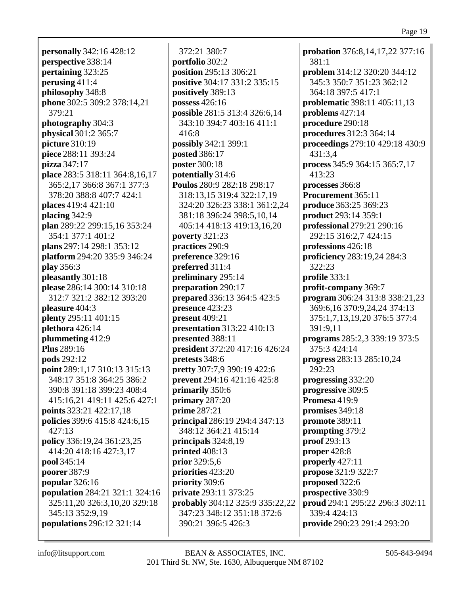**personally** 342:16 428:12 **perspective** 338:14 **pertaining** 323:25 **perusing** 411:4 **philosophy** 348:8 **phone** 302:5 309:2 378:14,21 379:21 **photography** 304:3 **physical** 301:2 365:7 **picture** 310:19 **piece** 288:11 393:24 **pizza** 347:17 **place** 283:5 318:11 364:8,16,17 365:2,17 366:8 367:1 377:3 378:20 388:8 407:7 424:1 **places** 419:4 421:10 **placing** 342:9 **plan** 289:22 299:15,16 353:24 354:1 377:1 401:2 **plans** 297:14 298:1 353:12 **platform** 294:20 335:9 346:24 **play** 356:3 **pleasantly** 301:18 **please** 286:14 300:14 310:18 312:7 321:2 382:12 393:20 **pleasure** 404:3 **plenty** 295:11 401:15 **plethora** 426:14 **plummeting** 412:9 **Plus** 289:16 **pods** 292:12 **point** 289:1,17 310:13 315:13 348:17 351:8 364:25 386:2 390:8 391:18 399:23 408:4 415:16,21 419:11 425:6 427:1 **points** 323:21 422:17,18 **policies** 399:6 415:8 424:6,15 427:13 **policy** 336:19,24 361:23,25 414:20 418:16 427:3,17 **pool** 345:14 **poorer** 387:9 **popular** 326:16 **population** 284:21 321:1 324:16 325:11,20 326:3,10,20 329:18 345:13 352:9,19 **populations** 296:12 321:14

372:21 380:7 **portfolio** 302:2 **position** 295:13 306:21 **positive** 304:17 331:2 335:15 **positively** 389:13 **possess** 426:16 **possible** 281:5 313:4 326:6,14 343:10 394:7 403:16 411:1 416:8 **possibly** 342:1 399:1 **posted** 386:17 **poster** 300:18 **potentially** 314:6 **Poulos** 280:9 282:18 298:17 318:13,15 319:4 322:17,19 324:20 326:23 338:1 361:2,24 381:18 396:24 398:5,10,14 405:14 418:13 419:13,16,20 **poverty** 321:23 **practices** 290:9 **preference** 329:16 **preferred** 311:4 **preliminary** 295:14 **preparation** 290:17 **prepared** 336:13 364:5 423:5 **presence** 423:23 **present** 409:21 **presentation** 313:22 410:13 **presented** 388:11 **president** 372:20 417:16 426:24 **pretests** 348:6 **pretty** 307:7,9 390:19 422:6 **prevent** 294:16 421:16 425:8 **primarily** 350:6 **primary** 287:20 **prime** 287:21 **principal** 286:19 294:4 347:13 348:12 364:21 415:14 **principals** 324:8,19 **printed** 408:13 **prior** 329:5,6 **priorities** 423:20 **priority** 309:6 **private** 293:11 373:25 **probably** 304:12 325:9 335:22,22 347:23 348:12 351:18 372:6 390:21 396:5 426:3

**probation** 376:8,14,17,22 377:16 381:1 **problem** 314:12 320:20 344:12 345:3 350:7 351:23 362:12 364:18 397:5 417:1 **problematic** 398:11 405:11,13 **problems** 427:14 **procedure** 290:18 **procedures** 312:3 364:14 **proceedings** 279:10 429:18 430:9 431:3,4 **process** 345:9 364:15 365:7,17 413:23 **processes** 366:8 **Procurement** 365:11 **produce** 363:25 369:23 **product** 293:14 359:1 **professional** 279:21 290:16 292:15 316:2,7 424:15 **professions** 426:18 **proficiency** 283:19,24 284:3 322:23 **profile** 333:1 **profit-company** 369:7 **program** 306:24 313:8 338:21,23 369:6,16 370:9,24,24 374:13 375:1,7,13,19,20 376:5 377:4 391:9,11 **programs** 285:2,3 339:19 373:5 375:3 424:14 **progress** 283:13 285:10,24 292:23 **progressing** 332:20 **progressive** 309:5 **Promesa** 419:9 **promises** 349:18 **promote** 389:11 **prompting** 379:2 **proof** 293:13 **proper** 428:8 **properly** 427:11 **propose** 321:9 322:7 **proposed** 322:6 **prospective** 330:9 **proud** 294:1 295:22 296:3 302:11 339:4 424:13 **provide** 290:23 291:4 293:20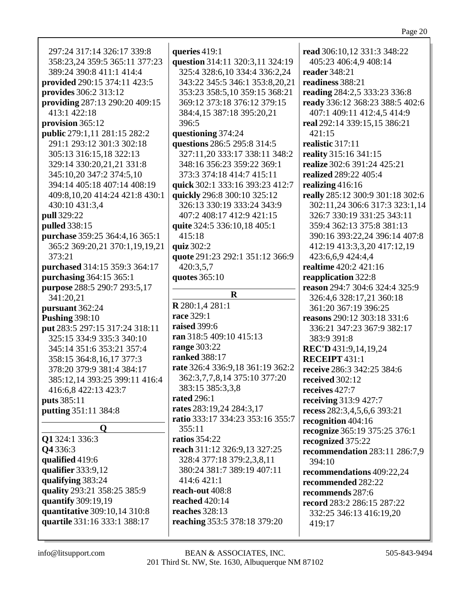| 297:24 317:14 326:17 339:8<br>358:23,24 359:5 365:11 377:23<br>389:24 390:8 411:1 414:4<br>provided 290:15 374:11 423:5<br>provides 306:2 313:12<br>providing 287:13 290:20 409:15<br>413:1 422:18 | queries $419:1$<br>question 314:11 320:3,11 324:19<br>325:4 328:6,10 334:4 336:2,24<br>343:22 345:5 346:1 353:8,20,21<br>353:23 358:5,10 359:15 368:21<br>369:12 373:18 376:12 379:15<br>384:4,15 387:18 395:20,21 | read 306:10,12 331:3 348:22<br>405:23 406:4,9 408:14<br>reader 348:21<br>readiness 388:21<br>reading 284:2,5 333:23 336:8<br>ready 336:12 368:23 388:5 402:6<br>407:1 409:11 412:4,5 414:9 |
|----------------------------------------------------------------------------------------------------------------------------------------------------------------------------------------------------|--------------------------------------------------------------------------------------------------------------------------------------------------------------------------------------------------------------------|--------------------------------------------------------------------------------------------------------------------------------------------------------------------------------------------|
| provision $365:12$                                                                                                                                                                                 | 396:5                                                                                                                                                                                                              | real 292:14 339:15,15 386:21                                                                                                                                                               |
| public 279:1,11 281:15 282:2                                                                                                                                                                       | questioning 374:24                                                                                                                                                                                                 | 421:15                                                                                                                                                                                     |
| 291:1 293:12 301:3 302:18                                                                                                                                                                          | questions 286:5 295:8 314:5                                                                                                                                                                                        | realistic 317:11                                                                                                                                                                           |
| 305:13 316:15,18 322:13                                                                                                                                                                            | 327:11,20 333:17 338:11 348:2                                                                                                                                                                                      | reality 315:16 341:15                                                                                                                                                                      |
| 329:14 330:20,21,21 331:8                                                                                                                                                                          | 348:16 356:23 359:22 369:1                                                                                                                                                                                         | realize 302:6 391:24 425:21                                                                                                                                                                |
| 345:10,20 347:2 374:5,10                                                                                                                                                                           | 373:3 374:18 414:7 415:11                                                                                                                                                                                          | realized 289:22 405:4                                                                                                                                                                      |
| 394:14 405:18 407:14 408:19                                                                                                                                                                        | quick 302:1 333:16 393:23 412:7                                                                                                                                                                                    | realizing $416:16$                                                                                                                                                                         |
| 409:8, 10, 20 414: 24 421: 8 430: 1                                                                                                                                                                | quickly 296:8 300:10 325:12                                                                                                                                                                                        | really 285:12 300:9 301:18 302:6                                                                                                                                                           |
| 430:10 431:3,4                                                                                                                                                                                     | 326:13 330:19 333:24 343:9                                                                                                                                                                                         | 302:11,24 306:6 317:3 323:1,14                                                                                                                                                             |
| pull 329:22                                                                                                                                                                                        | 407:2 408:17 412:9 421:15                                                                                                                                                                                          | 326:7 330:19 331:25 343:11                                                                                                                                                                 |
| pulled 338:15                                                                                                                                                                                      | quite 324:5 336:10,18 405:1                                                                                                                                                                                        | 359:4 362:13 375:8 381:13                                                                                                                                                                  |
| purchase 359:25 364:4,16 365:1                                                                                                                                                                     | 415:18                                                                                                                                                                                                             | 390:16 393:22,24 396:14 407:8                                                                                                                                                              |
| 365:2 369:20,21 370:1,19,19,21                                                                                                                                                                     | quiz 302:2                                                                                                                                                                                                         | 412:19 413:3,3,20 417:12,19                                                                                                                                                                |
| 373:21                                                                                                                                                                                             | quote 291:23 292:1 351:12 366:9                                                                                                                                                                                    | 423:6,6,9 424:4,4                                                                                                                                                                          |
| purchased 314:15 359:3 364:17                                                                                                                                                                      | 420:3,5,7                                                                                                                                                                                                          | realtime 420:2 421:16                                                                                                                                                                      |
| purchasing 364:15 365:1                                                                                                                                                                            | quotes 365:10                                                                                                                                                                                                      | reapplication 322:8                                                                                                                                                                        |
| purpose 288:5 290:7 293:5,17                                                                                                                                                                       |                                                                                                                                                                                                                    | reason 294:7 304:6 324:4 325:9                                                                                                                                                             |
|                                                                                                                                                                                                    | $\mathbf R$                                                                                                                                                                                                        |                                                                                                                                                                                            |
| 341:20,21                                                                                                                                                                                          |                                                                                                                                                                                                                    | 326:4,6 328:17,21 360:18                                                                                                                                                                   |
| pursuant 362:24                                                                                                                                                                                    | R 280:1,4 281:1                                                                                                                                                                                                    | 361:20 367:19 396:25                                                                                                                                                                       |
| <b>Pushing 398:10</b>                                                                                                                                                                              | race 329:1                                                                                                                                                                                                         | reasons 290:12 303:18 331:6                                                                                                                                                                |
| put 283:5 297:15 317:24 318:11                                                                                                                                                                     | raised 399:6                                                                                                                                                                                                       | 336:21 347:23 367:9 382:17                                                                                                                                                                 |
| 325:15 334:9 335:3 340:10                                                                                                                                                                          | ran 318:5 409:10 415:13                                                                                                                                                                                            | 383:9 391:8                                                                                                                                                                                |
| 345:14 351:6 353:21 357:4                                                                                                                                                                          | range 303:22                                                                                                                                                                                                       | REC'D 431:9,14,19,24                                                                                                                                                                       |
| 358:15 364:8,16,17 377:3                                                                                                                                                                           | <b>ranked</b> 388:17                                                                                                                                                                                               | <b>RECEIPT 431:1</b>                                                                                                                                                                       |
| 378:20 379:9 381:4 384:17                                                                                                                                                                          | rate 326:4 336:9,18 361:19 362:2                                                                                                                                                                                   | receive 286:3 342:25 384:6                                                                                                                                                                 |
| 385:12,14 393:25 399:11 416:4                                                                                                                                                                      | 362:3,7,7,8,14 375:10 377:20                                                                                                                                                                                       | received 302:12                                                                                                                                                                            |
| 416:6,8 422:13 423:7                                                                                                                                                                               | 383:15 385:3,3,8                                                                                                                                                                                                   | receives 427:7                                                                                                                                                                             |
| puts 385:11                                                                                                                                                                                        | <b>rated</b> 296:1                                                                                                                                                                                                 | receiving 313:9 427:7                                                                                                                                                                      |
| putting 351:11 384:8                                                                                                                                                                               | rates 283:19,24 284:3,17                                                                                                                                                                                           | recess 282:3,4,5,6,6 393:21                                                                                                                                                                |
|                                                                                                                                                                                                    | ratio 333:17 334:23 353:16 355:7                                                                                                                                                                                   | recognition 404:16                                                                                                                                                                         |
| $\mathbf 0$                                                                                                                                                                                        | 355:11                                                                                                                                                                                                             | recognize 365:19 375:25 376:1                                                                                                                                                              |
| Q1 324:1 336:3                                                                                                                                                                                     | <b>ratios</b> 354:22                                                                                                                                                                                               | recognized 375:22                                                                                                                                                                          |
| Q4336:3                                                                                                                                                                                            | reach 311:12 326:9,13 327:25                                                                                                                                                                                       | recommendation 283:11 286:7,9                                                                                                                                                              |
| qualified 419:6                                                                                                                                                                                    | 328:4 377:18 379:2,3,8,11                                                                                                                                                                                          | 394:10                                                                                                                                                                                     |
| qualifier 333:9,12                                                                                                                                                                                 | 380:24 381:7 389:19 407:11                                                                                                                                                                                         | recommendations 409:22,24                                                                                                                                                                  |
| qualifying 383:24                                                                                                                                                                                  | 414:6 421:1                                                                                                                                                                                                        | recommended 282:22                                                                                                                                                                         |
| quality 293:21 358:25 385:9                                                                                                                                                                        | reach-out 408:8                                                                                                                                                                                                    | recommends 287:6                                                                                                                                                                           |
| quantify 309:19,19                                                                                                                                                                                 | reached 420:14                                                                                                                                                                                                     | record 283:2 286:15 287:22                                                                                                                                                                 |
| quantitative 309:10,14 310:8                                                                                                                                                                       | reaches 328:13                                                                                                                                                                                                     | 332:25 346:13 416:19,20                                                                                                                                                                    |
| quartile 331:16 333:1 388:17                                                                                                                                                                       | reaching 353:5 378:18 379:20                                                                                                                                                                                       | 419:17                                                                                                                                                                                     |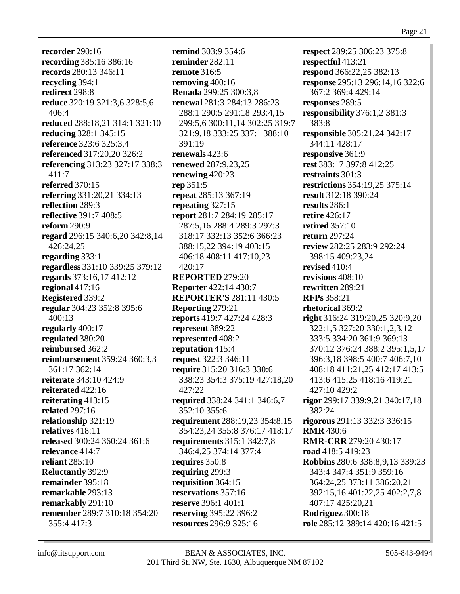**recorder** 290:16 **recording** 385:16 386:16 **records** 280:13 346:11 **recycling** 394:1 **redirect** 298:8 **reduce** 320:19 321:3,6 328:5,6 406:4 **reduced** 288:18,21 314:1 321:10 **reducing** 328:1 345:15 **reference** 323:6 325:3,4 **referenced** 317:20,20 326:2 **referencing** 313:23 327:17 338:3 411:7 **referred** 370:15 **referring** 331:20,21 334:13 **reflection** 289:3 **reflective** 391:7 408:5 **reform** 290:9 **regard** 296:15 340:6,20 342:8,14 426:24,25 **regarding** 333:1 **regardless** 331:10 339:25 379:12 **regards** 373:16,17 412:12 **regional** 417:16 **Registered** 339:2 **regular** 304:23 352:8 395:6 400:13 **regularly** 400:17 **regulated** 380:20 **reimbursed** 362:2 **reimbursement** 359:24 360:3,3 361:17 362:14 **reiterate** 343:10 424:9 **reiterated** 422:16 **reiterating** 413:15 **related** 297:16 **relationship** 321:19 **relatives** 418:11 **released** 300:24 360:24 361:6 **relevance** 414:7 **reliant** 285:10 **Reluctantly** 392:9 **remainder** 395:18 **remarkable** 293:13 **remarkably** 291:10 **remember** 289:7 310:18 354:20 355:4 417:3

**remind** 303:9 354:6 **reminder** 282:11 **remote** 316:5 **removing** 400:16 **Renada** 299:25 300:3,8 **renewal** 281:3 284:13 286:23 288:1 290:5 291:18 293:4,15 299:5,6 300:11,14 302:25 319:7 321:9,18 333:25 337:1 388:10 391:19 **renewals** 423:6 **renewed** 287:9,23,25 **renewing** 420:23 **rep** 351:5 **repeat** 285:13 367:19 **repeating** 327:15 **report** 281:7 284:19 285:17 287:5,16 288:4 289:3 297:3 318:17 332:13 352:6 366:23 388:15,22 394:19 403:15 406:18 408:11 417:10,23 420:17 **REPORTED** 279:20 **Reporter** 422:14 430:7 **REPORTER'S** 281:11 430:5 **Reporting** 279:21 **reports** 419:7 427:24 428:3 **represent** 389:22 **represented** 408:2 **reputation** 415:4 **request** 322:3 346:11 **require** 315:20 316:3 330:6 338:23 354:3 375:19 427:18,20 427:22 **required** 338:24 341:1 346:6,7 352:10 355:6 **requirement** 288:19,23 354:8,15 354:23,24 355:8 376:17 418:17 **requirements** 315:1 342:7,8 346:4,25 374:14 377:4 **requires** 350:8 **requiring** 299:3 **requisition** 364:15 **reservations** 357:16 **reserve** 396:1 401:1 **reserving** 395:22 396:2 **resources** 296:9 325:16

**respect** 289:25 306:23 375:8 **respectful** 413:21 **respond** 366:22,25 382:13 **response** 295:13 296:14,16 322:6 367:2 369:4 429:14 **responses** 289:5 **responsibility** 376:1,2 381:3 383:8 **responsible** 305:21,24 342:17 344:11 428:17 **responsive** 361:9 **rest** 383:17 397:8 412:25 **restraints** 301:3 **restrictions** 354:19,25 375:14 **result** 312:18 390:24 **results** 286:1 **retire** 426:17 **retired** 357:10 **return** 297:24 **review** 282:25 283:9 292:24 398:15 409:23,24 **revised** 410:4 **revisions** 408:10 **rewritten** 289:21 **RFPs** 358:21 **rhetorical** 369:2 **right** 316:24 319:20,25 320:9,20 322:1,5 327:20 330:1,2,3,12 333:5 334:20 361:9 369:13 370:12 376:24 388:2 395:1,5,17 396:3,18 398:5 400:7 406:7,10 408:18 411:21,25 412:17 413:5 413:6 415:25 418:16 419:21 427:10 429:2 **rigor** 299:17 339:9,21 340:17,18 382:24 **rigorous** 291:13 332:3 336:15 **RMR** 430:6 **RMR-CRR** 279:20 430:17 **road** 418:5 419:23 **Robbins** 280:6 338:8,9,13 339:23 343:4 347:4 351:9 359:16 364:24,25 373:11 386:20,21 392:15,16 401:22,25 402:2,7,8 407:17 425:20,21 **Rodriguez** 300:18 **role** 285:12 389:14 420:16 421:5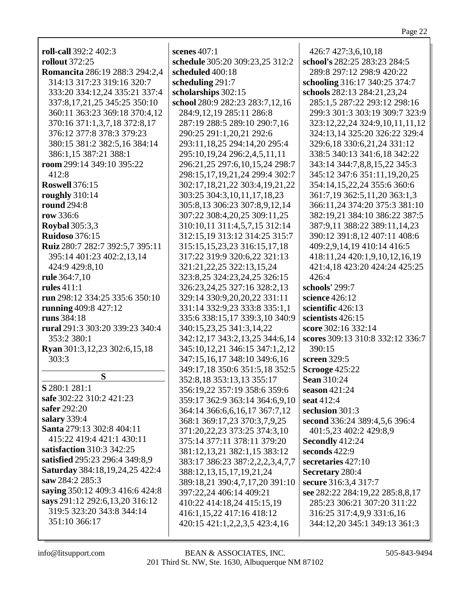| <b>roll-call</b> 392:2 402:3                         | scenes $407:1$                                                                                                                     | 426:7 427:3,6,10,18                                                                 |
|------------------------------------------------------|------------------------------------------------------------------------------------------------------------------------------------|-------------------------------------------------------------------------------------|
| <b>rollout</b> 372:25                                | schedule 305:20 309:23,25 312:2                                                                                                    | school's 282:25 283:23 284:5                                                        |
| <b>Romancita</b> 286:19 288:3 294:2,4                | scheduled 400:18                                                                                                                   | 289:8 297:12 298:9 420:22                                                           |
| 314:13 317:23 319:16 320:7                           | scheduling 291:7                                                                                                                   | schooling 316:17 340:25 374:7                                                       |
| 333:20 334:12,24 335:21 337:4                        | scholarships 302:15                                                                                                                | schools 282:13 284:21,23,24                                                         |
| 337:8, 17, 21, 25 345: 25 350: 10                    | school 280:9 282:23 283:7,12,16                                                                                                    | 285:1,5 287:22 293:12 298:16                                                        |
| 360:11 363:23 369:18 370:4,12                        | 284:9,12,19 285:11 286:8                                                                                                           | 299:3 301:3 303:19 309:7 323:9                                                      |
| 370:16 371:1,3,7,18 372:8,17                         | 287:19 288:5 289:10 290:7,16                                                                                                       | 323:12,22,24 324:9,10,11,11,12                                                      |
| 376:12 377:8 378:3 379:23                            | 290:25 291:1,20,21 292:6                                                                                                           | 324:13,14 325:20 326:22 329:4                                                       |
| 380:15 381:2 382:5,16 384:14                         | 293:11,18,25 294:14,20 295:4                                                                                                       | 329:6,18 330:6,21,24 331:12                                                         |
| 386:1,15 387:21 388:1                                | 295:10,19,24 296:2,4,5,11,11                                                                                                       | 338:5 340:13 341:6,18 342:22                                                        |
| room 299:14 349:10 395:22                            | 296:21,25 297:6,10,15,24 298:7                                                                                                     | 343:14 344:7,8,8,15,22 345:3                                                        |
| 412:8                                                | 298:15,17,19,21,24 299:4 302:7                                                                                                     | 345:12 347:6 351:11,19,20,25                                                        |
| <b>Roswell 376:15</b>                                | 302:17,18,21,22 303:4,19,21,22                                                                                                     | 354:14,15,22,24 355:6 360:6                                                         |
| roughly 310:14                                       | 303:25 304:3,10,11,17,18,23                                                                                                        | 361:7,19 362:5,11,20 363:1,3                                                        |
| <b>round</b> 294:8                                   | 305:8,13 306:23 307:8,9,12,14                                                                                                      | 366:11,24 374:20 375:3 381:10                                                       |
| row 336:6                                            | 307:22 308:4,20,25 309:11,25                                                                                                       | 382:19,21 384:10 386:22 387:5                                                       |
| <b>Roybal</b> 305:3,3                                | 310:10,11 311:4,5,7,15 312:14                                                                                                      | 387:9,11 388:22 389:11,14,23                                                        |
| <b>Ruidoso</b> 376:15                                | 312:15,19 313:12 314:25 315:7                                                                                                      | 390:12 391:8,12 407:11 408:6                                                        |
| Ruiz 280:7 282:7 392:5,7 395:11                      | 315:15, 15, 23, 23 316:15, 17, 18                                                                                                  | 409:2,9,14,19 410:14 416:5                                                          |
| 395:14 401:23 402:2,13,14                            | 317:22 319:9 320:6,22 321:13                                                                                                       | 418:11,24 420:1,9,10,12,16,19                                                       |
| 424:9 429:8,10                                       | 321:21, 22, 25 322:13, 15, 24                                                                                                      | 421:4,18 423:20 424:24 425:25                                                       |
| rule 364:7,10                                        | 323:8,25 324:23,24,25 326:15                                                                                                       | 426:4                                                                               |
| rules $411:1$                                        | 326:23,24,25 327:16 328:2,13                                                                                                       | schools' 299:7                                                                      |
| run 298:12 334:25 335:6 350:10                       | 329:14 330:9,20,20,22 331:11                                                                                                       | science 426:12                                                                      |
| running 409:8 427:12                                 | 331:14 332:9,23 333:8 335:1,1                                                                                                      | scientific 426:13                                                                   |
| runs 384:18                                          | 335:6 338:15,17 339:3,10 340:9                                                                                                     | scientists 426:15                                                                   |
| rural 291:3 303:20 339:23 340:4                      | 340:15,23,25 341:3,14,22                                                                                                           | score 302:16 332:14                                                                 |
| 353:2 380:1<br>Ryan 301:3,12,23 302:6,15,18<br>303:3 | 342:12,17 343:2,13,25 344:6,14<br>345:10,12,21 346:15 347:1,2,12<br>347:15,16,17 348:10 349:6,16<br>349:17,18 350:6 351:5,18 352:5 | scores 309:13 310:8 332:12 336:7<br>390:15<br>screen 329:5<br><b>Scrooge 425:22</b> |
| S                                                    | 352:8,18 353:13,13 355:17                                                                                                          | <b>Sean 310:24</b>                                                                  |
| <b>S</b> 280:1 281:1                                 | 356:19,22 357:19 358:6 359:6                                                                                                       | season $421:24$                                                                     |
| safe 302:22 310:2 421:23                             | 359:17 362:9 363:14 364:6,9,10                                                                                                     | seat 412:4                                                                          |
| safer 292:20                                         | 364:14 366:6,6,16,17 367:7,12                                                                                                      | seclusion 301:3                                                                     |
| salary 339:4                                         | 368:1 369:17,23 370:3,7,9,25                                                                                                       | second 336:24 389:4,5,6 396:4                                                       |
| Santa 279:13 302:8 404:11                            | 371:20,22,23 373:25 374:3,10                                                                                                       | 401:5,23 402:2 429:8,9                                                              |
| 415:22 419:4 421:1 430:11                            | 375:14 377:11 378:11 379:20                                                                                                        | Secondly 412:24                                                                     |
| satisfaction 310:3 342:25                            | 381:12,13,21 382:1,15 383:12                                                                                                       | seconds $422:9$                                                                     |
| satisfied 295:23 296:4 349:8,9                       | 383:17 386:23 387:2,2,2,3,4,7,7                                                                                                    | secretaries 427:10                                                                  |
| <b>Saturday</b> 384:18,19,24,25 422:4                | 388:12,13,15,17,19,21,24                                                                                                           | Secretary 280:4                                                                     |
| saw 284:2 285:3                                      | 389:18,21 390:4,7,17,20 391:10                                                                                                     | secure 316:3,4 317:7                                                                |
| saying 350:12 409:3 416:6 424:8                      | 397:22,24 406:14 409:21                                                                                                            | see 282:22 284:19,22 285:8,8,17                                                     |
| says 291:12 292:6,13,20 316:12                       | 410:22 414:18,24 415:15,19                                                                                                         | 285:23 306:21 307:20 311:22                                                         |
| 319:5 323:20 343:8 344:14                            | 416:1,15,22 417:16 418:12                                                                                                          | 316:25 317:4,9,9 331:6,16                                                           |
| 351:10 366:17                                        | 420:15 421:1,2,2,3,5 423:4,16                                                                                                      | 344:12,20 345:1 349:13 361:3                                                        |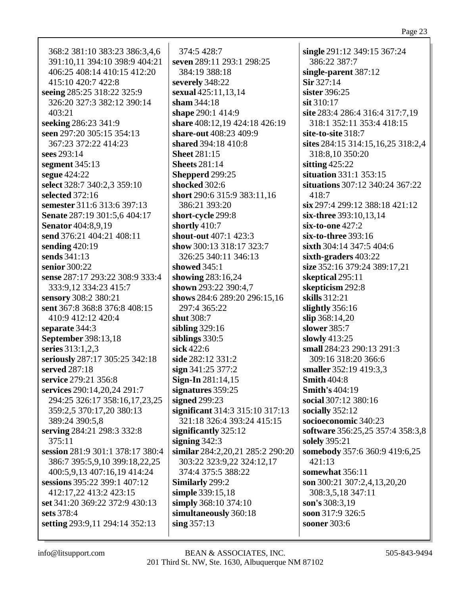368:2 381:10 383:23 386:3,4,6 391:10,11 394:10 398:9 404:21 406:25 408:14 410:15 412:20 415:10 420:7 422:8 seeing 285:25 318:22 325:9 326:20 327:3 382:12 390:14  $403:21$ seeking 286:23 341:9 seen 297:20 305:15 354:13 367:23 372:22 414:23 sees 293:14 segment 345:13 segue 424:22 select 328:7 340:2,3 359:10 selected  $372:16$ semester 311:6 313:6 397:13 Senate 287:19 301:5.6 404:17 **Senator** 404:8,9,19 send 376:21 404:21 408:11 sending  $420:19$ sends 341:13 senior 300:22 sense 287:17 293:22 308:9 333:4 333:9,12 334:23 415:7 sensory 308:2 380:21 sent 367:8 368:8 376:8 408:15 410:9 412:12 420:4 separate 344:3 **September 398:13,18** series 313:1,2,3 seriously 287:17 305:25 342:18 served 287:18 service 279:21 356:8 services 290:14,20,24 291:7 294:25 326:17 358:16,17,23,25 359:2,5 370:17,20 380:13 389:24 390:5,8 serving 284:21 298:3 332:8  $375:11$ session 281:9 301:1 378:17 380:4 386:7 395:5,9,10 399:18,22,25 400:5,9,13 407:16,19 414:24 sessions 395:22 399:1 407:12 412:17.22 413:2 423:15 set 341:20 369:22 372:9 430:13 sets  $378.4$ setting 293:9,11 294:14 352:13

374:5 428:7 seven 289:11 293:1 298:25 384:19 388:18 severely 348:22 sexual 425:11,13,14 sham  $344:18$ shape 290:1 414:9 share 408:12,19 424:18 426:19 **share-out** 408:23 409:9 shared 394:18 410:8 **Sheet 281:15 Sheets** 281:14 Shepperd 299:25 shocked 302:6 short 290:6 315:9 383:11,16 386:21 393:20 short-cycle 299:8 shortly  $410:7$ shout-out 407:1 423:3 show 300:13 318:17 323:7 326:25 340:11 346:13 showed  $345:1$ showing 283:16,24 shown 293:22 390:4,7 shows 284:6 289:20 296:15,16 297:4 365:22 shut 308:7 sibling  $329:16$ siblings  $330:5$ sick  $422:6$ side 282:12 331:2  $sign 341:25 377:2$ Sign-In  $281:14.15$ signatures 359:25 signed 299:23 significant 314:3 315:10 317:13 321:18 326:4 393:24 415:15 significantly  $325:12$ signing  $342:3$ similar 284:2,20,21 285:2 290:20 303:22 323:9,22 324:12,17 374:4 375:5 388:22 Similarly 299:2 simple 339:15,18 simply 368:10 374:10 simultaneously 360:18 sing  $357:13$ 

single 291:12 349:15 367:24 386:22 387:7 single-parent 387:12 Sir 327:14 sister 396:25 sit 310:17 site 283:4 286:4 316:4 317:7.19 318:1 352:11 353:4 418:15 site-to-site 318:7 sites 284:15 314:15,16,25 318:2,4 318:8.10 350:20 sitting  $425:22$ situation  $331:1$   $353:15$ situations 307:12 340:24 367:22 418:7  $\sin 297:4 299:12 388:18 421:12$ six-three 393:10.13.14 six-to-one 427:2 six-to-three 393:16 sixth 304:14 347:5 404:6 sixth-graders 403:22 size 352:16 379:24 389:17,21 skeptical 295:11 skepticism 292:8 skills 312:21 slightly  $356:16$  $\sin 368:14,20$ slower 385:7 slowly  $413:25$ small 284:23 290:13 291:3 309:16 318:20 366:6 smaller 352:19 419:3.3 **Smith 404:8** Smith's  $404:19$ social 307:12 380:16 socially  $352:12$ socioeconomic 340:23 software 356:25,25 357:4 358:3,8 solely 395:21 somebody 357:6 360:9 419:6,25  $421:13$ somewhat 356:11 son 300:21 307:2,4,13,20,20 308:3.5.18 347:11 son's 308:3.19 soon 317:9 326:5 sooner 303:6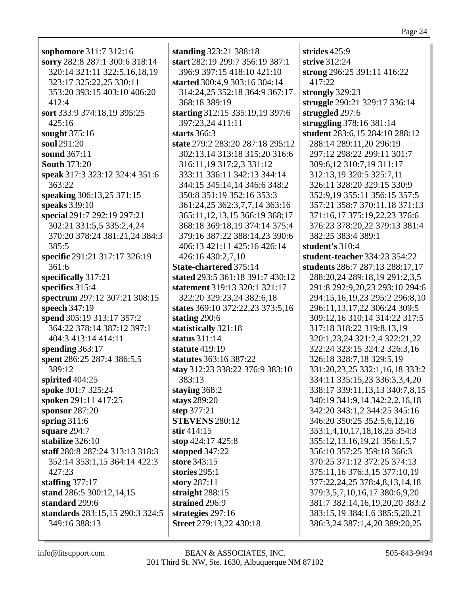**sophomore** 311:7 312:16 **sorry** 282:8 287:1 300:6 318:14 320:14 321:11 322:5,16,18,19 323:17 325:22,25 330:11 353:20 393:15 403:10 406:20 412:4 **sort** 333:9 374:18,19 395:25 425:16 **sought** 375:16 **soul** 291:20 **sound** 367:11 **South** 373:20 **speak** 317:3 323:12 324:4 351:6 363:22 **speaking** 306:13,25 371:15 **speaks** 339:10 **special** 291:7 292:19 297:21 302:21 331:5,5 335:2,4,24 370:20 378:24 381:21,24 384:3 385:5 **specific** 291:21 317:17 326:19 361:6 **specifically** 317:21 **specifics** 315:4 **spectrum** 297:12 307:21 308:15 **speech** 347:19 **spend** 305:19 313:17 357:2 364:22 378:14 387:12 397:1 404:3 413:14 414:11 **spending** 363:17 **spent** 286:25 287:4 386:5,5 389:12 **spirited** 404:25 **spoke** 301:7 325:24 **spoken** 291:11 417:25 **sponsor** 287:20 **spring** 311:6 **square** 294:7 **stabilize** 326:10 **staff** 280:8 287:24 313:13 318:3 352:14 353:1,15 364:14 422:3 427:23 **staffing** 377:17 **stand** 286:5 300:12,14,15 **standard** 299:6 **standards** 283:15,15 290:3 324:5 349:16 388:13

**standing** 323:21 388:18 **start** 282:19 299:7 356:19 387:1 396:9 397:15 418:10 421:10 **started** 300:4,9 303:16 304:14 314:24,25 352:18 364:9 367:17 368:18 389:19 **starting** 312:15 335:19,19 397:6 397:23,24 411:11 **starts** 366:3 **state** 279:2 283:20 287:18 295:12 302:13,14 313:18 315:20 316:6 316:11,19 317:2,3 331:12 333:11 336:11 342:13 344:14 344:15 345:14,14 346:6 348:2 350:8 351:19 352:16 353:3 361:24,25 362:3,7,7,14 363:16 365:11,12,13,15 366:19 368:17 368:18 369:18,19 374:14 375:4 379:16 387:22 388:14,23 390:6 406:13 421:11 425:16 426:14 426:16 430:2,7,10 **State-chartered** 375:14 **stated** 293:5 361:18 391:7 430:12 **statement** 319:13 320:1 321:17 322:20 329:23,24 382:6,18 **states** 369:10 372:22,23 373:5,16 **stating** 290:6 **statistically** 321:18 **status** 311:14 **statute** 419:19 **statutes** 363:16 387:22 **stay** 312:23 338:22 376:9 383:10 383:13 **staying** 368:2 **stays** 289:20 **step** 377:21 **STEVENS** 280:12 **stir** 414:15 **stop** 424:17 425:8 **stopped** 347:22 **store** 343:15 **stories** 295:1 **story** 287:11 **straight** 288:15 **strained** 296:9 **strategies** 297:16 **Street** 279:13,22 430:18

**strides** 425:9 **strive** 312:24 **strong** 296:25 391:11 416:22 417:22 **strongly** 329:23 **struggle** 290:21 329:17 336:14 **struggled** 297:6 **struggling** 378:16 381:14 **student** 283:6,15 284:10 288:12 288:14 289:11,20 296:19 297:12 298:22 299:11 301:7 309:6,12 310:7,19 311:17 312:13,19 320:5 325:7,11 326:11 328:20 329:15 330:9 352:9,19 355:11 356:15 357:5 357:21 358:7 370:11,18 371:13 371:16,17 375:19,22,23 376:6 376:23 378:20,22 379:13 381:4 382:25 383:4 389:1 **student's** 310:4 **student-teacher** 334:23 354:22 **students** 286:7 287:13 288:17,17 288:20,24 289:18,19 291:2,3,5 291:8 292:9,20,23 293:10 294:6 294:15,16,19,23 295:2 296:8,10 296:11,13,17,22 306:24 309:5 309:12,16 310:14 314:22 317:5 317:18 318:22 319:8,13,19 320:1,23,24 321:2,4 322:21,22 322:24 323:15 324:2 326:3,16 326:18 328:7,18 329:5,19 331:20,23,25 332:1,16,18 333:2 334:11 335:15,23 336:3,3,4,20 338:17 339:11,13,13 340:7,8,15 340:19 341:9,14 342:2,2,16,18 342:20 343:1,2 344:25 345:16 346:20 350:25 352:5,6,12,16 353:1,4,10,17,18,18,25 354:3 355:12,13,16,19,21 356:1,5,7 356:10 357:25 359:18 366:3 370:25 371:12 372:25 374:13 375:11,16 376:3,15 377:10,19 377:22,24,25 378:4,8,13,14,18 379:3,5,7,10,16,17 380:6,9,20 381:7 382:14,16,19,20,20 383:2 383:15,19 384:1,6 385:5,20,21 386:3,24 387:1,4,20 389:20,25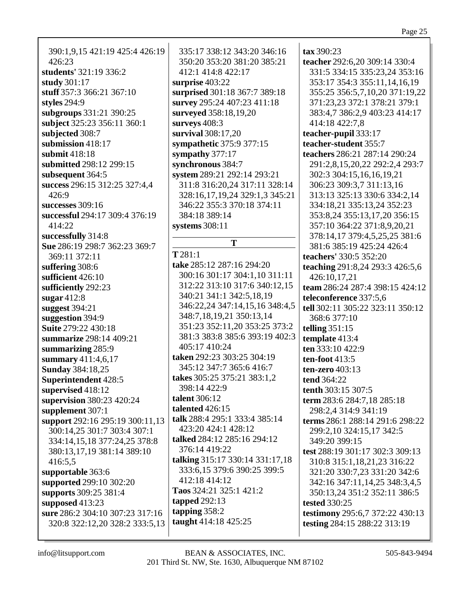390:1,9,15 421:19 425:4 426:19 426:23 **students'** 321:19 336:2 **study** 301:17 **stuff** 357:3 366:21 367:10 **styles** 294:9 **subgroups** 331:21 390:25 **subject** 325:23 356:11 360:1 **subjected** 308:7 **submission** 418:17 **submit** 418:18 **submitted** 298:12 299:15 **subsequent** 364:5 **success** 296:15 312:25 327:4,4 426:9 **successes** 309:16 **successful** 294:17 309:4 376:19 414:22 **successfully** 314:8 **Sue** 286:19 298:7 362:23 369:7 369:11 372:11 **suffering** 308:6 **sufficient** 426:10 **sufficiently** 292:23 **sugar** 412:8 **suggest** 394:21 **suggestion** 394:9 **Suite** 279:22 430:18 **summarize** 298:14 409:21 **summarizing** 285:9 **summary** 411:4,6,17 **Sunday** 384:18,25 **Superintendent** 428:5 **supervised** 418:12 **supervision** 380:23 420:24 **supplement** 307:1 **support** 292:16 295:19 300:11,13 300:14,25 301:7 303:4 307:1 334:14,15,18 377:24,25 378:8 380:13,17,19 381:14 389:10 416:5,5 **supportable** 363:6 **supported** 299:10 302:20 **supports** 309:25 381:4 **supposed** 413:23 **sure** 286:2 304:10 307:23 317:16 320:8 322:12,20 328:2 333:5,13

335:17 338:12 343:20 346:16 350:20 353:20 381:20 385:21 412:1 414:8 422:17 **surprise** 403:22 **surprised** 301:18 367:7 389:18 **survey** 295:24 407:23 411:18 **surveyed** 358:18,19,20 **surveys** 408:3 **survival** 308:17,20 **sympathetic** 375:9 377:15 **sympathy** 377:17 **synchronous** 384:7 **system** 289:21 292:14 293:21 311:8 316:20,24 317:11 328:14 328:16,17,19,24 329:1,3 345:21 346:22 355:3 370:18 374:11 384:18 389:14 **systems** 308:11 **T T** 281:1 **take** 285:12 287:16 294:20 300:16 301:17 304:1,10 311:11 312:22 313:10 317:6 340:12,15 340:21 341:1 342:5,18,19 346:22,24 347:14,15,16 348:4,5 348:7,18,19,21 350:13,14 351:23 352:11,20 353:25 373:2 381:3 383:8 385:6 393:19 402:3 405:17 410:24 **taken** 292:23 303:25 304:19 345:12 347:7 365:6 416:7 **takes** 305:25 375:21 383:1,2 398:14 422:9 **talent** 306:12 **talented** 426:15 **talk** 288:4 295:1 333:4 385:14 423:20 424:1 428:12 **talked** 284:12 285:16 294:12 376:14 419:22 **talking** 315:17 330:14 331:17,18 333:6,15 379:6 390:25 399:5 412:18 414:12 **Taos** 324:21 325:1 421:2 **tapped** 292:13 **tapping** 358:2 **taught** 414:18 425:25

**tax** 390:23 **teacher** 292:6,20 309:14 330:4 331:5 334:15 335:23,24 353:16 353:17 354:3 355:11,14,16,19 355:25 356:5,7,10,20 371:19,22 371:23,23 372:1 378:21 379:1 383:4,7 386:2,9 403:23 414:17 414:18 422:7,8 **teacher-pupil** 333:17 **teacher-student** 355:7 **teachers** 286:21 287:14 290:24 291:2,8,15,20,22 292:2,4 293:7 302:3 304:15,16,16,19,21 306:23 309:3,7 311:13,16 313:13 325:13 330:6 334:2,14 334:18,21 335:13,24 352:23 353:8,24 355:13,17,20 356:15 357:10 364:22 371:8,9,20,21 378:14,17 379:4,5,25,25 381:6 381:6 385:19 425:24 426:4 **teachers'** 330:5 352:20 **teaching** 291:8,24 293:3 426:5,6 426:10,17,21 **team** 286:24 287:4 398:15 424:12 **teleconference** 337:5,6 **tell** 302:11 305:22 323:11 350:12 368:6 377:10 **telling** 351:15 **template** 413:4 **ten** 333:10 422:9 **ten-foot** 413:5 **ten-zero** 403:13 **tend** 364:22 **tenth** 303:15 307:5 **term** 283:6 284:7,18 285:18 298:2,4 314:9 341:19 **terms** 286:1 288:14 291:6 298:22 299:2,10 324:15,17 342:5 349:20 399:15 **test** 288:19 301:17 302:3 309:13 310:8 315:1,18,21,23 316:22 321:20 330:7,23 331:20 342:6 342:16 347:11,14,25 348:3,4,5 350:13,24 351:2 352:11 386:5 **tested** 330:25 **testimony** 295:6,7 372:22 430:13 **testing** 284:15 288:22 313:19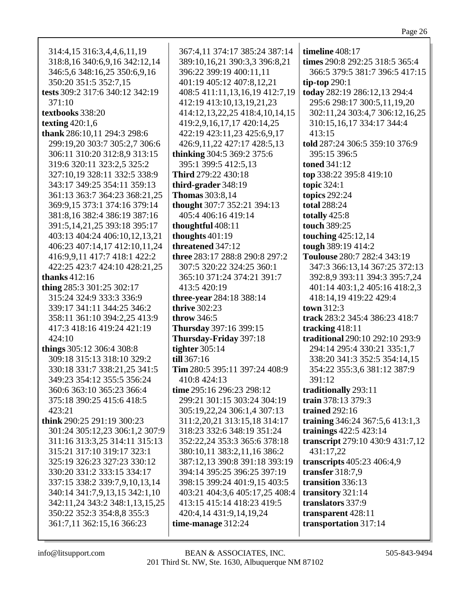| 314:4,15 316:3,4,4,6,11,19      | 367:4,11 374:17 385:24 387:14  | timeline 408:17                  |
|---------------------------------|--------------------------------|----------------------------------|
| 318:8,16 340:6,9,16 342:12,14   | 389:10,16,21 390:3,3 396:8,21  | times 290:8 292:25 318:5 365:4   |
| 346:5,6 348:16,25 350:6,9,16    | 396:22 399:19 400:11,11        | 366:5 379:5 381:7 396:5 417:15   |
| 350:20 351:5 352:7,15           | 401:19 405:12 407:8,12,21      | tip-top $290:1$                  |
| tests 309:2 317:6 340:12 342:19 | 408:5 411:11,13,16,19 412:7,19 | today 282:19 286:12,13 294:4     |
| 371:10                          | 412:19 413:10,13,19,21,23      | 295:6 298:17 300:5,11,19,20      |
| textbooks 338:20                | 414:12,13,22,25 418:4,10,14,15 | 302:11,24 303:4,7 306:12,16,25   |
| texting $420:1,6$               | 419:2,9,16,17,17 420:14,25     | 310:15,16,17 334:17 344:4        |
| thank 286:10,11 294:3 298:6     | 422:19 423:11,23 425:6,9,17    | 413:15                           |
| 299:19,20 303:7 305:2,7 306:6   | 426:9,11,22 427:17 428:5,13    | told 287:24 306:5 359:10 376:9   |
| 306:11 310:20 312:8,9 313:15    | thinking 304:5 369:2 375:6     | 395:15 396:5                     |
| 319:6 320:11 323:2,5 325:2      | 395:1 399:5 412:5,13           | <b>toned</b> 341:12              |
| 327:10,19 328:11 332:5 338:9    | Third 279:22 430:18            | top 338:22 395:8 419:10          |
| 343:17 349:25 354:11 359:13     | third-grader 348:19            | topic 324:1                      |
| 361:13 363:7 364:23 368:21,25   | <b>Thomas</b> 303:8,14         | topics 292:24                    |
| 369:9,15 373:1 374:16 379:14    | thought 307:7 352:21 394:13    | <b>total 288:24</b>              |
| 381:8,16 382:4 386:19 387:16    | 405:4 406:16 419:14            | totally 425:8                    |
| 391:5,14,21,25 393:18 395:17    | thoughtful 408:11              | touch 389:25                     |
| 403:13 404:24 406:10,12,13,21   | thoughts $401:19$              | touching 425:12,14               |
| 406:23 407:14,17 412:10,11,24   | threatened 347:12              | tough 389:19 414:2               |
| 416:9,9,11 417:7 418:1 422:2    | three 283:17 288:8 290:8 297:2 | Toulouse 280:7 282:4 343:19      |
| 422:25 423:7 424:10 428:21,25   | 307:5 320:22 324:25 360:1      | 347:3 366:13,14 367:25 372:13    |
| thanks $412:16$                 | 365:10 371:24 374:21 391:7     | 392:8,9 393:11 394:3 395:7,24    |
| thing 285:3 301:25 302:17       | 413:5 420:19                   | 401:14 403:1,2 405:16 418:2,3    |
| 315:24 324:9 333:3 336:9        | three-year 284:18 388:14       | 418:14,19 419:22 429:4           |
| 339:17 341:11 344:25 346:2      | <b>thrive 302:23</b>           | town 312:3                       |
| 358:11 361:10 394:2,25 413:9    | throw 346:5                    | track 283:2 345:4 386:23 418:7   |
| 417:3 418:16 419:24 421:19      | Thursday 397:16 399:15         | tracking $418:11$                |
| 424:10                          | Thursday-Friday 397:18         | traditional 290:10 292:10 293:9  |
| things 305:12 306:4 308:8       | tighter $305:14$               | 294:14 295:4 330:21 335:1,7      |
| 309:18 315:13 318:10 329:2      | till 367:16                    | 338:20 341:3 352:5 354:14,15     |
| 330:18 331:7 338:21,25 341:5    | Tim 280:5 395:11 397:24 408:9  | 354:22 355:3,6 381:12 387:9      |
| 349:23 354:12 355:5 356:24      | 410:8 424:13                   | 391:12                           |
| 360:6 363:10 365:23 366:4       | time 295:16 296:23 298:12      | traditionally 293:11             |
| 375:18 390:25 415:6 418:5       | 299:21 301:15 303:24 304:19    | train 378:13 379:3               |
| 423:21                          | 305:19,22,24 306:1,4 307:13    | <b>trained</b> 292:16            |
| think 290:25 291:19 300:23      | 311:2,20,21 313:15,18 314:17   | training 346:24 367:5,6 413:1,3  |
| 301:24 305:12,23 306:1,2 307:9  | 318:23 332:6 348:19 351:24     | trainings 422:5 423:14           |
| 311:16 313:3,25 314:11 315:13   | 352:22,24 353:3 365:6 378:18   | transcript 279:10 430:9 431:7,12 |
| 315:21 317:10 319:17 323:1      | 380:10,11 383:2,11,16 386:2    | 431:17,22                        |
| 325:19 326:23 327:23 330:12     | 387:12,13 390:8 391:18 393:19  | transcripts 405:23 406:4,9       |
| 330:20 331:2 333:15 334:17      | 394:14 395:25 396:25 397:19    | transfer $318:7,9$               |
| 337:15 338:2 339:7,9,10,13,14   | 398:15 399:24 401:9,15 403:5   | transition 336:13                |
| 340:14 341:7,9,13,15 342:1,10   | 403:21 404:3,6 405:17,25 408:4 | transitory 321:14                |
| 342:11,24 343:2 348:1,13,15,25  | 413:15 415:14 418:23 419:5     | translators 337:9                |
| 350:22 352:3 354:8,8 355:3      | 420:4,14 431:9,14,19,24        | transparent 428:11               |
| 361:7,11 362:15,16 366:23       | time-manage 312:24             | transportation 317:14            |
|                                 |                                |                                  |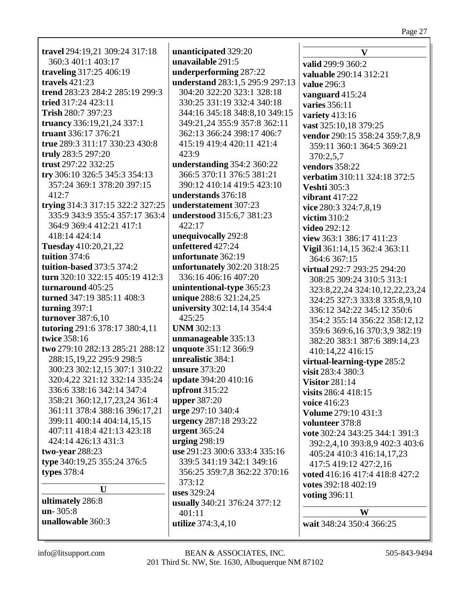travel 294:19,21 309:24 317:18 360:3 401:1 403:17 traveling 317:25 406:19 travels  $421:23$ trend 283:23 284:2 285:19 299:3 tried 317:24 423:11 Trish 280:7 397:23 truancy 336:19,21,24 337:1 truant 336:17 376:21 true 289:3 311:17 330:23 430:8 truly 283:5 297:20 trust 297:22 332:25 try 306:10 326:5 345:3 354:13 357:24 369:1 378:20 397:15  $412:7$ trying 314:3 317:15 322:2 327:25 335:9 343:9 355:4 357:17 363:4 364:9 369:4 412:21 417:1 418:14 424:14 Tuesday 410:20,21,22 tuition 374:6 tuition-based 373:5 374:2 turn 320:10 322:15 405:19 412:3 turnaround  $405:25$ turned 347:19 385:11 408:3 turning  $397:1$ turnover 387:6,10 tutoring 291:6 378:17 380:4,11 twice 358:16 two 279:10 282:13 285:21 288:12 288:15,19,22 295:9 298:5 300:23 302:12,15 307:1 310:22 320:4,22 321:12 332:14 335:24 336:6 338:16 342:14 347:4 358:21 360:12,17,23,24 361:4 361:11 378:4 388:16 396:17,21 399:11 400:14 404:14,15,15 407:11 418:4 421:13 423:18 424:14 426:13 431:3 two-year 288:23 type 340:19,25 355:24 376:5 **types** 378:4  $\mathbf{U}$ ultimately 286:8  $un-305:8$ unallowable 360:3

unanticipated 329:20 unavailable 291:5 underperforming 287:22 understand 283:1,5 295:9 297:13 304:20 322:20 323:1 328:18 330:25 331:19 332:4 340:18 344:16 345:18 348:8.10 349:15 349:21,24 355:9 357:8 362:11 362:13 366:24 398:17 406:7 415:19 419:4 420:11 421:4  $423:9$ understanding 354:2 360:22 366:5 370:11 376:5 381:21 390:12 410:14 419:5 423:10 understands 376:18 understatement 307:23 **understood** 315:6.7 381:23  $422:17$ unequivocally 292:8 unfettered 427:24 unfortunate 362:19 **unfortunately** 302:20 318:25 336:16 406:16 407:20 unintentional-type 365:23 unique 288:6 321:24,25 university 302:14,14 354:4 425:25 **UNM 302:13** unmanageable 335:13 unquote 351:12 366:9 unrealistic 384:1 unsure  $373:20$ update 394:20 410:16 upfront  $315:22$ **upper** 387:20 urge 297:10 340:4 urgency 287:18 293:22 urgent  $365:24$ urging  $298:19$ use 291:23 300:6 333:4 335:16 339:5 341:19 342:1 349:16 356:25 359:7,8 362:22 370:16 373:12 **uses** 329:24 usually 340:21 376:24 377:12  $401:11$ **utilize** 374:3,4,10

V valid 299:9 360:2 valuable 290:14 312:21 **value** 296:3 vanguard 415:24 **varies** 356:11 variety  $413:16$ vast 325:10,18 379:25 vendor 290:15 358:24 359:7,8,9 359:11 360:1 364:5 369:21 370:2.5.7 **vendors** 358:22 verbatim 310:11 324:18 372:5 **Veshti** 305:3 vibrant  $417:22$ vice 280:3 324:7,8,19 victim  $310:2$ video  $292:12$ view 363:1 386:17 411:23 Vigil 361:14,15 362:4 363:11 364:6 367:15 **virtual** 292:7 293:25 294:20 308:25 309:24 310:5 313:1 323:8, 22, 24 324: 10, 12, 22, 23, 24 324:25 327:3 333:8 335:8,9,10 336:12 342:22 345:12 350:6 354:2 355:14 356:22 358:12.12 359:6 369:6, 16 370:3, 9 382:19 382:20 383:1 387:6 389:14,23 410:14.22 416:15 virtual-learning-type 285:2 visit 283:4 380:3 **Visitor 281:14** visits 286:4 418:15 voice 416:23 Volume 279:10 431:3 volunteer 378:8 vote 302:24 343:25 344:1 391:3 392:2,4,10 393:8,9 402:3 403:6 405:24 410:3 416:14,17,23 417:5 419:12 427:2.16 voted 416:16 417:4 418:8 427:2 votes 392:18 402:19 **voting 396:11** W

wait 348:24 350:4 366:25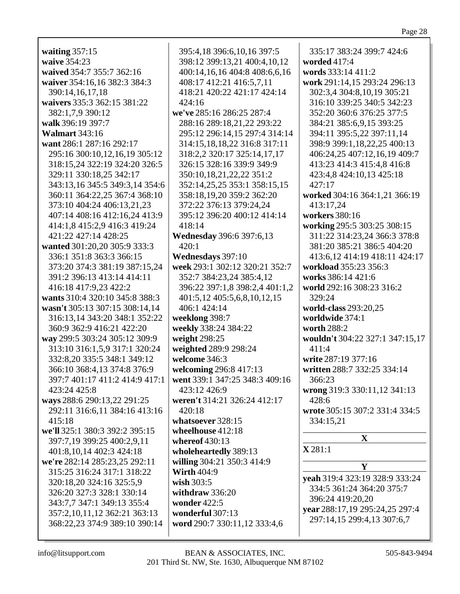waiting  $357:15$ waive 354:23 waived 354:7 355:7 362:16 waiver 354:16,16 382:3 384:3 390:14,16,17,18 waivers 335:3 362:15 381:22 382:1.7.9 390:12 walk 396:19 397:7 **Walmart** 343:16 want 286:1 287:16 292:17 295:16 300:10.12.16.19 305:12 318:15.24 322:19 324:20 326:5 329:11 330:18,25 342:17 343:13,16 345:5 349:3,14 354:6 360:11 364:22,25 367:4 368:10 373:10 404:24 406:13,21,23 407:14 408:16 412:16.24 413:9 414:1,8 415:2,9 416:3 419:24 421:22 427:14 428:25 wanted 301:20,20 305:9 333:3 336:1 351:8 363:3 366:15 373:20 374:3 381:19 387:15,24 391:2 396:13 413:14 414:11 416:18 417:9,23 422:2 wants 310:4 320:10 345:8 388:3 wasn't 305:13 307:15 308:14,14 316:13.14 343:20 348:1 352:22 360:9 362:9 416:21 422:20 way 299:5 303:24 305:12 309:9 313:10 316:1,5,9 317:1 320:24 332:8,20 335:5 348:1 349:12 366:10 368:4,13 374:8 376:9 397:7 401:17 411:2 414:9 417:1 423:24 425:8 ways 288:6 290:13,22 291:25 292:11 316:6,11 384:16 413:16  $415:18$ we'll 325:1 380:3 392:2 395:15 397:7,19 399:25 400:2,9,11 401:8, 10, 14 402:3 424:18 we're 282:14 285:23,25 292:11 315:25 316:24 317:1 318:22 320:18,20 324:16 325:5,9 326:20 327:3 328:1 330:14 343:7,7 347:1 349:13 355:4 357:2,10,11,12 362:21 363:13 368:22,23 374:9 389:10 390:14

395:4,18 396:6,10,16 397:5 398:12 399:13,21 400:4,10,12 400:14,16,16 404:8 408:6,6,16 408:17 412:21 416:5,7,11 418:21 420:22 421:17 424:14 424:16 we've 285:16 286:25 287:4 288:16 289:18,21,22 293:22 295:12 296:14,15 297:4 314:14 314:15,18,18,22 316:8 317:11 318:2.2 320:17 325:14.17.17 326:15 328:16 339:9 349:9 350:10,18,21,22,22 351:2 352:14,25,25 353:1 358:15,15 358:18,19,20 359:2 362:20 372:22 376:13 379:24,24 395:12 396:20 400:12 414:14 418:14 **Wednesday** 396:6 397:6,13  $420:1$ Wednesdays 397:10 week 293:1 302:12 320:21 352:7 352:7 384:23.24 385:4.12 396:22 397:1,8 398:2,4 401:1,2 401:5,12 405:5,6,8,10,12,15 406:1 424:14 weeklong 398:7 weekly 338:24 384:22 weight 298:25 weighted 289:9 298:24 welcome 346:3 welcoming 296:8 417:13 went 339:1 347:25 348:3 409:16 423:12 426:9 weren't 314:21 326:24 412:17  $420:18$ whatsoever 328:15 wheelhouse 412:18 whereof  $430:13$ wholeheartedly 389:13 willing 304:21 350:3 414:9 **Wirth 404:9** wish  $303:5$ withdraw  $336:20$ wonder  $422:5$ wonderful  $307:13$ word 290:7 330:11,12 333:4,6

335:17 383:24 399:7 424:6 worded  $417:4$ words 333:14 411:2 work 291:14,15 293:24 296:13 302:3,4 304:8,10,19 305:21 316:10 339:25 340:5 342:23 352:20 360:6 376:25 377:5 384:21 385:6,9,15 393:25 394:11 395:5,22 397:11,14 398:9 399:1,18,22,25 400:13 406:24.25 407:12.16.19 409:7 413:23 414:3 415:4,8 416:8 423:4,8 424:10,13 425:18  $427:17$ worked 304:16 364:1,21 366:19 413:17.24 workers 380:16 working 295:5 303:25 308:15 311:22 314:23,24 366:3 378:8 381:20 385:21 386:5 404:20 413:6,12 414:19 418:11 424:17 workload 355:23 356:3 works 386:14 421:6 world 292:16 308:23 316:2 329:24 **world-class** 293:20,25 worldwide 374:1 worth 288:2 wouldn't 304:22 327:1 347:15,17 411:4 write 287:19 377:16 written 288:7 332:25 334:14 366:23 wrong  $319:330:11,12341:13$ 428:6 wrote 305:15 307:2 331:4 334:5 334:15,21  $\mathbf{X}$  $X 281:1$ Y yeah 319:4 323:19 328:9 333:24 334:5 361:24 364:20 375:7 396:24 419:20,20 vear 288:17,19 295:24,25 297:4 297:14,15 299:4,13 307:6,7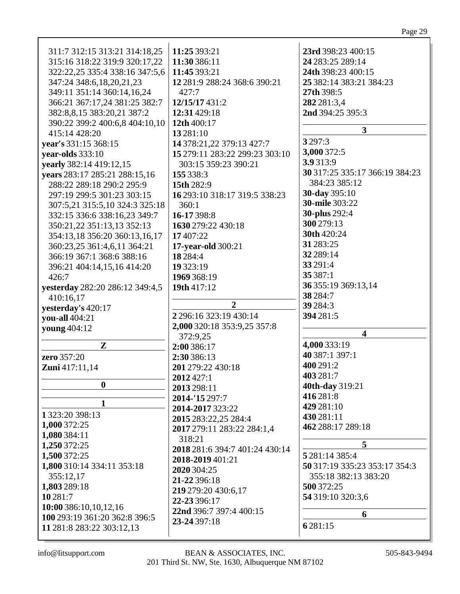| 311:7 312:15 313:21 314:18,25<br>315:16 318:22 319:9 320:17,22<br>322:22,25 335:4 338:16 347:5,6<br>347:24 348:6,18,20,21,23<br>349:11 351:14 360:14,16,24<br>366:21 367:17,24 381:25 382:7<br>382:8,8,15 383:20,21 387:2<br>390:22 399:2 400:6,8 404:10,10 | 11:25 393:21<br>11:30 386:11<br>11:45 393:21<br>12 281:9 288:24 368:6 390:21<br>427:7<br>12/15/17 431:2<br>12:31 429:18<br>12th 400:17 | 23rd 398:23 400:15<br>24 283:25 289:14<br>24th 398:23 400:15<br>25 382:14 383:21 384:23<br>27th 398:5<br>282 281:3,4<br>2nd 394:25 395:3 |
|-------------------------------------------------------------------------------------------------------------------------------------------------------------------------------------------------------------------------------------------------------------|----------------------------------------------------------------------------------------------------------------------------------------|------------------------------------------------------------------------------------------------------------------------------------------|
| 415:14 428:20                                                                                                                                                                                                                                               | 13 281:10                                                                                                                              | 3                                                                                                                                        |
| vear's 331:15 368:15                                                                                                                                                                                                                                        | 14 378:21,22 379:13 427:7                                                                                                              | 3 2 9 7:3                                                                                                                                |
| year-olds 333:10                                                                                                                                                                                                                                            | 15 279:11 283:22 299:23 303:10                                                                                                         | 3,000 372:5                                                                                                                              |
| yearly 382:14 419:12,15                                                                                                                                                                                                                                     | 303:15 359:23 390:21                                                                                                                   | 3.9 313:9                                                                                                                                |
| years 283:17 285:21 288:15,16                                                                                                                                                                                                                               | 155 338:3                                                                                                                              | 30 317:25 335:17 366:19 384:23                                                                                                           |
| 288:22 289:18 290:2 295:9                                                                                                                                                                                                                                   | 15th 282:9                                                                                                                             | 384:23 385:12                                                                                                                            |
| 297:19 299:5 301:23 303:15                                                                                                                                                                                                                                  | 16 293:10 318:17 319:5 338:23                                                                                                          | 30-day 395:10                                                                                                                            |
| 307:5,21 315:5,10 324:3 325:18                                                                                                                                                                                                                              | 360:1                                                                                                                                  | <b>30-mile</b> 303:22                                                                                                                    |
| 332:15 336:6 338:16,23 349:7                                                                                                                                                                                                                                | 16-17 398:8                                                                                                                            | <b>30-plus</b> 292:4                                                                                                                     |
| 350:21,22 351:13,13 352:13                                                                                                                                                                                                                                  | 1630 279:22 430:18                                                                                                                     | 300 279:13                                                                                                                               |
| 354:13,18 356:20 360:13,16,17                                                                                                                                                                                                                               | 17407:22                                                                                                                               | 30th 420:24                                                                                                                              |
| 360:23,25 361:4,6,11 364:21                                                                                                                                                                                                                                 | 17-year-old 300:21                                                                                                                     | 31 283:25                                                                                                                                |
| 366:19 367:1 368:6 388:16                                                                                                                                                                                                                                   | 18 2 84:4                                                                                                                              | 32 289:14                                                                                                                                |
| 396:21 404:14,15,16 414:20                                                                                                                                                                                                                                  | 19 323:19                                                                                                                              | 33 29 1:4                                                                                                                                |
| 426:7                                                                                                                                                                                                                                                       | 1969 368:19                                                                                                                            | 35 387:1                                                                                                                                 |
| yesterday 282:20 286:12 349:4,5                                                                                                                                                                                                                             | 19th 417:12                                                                                                                            | 36 355:19 369:13,14                                                                                                                      |
| 410:16,17                                                                                                                                                                                                                                                   |                                                                                                                                        | 38 284:7                                                                                                                                 |
| yesterday's 420:17                                                                                                                                                                                                                                          | $\overline{2}$                                                                                                                         | 39 284:3                                                                                                                                 |
| you-all 404:21                                                                                                                                                                                                                                              | 2 296:16 323:19 430:14                                                                                                                 | 394 281:5                                                                                                                                |
| young 404:12                                                                                                                                                                                                                                                | 2,000 320:18 353:9,25 357:8                                                                                                            |                                                                                                                                          |
|                                                                                                                                                                                                                                                             | 372:9,25                                                                                                                               | $\overline{\mathbf{4}}$                                                                                                                  |
| ${\bf z}$                                                                                                                                                                                                                                                   | 2:00 386:17                                                                                                                            | 4,000 333:19                                                                                                                             |
| zero 357:20                                                                                                                                                                                                                                                 | 2:30 386:13                                                                                                                            | 40 387:1 397:1                                                                                                                           |
| <b>Zuni</b> 417:11,14                                                                                                                                                                                                                                       | 201 279:22 430:18                                                                                                                      | 400 291:2                                                                                                                                |
|                                                                                                                                                                                                                                                             | 2012 427:1                                                                                                                             | 403 281:7                                                                                                                                |
| $\boldsymbol{0}$                                                                                                                                                                                                                                            | 2013 298:11                                                                                                                            | 40th-day 319:21                                                                                                                          |
| 1                                                                                                                                                                                                                                                           | 2014-'15 297:7                                                                                                                         | 416 281:8                                                                                                                                |
| 1 323:20 398:13                                                                                                                                                                                                                                             | 2014-2017 323:22                                                                                                                       | 429 281:10                                                                                                                               |
| 1,000 372:25                                                                                                                                                                                                                                                | 2015 283:22,25 284:4                                                                                                                   | 430 281:11                                                                                                                               |
| 1,080 384:11                                                                                                                                                                                                                                                | 2017 279:11 283:22 284:1,4                                                                                                             | 462 288:17 289:18                                                                                                                        |
| 1,250 372:25                                                                                                                                                                                                                                                | 318:21                                                                                                                                 | 5                                                                                                                                        |
| 1,500 372:25                                                                                                                                                                                                                                                | 2018 281:6 394:7 401:24 430:14                                                                                                         | 5 281:14 385:4                                                                                                                           |
| 1,800 310:14 334:11 353:18                                                                                                                                                                                                                                  | 2018-2019 401:21                                                                                                                       | 50 317:19 335:23 353:17 354:3                                                                                                            |
| 355:12,17                                                                                                                                                                                                                                                   | 2020 304:25                                                                                                                            | 355:18 382:13 383:20                                                                                                                     |
| 1,803 289:18                                                                                                                                                                                                                                                | 21-22 396:18                                                                                                                           | 500 372:25                                                                                                                               |
| 10 281:7                                                                                                                                                                                                                                                    | 219 279:20 430:6,17                                                                                                                    | 54 319:10 320:3,6                                                                                                                        |
| 10:00 386:10,10,12,16                                                                                                                                                                                                                                       | 22-23 396:17                                                                                                                           |                                                                                                                                          |
| 100 293:19 361:20 362:8 396:5                                                                                                                                                                                                                               | 22nd 396:7 397:4 400:15                                                                                                                | 6                                                                                                                                        |
| 11 281:8 283:22 303:12,13                                                                                                                                                                                                                                   | 23-24 397:18                                                                                                                           | 6 2 8 1 : 15                                                                                                                             |
|                                                                                                                                                                                                                                                             |                                                                                                                                        |                                                                                                                                          |

Page 29